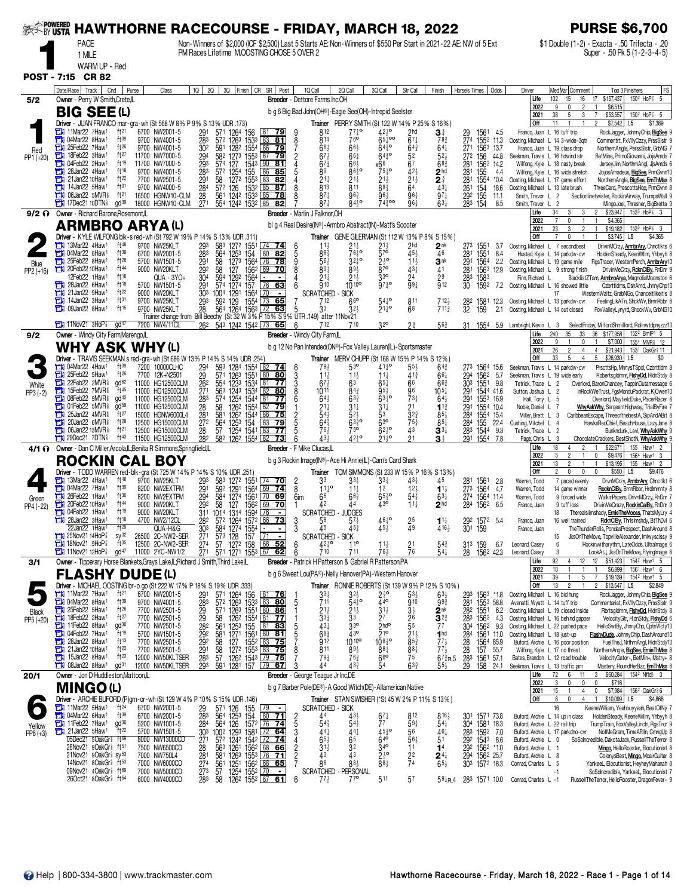| <b>SEE SY USTA</b> | <b>HAWTHORNE RACECOURSE - FRIDAY, MARCH 18, 2022</b>                                                                |                                      |                                      |            |                                     |                                                                          |                                                                                                                                         |                                              |                                                                                                                              |                                                          |                                                          |                                    |                                                                    |                                       |                                                                    |                                            |                                                                            | <b>PURSE \$6,700</b>                                                                                          |
|--------------------|---------------------------------------------------------------------------------------------------------------------|--------------------------------------|--------------------------------------|------------|-------------------------------------|--------------------------------------------------------------------------|-----------------------------------------------------------------------------------------------------------------------------------------|----------------------------------------------|------------------------------------------------------------------------------------------------------------------------------|----------------------------------------------------------|----------------------------------------------------------|------------------------------------|--------------------------------------------------------------------|---------------------------------------|--------------------------------------------------------------------|--------------------------------------------|----------------------------------------------------------------------------|---------------------------------------------------------------------------------------------------------------|
|                    | <b>PACE</b>                                                                                                         |                                      |                                      |            |                                     |                                                                          | PM Races Lifetime M.OOSTING CHOSE 5 OVER 2                                                                                              |                                              | Non-Winners of \$2,000 (ICF \$2,500) Last 5 Starts AE: Non-Winners of \$550 Per Start in 2021-22 AE: NW of 5 Ext             |                                                          |                                                          |                                    |                                                                    |                                       |                                                                    |                                            |                                                                            | \$1 Double (1-2) - Exacta - .50 Trifecta - .20<br>Super - .50 Pk 5 (1-2-3-4-5)                                |
|                    | 1 MILE<br>WARM UP - Red                                                                                             |                                      |                                      |            |                                     |                                                                          |                                                                                                                                         |                                              |                                                                                                                              |                                                          |                                                          |                                    |                                                                    |                                       |                                                                    |                                            |                                                                            |                                                                                                               |
| <b>POST - 7:15</b> | <b>CR 82</b>                                                                                                        |                                      |                                      |            |                                     |                                                                          |                                                                                                                                         |                                              |                                                                                                                              |                                                          |                                                          |                                    |                                                                    |                                       |                                                                    |                                            |                                                                            |                                                                                                               |
|                    | Date/Race Track<br>Cnd                                                                                              | Purse                                | Class                                |            | 2Q  <br>1Q                          |                                                                          | 3Q Finish CR SR Post                                                                                                                    |                                              | 10 Call                                                                                                                      | 2Q Call                                                  | 3Q Call                                                  | Str Call                           | Finish                                                             |                                       | Horse's Times   Odds                                               | Driver                                     | Med Var  Comment                                                           | Top 3 Finishers<br> FS                                                                                        |
| 5/2                | Owner - Perry W Smith, Crete, IL                                                                                    |                                      |                                      |            |                                     |                                                                          |                                                                                                                                         |                                              | Breeder - Dettore Farms Inc.OH                                                                                               |                                                          |                                                          |                                    |                                                                    |                                       |                                                                    | Life<br>2022                               | 102<br>16<br>15<br>9<br>0<br>2                                             | 150 <sup>2</sup> HoP <sup>3</sup> 5<br>\$157,437<br>17<br>\$6,515                                             |
|                    | <b>BIG SEE(L)</b>                                                                                                   |                                      |                                      |            |                                     |                                                                          |                                                                                                                                         |                                              | b g 6 Big Bad John(OH®)-Eagle See(OH)-Intrepid Seelster                                                                      |                                                          |                                                          |                                    |                                                                    |                                       |                                                                    | 2021<br>Off                                | 38<br>5<br>3<br>11                                                         | 150 <sup>2</sup> HoP <sup>2</sup> 5<br>\$53,557<br>7<br>\$7,542<br>L <sub>5</sub><br>\$1,389                  |
|                    | Driver - JUAN FRANCO mar-gra-wh (St 568 W 8% P 9% S 13% UDR .173)<br>11Mar22 7Haw1                                  | ft <sup>21</sup>                     | 6700 NW2001-5                        |            | 291                                 | 1264 156<br>571                                                          | 79                                                                                                                                      |                                              | 812                                                                                                                          | $77\frac{1}{4}$ <sup>o</sup>                             | Trainer PERRY SMITH (St 122 W 14% P 25% S 16%)<br>421º   | 2 <sub>hd</sub>                    | 3∛                                                                 |                                       |                                                                    |                                            | Franco, Juan L 16 tuff trip                                                | RockJagger, JohnnyChip, BigSee 9                                                                              |
| Red                | 04Mar22 8Haw <sup>1</sup><br>25Feb22 7Haw1<br>о                                                                     | ft39<br>ft26                         | 9700 NW4001-5<br>9700 NW4001-5       |            | $\frac{283}{30^2}$                  | 572 1263 1533<br>591 1282 1554                                           | 83<br><u>81</u><br>$86$ 79                                                                                                              | $\frac{8}{7}$                                | 814<br>$66\frac{1}{2}$                                                                                                       | 760<br>$66\frac{1}{2}$                                   | $65\frac{1}{4}$ 00<br>$64\bar{3}$ o                      | $67\frac{1}{4}$<br>$64\frac{3}{4}$ | $78\frac{3}{4}$<br>$64\frac{1}{4}$                                 |                                       | 29 1561 4.5<br>274 1552 11.3<br>271 156 <sup>3</sup> 13.7          |                                            | Oosting, Michael L 14 3-wide-3qtr<br>Franco, Juan L 19 class drop          | Commentrt, FxVIIyOzzy, PrssSIstr 9<br>NorthernAngle, PerssSlstr, GrbNG 7                                      |
| PP1 (+20)          | 18Feb22 3Haw <sup>1</sup><br>о<br>04Feb22 2Haw1                                                                     | ft27<br>$ft^{19}$                    | 11700 NW7000-5<br>11700 NW7000-5     |            | 294<br>293                          | 582 1273 1553 87                                                         | <u>79 </u><br><u>81</u>                                                                                                                 | $\overline{2}$                               | 67<br>$67\frac{3}{4}$                                                                                                        | $66\frac{3}{4}$<br>66}                                   | 6430                                                     | 52<br>67                           | 5 <sup>2</sup><br>68 <sub>4</sub>                                  |                                       | 272 156 44.8                                                       |                                            | Seekman, Travis L 16 hdwind str<br>Wilfong, Kyle L 18 nasty break          | BetMine, PrimoGiovanni, JojsAmds 7<br>JerseyJim, NorthrnAngl, JjsAmds 6                                       |
|                    | 28Jan22 4Haw <sup>1</sup><br>21Jan22 10Haw <sup>1</sup>                                                             | ft18<br>ft22                         | 9700 NW4001-5                        |            | 283                                 | 574 127<br>572 1254                                                      | 154 <sup>3</sup> 90<br>155 86<br>85                                                                                                     |                                              | 89                                                                                                                           | $86\frac{1}{4}$ <sup>o</sup>                             | $x_{75}^{66}$                                            | 42 <sub>3</sub>                    | 2 <sup>hd</sup>                                                    | $\frac{281}{281}$                     | 156 <sup>2</sup> 14.2<br>155 4.4                                   |                                            | Wilfong, Kyle L 16 wide stretch                                            | JojosAmadeus, BigSee, PrmGvnn10                                                                               |
|                    | о<br>14Jan22 5Haw <sup>1</sup>                                                                                      | ft31                                 | 7700 NW2501-5<br>9700 NW4000-5       |            | 291                                 | 1272 1553<br>58<br>57 <sup>2</sup> 126 153 <sup>2</sup><br>561 1242 1533 | 83<br>82<br><u>  85</u><br>87                                                                                                           |                                              | $21\frac{1}{4}$<br>813                                                                                                       | $21\frac{1}{4}$<br>811                                   | $21\frac{1}{2}$<br>883                                   | $21\frac{1}{2}$<br>64              | $\overline{2}$ $\frac{3}{4}$<br>$43\frac{1}{4}$                    | 281<br>261 154<br>29 <sup>2</sup> 155 | 1554<br>$*0.4$<br>18.6                                             |                                            | Oosting, Michael L 17 game effort<br>Oosting. Michael L 13 late brush      | NorthernAngle, BigSee, ErnThMss 8<br>ThreeCard, PrescottsHop, PrmGvnn 8                                       |
|                    | 06Jan22 5MVR <sup>§</sup><br>車<br>$17$ Dec $21$ 10DTNs                                                              | ft <sup>21</sup><br>gd <sup>39</sup> | 16500 HGNW10-CLM<br>18000 HGNW10-CLM |            | 284<br>28<br>271                    | 554 1242 1532 85                                                         | 85<br>$\overline{78}$<br>82                                                                                                             |                                              | $87\frac{1}{4}$<br>871                                                                                                       | $96\frac{3}{4}$<br>$84^{10}$                             | 964<br>74300                                             | 961<br>961                         | $97\frac{1}{4}$<br>$63\frac{1}{4}$                                 | 283 154                               | 11.1<br>8.5                                                        | Smith, Trevor L 2<br>Smith, Trevor         | $\overline{2}$                                                             | Sectionlinetwister, RockinAirway, TrumpsWall 9<br>MingoJoel, Thrasher, BigBretta 9                            |
|                    | 9/2 ? Owner - Richard Barone, Rosemont, L                                                                           |                                      |                                      |            |                                     |                                                                          |                                                                                                                                         |                                              | Breeder - Marlin J Falknor, OH                                                                                               |                                                          |                                                          |                                    |                                                                    |                                       |                                                                    | Life<br>2022                               | 34<br>3<br>3                                                               | $153^3$ HoP $\frac{7}{8}$ 3<br>\$23,947<br>$\overline{2}$<br>\$4,365                                          |
|                    | <b>ARMBRO ARYA (L)</b>                                                                                              |                                      |                                      |            |                                     |                                                                          |                                                                                                                                         |                                              | bl g 4 Real Desire(IN®)-Armbro Abstract(IN)-Matt's Scooter                                                                   |                                                          |                                                          |                                    |                                                                    |                                       |                                                                    | 2021                                       | 23<br>3<br>$\overline{2}$                                                  | $\mathbf{1}$<br>\$19,182<br>$153^3$ HoP $\frac{7}{8}$ 3                                                       |
|                    | Driver - KYLE WILFONG blk-s red-wh (St 792 W 19% P 14% S 13% UDR .311)<br>13Mar22 4Haw1                             | ft48                                 | 9700 NW25KLT                         |            | $\frac{293}{283}$                   | $\frac{583}{564}$<br>127 <sup>2</sup> 1551<br>125 <sup>3</sup> 154       | $74$ 74                                                                                                                                 |                                              |                                                                                                                              | $2^{11}_{64}$ o                                          | $2^{11}_{70}$                                            | $2^{hd}_{45\frac{1}{2}}$           | Trainer GENE GILERMAN (St 112 W 13% P 8% S 15%)<br>2 <sup>nk</sup> | 273                                   | 1551<br>3.7                                                        | Off                                        | $\mathbf 0$<br>Oosting, Michael L 7 secondbest                             | \$3,745<br>L <sub>5</sub><br>\$4,365<br>DrivinMOrzy, <b>ArmbrAry</b> , Chnctlkts 6                            |
| Blue               | 13 04Mar22 6Haw <sup>1</sup><br>25Feb22 8Haw <sup>1</sup>                                                           | ft39<br>ft26                         | 6700 NW2001-5<br>5700 NW1501-5       |            | 291                                 | 58                                                                       | 80<br>$\overline{82}$<br>1273 1564 76 78                                                                                                | $\frac{6}{5}$<br>g                           | $88^{3}$<br>56                                                                                                               | 32‡°                                                     | $2\frac{1}{2}$ <sup>o</sup>                              | $11\frac{1}{2}$                    | 46<br>3nk                                                          | 281                                   | 1551<br>84<br>2.2                                                  |                                            | Husted, Kyle L 14 parkdw-cvr<br>Oosting, Michael L 19 game mile            | HoldenSteady, KeenWilm, Yhbyyh 8<br>RgsTracer, WesternPerch, <b>ArmbrAry</b> 10                               |
| PP2 (+16)          | 20Feb22 10Haw <sup>1</sup><br>12Feb22 1Haw <sup>1</sup>                                                             | ft44<br>ft18                         | 9000 NW20KLT                         | QUA - 3YO+ | 29 <sup>2</sup><br>304              | $\frac{127}{129^2}$ $\frac{156^2}{156^4}$<br>58<br>594                   | $\overline{69}$ 70                                                                                                                      | 8                                            | 89 <sub>1</sub><br>$21\frac{1}{4}$                                                                                           | 893<br>$21\frac{1}{2}$                                   | $87^{\circ}$<br>$3^{30}$                                 | $43\frac{1}{4}$<br>2 <sup>4</sup>  | 41<br>29                                                           |                                       | 291 1564<br>281 1563<br>283 1583<br>12.9                           |                                            | Oosting, Michael L 9 strong finish                                         | DrivinMeCrzy, RoknCIBy, RnDnr 9                                                                               |
|                    | 28Jan22 6Haw <sup>1</sup><br>о                                                                                      | ft18                                 | 5700 NW1501-5                        |            | 291                                 | 574 1274 157                                                             | 76 63                                                                                                                                   |                                              | 910                                                                                                                          | 10 10 <sup>o</sup>                                       | $97\frac{3}{4}$ <sup>o</sup>                             | 994                                | 912                                                                | 30                                    | 1592<br>7.2                                                        | Finn, Richard L                            | Oosting, Michael L 16 showed little                                        | BlacklistZTam, <b>ArmbroArya</b> , MagnoliaMoonston 6<br>Czbrttldms, DshArnd, JhnnyChp10                      |
|                    | 21Jan22 9Haw1<br>о<br>14Jan22 3Haw <sup>1</sup><br>о                                                                | ft22<br>ft31                         | 9000 NW20KLT<br>9700 NW25KLT         |            | 303<br>$\frac{293}{28}$             | $\frac{129}{129}$<br>1004<br>592                                         | $\frac{1564}{1554}$<br>$\blacksquare$<br>65<br>73                                                                                       |                                              | <b>SCRATCHED</b><br>712                                                                                                      | <b>SICK</b><br>66                                        | $54^{10}$                                                | 811                                | $712\frac{1}{2}$                                                   | $\frac{28^2}{32}$                     | 1581<br>12.3                                                       |                                            | 17<br>Oosting, Michael L 13 parkdw-cvr                                     | WesternWaltz, GrabNGo, Chanceitlikeitis 8<br>FeelingLikATn, ShckWv, BrnnRbbr 8                                |
|                    | 09Jan22 8Haw1<br>а                                                                                                  | ft15                                 | 9700 NW25KLT                         |            |                                     |                                                                          |                                                                                                                                         |                                              | 700 NW25KLT 28 564 1264 1563 72 63 5 33 32;<br>Trainer change from Bill Beechy (St 32 W 3% P 15% S 9% UTR 149) after 11Nov21 | 32}                                                      | $21^{10}_{4}$                                            | 68                                 | $711\frac{3}{4}$                                                   |                                       | 159<br>2.1                                                         |                                            | Oosting, Michael L 14 out closed                                           | FoxValleyLynyrd, ShockWv, GrbNG10                                                                             |
|                    | $\frac{1}{2}$ 11Nov21 3HoP $\frac{7}{8}$                                                                            | $qd^{47}$                            | 7200 NW4/11CL                        |            |                                     |                                                                          | 26 <sup>2</sup> 543 1242 1542 73 65                                                                                                     | 6                                            | 712                                                                                                                          |                                                          | 32 <sup>o</sup>                                          | $2\frac{3}{4}$                     | $56\frac{3}{4}$                                                    |                                       |                                                                    | 31 1554 5.9 Lambright, Kevin L 3<br>Life   | 240<br>35<br>33                                                            | SelectFriday, MilfordShmilford, Rollnwtdpnyzzz10<br>36 \$177,958<br>152 <sup>2</sup> BmlP <sup>1</sup> 5      |
| 9/2                | Owner - Windy City Farm, Marengo, L<br><b>WHY ASK WHY (L)</b>                                                       |                                      |                                      |            |                                     |                                                                          |                                                                                                                                         |                                              | Breeder - Windy City Farm,IL<br>b g 12 No Pan Intended(ON®)-Fox Valley Lauren(IL)-Sportsmaster                               |                                                          |                                                          |                                    |                                                                    |                                       |                                                                    | 2022                                       | g<br>$\mathbf{0}$                                                          | \$7,000<br>1554 MVR <sub>1</sub> 12                                                                           |
|                    | Driver - TRAVIS SEEKMAN s red-gra-wh (St 686 W 13% P 14% S 14% UDR 254)                                             |                                      |                                      |            |                                     |                                                                          |                                                                                                                                         |                                              |                                                                                                                              |                                                          | Trainer MERV CHUPP (St 168 W 15% P 14% S 12%)            |                                    |                                                                    |                                       |                                                                    | 2021<br>Off                                | 26<br>$\overline{c}$<br>4<br>$5\phantom{.0}$<br>33<br>$\overline{4}$       | \$21,943<br>4<br>1531 OakGril 11<br>$5\phantom{.0}$<br>\$26,930<br>L <sub>5</sub><br>\$0                      |
|                    | 14Mar22 4Haw <sup>1</sup><br>25Feb22 5Haw1<br>о                                                                     | $ft^{39}$<br>ft26                    | 7200 10000CLHC<br>7700 12K+N2501     |            | 29 <sup>4</sup><br>29<br>262        |                                                                          | 593 1284 1554 82 74                                                                                                                     | 6                                            | 793<br>$11\frac{1}{2}$                                                                                                       | 53°<br>$11\frac{1}{2}$                                   | $41\frac{3}{4}$ o<br>$11\frac{1}{4}$                     | $55\frac{1}{2}$<br>$41\frac{3}{4}$ | $64\frac{3}{4}$<br>$66\frac{1}{4}$                                 | 273                                   | 1564 15.6<br>1562<br>5.7                                           |                                            | Seekman, Travis L 14 parkdw-cvr<br>Seekman, Travis L 19 wide early         | PrscttsHp, MnnysTSpcl, Czbrttldm 8<br>Robertsgldrnnr, FishyDd, HidnStdy 8                                     |
| White              | 22Feb22 $2MNR$ <sup>§</sup><br>о<br>15Feb22 7MVR <sup>§</sup><br>о                                                  | gd <sup>62</sup><br>ft45             | 11000 HG12500CLM<br>11000 HG12500CLM |            | 271                                 | 554<br>563                                                               | 1233 1534 81<br>-77                                                                                                                     | $\frac{3}{3}$                                | 673                                                                                                                          | 63                                                       | $65\frac{1}{4}$                                          | 66                                 | 66 <sup>3</sup>                                                    | 294<br>303                            | 1551<br>9.8                                                        | Tetrick, Trace L 2                         |                                                                            | Overlord, BaronChancey, TappinOutamessage 6                                                                   |
| $PP3(-2)$          | 08Feb22 9MVR <sup>§</sup><br>□                                                                                      | gd <sup>42</sup>                     | 11000 HG12500CLM                     |            | 283                                 | 574 1254 1544<br>58 126 <sup>2</sup> 1554                                | 1243 1534 82<br><u>80</u><br>77<br>81                                                                                                   |                                              | 1011<br>64 <sub>2</sub>                                                                                                      | $8^{4^{3}}$<br>$63\frac{3}{4}$                           | $95\frac{1}{2}$<br>$63^{10}$                             | 96<br>$73\frac{1}{4}$              | 105‡<br>$64\frac{1}{2}$                                            |                                       | 291 1544 41.6<br>291 1553 16.9                                     | Sutton, Joshua L 2                         | Hall, Tony L 5                                                             | InRockWeTrust, FgsMonduPackrat, KiOwen10<br>Overlord, MayfieldDuke, PacerRacer 8                              |
|                    | 01Feb22 5MVR <sup>§</sup><br>с<br>25Jan22 $4MNR\frac{5}{8}$                                                         | $\rm d$ d <sup>59</sup><br>ft $27$   | 11000 HG12500CLM<br>15000 HGNW6000L4 |            | 28<br>281                           | 581                                                                      | $\sqrt{82}$<br>-79<br>75                                                                                                                |                                              | $2^{11}$<br>54                                                                                                               | $31\frac{1}{4}$<br>$5^{2}$                               | $31\frac{1}{4}$<br>53                                    | 2 <sup>1</sup><br>$3^{2^{3}}$      | $1^{13}$<br>$85\frac{1}{2}$                                        | 284                                   | 291 1554 10.4<br>1554 154                                          | Noble, Daniel L 7<br>Miller, Brett L 3     |                                                                            | WhyAskWhy, SergeantHighway, TrialByFire 7<br>CaribbeanEscape, ThreeofthebestA, SipAndABit 8                   |
|                    | 20Jan22 6MVR <sup>§</sup><br>06Jan22 13MVR <sup>§</sup><br>с                                                        | ft28<br>ft <sup>21</sup>             | 12500 HG15000CLM<br>12500 HG15000CLM |            | 27 <sup>2</sup><br>28               | 564<br>57                                                                | $\frac{1262}{1253}$ $\frac{1544}{154}$ $\frac{88}{1254}$<br>$\frac{1254}{1254}$ $\frac{1541}{154}$ $\frac{83}{154}$<br><u>79</u><br>-77 |                                              | $64^{3}$<br>761                                                                                                              | $63^{30}_{4}$<br>75°                                     | 63 <sup>o</sup><br>$62^{10}$                             | $75\frac{1}{4}$<br>43              | $85\frac{1}{4}$<br>$3^{3}{}_{7}$                                   | 284<br>283 1544                       | 155<br>22.4<br>9.3                                                 | Cushing, Mitchel L 4<br>Tetrick, Trace L 2 |                                                                            | HawksRedChief, BeachHouse, LazyJane 8<br>Bunkndunk, Levi, WhyAskWhy 9                                         |
|                    | $29$ Dec21 7DTN                                                                                                     | $ft^{43}$                            | 11500 HG12500CLM                     |            | 282                                 | 582 1262 1554 82                                                         | 73                                                                                                                                      |                                              | 434                                                                                                                          | 4210                                                     | $21^{10}$                                                | 21                                 | 31                                                                 |                                       | 291 1554<br>7.8                                                    | Page, Chris L 3<br>Life                    | 18<br>2<br>4                                                               | ChocolateCrackers, BestShotN, WhyAskWhy<br>155 Haw1<br>\$22,671<br>-2                                         |
|                    | 4/1 1 Owner - Dan C Miller, Arcola, IL; Benita R Simmons, Springfield, IL<br><b>ROCKIN CAL BOY</b>                  |                                      |                                      |            |                                     |                                                                          |                                                                                                                                         |                                              | Breeder - F Mike Clucas,IL<br>b g 3 Rockin Image(IN®)-Ace Hi Annie(IL)-Cam's Card Shark                                      |                                                          |                                                          |                                    |                                                                    |                                       |                                                                    | 2022                                       | 5                                                                          | 156 <sup>4</sup> Haw <sup>1</sup><br>0<br>\$9,476<br>3                                                        |
|                    | <b>Driver</b> - TODD WARREN red-blk-gra (St 725 W 14% P 14% S 10% UDR 251)                                          |                                      |                                      |            |                                     |                                                                          |                                                                                                                                         |                                              | Trainer                                                                                                                      |                                                          |                                                          |                                    | TOM SIMMONS (St 233 W 15% P 16% S 13%)                             |                                       |                                                                    | 2021<br><b>Off</b>                         | 13<br>2<br>$\mathbf{1}$<br>2<br>$\mathbf{0}$<br>$\mathbf 0$                | $\mathbf{1}$<br>\$13,195<br>155 Haw <sup>1</sup> 2<br>\$550<br>$\mathbf{0}$<br>L5<br>\$9,476                  |
|                    | 13Mar22 4Haw1<br>04Mar22 7Haw1                                                                                      | ft48<br>ft39                         | 9700 NW25KLT<br>8200 NW2EXTPM        |            | 293                                 | 592<br>1291 1564                                                         | 583 1272 1551 74 70<br>$69$ 74                                                                                                          | $\frac{2}{8}$                                | 33<br>$11^{10}_{4}$                                                                                                          | 33‡<br>$11\frac{1}{4}$                                   | $3^{3}{}_{7}$<br>12                                      | 431<br>$12\frac{1}{2}$             | 45<br>$1^{1\frac{1}{2}}$                                           |                                       | 281 1561 2.8<br>273 1564<br>- 4.7                                  | Warren, Todd<br>Warren, Todd               | 7 paced evenly<br>14 game winner                                           | DrvnMCrzy, ArmbrAry, Chnctlkt 6<br>RocknCIBy, BrnnRbbr, HrdImmnty 8                                           |
| Green              | 26Feb22 1Haw <sup>1</sup><br>т<br>20Feb22 10Haw <sup>1</sup><br>ο                                                   | ft30<br>ft44                         | 8200 NW2EXTPM<br>9000 NW20KLT        |            | $^{291}_{294}$                      |                                                                          | 584 1274 1561 70 69<br>69<br><u>70</u>                                                                                                  | 6im                                          | 66<br>42                                                                                                                     | $66\frac{3}{4}$<br>44                                    | $65^{30}$<br>43 <sup>o</sup>                             | $54\frac{1}{4}$<br>$11\frac{1}{4}$ | $63\frac{1}{4}$<br>2 <sup>hd</sup>                                 |                                       | 274 1564 11.4<br>284 1562<br>6.5                                   | Warren, Todd<br>Franco, Juan               | 9 forced wide<br>9 tuff loss                                               | WalkinPapers, DrivnMCrzy, RnDnr 7<br>DrivinMeCrazy, RockinCalBy, RnDnr 9                                      |
| PP4 (-22)          | 04Feb22 1Haw1                                                                                                       | ft19                                 | 9000 NW20KLT                         |            |                                     | 29 <sup>2</sup> 58 127 156 <sup>2</sup><br>311 1014 1314 1594            | 76                                                                                                                                      |                                              | SCRATCHED - JUDGES                                                                                                           |                                                          |                                                          |                                    |                                                                    |                                       |                                                                    |                                            | 18                                                                         | Therealslimshady, ErnieTheMooss, ThatsMyLry 4                                                                 |
|                    | 28Jan22 3Haw1<br>22Jan22 1Haw <sup>1</sup>                                                                          | ft18<br>$ft^{29}$                    | 4700 NW2/12CL<br>QUA-H&G             |            | 282<br>303                          | 584 1274 1554                                                            | $57^2$ 1264 1572 66 73                                                                                                                  | ۹                                            | 58<br>Δ5                                                                                                                     | $57\frac{1}{4}$<br>$45\frac{3}{4}$                       | $46^{10}$<br>454                                         | 25<br>49                           | $1^{11}$<br>4164                                                   | 301 159                               | 292 1572 5.4                                                       | Franco, Juan<br>Franco, Juan               | 16 well trained                                                            | RoknClBy, Thrisimshdy, BtThDvl 6<br>The ThunderRolls, PondasProspect, DashAround 8                            |
|                    | 25Nov21 14HoP<br><b>THE 18Nov21 9HoP</b>                                                                            | sy <sup>32</sup><br>$ft^{35}$        | 26500 2C-NW2-SER<br>12500 2C-NW2-SER |            | 271<br>$\overline{27}$ <sup>4</sup> | 573<br>128 157<br>127 <sup>2</sup> 158<br>57                             | $\sqrt{71}$<br>$68$ 52                                                                                                                  | 6                                            | <b>SCRATCHED - SICK</b><br>$42^{10}$                                                                                         | 110                                                      | $11\frac{1}{2}$                                          | $\frac{21}{76}$                    | $5^{4^3}$                                                          | 313 159                               | 6.7                                                                | Leonard, Casey                             | 15<br>6                                                                    | JksOnTheMove, TopvilleAlexander, Imlwysclssy 9<br>Rockinwitharythm, LateOdds, Ultralmage 6                    |
| 3/1                | $11$ Nov21 12HoP $\frac{7}{8}$<br>Owner - Tipperary Horse Blankets, Grays Lake, IL: Richard J Smith, Third Lake, IL | $\text{gd}^{47}$                     | 11000 2YC-NW1/2                      |            | 271                                 |                                                                          | 571 1271 1553 67 62                                                                                                                     | 6                                            | 710<br>Breeder - Patrick H Patterson & Gabriel R Patterson, PA                                                               | 711                                                      | 76}                                                      |                                    | $54\frac{1}{4}$                                                    |                                       | 28 1562 42.3                                                       | Leonard, Casey<br>Life                     | 3<br>92<br>12<br>4                                                         | LookAtJ, JksOnTheMove, FlyingImage 8<br>154 <sup>2</sup> Haw <sup>1</sup> 5<br>\$51,423<br>12                 |
|                    | FLASHY DUDE(L)                                                                                                      |                                      |                                      |            |                                     |                                                                          |                                                                                                                                         |                                              | b g 6 Sweet Lou(PA®)-Nelly Hanover(PA)-Western Hanover                                                                       |                                                          |                                                          |                                    |                                                                    |                                       |                                                                    | 2022                                       | 10<br>5                                                                    | \$6,899<br>156 <sup>1</sup> Haw <sup>1</sup> 6<br>-1<br>154 <sup>2</sup> Haw <sup>1</sup> 5<br>$\overline{7}$ |
|                    | Driver - MICHAEL OOSTING br-o go (St 222 W 17% P 18% S 19% UDR .333)                                                |                                      |                                      |            |                                     |                                                                          |                                                                                                                                         |                                              |                                                                                                                              |                                                          |                                                          |                                    | Trainer RONNIE ROBERTS (St 139 W 9% P 12% S 10%)                   |                                       |                                                                    | 2021<br>Off                                | 39<br>13<br>$\mathfrak{p}$                                                 | \$19,139<br>\$13,547<br>\$2,849<br>L5                                                                         |
|                    | 11Mar22 7Haw1<br>13 04Mar22 8Haw1                                                                                   | ft <sup>21</sup><br>ft39             | 6700 NW2001-5<br>9700 NW4001-5       |            | $\frac{291}{283}$                   | 571 1264 156<br>572 1263 1533                                            | $\lfloor 81$<br><u>76</u><br>83 80                                                                                                      | 5                                            | $3^{31}_{711}$                                                                                                               | $\frac{3^{2\frac{1}{2}}}{5^{4\frac{1}{4}}^{\mathbf{o}}}$ | $24^{\circ}$<br>440                                      | $5^{31}_{910}$                     | $63\frac{1}{2}$<br>$99\frac{3}{4}$                                 |                                       | 293 1563 *1.8<br>281 1553 58.8                                     |                                            | Oosting, Michael L 16 bid hung<br>Avenatti, Wyatt L 14 tuff trip           | RockJagger, JohnnyChip, BigSee 9<br>Commentariat, FxVIIyOzzy, PrssSlstr 9                                     |
| Black              | 25Feb22 5Haw1<br>18Feb22 2Haw1                                                                                      | $ft^{26}$<br>ft27                    | 7700 NW2501-5<br>7700 NW2501-5       |            | 29<br>29<br>28 <sup>2</sup>         |                                                                          | 571 1263 1551 80 86                                                                                                                     |                                              | $21\frac{1}{2}$<br>33 <sub>4</sub>                                                                                           | $\frac{21\frac{1}{2}}{3^{3}}$                            | $31\frac{1}{2}$<br>27                                    | $3\frac{1}{2}$<br>26<br>55         | 2 <sup>nk</sup>                                                    |                                       | 282 1551<br>6.2                                                    |                                            | Oosting, Michael L 19 closed inside<br>Oosting, Michael L 16 behind gapper | Rbrtsgldrnnr, FishyDd, HidnStdy 8<br>VelocityGtr, HldnStdy, FlshyDd 6                                         |
| PP5 (+20)          | 11Feb22 8Haw1<br>о                                                                                                  | $\mathrm{d}^{30}$                    | 7700 NW2501-5                        |            |                                     | $\frac{58}{561}$                                                         | 126 <sup>2</sup> 1554 81 77<br>125 <sup>3</sup> 155 81 83                                                                               | $\frac{5}{5}$                                | $43\frac{1}{4}$                                                                                                              | $3^{30}$                                                 | $\overline{2}$ <sub>hd</sub> o<br>$\bar{2}1^{\circ}$     |                                    | $\frac{3^{23}}{7^7}$                                               |                                       | 283 1562 43<br>304 1562 9.3                                        |                                            | Oosting, Michael L 22 pushed pace                                          | HelloSwtBy, JhnnyChp, CptnVlcty10                                                                             |
|                    | 14Feb22 7Haw <sup>1</sup><br>28Jan22 8Haw <sup>1</sup>                                                              | ft19<br>ft13                         | 5700 NW1501-5<br>7700 NW2501-5       |            | 292<br>$\frac{292}{291}$            | 581<br>$\frac{58}{58}$                                                   | 1271 1561 80 81<br>127 1552 83 75<br>1272 1553 83 75                                                                                    |                                              | $68\frac{3}{4}$<br>912                                                                                                       | 430<br>1010 <sup>o</sup>                                 | $108^{30}_{4}$                                           | $21\frac{1}{2}$<br>$85\frac{3}{4}$ | 1 <sup>hd</sup><br>$77\frac{1}{2}$<br>$77\frac{1}{2}$              | 284<br>$\frac{28}{28}$                | 1561 11.0<br>1564 85.9<br>157 55.7                                 |                                            | Oosting, Michael L 18 just-up<br>Buford, Archie L 16 poor position         | FlashyDude, JohnnyChip, DashAround10<br>FuelTheJ, NrthrnAngl, HidnStdy10                                      |
|                    | $21$ Jan22 10Haw <sup>1</sup><br>$\frac{1}{2}$ 15Jan22 8Haw <sup>1</sup>                                            | ft22<br>$ft^{23}$                    | 7700 NW2501-5<br>12000 NW50KLTSER    |            | 283                                 | 57                                                                       | 1262 1543 79 75                                                                                                                         |                                              | 811<br>$79\frac{3}{4}$                                                                                                       | 893<br>$76\frac{3}{4}$                                   | 88}<br>66                                                | $88\frac{1}{4}$<br>75              | $67\frac{3}{4}$ PL5                                                |                                       | 283 1561 57.1                                                      |                                            | Wilfong, Kyle L 17 no threat<br>Bates, Brandon L 12 road trouble           | NorthernAngle, BigSee, ErnieThMss 8<br>VelocityGator-, BetMin+, Mstry+ 8                                      |
|                    | $\Box$ 08Jan22 8Haw <sup>1</sup>                                                                                    | $qd^{31}$                            | 12000 NW50KLTSER                     |            | 293                                 |                                                                          | 591 1281 157 79 67                                                                                                                      |                                              | 44                                                                                                                           | 433                                                      | 54                                                       | $63\frac{3}{4}$                    | $55\frac{1}{2}$                                                    | 29                                    | 158 24.1                                                           | Life                                       | Seekman, Travis L 13 traffic jam<br>72<br>6<br>11                          | Mastery, RoundHerBzz, ErnThMss 8<br>\$60,284<br>$154^2$ Nfld $\frac{1}{2}$ 3<br>3                             |
| 20/1               | Owner - Jon D Huddleston, Mattoon, IL<br><b>MINGO(L)</b>                                                            |                                      |                                      |            |                                     |                                                                          |                                                                                                                                         |                                              | Breeder - George Teague Jr Inc, DE<br>b g 7 Barber Pole(DE®)-A Good Witch(DE)-Allamerican Native                             |                                                          |                                                          |                                    |                                                                    |                                       |                                                                    | 2022                                       | 3<br>0<br>0                                                                | 0<br>\$716                                                                                                    |
|                    | Driver - ARCHIE BUFORD (P)grn-or-wh (St 129 W 4% P 10% S 15% UDR .146)                                              |                                      |                                      |            |                                     |                                                                          |                                                                                                                                         |                                              |                                                                                                                              |                                                          | <b>Trainer</b> STAN SWISHER (*St 45 W 2 % P 11 % S 13 %) |                                    |                                                                    |                                       |                                                                    | 2021<br>  Off                              | 15<br>$\overline{4}$<br>$\mathbf{1}$<br>$\mathbf{0}$<br>8                  | \$7,984<br>156 <sup>2</sup> OakGri 6<br>$\mathbf 0$<br>\$10,099<br>\$4,866<br>L5                              |
|                    | 11Mar22 5Haw1<br>104Mar22 6Haw1                                                                                     | ft <sup>24</sup><br>ft39             | 6700 NW2001-5<br>6700 NW2001-5       |            | $\frac{29}{283}$                    | 571 126 155<br>564 1253 154                                              | <u>  79 </u><br>$\sim$<br>$80$ 71                                                                                                       |                                              | <b>SCRATCHED - SICK</b>                                                                                                      | 433                                                      | 6/4                                                      | 812                                | $816\frac{1}{2}$                                                   |                                       | 301 1571 73.8                                                      |                                            | 16<br>Buford, Archie L 14 up in class                                      | KeeneWilliam, Yeahboyyeah, BeatOfNy 7<br>HoldenSteady, KeeneWillm, Yhbyyh 8                                   |
| Yellow<br>PP6 (+3) | 11Feb22 7Haw1<br>21Jan22 5Haw1                                                                                      | gd <sup>30</sup><br>ft22             | 5200 NW1001-5<br>5700 NW1501-5       |            | 284<br>303                          |                                                                          | 564 126 1572 76 74<br>1002 1293 1581 72 64<br>572 1242 1542 72 74                                                                       | $\begin{array}{c}\n2 \\ 5 \\ 3\n\end{array}$ | $5^{4}$<br>44                                                                                                                | $54\frac{1}{4}$                                          | 77<br>4530                                               | $\frac{594}{56}$                   | $54\frac{1}{4}$<br>46 <sup>1</sup>                                 |                                       | 304 1581 18.3<br>283 1592 7.0                                      |                                            | Buford, Archie L 22 rail trip<br>Buford, Archie L 17 parkdno-cvr           | TrumpTrain, FoxValleyLincln, RgsTrcr 9<br>NotMeGram, TimeARIIn, CmngUp 8                                      |
|                    | 05Dec21 5OakGr ft <sup>69</sup><br>28Nov21 9OakGr ft 51                                                             |                                      | 8000 NW13000CD                       |            | 27 <sup>1</sup>                     |                                                                          |                                                                                                                                         |                                              | 65                                                                                                                           | 65                                                       | $64$ <sup>o</sup><br>34 <sup>o</sup>                     | $56\frac{1}{2}$                    | 5 <sup>1</sup>                                                     |                                       | 292 1543 8.6                                                       | Buford, Archie L 0                         |                                                                            | SoSolncredible, DakotaJack, RussellTheTerror 8                                                                |
|                    | 21Nov21 9OakGr <sup>5</sup> sy <sup>53</sup>                                                                        |                                      | 7500 NW6500CD<br>7000 NW750L4        |            | 28<br>28                            | 563<br>581                                                               | 1261 1562 68 66<br>126 <sup>3</sup> 155 <sup>3</sup> 76 <b>71</b>                                                                       |                                              | $\frac{31}{43}$                                                                                                              | $\frac{3^2}{4^3}$                                        | $2\frac{1}{2}$ <sup>o</sup>                              | $\frac{1}{2^2}$                    | 14<br>$\frac{2^{4\frac{1}{4}}}{6^{5\frac{1}{2}}}$                  |                                       | 29 <sup>2</sup> 156 <sup>2</sup> *1.0<br>294 156 <sup>2</sup> 25.7 | Buford, Archie L<br>Buford, Archie L 8     |                                                                            | Mingo, HelloRooster, Elocutionist 8<br>ColonysBest, Mingo, McairGuitar 8                                      |
|                    | 14Nov21 8OakGr <sup>§</sup> ft <sup>53</sup><br>09Nov21 4OakGr ft <sup>69</sup>                                     |                                      | 7000 NW6000CD<br>7000 NW5000CD       |            | 274<br>273                          | 561<br>57                                                                | 1251 1562 68 65<br>1254 1552 70 -<br>1262 1552 67 61                                                                                    |                                              | 86<br>SCRATCHED - PERSONAL                                                                                                   | $88\frac{1}{2}$                                          | 883                                                      |                                    |                                                                    |                                       | 303 1572 18.3                                                      | Conrad, Charles L 5                        |                                                                            | YankeeL, Elocutionist, HeyheyMahanah 8<br>SoSolncredible, YankeeL, Elocutionist 7                             |
|                    | 26Oct21 8OakGr ft 54                                                                                                |                                      | 6000 NW4000CD                        |            | 283                                 | 58                                                                       |                                                                                                                                         | 6                                            |                                                                                                                              | $77^{\circ}$                                             | 511                                                      | 57                                 | $59\frac{1}{4}$ PL4                                                |                                       |                                                                    | 283 1571 10.0 Conrad, Charles L -1         |                                                                            | RussellTheTerror, HelloRooster, DragonFever- 9                                                                |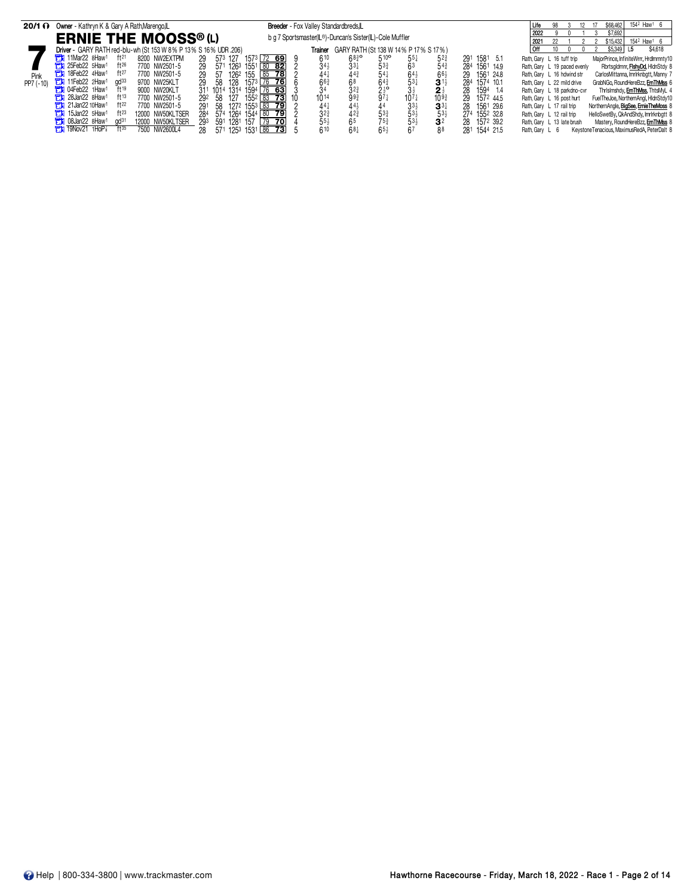| $20/1$ $\Omega$ | Owner - Kathryn K & Gary A Rath, Marengo, L                              |                                      | Breeder - Fox Valley Standardbreds, L |                                                          |                                    |                  |                              | 154 <sup>2</sup> Haw <sup>1</sup> 6<br>\$68,462            |
|-----------------|--------------------------------------------------------------------------|--------------------------------------|---------------------------------------|----------------------------------------------------------|------------------------------------|------------------|------------------------------|------------------------------------------------------------|
|                 | <b>ERNIE THE MOOSS® (L)</b>                                              |                                      |                                       | b g 7 Sportsmaster(IL®)-Duncan's Sister(IL)-Cole Muffler |                                    |                  | 2022<br>2021                 | \$7,692<br>154 <sup>2</sup> Haw <sup>1</sup> 6<br>\$15,432 |
|                 | Driver - GARY RATH red-blu-wh (St 153 W 8% P 13% S 16% UDR .206)         |                                      | Trainer                               | GARY RATH (St 138 W 14% P 17% S 17%)                     |                                    |                  | 10                           | \$5,349<br>\$4,618                                         |
|                 | <b>The 11Mar22 8Haw1</b><br>ft <sup>21</sup><br>8200 NW2EXTPM            | 1573 72 69<br>29<br>127<br>573       | 610                                   | $510^{\circ}$<br>$68^{30}_{4}$                           | $55\frac{1}{4}$<br>$5^{2}$         | 1581 5.1<br>291  | Rath, Gary L 16 tuff trip    | MajorPrince, InfiniteWrrr, HrdImmnty10                     |
|                 | <b>The 25Feb22 5Haw1</b><br>$ft^{26}$<br>7700 NW2501-5                   | 29<br>$155^1$ 80 82<br>1263<br>571   | $34\frac{1}{4}$                       | $33\frac{1}{4}$<br>533                                   | $5^{4^{3}}$                        | 1561 14.9<br>284 | Rath, Gary L 19 paced evenly | Rbrtsgldrnnr, FishyDd, HidnStdy 8                          |
| Pink            | ft27<br><b>THE 18Feb22 4Haw1</b><br>7700 NW2501-5                        | 29<br>57<br>155 85 78<br>1262        |                                       | $44^{3}$                                                 | $66\frac{1}{2}$                    | 1561 24.8<br>29  | Rath, Gary L 16 hdwind str   | CarlosMittanna, Imrlrknbgtt, Manny 7                       |
| PP7 (-10)       | 11Feb22 2Haw <sup>1</sup><br>$\alpha$ d $33$<br>9700 NW25KLT             | 29<br>58<br>128<br>176 761<br>1573   | 66 <sub>3</sub>                       | 68                                                       | $3^{11}$                           | 284 1574 10.1    | Rath, Gary L 22 mild drive   | GrabNGo, RoundHereBzz, ErnThMss 6                          |
|                 | <b>The O4Feb22 1Haw1</b><br>ft19<br>9000 NW20KLT                         | 311 1014 1314<br>$76$ 63<br>1594 l   | 34                                    | $2\frac{1}{2}$<br>971<br>$3^{2^{3}}$                     | $2\frac{1}{2}$<br>10 <sup>93</sup> | 1594 1.4<br>28   | Rath, Gary L 18 parkdno-cvr  | Thrisimshdy, ErnThMss, ThtsMyL 4                           |
|                 | $711 28$ Jan22 8Haw <sup>1</sup><br>ft13<br>7700 NW2501-5                | 127<br>292 58<br>$155^2$ 83 73       | 1014                                  | 993                                                      | $10^{7}$ <sub>3</sub>              | 1572 44.5<br>29  | Rath, Gary L 16 post hurt    | FuelTheJoe, NorthernAngl, HidnStdy10                       |
|                 | $711$ 21 Jan 22 10 Haw <sup>1</sup><br>ft22<br>7700 NW2501-5             | 1272 1553 83 79<br>291<br>-58        | $44\frac{1}{4}$                       | 44}                                                      | $33\frac{1}{2}$<br>$3^{3}{}_{7}$   | 1561 29.6<br>28  | Rath, Gary L 17 rail trip    | NorthernAngle, BigSee, ErnieTheMoss 8                      |
|                 | 15Jan22 5Haw1<br>$ft^{23}$<br>т<br>12000 NW50KLTSER                      | 284<br>574 1264<br>1544 80 79        | $3^{2^{3}}$                           | 42 <sub>4</sub><br>$53\frac{3}{4}$                       | $53\frac{1}{2}$<br>$53\frac{1}{2}$ | 274 1552 32.8    | Rath, Gary L 12 rail trip    | HelloSwetBy, QkAndShdy, Imrlrknbatt 8                      |
|                 | <b>The 08Jan22 8Haw1</b><br>12000 NW50KLTSER<br>$\alpha$ d <sup>31</sup> | 293<br>1281<br>591<br>157<br>$79$ 70 | $55\frac{1}{2}$                       | 65                                                       | $53\frac{1}{2}$<br>3 <sup>2</sup>  | 1572 39.2<br>28  | Rath, Gary L 13 late brush   | Mastery, RoundHereBzz, ErnThMss 8                          |
|                 | $711$ 19Nov21<br>ft35<br>1HoP <sup>*</sup><br>NW2600L4<br>7500           | 1531 86 73<br>28<br>1253<br>571      | 610                                   | $68\frac{1}{4}$<br>$65\frac{1}{2}$                       | 67<br>88                           | 281 1544 21.5    | Rath. Gary L 6               | KeystoneTenacious, MaximusRedA, PeterDalt 8                |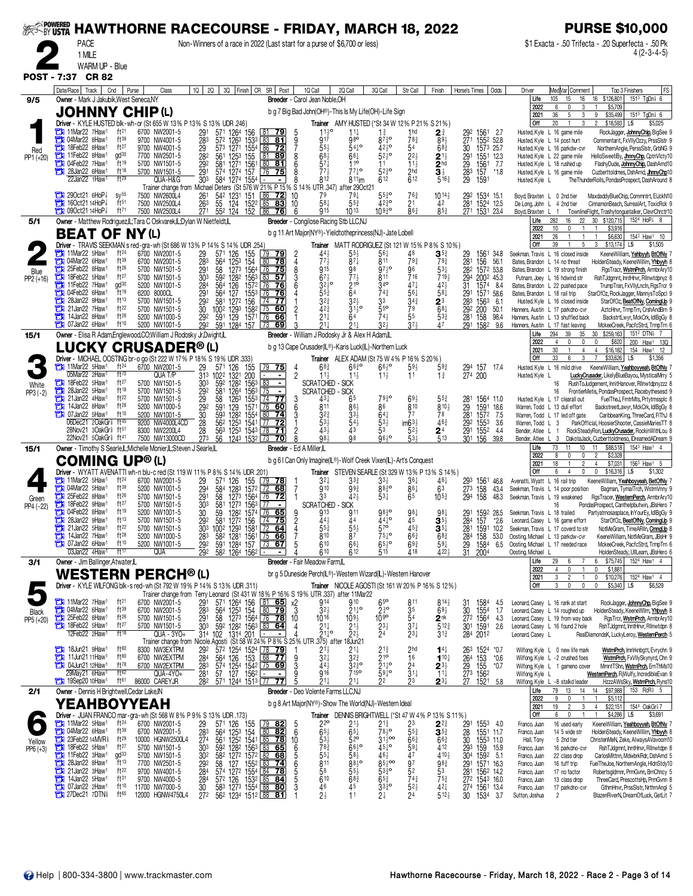| <b>» Powered<br/>~By USTA</b><br><b>HAWTHORNE RACECOURSE - FRIDAY, MARCH 18, 2022</b>                                                                                                                                                                                                                                                                                                                                                                                                     | <b>PURSE \$10,000</b>                                                                                                                                                                                                     |
|-------------------------------------------------------------------------------------------------------------------------------------------------------------------------------------------------------------------------------------------------------------------------------------------------------------------------------------------------------------------------------------------------------------------------------------------------------------------------------------------|---------------------------------------------------------------------------------------------------------------------------------------------------------------------------------------------------------------------------|
| <b>PACE</b><br>Non-Winners of a race in 2022 (Last start for a purse of \$6,700 or less)<br>1 MILE                                                                                                                                                                                                                                                                                                                                                                                        | \$1 Exacta - .50 Trifecta - .20 Superfecta - .50 Pk<br>4 (2-3-4-5)                                                                                                                                                        |
| WARM UP - Blue                                                                                                                                                                                                                                                                                                                                                                                                                                                                            |                                                                                                                                                                                                                           |
| <b>POST - 7:37</b><br><b>CR 82</b>                                                                                                                                                                                                                                                                                                                                                                                                                                                        |                                                                                                                                                                                                                           |
| 3Q Finish CR SR Post<br>Date/Race   Track<br>Cnd<br>2Q<br>1Q Call<br>2Q Call<br>3Q Call<br>Purse<br>Class<br>1Q  <br>Str Call<br>Finish<br>Horse's Times<br>Odds<br>Owner - Mark J Jakubik, West Seneca, NY<br>Breeder - Carol Jean Noble, OH<br>9/5                                                                                                                                                                                                                                      | Med Var Comment<br>Top 3 Finishers<br>FS<br>Driver<br>1513 TgDn <sup>§</sup> 6<br>Life<br>105<br>15<br>16 \$126,801<br>16                                                                                                 |
| <b>JOHNNY CHIP(L)</b><br>b g 7 Big Bad John(OH®)-This Is My Life(OH)-Life Sign                                                                                                                                                                                                                                                                                                                                                                                                            | 2022<br>6<br>$\Omega$<br>\$5,709<br>3<br>36<br>2021<br>5<br>3<br>9<br>\$35,499<br>151 <sup>3</sup> TgDn <sup>§</sup> 6                                                                                                    |
| Driver - KYLE HUSTED blk-wh-or (St 655 W 13% P 13% S 13% UDR .246)<br><b>Trainer</b> AMY HUSTED (*St 34 W 12% P 21% S 21%)<br>ft <sup>21</sup><br>11Mar22 7Haw <sup>1</sup><br>$11\frac{1}{2}$ <sup>o</sup><br>6700 NW2001-5<br>571 1264 156<br>$11\frac{1}{4}$<br>$1\frac{3}{4}$<br>1 <sub>hd</sub><br>81.<br><u>79</u><br>2∛<br>1561<br>- 2.7                                                                                                                                           | <b>Off</b><br>20<br>$\mathbf{1}$<br>3<br>$\overline{2}$<br>\$18,593<br>\$5,025<br>L5<br>Husted, Kyle L 16 game mile<br>RockJagger, JohnnyChip, BigSee                                                                     |
| 291<br>283<br>29<br>$\frac{29^2}{27^1}$<br>30<br>04Mar22 8Haw1<br>ft39<br>572 1263 1533<br>980<br>1552 52.8<br>9700 NW4001-5<br>83<br>917<br>$87\frac{3}{4}$ <sup>o</sup><br>$78\frac{3}{4}$<br>$89\frac{1}{2}$<br>冒<br>81<br>$\frac{9}{7}$<br>ft27<br>573 1271 1554 86<br>$54^{10}_{4}$<br>18Feb22 8Haw <sup>1</sup><br>9700 NW4001-5<br>55)<br>4210<br>54<br>$68\frac{3}{4}$<br>1573 25.7<br>72                                                                                         | Husted, Kyle L 14 post hurt<br>Commentarit, FxVIIyOzzy, PrssSIstr 9<br>Husted, Kyle L 16 parkdw-cvr<br>NorthernAngle, PerssSlstr, GrbNG                                                                                   |
| Red<br>$\alpha$ d $30$<br>$52\frac{1}{2}$ <sup>o</sup><br>11Feb22 8Haw1<br>7700 NW2501-5<br>282<br>$2^{21}$<br>561<br>1253 155<br>  81<br><u>89</u><br>68 <sub>2</sub><br>66‡<br>$2\frac{11}{2}$<br>1551 12.3<br>PP1 (+20)<br>$\mathrm{ft}$ 19<br>104Feb22 7Haw1<br>$\overline{2}$ <sub>hd</sub><br>581<br>80<br>$57\frac{1}{4}$<br>110<br>7.7<br>5700 NW1501-5<br>81<br>$11\frac{1}{2}$<br>6<br>11                                                                                       | Husted, Kyle L 22 game mile<br>HelloSweetiBy, <mark>JhnnyChp</mark> , CptnVlcty10<br>Husted, Kyle L 18 rushed up<br>FlashyDude, JohnnyChip, DashArnd10                                                                    |
| 291<br>293<br>293<br>1271 1561<br>1274 157<br>$\frac{292}{291}$<br>$\frac{156}{157}$<br>ft18<br>$77\frac{1}{4}$ <sup>o</sup><br>2 <sub>hd</sub><br>$\overline{\mathbf{3}}$ $\frac{1}{2}$<br><b>THE 28Jan22 6Haw1</b><br>5700 NW1501-5<br>574<br>$77\frac{1}{2}$<br>$5^{230}$<br>75<br>$*1.8$<br>76<br>ft29<br>812<br>$\overline{6}$ 12<br>22Jan22 1Haw1<br>612<br>303<br>$5^{16}$<br>QUA-H&G<br>584<br>1274 1554<br>$811$ im<br>1591                                                      | Husted, Kyle L 16 game mile<br>Cuzberttoldmes, DshArnd, JhnnyChp10<br>Husted, Kyle L<br>The ThunderRolls, PondasProspect, DashAround 8                                                                                    |
| Trainer change from Michael Deters (St 576 W 21% P 15% S 14%<br>UTR .347)<br>after 290ct21<br>$290ct21$ 6HoP<br>$sy^{55}$<br>7500 NW2600L4<br>86<br>79<br>$55\frac{3}{4}$ <sup>o</sup><br>261<br>542 1231 151<br>72<br>10<br>763<br>$10^{14}$<br>292 1534 15.1<br>79‡                                                                                                                                                                                                                     | Boyd, Braxten L 0 2nd tier<br>MaxdaddyBlueChip, Commntrt, ElJckN10                                                                                                                                                        |
| ft51<br>58}<br>$42^{30}_{4}$<br>160ct2114HoP <sub>8</sub><br>7500 NW2500L4<br>55<br>124 1522 85<br>83<br>10<br>$55\frac{3}{4}$<br>2 <sup>1</sup><br>281<br>1524 12.5<br>1531 23.4<br>263<br>42<br>$\bar{27}$ <sup>1</sup><br>552 124 152 86<br>$86\frac{3}{4}$<br>$\frac{1}{27}$ <sup>1</sup><br>$7$ 090ct21 14HoP $\frac{7}{8}$<br>ft71<br>915<br>10930<br>$85\frac{3}{4}$<br>7500 NW2500L4<br>76<br>6<br>1013                                                                           | De Long, John L 4 2nd tier<br>CinnamonBeach, SurrealArt, ToxicRck 9<br>Boyd, Braxten L 1<br>TownlineFlight, Trashytonguetalker, ClevrChrctr10                                                                             |
| Owner - Matthew Rodriguez,IL;Tara C Oskvarek,IL;Dylan W Nietfeldt,IL<br>Breeder - Congilose Racing Stb LLC,NJ<br>5/1                                                                                                                                                                                                                                                                                                                                                                      | 22<br>30 \$120,715<br>$152^4$ HoP $\frac{7}{8}$ 8<br>Life<br>282<br>16<br>10<br>\$3,916<br>2022<br>0                                                                                                                      |
| <b>BEAT OF NY(L)</b><br>b g 11 Art Major(NY®)-Yieldtotheprincess(NJ)-Jate Lobell<br>Trainer MATT RODRIGUEZ (St 121 W 15% P 8% S 10%)<br>Driver - TRAVIS SEEKMAN s red-gra-wh (St 686 W 13% P 14% S 14% UDR 254)                                                                                                                                                                                                                                                                           | 26<br>\$6,630<br>154 <sup>2</sup> Haw <sup>1</sup><br>2021<br>10<br><b>Off</b><br>39<br>$\mathbf{1}$<br>5<br>3<br>\$13,174<br>L <sub>5</sub><br>\$1,505                                                                   |
| 11Mar22 5Haw1<br>$ft^{24}$<br>29<br>561<br>48<br>$\mathbf{3}^{5\frac{3}{4}}$<br>571<br>126<br>155<br>44<br>$5^{5\frac{1}{2}}$<br>1561<br>6700 NW2001-5<br><u>79</u><br>29<br>34.8<br>- 79<br>77<br>811<br>13 04Mar22 6Haw <sup>1</sup><br>ft39<br>6700 NW2001-5<br>283<br>80<br>$87\frac{1}{4}$<br>$79\frac{3}{4}$<br>793<br>281<br>156<br>56.1<br>564<br>78<br>4                                                                                                                         | Seekman, Travis L 16 closed inside<br>KeeneWilliam, Yehbyyh, BtOfNy<br>Bates, Brandon L 14 no threat<br>HoldenSteady, KeeneWillim, Yhbyyh 8                                                                               |
| 125 <sup>3</sup> 154<br>127 <sup>3</sup> 1564<br>25Feb22 8Haw1<br>ft26<br>5700 NW1501-5<br>8<br>915<br>$97^{10}$<br>96<br>$\frac{28}{29}$<br>1572 53.8<br>291<br>303<br>58<br>76<br>75<br>98<br>53†<br>Blue<br>$67\frac{1}{2}$<br>ft27<br>1563<br>3<br>716<br>719 <sub>2</sub><br>18Feb22 5Haw1<br>592<br>128 <sup>2</sup><br>83<br>$-57$<br>5700 NW1501-5<br>811<br>2002 45.3                                                                                                            | Bates, Brandon L 19 strong finish<br>RgsTracr, WstrnPrch, ArmbrAry10<br>Putnam, Joey L 16 hdwind str<br>RshTJdgmnt, InntHnvr, Rlinwtdpnyz 8                                                                               |
| PP2 (+16)<br>$\frac{216}{64}$<br>gd <sup>30</sup><br>340<br>$47\frac{1}{4}$<br>$42\frac{1}{2}$<br>11Feb22 7Haw1<br>5200 NW1001-5<br>284<br>564<br>126<br>1572<br>76<br>$32\frac{1}{2}$ °<br>31<br>Ē٦<br>  76<br>1574 8.4<br>04Feb22 6Haw1<br>ft19<br>$55\frac{3}{4}$<br>76<br>561<br>а<br>291<br>127<br>743<br>$58\frac{1}{4}$<br>6200 8000CL<br>564<br>1553<br>76<br>1571 58.6                                                                                                           | Bates, Brandon L 22 pushed pace<br>TrumpTran, FxVIIyLncIn, RgsTrcr 9<br>Bates, Brandon L 18 rail trip<br>StarOfOz, RockJagger, MannysToSpcl 9                                                                             |
| $\frac{291}{283}$<br>ġз<br>ft13<br>292<br>1272 156<br>$3^{2^{3}}$<br>$34\frac{3}{4}$<br>28Jan22 9Haw1<br>581<br>$\sqrt{74}$<br>77<br>$\frac{2^{3}}{6^{8}\frac{1}{4}}$<br>5700 NW1501-5<br>т<br>1563<br>- 6.1<br>42 <sup>3</sup><br>$55^{\circ}$<br>79<br>21Jan22 7Haw <sup>1</sup><br>ft22<br>5700 NW1501-5<br>30<br>$31\frac{1}{2}$ <sup>o</sup><br>60<br>200<br>50.1<br>с                                                                                                               | Husted, Kyle L 16 closed inside<br>StarOfOz, BeatOfNy, ComingUp 9<br>Hanners, Austin L 17 parkdno-cvr<br>AztcHnvr, TrmpTrn, CrshAndBrn 9                                                                                  |
| 100 <sup>2</sup> 129 <sup>3</sup> 158 <sup>2</sup> 75<br>591 129 1571 76<br>29 <sup>2</sup><br>281<br>291<br>5 <sup>5</sup><br>14Jan22 8Haw1<br>ft28<br>$74\frac{1}{2}$<br>а<br>$21\frac{1}{4}$<br>$5^{3_{4}^{3}}$<br>158<br>5200 NW1000-5<br>292<br>66<br>64<br>98.4<br>$\overline{29}$ <sup>2</sup><br>37 <sub>3</sub><br>ft10<br>591<br>$32\frac{1}{2}$<br>À7<br>107Jan22 6Haw <sup>1</sup><br>1284 157 73<br>$21\frac{1}{4}$<br>$21\frac{1}{4}$<br>5200 NW1001-5<br>69<br>1582<br>9.6 | Hanners, Austin L 13 shuffled back<br>BackstrtLwyr, MckCrk, IdlBgGy &<br>Hanners, Austin L 17 fast leaving<br>MckeeCreek, PacfcStrd, TrmpTrn 6                                                                            |
| Owner - Elisa R Adam, Englewood, CO; William J Rodosky Jr, Dwight, IL<br>Breeder - William J Rodosky Jr & Alex H Adam,IL<br>15/1                                                                                                                                                                                                                                                                                                                                                          | 30 \$259,163<br>151 <sup>2</sup> DTN <sub>8</sub> 7<br>Life<br>294<br>39<br>35<br>2022<br>$\mathbf 0$<br>\$620<br>4<br>0<br>0<br>200<br>Haw <sup>1</sup> 13Q                                                              |
| LUCKY CRUSADER® (L)<br>b g 13 Cape Crusader(IL®)-Karis Luck(IL)-Northern Luck<br>Driver - MICHAEL OOSTING br-o go (St 222 W 17% P 18% S 19% UDR .333)<br><b>Trainer</b> ALEX ADAM (St 75 W 4% P 16% S 20%)                                                                                                                                                                                                                                                                                | 30<br>2021<br>\$16,182<br>154<br>Haw <sup>1</sup><br>12<br>4<br>4<br>Off<br>33<br>\$33,626<br>6<br>3<br>$\overline{7}$<br>L5<br>\$1,356                                                                                   |
| 11Mar22 5Haw1<br>$ft^{24}$<br>6700 NW2001-5<br>$68\frac{3}{4}$<br>$66^{30}$<br>$66^{10}_{2}$<br>$59\frac{3}{4}$<br>29<br>126<br>155<br>$79$ 75<br>$59\frac{1}{2}$<br>294 157<br>274 200<br>571<br>157 17.4<br>4<br>05Mar22 2Haw<br>ft70<br>31 <sup>3</sup><br>QUA T/P<br>$11\frac{1}{2}$<br>11                                                                                                                                                                                            | Husted, Kyle L 16 mild drive<br>KeeneWilliam, Yeahboyyeah, BtOfNy                                                                                                                                                         |
| 1022<br>1321<br>200<br>$\overline{c}$<br>$11\frac{1}{2}$<br>$1\frac{3}{4}$<br>$11\frac{1}{2}$<br>$\overline{\phantom{a}}$<br>1282<br>ft27<br>59 <sup>2</sup><br>83<br>18Feb22 5Haw1<br>5700 NW1501-5<br>303<br>1563<br><b>SCRATCHED</b><br>- SICK<br>White<br>PP3 (-2)<br>ft18<br>5700 NW1501-5<br><b>SCRATCHED</b><br>CI<br>28Jan22 5Haw1<br><b>SICK</b>                                                                                                                                 | Husted, Kyle L<br>LuckyCrusader, LikelyBlueBayou, MysticalMrry<br>RushToJudgement, InnitHanover, Rllnwtdpnyzzz 8<br>16                                                                                                    |
| 292<br>1264<br>1563 75<br>581<br>$\blacksquare$<br>ft22<br>а<br>$\frac{29}{29}$<br>21Jan22 4Haw <sup>1</sup><br>5700 NW1501-5<br>58<br>126 <sup>3</sup><br>129<br>1553 74<br>77<br>7930<br>431<br>1564 11.0<br>1591 18.6<br>69.<br>55}<br>ft28<br>59 <sup>1</sup><br>$\tilde{8}$ 10<br>811<br>86<br>$810\frac{1}{2}$<br>14Jan22 8Haw <sup>1</sup><br>60<br>l 76                                                                                                                           | FrontierMetis, PondasProspect, Racebythesesd 9<br>16<br>FuelTheJ, FrntrMts, Prtytmssplc 8<br>Husted, Kyle L 17 clearall out                                                                                               |
| $\frac{28}{29}$<br>$\frac{28}{28}$<br>о<br>5200 NW1000-5<br>1571<br>ft10<br>593<br>1282<br>07Jan22 5Haw <sup>1</sup><br>5200 NW1001-5<br>30<br>1554 80<br>74<br>$64\frac{1}{4}$<br>77<br>78<br>1572<br>32<br>7.5<br>06Dec21 2OakGr <sup>®</sup> ft <sup>45</sup><br>$46\frac{3}{4}$<br>l 77                                                                                                                                                                                               | Warren, Todd L 13 dull effort<br>BackstreetLawyr, MckCrk, IdlBgGy 8<br>Warren, Todd L 17 led off gate<br>CaribbeanKing, ThreeCard, FIThJ 8                                                                                |
| 28<br>28<br>562<br>1253 1541<br>53)<br>$\frac{53}{5}$ <sup>3</sup><br>$\frac{1}{5}$ $\frac{1}{2}$<br>$\frac{292}{291}$<br>9200 NW4000L4CD<br><u>72</u><br>1553<br>3.6<br>563<br>43<br>43<br>28Nov21 3OakGr ft <sup>51</sup><br>1552 4.4<br>71<br>24<br>8300 NW2200L4<br>$_{178}$<br>27 <sup>3</sup><br>98}<br>98<br>96,0<br>531<br>513<br>22Nov21 50akGr <sup>§</sup> ft <sup>41</sup><br>7500 NW13000CD<br>56<br>1243 1532 73<br>70<br>30 <sup>1</sup><br>156<br>39.8                    | Warren, Todd L 3<br>ParkOfficial, HoosierShooter, CassieMariesTT &<br>Bender, Atlee L<br>RockSteadyRon, LuckyCrusader, RockinWithLou 8<br>-1<br>DakotaJack, CuzberttoIdmeso, IDreamedADream 9<br>Bender, Atlee L 3        |
| Owner - Timothy S Searle, L; Michelle Monier, L; Steven J Searle, L<br>Breeder - Ed A Miller.IL<br>15/1                                                                                                                                                                                                                                                                                                                                                                                   | 73<br>11<br>\$88,518<br>154 <sup>3</sup> Haw <sup>1</sup><br>Life<br>11<br>10 <sup>10</sup><br>\$2,328<br>2022<br>8<br>$\overline{\phantom{a}}$<br>$\mathbf{0}$<br>$\mathbf{0}$                                           |
| <b>COMING UP®(L)</b><br>b g 6   Can Only Imagine(IL®)-Wolf Creek Vixen(IL)-Art's Conquest<br>Trainer STEVEN SEARLE (St 329 W 13% P 13% S 14%)<br>Driver - WYATT AVENATTI wh-n blu-c red (St 119 W 11% P 8% S 14% UDR .201                                                                                                                                                                                                                                                                 | 18<br>\$7,031<br>$156^3$ Haw <sup>1</sup> 5<br>2021<br>$\overline{2}$<br>$\overline{4}$<br>Off<br>6<br>0<br>0<br>\$16,316<br>L <sub>5</sub><br>\$1,302<br>4                                                               |
| $\frac{1}{2}$ 11 Mar22 5 Haw <sup>1</sup><br>ft <sup>24</sup><br>6700 NW2001-5<br>$3^{2}$<br>29<br>126<br>155<br>33}<br>46‡<br>293<br>571<br>  79<br>78<br>33}<br>$36\frac{1}{4}$<br>1561<br>46.8<br>ft39<br>$88\frac{3}{4}$ o<br>04Mar22 5Haw1<br>910<br>861<br>5200 NW1001-5<br>584<br>68<br>$99\frac{3}{4}$<br>7                                                                                                                                                                       | Avenatti, Wyatt L 16 rail trip<br>KeeneWilliam, Yeahboyyeah, BetOfNy                                                                                                                                                      |
| 294<br>291<br>1283 1572 72<br>1273 1564 76<br>63<br>$\frac{273}{294}$<br>158<br>158<br>о<br>43.4<br>25Feb22 8Haw1<br>ft26<br>58<br>531<br>65<br>$10^{53}$<br>a<br>5700 NW1501-5<br>33<br>$42\frac{1}{2}$<br><u>72</u><br>48.3<br>Green<br>ft27<br>303<br>18Feb22 9Haw <sup>1</sup><br>5700 NW1501-5<br>581<br>1273 1563<br><b>SCRATCHED</b><br>- SICK<br>о<br>l 77<br>$\blacksquare$                                                                                                      | Seekman, Travis L 14 poor position<br>Bagman, TymalTrch, WstrnVnny 9<br>Seekman, Travis L 19 weakened<br>RgsTracer, WesternPerch, ArmbrAry10                                                                              |
| PP4 (-22)<br>ft19<br>04Feb22 8Haw1<br>65<br>5200 NW1001-5<br>$\frac{30}{29^2}$<br>59<br>128 <sup>2</sup> 1574 76<br>1272 156 74<br>911<br>$98\frac{3}{4}$ o<br>981<br>913<br>98 <sub>1</sub><br>159 <sup>2</sup> 28.5<br>157 *2.6<br>581<br>$\bar{28}$ <sup>4</sup><br>28Jan22 9Haw1<br>ft13<br>441 °<br>$\overline{45}$<br>5700 NW1501-5<br>44}<br>$\mathbf{3}^{5\frac{1}{2}}$<br>75<br>44<br>т                                                                                          | PondasProspect, Canthelpbutwin, JBsHero<br>Partyatmosasplace, In YourEy, IdlBgGy 9<br>Seekman, Travis L 18 trailed<br>Leonard, Casey L 16 game effort<br>StarOfOz, BeatOfNy, ComingUp 9                                   |
| ft22<br>$21$ Jan22 5Haw<br>5/00 NW1501-5<br>303<br>100 <sup>2</sup> 129 <sup>3</sup> 1581<br>$\frac{4}{7}$<br>$\frac{553}{810}$<br>$5^{\prime}$<br>3,<br>159 <sup>1</sup><br>10.2<br>$\frac{55}{8}$<br>$ft^{28}$<br>14Jan22 7Haw1<br>$75\frac{1}{4}$ <sup>o</sup><br>$66\frac{3}{4}$<br>о<br>5200 NW1000-5<br>$68\frac{3}{4}$<br>53.0                                                                                                                                                     | Seekman, Travis L 17 coverd to str<br>NotMeGram, TimeARIIn, CrnngUp<br>Oosting, Michael L 13 parkdw-cvr<br>KeeneWilliam, NotMeGram, JBsHr 9                                                                               |
| 100 <sup>2</sup> 129 <sup>3</sup> 1581 72 64<br>58 <sup>2</sup> 1281 1561 75 66<br>591 1284 157 73 67<br>$\frac{281}{28}$<br>283<br>292<br>158<br>1584<br>610<br>$65\frac{1}{2}$ <sup>o</sup><br>$69\frac{3}{4}$<br>$59\frac{1}{4}$<br><b>THE 07Jan22 6Haw1</b><br>ft10<br>5200 NW1001-5<br>661<br>5<br>6.5<br>03Jan22 4Haw1<br>ft17<br>292<br>582 1264 1562<br>612<br>418<br>4224<br>31<br>QUA<br>610<br>515<br>2004                                                                     | Oosting, Michael L 17 needed race<br>MckeeCreek, PacfcStrd, TrmpTrn 6<br>Oosting, Michael<br>HoldenSteady, UllLearn, JBsHero 6                                                                                            |
| Breeder - Fair Meadow Farm,IL<br>3/1<br>Owner - Jim Ballinger, Atwater, IL                                                                                                                                                                                                                                                                                                                                                                                                                | 1524 Haw1 4<br>\$75,745<br>29<br>6<br>Life<br>6<br>2022<br>0<br>0                                                                                                                                                         |
| WESTERN PERCH® (L)<br>br q 5 Duneside Perch(L®)-Western Wizard(L)-Western Hanover                                                                                                                                                                                                                                                                                                                                                                                                         | \$1,881<br>4<br>2021<br>3<br>$\overline{2}$<br>$\mathbf{1}$<br>$\mathbf 0$<br>\$10,276<br>152 <sup>4</sup> Haw1<br>$\frac{4}{3}$<br><b>Off</b><br>3<br>$\mathbf 0$<br>$\mathbf 0$<br>$\mathbf 0$<br>\$5,340 L5<br>\$6,529 |
| Driver - KYLE WILFONG blk-s red-wh (St 792 W 19% P 14% S 13% UDR .311)<br><b>Trainer</b> NICOLE AGOSTI (St 161 W 20% P 16% S 12%)<br>Trainer change from Terry Leonard (St 431 W 18% P 16% S 19% UTR 337) after 11Mar22<br>11Mar22 7Haw1<br>ft <sup>21</sup><br>910                                                                                                                                                                                                                       |                                                                                                                                                                                                                           |
| $\frac{571}{564}$ 1264 156 161 655<br>564 125 <sup>3</sup> 154 180 <b>79</b><br>58 127 <sup>3</sup> 1564 <u>176 <b>78</b></u><br>592 1282 1563 183 64<br>102 1314 2011 154 160<br>$\frac{29}{283}$<br>$65^{\circ}$<br>6700 NW2001-5<br>х2<br>914<br>814<br>1584<br>811<br>31<br>4.5<br>ft39<br>$2\frac{3}{4}$ o<br>30<br>1 04Mar22 6Haw1<br>3<br>$3^{2}$<br>$21^{10}_{4}$<br>$69\frac{1}{2}$<br>1554<br>6700 NW2001-5<br>35<br>1.7<br><b>Black</b><br>$ft^{26}$<br>25Feb22 8Haw1          | Leonard, Casey L 16 rank at start<br>RockJagger, JohnnyChp, BigSee 9<br>Leonard, Casey L 14 roughed up<br>HoldenSteady, KeeneWllm, Yhbyyh 8                                                                               |
| 5700 NW1501-5<br>$\frac{29}{30^3}$<br>$10^{16}$<br>$\frac{10}{2}$ <sup>99</sup><br>$\frac{54}{37}$<br>$\frac{272}{301}$<br>1564<br>1591<br>10<br>$\begin{array}{r} 109\frac{1}{2} \\ 21\frac{1}{2} \\ 22\frac{1}{2} \end{array}$<br>$2^{nk}_{5^{12}3}$<br>4.3<br>PP5 (+20)<br>18Feb22 5Haw1<br>ft27<br>5700 NW1501-5<br>$2^{11}_{2}$<br>$2^{11}_{4}$ o<br>4<br>2.6<br>12Feb22 2Haw <sup>1</sup><br>ft18<br>$314 + 102$                                                                    | Leonard, Casey L 19 from way back<br>RgsTrcr, WstmPrch, ArmbrAry10<br>Leonard, Casey L 16 found 2 hole<br>RshTJdgmnt, InntHnvr, Rllnwtdpn 8                                                                               |
| QUA - 3YO+<br>2 <sup>4</sup><br>$2^{3\frac{1}{4}}$<br>$3^{13}$<br>284 2012<br>Trainer change from Nicole Agosti (St 58 W 24% P 8% S 25% UT<br>.375) after<br>18Jun21<br>ft80<br>8300 NW3EXTPM<br><b>The 18Jun21 9Haw1</b>                                                                                                                                                                                                                                                                 | Leonard, Casey L<br>RealDiamondsK, LuckyLeroy, WesternPerch 5                                                                                                                                                             |
| $-572$ 1254 1524 78 79<br>564 126 153 68 77<br>574 1254 1542 75 69<br>57 127 1562<br>292<br>$\frac{2^{1\frac{1}{2}}}{3^{2\frac{1}{4}}}$<br>$21\frac{1}{4}$<br>$21\frac{3}{4}$<br>$\frac{2}{16}$<br>$14\frac{1}{4}$<br>263<br>264<br>29<br>273<br>152 <sup>4</sup> *0.7<br>153 *0.6<br>ft80<br>$\frac{28}{4}$<br>$3^{23}$<br>$\overline{2}$ <sup>10</sup><br>$11$ Jun21 11 Haw <sup>1</sup><br>6700 NW2EXTPM<br>$1^{10}$<br>9<br>$ft^{78}$<br>$\Box$ 04Jun21 12Haw <sup>1</sup><br>$*0.7$  | Wilfong, Kyle L 0 new life mark<br>WstrnPrch, Imrlrknbgtt, Evrychn 9<br>Wilfong, Kyle L -2 crushed foes<br>WstrnPrch, FxVIIySkynyrd, Chn 9                                                                                |
| $rac{44}{9}$ <sup>14</sup> <sup>2</sup><br>$3^{230}_{4}$<br>7150<br>$\frac{2}{5}$ <sup>11</sup> / <sub>4</sub> °<br>$\frac{24}{31}$<br>$\frac{155}{156^2}$<br>6700 NW2EXTPM<br>$\frac{283}{281}$<br>3<br>$2^{31}_{11}$<br>29May21 6Haw1<br>ft62<br>QUA-4YO+<br>$\overline{27}$<br>ft61<br>$21\frac{1}{4}$<br>22<br>23<br>$2^{3\ddagger}$<br>19Sep20 10Haw <sup>1</sup><br>77<br>$21\frac{1}{4}$                                                                                           | Wilfong, Kyle L 1 gameno cover<br>MmntTShn, WstmPrch, EmThMs10<br>Wilfong, Kyle L<br>WesternPerch, RjWulfy, IncredibleEvan 9                                                                                              |
| 86000 CAREYJR<br>282 571 1244 1513 77<br>1521 5.8<br>Owner - Dennis H Brightwell, Cedar Lake, IN<br>Breeder - Deo Volente Farms LLC,NJ<br>2/1                                                                                                                                                                                                                                                                                                                                             | Wilfong, Kyle L -8 stalkd leader<br>HzzzAWsSky, WstrnPrch, Ryns10<br>Life<br>79 13<br>14<br>\$97,988<br>153 RcR <sup>§</sup> 5<br>14<br>$\Omega$                                                                          |
| ҮЕАНВОҮҮЕАН<br>b g 8 Art Major(NY®)-Show The World(NJ)-Western Ideal                                                                                                                                                                                                                                                                                                                                                                                                                      | 2022<br>9<br>\$5,112<br>\$22,151<br>1544 OakGri 7<br>19<br>$\overline{2}$<br>3<br>$\overline{4}$<br>2021<br>Off<br>6<br>$\mathbf 0$<br>\$4,286<br>L <sub>5</sub><br>\$3,691                                               |
| Driver - JUAN FRANCO mar-gra-wh (St 568 W 8% P 9% S 13% UDR .173)<br>Trainer DENNIS BRIGHTWELL (*St 47 W 4% P 13% S 11%)<br>11Mar22 5Haw1<br>$ft^{24}$<br>$\frac{29}{283}$<br>$\frac{2^{20}}{6^{5\frac{1}{2}}}$<br>6700 NW2001-5<br>$2^3$<br>55 $\frac{3}{4}$<br>1553 4.0<br>1551 11.7<br>$\frac{2^{23}}{3^{53}}$<br>$2^{11}_{65}$<br>$2^{13}_{81}$ o<br>$\frac{5}{6}$<br>13 04Mar22 6Haw <sup>1</sup><br>ft39                                                                            | Franco, Juan<br>16 used early<br>KeeneWilliam, Yeahboyyeh, BtOfNy                                                                                                                                                         |
| $571$ 126 155 79 82<br>564 125 <sup>3</sup> 154 80 82<br>561 125 <sup>2</sup> 1541 85 78<br>592 128 <sup>2</sup> 156 <sup>3</sup> 83 65<br>582 1272 1552 82 63<br>291<br>28<br>30<br>6700 NW2001-5<br>$52^\circ$<br>$31\frac{1}{2}$ 00<br>23Feb22 14MVR\$<br>ft29<br>10000 HGNW2500L4<br>274<br>$53\frac{1}{2}$<br>$66\frac{3}{4}$<br>10<br>$66\frac{3}{4}$<br>1553 11.0<br>Yellow<br>18Feb22 5Haw1<br>ft27<br>$45\overline{4}$ <sup>o</sup>                                              | 14 5 wide str<br>Franco, Juan<br>HoldenSteady, KeeneWillim, Yhbyyh 8<br>ChristenMeN, Zeke, AlwaysAVavoom10<br>Hall, Tony<br>5 2nd tier                                                                                    |
| $78\frac{3}{4}$<br>55 <sup>1</sup><br>$\frac{293}{304}$<br>159 15.9<br>1592 5.1<br>$\frac{303}{302}$<br>6<br>$66^{10}_{2}$<br>$\frac{591}{47}$<br>5700 NW1501-5<br>$4^{12}_{4^{10}\frac{1}{2}}$<br>$PP6 (+3)$<br>$46\frac{1}{2}$<br>11Feb22 3Haw <sup>1</sup><br>gd <sup>33</sup><br>5<br>$58\frac{1}{2}$<br>5700 NW1501-5<br>ft13<br>6<br>28Jan22 8Haw1                                                                                                                                  | 16 parkdno-cvr<br>RshTJdgmnt, InntHnvr, Rllnwtdpn 8<br>Franco, Juan<br>CarlosMittnn, MdwbrkRdr, DshArnd &<br>Franco, Juan<br>22 class drop                                                                                |
| 97<br>811<br>$85\frac{1}{2}$ 00<br>983<br>7700 NW2501-5<br>58 127 1552 83 74<br>574 1272 1554 84 78<br>572 126 1532 85 84<br>$88^{10}_{2}$<br>о<br>292<br>284<br>284<br>30<br>291 1571 16.3<br>281 1562 14.2<br>272 1543 16.0<br>21Jan22 3Haw <sup>1</sup><br>$53\frac{3}{4}$ <sup>o</sup><br>$\frac{52}{743}$<br>ft22<br>9700 NW4001-5<br>$\frac{58}{610}$<br>$55\frac{1}{2}$<br>68 <sup>3</sup><br>$\frac{53}{753}$<br>о<br>$\frac{5}{5}$                                               | FuelTheJoe, NorthernAngle, HidnStdy10<br>Franco, Juan<br>16 tuff trip<br>Robertsgldmnr, PrmGvnn, BrnChncy 5<br>Franco, Juan<br>17 no factor                                                                               |
| 14Jan22 5Haw1<br>ft31<br>$65\frac{3}{4}$<br>9700 NW4000-5                                                                                                                                                                                                                                                                                                                                                                                                                                 | ThreeCard, PrescottsHp, PrmGvnn 8<br>Franco, Juan<br>13 class drop                                                                                                                                                        |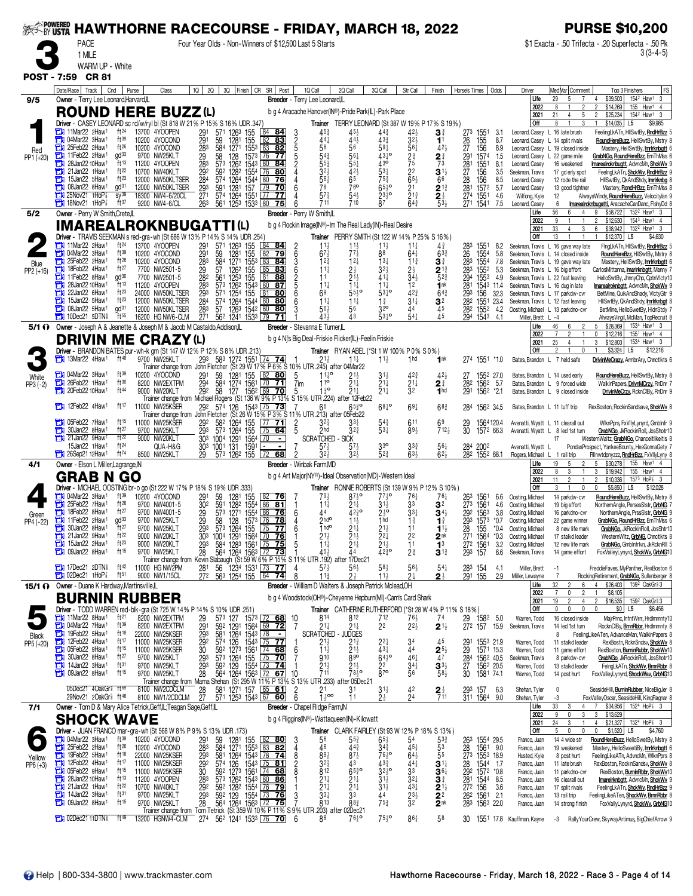| <b>EXAMPOWERED</b> |                                                                                                                      |                                                                                           |                                          | <b>HAWTHORNE RACECOURSE - FRIDAY, MARCH 18, 2022</b>                                                                                                                                                                                          |                                                                     |                                                                                        |                                                                                                |                                                                                 |                                                                      |                                                  |                                                                               |                                                   |                                                                             | <b>PURSE \$10,200</b>                                                                                                                              |
|--------------------|----------------------------------------------------------------------------------------------------------------------|-------------------------------------------------------------------------------------------|------------------------------------------|-----------------------------------------------------------------------------------------------------------------------------------------------------------------------------------------------------------------------------------------------|---------------------------------------------------------------------|----------------------------------------------------------------------------------------|------------------------------------------------------------------------------------------------|---------------------------------------------------------------------------------|----------------------------------------------------------------------|--------------------------------------------------|-------------------------------------------------------------------------------|---------------------------------------------------|-----------------------------------------------------------------------------|----------------------------------------------------------------------------------------------------------------------------------------------------|
|                    | <b>PACE</b><br>1 MILE                                                                                                |                                                                                           |                                          | Four Year Olds - Non-Winners of \$12,500 Last 5 Starts                                                                                                                                                                                        |                                                                     |                                                                                        |                                                                                                |                                                                                 |                                                                      |                                                  |                                                                               |                                                   |                                                                             | \$1 Exacta - .50 Trifecta - .20 Superfecta - .50 Pk<br>$3(3-4-5)$                                                                                  |
|                    | WARM UP - White<br>POST - 7:59 CR 81                                                                                 |                                                                                           |                                          |                                                                                                                                                                                                                                               |                                                                     |                                                                                        |                                                                                                |                                                                                 |                                                                      |                                                  |                                                                               |                                                   |                                                                             |                                                                                                                                                    |
|                    | Date/Race   Track  <br>Cnd                                                                                           | Purse                                                                                     | 1Q<br>Class                              | 2Q                                                                                                                                                                                                                                            | 3Q Finish CR SR Post                                                | 1Q Call                                                                                | 2Q Call                                                                                        | 3Q Call                                                                         | Str Call                                                             | Finish                                           | Horse's Times<br>Odds                                                         | Driver                                            | MedVar Comment                                                              | FS<br>Top 3 Finishers                                                                                                                              |
| 9/5                | Owner - Terry Lee Leonard, Harvard, IL                                                                               |                                                                                           |                                          |                                                                                                                                                                                                                                               |                                                                     | Breeder - Terry Lee Leonard,IL                                                         |                                                                                                |                                                                                 |                                                                      |                                                  |                                                                               | Life<br>2022                                      | 29<br>5<br>$\overline{7}$                                                   | \$39,503<br>154 <sup>2</sup> Haw <sup>1</sup><br>3<br>4<br>155 Haw1<br>\$14,269<br>4                                                               |
|                    | <b>ROUND HERE BUZZ (L)</b><br>Driver - CASEY LEONARD sc rd/w/ryl bl (St 818 W 21% P 15% S 16% UDR .347)              |                                                                                           |                                          |                                                                                                                                                                                                                                               |                                                                     | b g 4 Aracache Hanover(IN®)-Pride Park(IL)-Park Place                                  | Trainer TERRY LEONARD (St 387 W 19% P 17% S 19%)                                               |                                                                                 |                                                                      |                                                  |                                                                               | 2021<br>Off                                       | 21<br>4<br>5<br>8                                                           | \$25,234<br>$\mathfrak{p}$<br>154 <sup>2</sup> Haw <sup>1</sup> 3<br>\$14,035<br>L5<br>\$9,985                                                     |
|                    | $\frac{1}{2}$ 11 Mar22 2 Haw <sup>1</sup><br><b>TH</b> 04Mar22 3Haw <sup>1</sup>                                     | ft <sup>24</sup><br>13700 4YOOPEN<br>ft <sup>39</sup><br>10200 4YOCOND                    |                                          | 571<br>1263<br>155<br>1281<br>59<br>1281 155 82<br>1271 1553 83                                                                                                                                                                               | 84 84<br>83                                                         | $45\frac{3}{4}$<br>3<br>$\frac{2}{5}$<br>44                                            | $45\frac{1}{2}$<br>$44\frac{1}{2}$                                                             | $44\frac{3}{4}$<br>433                                                          | 423<br>$3^{2}$                                                       | 3∛<br>11                                         | 273<br>1551<br>3.1<br>155<br>156<br>8.7                                       | Leonard, Casey<br>Leonard, Casey                  | L 16 late brush<br>L 14 split rivals                                        | FeelingLkATn, HIISwtBy, RndHrBzz 5<br>RoundHereBuzz, HellSwtBy, Mstry 8                                                                            |
| Red<br>PP1 (+20)   | 25Feb22 2Haw1<br>о<br>ā<br>11Feb22 2Haw1                                                                             | $ft^{26}$<br>10200 4YOCOND<br>gd <sup>33</sup><br>9700 NW25KLT                            | 291<br>293<br>283<br>292<br>292          | 584<br>58<br>128                                                                                                                                                                                                                              | 82<br>1573 76<br>-77                                                | 58                                                                                     | 56                                                                                             | $59\frac{1}{4}$<br>$43^{10}$                                                    | $56\frac{1}{4}$                                                      | $42\frac{1}{2}$<br>$\frac{2^{\frac{3}{4}}}{7^3}$ | 26<br>27<br>291<br>8.9<br>1574<br>1.5                                         |                                                   | Leonard, Casey L 19 closed inside<br>Leonard, Casey L 22 game mile          | Mastery, HellSwtBy, Imrirknbgtt 6<br>GrabNGo, RoundHereBzz, ErnThMss 6                                                                             |
|                    | а<br>28Jan22 10Haw <sup>1</sup><br>21Jan22 1Haw <sup>1</sup><br>a<br>15Jan22 5Haw1                                   | ft13<br>11200 4YOOPEN<br>ft <sup>22</sup><br>10700 NW40KLT<br>ft <sup>23</sup>            |                                          | 573 1262<br>1543<br>592<br>1282<br>1554                                                                                                                                                                                                       | 80 84<br>80                                                         |                                                                                        | 42}                                                                                            | 43°<br>$53\frac{1}{4}$                                                          | $2\frac{3}{4}$<br>$7\frac{3}{4}$<br>$2\frac{2}{5}$<br>$6\frac{1}{2}$ | $3^{11}_{6}$                                     | 281<br>27<br>28<br>1551<br>156<br>8.1<br>3.5                                  | Leonard, Casev<br>Seekman, Travis                 | 16 weakened<br>17 gd erly spot                                              | Imarealroknbugtt, AdvncMn, ShckWv 9<br>FeeingLkATn, ShckWv, RndHrBzz 9                                                                             |
|                    | 08Jan22 8Haw <sup>1</sup><br>$25$ Nov $21$ 1HoP <sup><math>7</math></sup><br>о                                       | 12000 NW50KLTSER<br>gd <sup>31</sup><br>12000 NW50KLTSER<br>$SV^{39}$<br>18300 NW4-6/20CL | 284<br>$\frac{293}{271}$                 | 574 1264<br>1544<br>591 1281<br>574 1264<br>157<br>1551                                                                                                                                                                                       | 80<br>76<br>l 79<br>70<br>$\sqrt{77}$<br>77                         | $56\frac{1}{2}$<br>78<br>$57\frac{3}{4}$                                               | 76 <sup>o</sup><br>$54\frac{1}{2}$                                                             | $75\frac{3}{4}$<br>$65\frac{1}{2}$ <sup>o</sup><br>$23\frac{1}{2}$ <sup>o</sup> | $\frac{2}{2}$ <sup>1</sup> $\frac{3}{4}$                             | $\frac{2^{13}}{2^{14}}$                          | 156<br>8.5<br>$\frac{281}{274}$<br>5.7<br>1572<br>1551<br>4.6                 | Leonard, Casey<br>Leonard, Casey<br>Wilfong, Kyle | 12 rode the rail<br>13 good tightner<br>12                                  | HIISwtBy, QkAndShdy, <i>Imrirknbg</i> 8<br>Mastery, RondHrBzz, ErnThMss 8                                                                          |
|                    | $\frac{1}{2}$ 18Nov21 1HoP <sup>7</sup>                                                                              | $ft^{37}$<br>9200 NW4-6/CL                                                                |                                          | 263<br>561<br>1253 1533 80                                                                                                                                                                                                                    | 75                                                                  | 711                                                                                    | 710                                                                                            |                                                                                 | 64}                                                                  |                                                  | 271 1541<br>7.5                                                               | Leonard, Casey<br>Life                            | 6<br>56<br>6                                                                | AlwaysWindy, RoundHereBuzz, Velocitylan 9<br>marealroknbugatti, AracacheCanDanc, FlshyDd 8<br>\$58,722<br>152 <sup>2</sup> Haw <sup>1</sup> 3<br>9 |
| 5/2                | Owner - Perry W Smith, Crete, IL<br><b>IMAREALROKNBUGATTI(L)</b>                                                     |                                                                                           |                                          |                                                                                                                                                                                                                                               |                                                                     | Breeder - Perry W Smith,IL<br>b g 4 Rockin Image(IN®)-Im The Real Lady(IN)-Real Desire |                                                                                                |                                                                                 |                                                                      |                                                  |                                                                               | 2022<br>2021                                      | g<br>$\overline{1}$<br>33<br>3                                              | 2<br>\$12,630<br>154 <sup>3</sup> Haw <sup>1</sup> 4<br>6<br>\$38,942<br>152 <sup>2</sup> Haw <sup>1</sup> 3                                       |
|                    | Driver - TRAVIS SEEKMAN s red-gra-wh (St 686 W 13% P 14% S 14% UDR 254)<br>$\frac{1}{2}$ 11 Mar22 2 Haw <sup>1</sup> | ft <sup>24</sup><br>13700 4YOOPEN                                                         |                                          | 571<br>1263<br>155                                                                                                                                                                                                                            | <u>84</u>                                                           |                                                                                        | Trainer PERRY SMITH (St 122 W 14% P 25% S 16%)                                                 | $1\frac{1}{2}$                                                                  | $11\frac{1}{4}$                                                      | $4\frac{3}{4}$                                   | 283<br>8.2<br>1551                                                            | Off                                               | 13<br>Seekman, Travis L 16 gave way late                                    | \$12,370<br>L5<br>\$4,630<br>FingLkATn, HilSwtBy, RndHrBzz 5                                                                                       |
| Blue               | 14Mar22 3Haw1<br>25Feb22 2Haw1                                                                                       | $ft^{39}$<br>10200<br>$ft^{26}$<br>10200 4YOCOND                                          | $^{291}_{291}$<br>4YOCOND<br>283         | 1281<br>155<br>59<br>584<br>1271 1553                                                                                                                                                                                                         | $\frac{84}{82}$<br>79<br>83<br>84                                   | $\frac{2}{6}$<br>$\frac{11\frac{1}{2}}{67\frac{1}{2}}$<br>$12\frac{3}{4}$              | $\frac{11\frac{1}{2}}{7\frac{7}{4}}$<br>$12\frac{1}{4}$                                        | 88<br>$13\frac{1}{4}$                                                           | $64\frac{1}{4}$<br>$11\frac{3}{4}$                                   | $63\frac{3}{4}$<br>$\mathbf{3}^{\frac{3}{4}}$    | 26<br>1554<br>5.8<br>283<br>1554<br>7.8                                       |                                                   | Seekman, Travis L 14 closed inside<br>Seekman, Travis L 19 gave way late    | RoundHereBzz, HIISwtBy, Mstry 8<br>Mastery, HellSwtBy, mrirknbgtt 6                                                                                |
| PP2 (+16)          | о<br>18Feb22 4Haw <sup>1</sup><br>a<br>11Feb22 8Haw1                                                                 | ft27<br>7700 NW2501-5<br>gd <sup>30</sup><br>7700 NW2501-5                                | $^{29}_{282}$                            | 57<br>1262<br>155<br>155<br>561<br>125 <sup>3</sup>                                                                                                                                                                                           | 85<br>83<br>81<br>88                                                | $11\frac{1}{4}$<br>11                                                                  |                                                                                                | $41\frac{1}{4}$                                                                 | $2\frac{1}{2}$<br>34 <sup>1</sup>                                    | $2^{13}_{523}$                                   | 283<br>1552<br>5.3<br>294<br>1553<br>4.9                                      |                                                   | Seekman, Travis L 16 big effort<br>Seekman, Travis L 22 fast leaving        | CarlosMittanna, <i>marirknbgtt</i> , Manny 7<br>HelloSwtBy, JhnnyChp, CptnVlcty10                                                                  |
|                    | 28Jan22 10Haw <sup>1</sup><br>о<br>22Jan22 6Haw <sup>1</sup><br>с                                                    | ft13<br>11200 4YOOPEN<br>ft <sup>23</sup><br>24000 NW50KLTSER                             | 283<br>293<br>284                        | 573 1262<br>1543<br>571 1254<br>574 1264<br>155                                                                                                                                                                                               | 80<br><u>87</u><br>81<br><u>80</u>                                  | $11\frac{1}{4}$<br>69                                                                  | $11\frac{1}{4}$<br>55 - 0                                                                      | $11\frac{1}{4}$<br>$53^{10}$                                                    | 1 <sup>2</sup><br>$42\frac{3}{4}$                                    | 1 <sub>nk</sub><br>$64\frac{3}{4}$               | 281<br>1543 11.4<br>29 <sub>3</sub><br>28 <sup>2</sup><br>156<br>32.3         |                                                   | Seekman, Travis L 16 dug in late<br>Seekman, Travis L 17 parkdw-cvr         | <b>Imarealroknbgtt</b> , AdvncMn, ShckWv 9<br>BetMine, QuikAndShady, VlctyGtr 9                                                                    |
|                    | 15Jan22 5Haw <sup>1</sup><br>$\Box$ 08 Jan 22 5 Haw <sup>1</sup>                                                     | $ft^{23}$<br>12000<br>gd <sup>31</sup><br>12000 NW50KLTSER<br>$ft^{55}$                   | NW50KLTSER<br>283                        | 1544<br>57<br>1263<br>1542                                                                                                                                                                                                                    | $\sqrt{80}$<br>80<br>$\overline{80}$<br>80                          | $11\frac{1}{4}$<br>563<br>431                                                          | $11\frac{1}{4}$<br>56<br>43                                                                    | $1\frac{3}{4}$<br>32 <sup>o</sup><br>5310                                       | $31\frac{1}{4}$<br>44<br>$54\frac{1}{4}$                             | 3 <sup>2</sup><br>45<br>$\overline{45}$          | 1551<br>23.4<br>282 1552<br>4.2                                               |                                                   | Seekman, Travis L 12 fast leaving<br>Oosting, Michael L 13 parkdno-cvr      | HISwtBy, QkAndShdy, <i>Imrirknbgt</i><br>BetMine, HelloSwetBy, HidnStdy 7                                                                          |
|                    | $10$ Dec21 5DTN<br>5/1 (i) Owner - Joseph A & Jeanette & Joseph M & Jacob M Castaldo, Addison, IL                    | 16200 HG NW6-CLM                                                                          | 27 <sup>1</sup>                          | 562 1241 1533 79                                                                                                                                                                                                                              | 71                                                                  | Breeder - Stevanna E Turner, IL                                                        |                                                                                                |                                                                                 |                                                                      |                                                  | 294 1543 4.1                                                                  | Miller, Brett L -4<br>Life<br>2022                | 46<br>6<br>2                                                                | AlwaysVirgil, McMan, TopRecruit 8<br>\$28,369<br>153 <sup>4</sup> Haw <sup>1</sup> 3<br>5<br>\$12,216<br>155 <sup>1</sup> Haw <sup>1</sup> 4<br>0  |
|                    | <b>DRIVIN</b><br>M<br>Driver - BRANDON BATES pur-wh-k grn (St 147 W 12% P 12% S 8% UDR 213)                          | IE.                                                                                       | <b>CRAZY(L)</b>                          |                                                                                                                                                                                                                                               |                                                                     | b g 4 Ni's Big Deal-Friskie Flicker(IL)-Feelin Friskie                                 | <b>Trainer</b> RYAN ABEL (*St 1 W 100 % P 0 % S 0 %)                                           |                                                                                 |                                                                      |                                                  |                                                                               | 2021<br>Off                                       | 25<br>4<br>$\mathbf{0}$                                                     | 153 <sup>4</sup> Haw <sup>1</sup> 3<br>3<br>\$12,803<br>\$3,324<br>L <sub>5</sub><br>\$12,216                                                      |
|                    | $\frac{1}{2}$ 13Mar22 4Haw <sup>1</sup>                                                                              | ft $48$<br>9700 NW25KLT                                                                   |                                          | 293 583 1272 1551<br>Trainer change from John Fletcher (St 29 W 17% P 6% S 10% UTR 245) after 04Mar22                                                                                                                                         | $[74$ 74                                                            | $21\frac{1}{2}$                                                                        | $11\frac{1}{2}$                                                                                | $11\frac{1}{2}$                                                                 | 1 <sub>hd</sub>                                                      | 1 <sup>nk</sup>                                  | 274<br>$155^1$ *1.0                                                           |                                                   | Bates, Brandon L 7 held safe                                                | DrivinMeCrazy, ArmbrAry, Chnctlkts 6                                                                                                               |
| White<br>PP3 (-2)  | 1 04Mar22 3Haw1                                                                                                      | ft39<br>10200 4YOCOND<br>ft30<br>8200 NW2EXTPM                                            | 291<br>294                               | 59<br>584<br>1281<br>1274<br>155<br>1561                                                                                                                                                                                                      | $\frac{82}{70}$<br><u>80</u><br>$\overline{71}$                     | 5<br>j 10<br>7im                                                                       |                                                                                                | $3^{11}_{21}$                                                                   | $4^{2\frac{3}{4}}$<br>2 <sup>1</sup>                                 | $42\frac{1}{2}$<br>$2^{3}$                       | 27<br>282<br>1552 27.0<br>1562<br>-5.7                                        |                                                   | Bates, Brandon L 14 used early<br>Bates, Brandon L 9 forced wide            | RoundHereBuzz, HellSwtBy, Mstry 8<br>WalkinPapers, DrivnMCrzy, RnDnr 7                                                                             |
|                    | 26Feb22 1Haw1<br>20Feb22 10Haw1                                                                                      | ft44<br>9000 NW20KLT                                                                      |                                          | 292<br>127<br>58<br>Trainer change from Michael Rogers (St 136 W 9% P 13% S 15% UTR .224) after 12Feb22                                                                                                                                       | 1562 69<br>70                                                       | $1^{30}$<br>5                                                                          | 21‡                                                                                            | $21\frac{1}{4}$                                                                 | 32                                                                   | 1 <sub>hd</sub>                                  | 291<br>1562 *2.1                                                              |                                                   | Bates, Brandon L 9 closed inside                                            | DrivinMeCrzy, RcknCIBy, RnDnr 9                                                                                                                    |
|                    | 12Feb22 4Haw1                                                                                                        | ft 17<br>11000 NW25KSER                                                                   |                                          | 292 574 126<br>Trainer change from John Fletcher (St 26 W 15 % P 3 %                                                                                                                                                                          | $154^3$ 75 73                                                       | 66<br>S 11% UTR 213) after 05Feb22                                                     | $65\frac{3}{4}$                                                                                | $68^{10}$                                                                       | $69\frac{1}{4}$                                                      | $68\frac{3}{4}$                                  | 284<br>1562 34.5                                                              | Bates, Brandon L 11 tuff trip                     |                                                                             | RexBoston, RockinSandsave, ShckWv 8                                                                                                                |
|                    | 05Feb22 7Haw1<br>30Jan22 8Haw1<br>$21$ Jan22 9Haw <sup>1</sup>                                                       | ft15<br>11000 NW25KSER<br>ft27<br>9700 NW25KLT<br>ft22<br>9000 NW20KLT                    | 29 <sup>2</sup><br>293                   | 155<br>155<br>1264<br>573<br>1264<br>303 1004 1291 1564                                                                                                                                                                                       | <u>71</u><br>$\overline{75}$<br>64<br>$\sqrt{70}$<br>$\blacksquare$ | 2hd<br><b>SCRATCHED - SICK</b>                                                         | 32}                                                                                            | $5^{43}_{34}$                                                                   | 611<br>$89\frac{1}{2}$                                               | $712\frac{1}{2}$                                 | 1564120.4<br>1572 66.3<br>29<br>30                                            |                                                   | Avenatti, Wyatt L 11 clearall out<br>Avenatti, Wyatt L 8 led 1st turn<br>17 | WiknPprs, FxVIIyLynyrd, Gmblnfr 9<br>GrabNGo, JkRockinRoll, JosShotr10<br>WesternWaltz, GrabNGo, Chanceitlikeitis 8                                |
|                    | 15Jan22 1Haw <sup>1</sup><br><b>THE 26Sep21 12Haw1</b>                                                               | ft <sup>24</sup><br>ft74<br>8500 NW25KLT                                                  | QUA-H&G                                  | 30 <sup>3</sup> 100 <sup>1</sup> 131 1591 -<br>29 57 <sup>3</sup> 126 <sup>2</sup> 155 72                                                                                                                                                     | 68                                                                  | 32)                                                                                    | 57<br>$32\frac{1}{2}$                                                                          | 3 <sup>3</sup><br>52 <sub>4</sub>                                               | $3^{33}_{4}$<br>63}                                                  | $56\frac{1}{2}$                                  | 284 200 <sup>2</sup><br>$\overline{28}$ <sup>2</sup><br>1552 68.1             | Avenatti, Wyatt<br>Rogers, Michael                | 1 rail trip                                                                 | PondasProspect, YankeeBounty, HesGonnaGety 7<br>Rllnwtdpnyzzz, RndHrBzz, FxVllyLyny 8                                                              |
| 4/1                | Owner - Elson L Miller, Lagrange, IN                                                                                 |                                                                                           |                                          |                                                                                                                                                                                                                                               |                                                                     | Breeder - Winbak Farm, MD                                                              |                                                                                                |                                                                                 |                                                                      |                                                  |                                                                               | Life<br>2022                                      | 19<br>5<br>$\overline{c}$<br>3<br>8<br>$\overline{1}$                       | 5<br>\$30,278<br>155 Haw1 4<br>3<br>\$19,942<br>155 Haw1 4                                                                                         |
|                    | <b>GRAB N</b><br>Driver - MICHAEL OOSTING br-o go (St 222 W 17% P 18% S 19% UDR .333)                                | <b>GO</b>                                                                                 |                                          |                                                                                                                                                                                                                                               |                                                                     | b g 4 Art Major(NY®)-Ideal Observation(MD)-Western Ideal                               | Trainer RONNIE ROBERTS (St 139 W 9% P 12% S 10%)                                               |                                                                                 |                                                                      |                                                  |                                                                               | 2021<br>Off                                       | 11<br>2                                                                     | 2<br>\$10,336<br>$157^3$ HoP $\frac{7}{8}$ 3<br>\$5,850<br>L5<br>\$12,028<br>$\mathbf{0}$                                                          |
|                    | $\Box$ 04Mar22 3Haw <sup>1</sup><br>25Feb22 7Haw <sup>1</sup>                                                        | $ft^{39}$<br>10200 4YOCOND<br>$ft^{26}$<br>9700                                           | 291<br>302<br>29<br>29<br>NW4001-5       | 59<br>1281<br>155<br>591 1282 1554 86<br>573 1271 1554 86                                                                                                                                                                                     | <u>76</u><br>$\frac{81}{76}$                                        | 793<br>$11\frac{1}{4}$                                                                 | $87\frac{1}{2}$ <sup>o</sup><br>21‡                                                            | $77\frac{1}{2}$ <sup>o</sup><br>$31\frac{1}{2}$                                 | 76‡<br>33                                                            | $76\frac{1}{4}$<br>3 <sup>2</sup>                | 263<br>$156^{\circ}$<br>6.6<br>273<br>1561<br>4.6                             | Oosting, Michael<br>Oosting, Michael              | 14 parkdw-cvr<br>19 big effort                                              | RoundHereBuzz, HellSwtBy, Mstry 8<br>NorthernAngle, PersesSistr, GrbNG 7                                                                           |
| Green<br>PP4 (-22) | 18Feb22 8Haw1<br>о<br>11Feb22 2Haw1                                                                                  | ft27<br>9700 NW4001-5<br>$gd^{33}$<br>9700 NW25KLT                                        |                                          | $128$ $1573$ 76<br>58                                                                                                                                                                                                                         | 78                                                                  | 44<br>6<br>$2h$ do                                                                     | $42\frac{3}{4}$ <sup>o</sup><br>$11\frac{1}{2}$                                                | $2\frac{1}{2}$ <sup>o</sup><br>1 <sub>hd</sub>                                  | $33\frac{1}{4}$<br>$1\frac{3}{4}$                                    | $34\frac{1}{2}$<br>$\mathbf{1}^3$                | 292 1563<br>3.8<br>$29^3$ $157^3$ *0.7                                        | Oosting, Michael<br>Oosting, Michael              | 16 parkdno-cvr<br>22 game winner                                            | NorthernAngle, PrssSlstr, GrbNG 9<br>GrabNGo, RoundHrBzz, ErnThMss 6                                                                               |
|                    | 30Jan22 8Haw1<br>21Jan22 9Haw1<br>о<br>15Jan22 2Haw <sup>1</sup>                                                     | ft27<br>9700 NW25KLT<br>ft <sup>22</sup><br>9000 NW20KLT<br>$ft^{23}$                     |                                          | 293<br>573 1264 155 75<br>303 1004 1291 1564 70 76<br>293 584 1283 1561 75 75                                                                                                                                                                 |                                                                     | 1 <sub>hd</sub> o<br>11∔                                                               | $21\frac{1}{4}$<br>$\frac{2}{2}$ <sup>1</sup> / <sub>2</sub> <sup>1</sup>                      | $21\frac{1}{2}$<br>$\frac{2^{2\frac{1}{4}}}{2^{1\frac{1}{2}}}$                  | 11<br>$^{22}_{11}$                                                   | $1^{11}$<br>$2^{nk}_{1^3}$                       | 28 155<br>271 1564 *0.3                                                       | *0.4 Oosting, Michael<br>Oosting, Michael         | 8 new life mark<br>17 stalkd leader                                         | GrabNGo, JkRockinRoll, JosShtr10<br>WesternWItz, GrbNG, Chnctlkts 8                                                                                |
|                    | а<br>09Jan22 8Haw1                                                                                                   | 9000 NW20KLT<br>ft15<br>9700 NW25KLT                                                      |                                          | 700 NW25KLT 28 564 1264 1563 $\frac{172}{120}$ 1 453 44<br>Trainer change from Kevin Slabaugh (St 59 W 6% P 15% S 11% UTR 192) after 17Dec21                                                                                                  |                                                                     | 5                                                                                      |                                                                                                | $42^{30}_{4}$                                                                   | 2 <sup>3</sup>                                                       | $3^{12}$                                         | 272 1561<br>3.2<br>293 157<br>6.6                                             | Oosting, Michael<br>Seekman, Travis               | 12 new life mark<br>14 game effort                                          | GrabNGo, GmbInfrivn, JkRcknRll 5<br>FoxValleyLynyrd, ShckWv, GrbNG10                                                                               |
|                    | <b>THE 17Dec21 2DTN</b><br>$2$ Dec21 1HoP $\frac{7}{8}$                                                              | ft <sup>42</sup><br>11000 HG NW2PM<br>9000 NW1/15CL<br>$ft^{51}$                          |                                          | 56 1234 1531 73<br>281<br>272 563 1254 155 64                                                                                                                                                                                                 | 77<br>-74                                                           | $57\frac{1}{2}$<br>4<br>$11\frac{3}{4}$                                                | $56\frac{1}{2}$<br>2½                                                                          | $58\frac{1}{2}$<br>$11\frac{1}{2}$                                              | $56\frac{1}{2}$<br>2 <sup>1</sup>                                    | $54\frac{1}{4}$<br>2 <sup>1</sup>                | 28 <sup>3</sup> 154<br>291 155<br>4.1<br>2.9                                  | Miller, Brett<br>Miller, Lewayne                  | $-1$<br>7                                                                   | FreddieFaves, MyPanther, RexBoston 6<br>RockingRetirement, GrabNGo, Sullenberger 8                                                                 |
|                    | <b>15/1 O</b> Owner - Duane K Hardway, Martinsville, L                                                               |                                                                                           |                                          |                                                                                                                                                                                                                                               |                                                                     | Breeder - William D Walters & Joseph Patrick Mclead, OH                                |                                                                                                |                                                                                 |                                                                      |                                                  |                                                                               | Life<br>2022                                      | 32<br>6<br>$\overline{7}$<br>0<br>$\overline{2}$                            | \$26,403<br>159 <sup>2</sup> OakGri 3<br>\$8,105                                                                                                   |
|                    | <b>BURNIN RUBBER</b><br>Driver - TODD WARREN red-blk-gra (St 725 W 14% P 14% S 10% UDR .251)                         |                                                                                           |                                          |                                                                                                                                                                                                                                               |                                                                     | b g 4 Woodstock(OH®)-Cheyenne Hepburn(MI)-Cam's Card Shark                             | Trainer CATHERINE RUTHERFORD (*St 28 W 4% P 11 % S 18%)                                        |                                                                                 |                                                                      |                                                  |                                                                               | 2021<br>Off                                       | 19<br>$\overline{2}$<br>$\overline{4}$<br>0<br>0<br>$\mathbf{0}$            | 159 <sup>2</sup> OakGr 13<br>$\overline{2}$<br>\$16,535<br>\$6,456<br>$\mathbf{0}$<br>\$0 <br>L <sub>5</sub>                                       |
|                    | $\frac{1}{2}$ 11 Mar22 8 Haw <sup>1</sup><br>13 04Mar22 7Haw1                                                        | ft <sup>21</sup><br>8200 NW2EXTPM<br>$ft^{39}$<br>8200 NW2EXTPM                           | $\frac{29}{29}$                          | 573 127 1573 72 68 10<br>592 1291 1564 69 72 7                                                                                                                                                                                                |                                                                     | 814<br>$21\frac{1}{4}$                                                                 | 812<br>$21\frac{1}{4}$                                                                         | 712<br>22                                                                       | $76\frac{1}{2}$<br>2 <sup>2</sup> / <sub>2</sub>                     | 74<br>$2^{1\frac{1}{2}}$                         | 29 158 <sup>2</sup> 5.0<br>27 <sup>2</sup> 157 15.9                           | Warren, Todd<br>Seekman, Travis                   | 16 closed inside<br>14 led 1st turn                                         | MajrPrnc, InfntWrrr, HrdImmnty10<br>RocknClBy, BrnnRbbr, Hrdlmmnty 8                                                                               |
| Black<br>PP5 (+20) | 19Feb22 5Haw1<br>12Feb22 4Haw1                                                                                       | ft18<br>22000 NW25KSER<br>ft17<br>11000 NW25KSER                                          | 293                                      | 581 1264 1543 78                                                                                                                                                                                                                              | $\blacksquare$                                                      | <b>SCRATCHED</b>                                                                       | - JUDGES<br>$2^{13}_{21}$                                                                      | $2^{2\frac{1}{4}}$                                                              | $3^{4}_{4}$                                                          | 45                                               | $^{291}_{29}$<br>1553 21.9                                                    | Warren, Todd                                      | 8<br>11 stalkd leader                                                       | FeelingLikeATen, AdvanceMan, WalkinPapers 8<br>RexBostn, RcknSndsv, ShckWv 8                                                                       |
|                    | 05Feb22 9Haw1<br>а<br>30Jan22 8Haw <sup>1</sup><br>14Jan22 3Haw <sup>1</sup>                                         | ft 15<br>11000 NW25KSER<br>ft $27$<br>9700 NW25KLT<br>ft <sup>31</sup>                    |                                          |                                                                                                                                                                                                                                               |                                                                     |                                                                                        | 890                                                                                            | $64^{10}_{2}$                                                                   | 461                                                                  | $\frac{2^{5\frac{1}{2}}}{4^7}$                   | 1571 15.3<br>284 1562 40.5                                                    | Warren, Todd<br>Seekman, Travis                   | 11 game effort<br>8 parkdw-cvr                                              | RexBoston, BurninRubbr, ShckWv10<br>GrabNGo, JkRockinRoll, JosShotr10                                                                              |
|                    | с<br>09Jan22 8Haw <sup>1</sup>                                                                                       | 9700 NW25KLT<br>$ft^{15}$<br>9700 NW25KLT                                                 |                                          | 2000 NW25KSER 292 574 126 1543 175 771 1<br>1000 NW25KSER 30 592 1273 1561 175 771 1<br>1000 NW25KSER 30 592 1273 1561 174 688 6 113<br>1700 NW25KLT 293 573 1264 155 173 774 1<br>1700 NW25KLT 283 594 1264 1563 172 671 10 711<br>1700 NW25 |                                                                     |                                                                                        | $\frac{2}{7}$ <sup>1<sub>2</sub></sup> / <sub>8<sup>1</sup>/<sub>2</sub></sub><br>after 05Dec2 | 22<br>$8^{70}$                                                                  | $\frac{3^{4}_{0}3^{4}_{0}}{5^{6}}$                                   | $3^{3}$<br>$58\frac{1}{2}$                       | $\frac{27}{30}$<br>1562 20.5<br>1581 74.1                                     | Warren, Todd<br>Warren, Todd                      | 13 stalkd leader<br>14 post hurt                                            | FelngLkATn, ShckWv, BrnnRbbr 8<br>FoxValleyLynyrd, ShockWav, GrbNG10                                                                               |
|                    | 05Dec21 4OakGr <sup>§</sup> ft <sup>69</sup><br>29Nov21 20akGr <sup>§</sup> ft <sup>46</sup>                         | 8100 NW2CDCLM                                                                             | $\frac{28}{27}$<br>8100 NW1/2CDCLM       | 581 1271 157 65 61<br>571 1253 1543 67 60                                                                                                                                                                                                     |                                                                     | 2<br>i 1oo                                                                             | 31                                                                                             | $31\frac{1}{2}$<br>$2\frac{1}{2}$                                               | 42<br>24                                                             | $2\frac{1}{7}$                                   | 293<br>157<br>6.3<br>311 1564 9.0                                             | Shehan, Tyler<br>Shehan, Tyler                    | $\mathbf{0}$<br>-3                                                          | SeasideHill, <b>BurninRubber</b> , NiceBigJer 8<br>FoxValleyOscar, SeasideHill, KingRagnar 8                                                       |
| 7/1                | Owner - Tom D & Mary Alice Tetrick, Geff, IL, Teagan Sage, Geff, IL                                                  |                                                                                           |                                          |                                                                                                                                                                                                                                               |                                                                     | Breeder - Chapel Ridge Farm, IN                                                        |                                                                                                |                                                                                 |                                                                      |                                                  |                                                                               | Life<br>2022                                      | 33<br>3<br>$\overline{4}$<br>9<br>0<br>3                                    | 152 <sup>4</sup> HoP <sup>2</sup> 3<br>\$34,956<br>$7\overline{ }$<br>3<br>\$13,629                                                                |
|                    | <b>SHOCK WAVE</b><br>Driver - JUAN FRANCO mar-gra-wh (St 568 W 8% P 9% S 13% UDR .173)                               |                                                                                           |                                          |                                                                                                                                                                                                                                               |                                                                     | b g 4 Riggins(IN®) - Wattaqueen(IN) - Kilowatt                                         | <b>Trainer</b> CLARK FAIRLEY (St 93 W 12% P 18% S 13%)                                         |                                                                                 |                                                                      |                                                  |                                                                               | 2021<br>Off                                       | 24<br>3<br>$\mathbf{1}$<br>5<br>0<br>$\Omega$                               | $\overline{4}$<br>\$21,327<br>1524 HoP <sup>2</sup> 3<br>\$1,520 L5<br>\$4,760<br>0                                                                |
|                    | 104Mar22 3Haw1<br>25Feb22 2Haw1                                                                                      | ft39<br>10200 4YOCOND<br>$ft^{26}$<br>10200 4YOCOND                                       | $\frac{291}{283}$                        |                                                                                                                                                                                                                                               |                                                                     | 56<br>46                                                                               | $5^{5^{3}_{4}}$<br>443                                                                         | $65\frac{1}{2}$<br>$34\frac{3}{4}$                                              | 54<br>45‡                                                            | $5^{3}$<br>53                                    | 26 <sup>3</sup> 1554 29.5<br>28 1561 9.0<br>273 1553 18.9                     | Franco, Juan<br>Franco, Juan                      | 14 4 wide str<br>19 weakened                                                | RoundHereBuzz, HelloSwetBy, Mstry 8<br>Mastery, HelloSweetiBy, mrirknbgtt 6                                                                        |
| Yellow<br>PP6 (+3) | 19Feb22 5Haw1<br>о<br>t<br>12Feb22 4Haw1                                                                             | $ft^{18}$<br>22000 NW25KSER<br>ft17<br>11000 NW25KSER                                     | $\frac{293}{292}$                        | 59 1281 155 <u>82 80</u><br>584 1271 1553 83 82<br>581 1264 1543 78 74<br>574 126 1543 75 81                                                                                                                                                  |                                                                     | 89<br>$32\frac{3}{4}$                                                                  | $87\frac{1}{2}$<br>43                                                                          | 76,10<br>433                                                                    | $64\frac{1}{2}$<br>$44\frac{1}{4}$                                   | 55<br>$3^{11}$                                   | 28 1544 1.7<br>292 1572 *0.8                                                  | Husted, Kyle<br>Franco, Juan                      | 8 post hurt<br>11 late brush                                                | FeelingLikeATn, AdvncMn, WlknPprs 8<br>RexBoston, RockinSandsv, ShckWv 8                                                                           |
|                    | а<br>05Feb22 9Haw1<br>28Jan22 10Haw <sup>1</sup><br>о<br>21Jan22 1Haw1                                               | ft15<br>11000 NW25KSER<br>$ft^{13}$<br>11200 4YOOPEN<br>ft22                              | $\frac{30}{283}$                         | 592 1273 1561 74 68<br>573 1262 1543 80 86<br>592 1282 1554 76 79                                                                                                                                                                             |                                                                     | 812<br>$21\frac{1}{4}$                                                                 | $65\frac{3}{4}$ <sup>o</sup><br>$21\frac{1}{4}$                                                | $3^{210}$<br>$31\frac{1}{2}$                                                    | $3^3$<br>$3^2$<br>$4^3$                                              | $36\frac{1}{4}$<br>3 <sup>3</sup>                | 281<br>1544<br>-8.5                                                           | Franco, Juan<br>Franco, Juan                      | 11 parkdno-cvr<br>16 clearall out                                           | RexBoston, BurninRbbr, ShckWv10<br>Imarelrknbgtt, AdvncMn, ShckWv 9                                                                                |
|                    | о<br>14Jan22 3Haw <sup>1</sup><br>а<br>09Jan22 8Haw <sup>1</sup><br>市                                                | 10700 NW40KLT<br>$ft^{31}$<br>9700 NW25KLT<br>$ft^{15}$<br>9700 NW25KLT                   | 29 <sup>2</sup><br>29 <sup>3</sup><br>28 | 1700 NW25KLT 293 592 129 1554 23 26 3<br>1700 NW25KLT 28 564 1264 1563 22 75 7<br>Trainer change from Tom Tetrick (St 359 W 10% P 11% S 9% UTR.                                                                                               |                                                                     | $21\frac{1}{4}$<br>$\bar{3}3\frac{1}{4}$<br>813                                        | $21\frac{1}{4}$<br>3 <sup>3</sup><br>$88\frac{3}{4}$                                           | $31\frac{1}{2}$<br>44<br>$75\frac{3}{4}$                                        | $\frac{2^{3\frac{1}{2}}}{3^{2}}$                                     | $2^{1\frac{1}{2}}$<br>$\bar{2}^2_{nk}$           | 272 156<br>3.6<br>26 <sup>2</sup><br>283<br>1561 2.1<br>156 <sup>3</sup> 22.0 | Franco, Juan<br>Franco, Juan<br>Franco, Juan      | 17 split rivals<br>13 rail trip<br>14 strong finish                         | FeelingLkATn, ShckWv, RndHrBzz 9<br>FeelingLikeATen, ShockWv, BrnnRbbr 8<br>FoxVallyLynyrd, ShckWv, GrbNG10                                        |
|                    | <b>T</b> 02Dec2111DTN ft <sup>49</sup>                                                                               | 13200 HGNW4-CLM                                                                           |                                          | 274 562 1241 1533 76 70 6                                                                                                                                                                                                                     |                                                                     | 88                                                                                     | .203) after 02Dec21<br>$76\frac{1}{4}$ <sup>o</sup>                                            | $75\frac{1}{2}$ <sup>o</sup>                                                    | 86‡                                                                  | 58                                               |                                                                               |                                                   |                                                                             | 30 1551 17.8 Kauffman, Kayne -3 Rally Your Crew, Skyway Artimus, Big Chief Arrow 9                                                                 |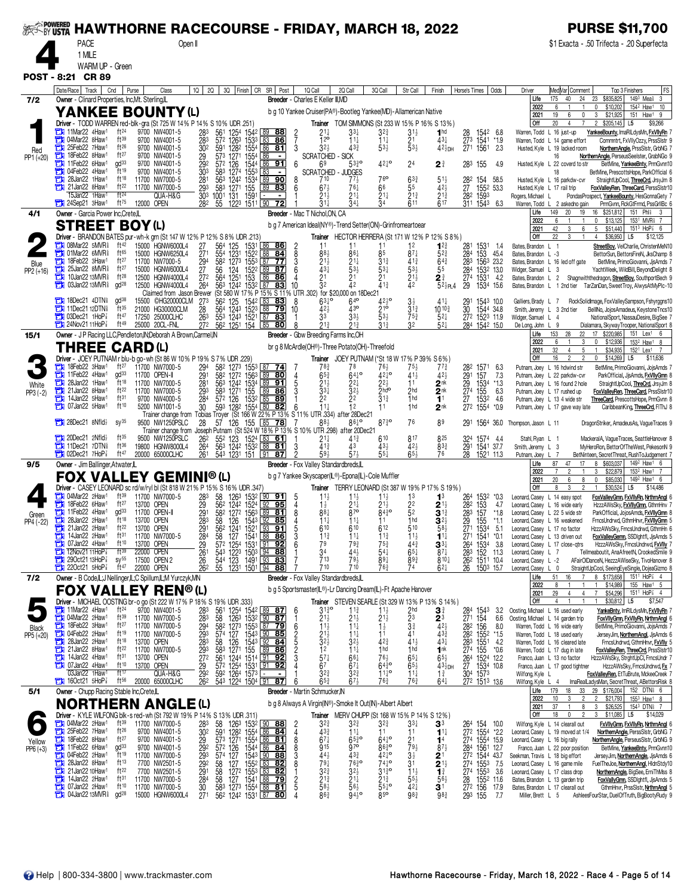| <b>PACE</b><br>\$1 Exacta - .50 Trifecta - .20 Superfecta<br>Open II<br>1 MILE<br>WARM UP - Green<br>POST - 8:21 CR 89<br>Date/Race   Track  <br>Cnd<br>10   20   30   Finish   CR SR   Post<br>1Q Call<br>2Q Call<br>MedVar Comment<br>Purse<br>Class<br>3Q Call<br>Str Call<br>Finish<br>Horse's Times   Odds<br>Driver<br>Top 3 Finishers<br>24<br>\$835,825<br>149 <sup>3</sup> Mea <sup>§</sup><br>Owner - Clinard Properties, Inc, Mt. Sterling, L.<br>Breeder - Charles E Keller III, MD<br>Life<br>175<br>40<br>23<br>7/2<br>154 <sup>2</sup> Haw <sup>1</sup> 10<br>2022<br>$\mathbf 0$<br>\$10,202<br>6<br>YANKEE BOUNTY (L)<br>b g 10 Yankee Cruiser(PA®)-Bootleg Yankee(MD)-Allamerican Native<br>2021<br>19<br>6<br>0<br>3<br>\$21,925<br>151<br>Haw <sup>1</sup><br>Driver - TODD WARREN red-blk-gra (St 725 W 14% P 14% S 10% UDR .251)<br>$20\,$<br>\$205,145<br><b>Trainer</b> TOM SIMMONS (St 233 W 15% P 16% S 13%)<br><b>Off</b><br>4<br>L5<br>11Mar22 4Haw <sup>1</sup><br>ft <sup>24</sup><br>9700 NW4001-5<br>а<br>283<br>561<br>1254 1542 89 88<br>$21\frac{1}{4}$<br>1 <sub>hd</sub><br>33‡<br>$3^{2^{3}}$<br>31}<br>28<br>1542 6.8<br>Warren, Todd L 16 just-up<br>YankeeBounty, ImaRILdysMn, FxVIIyRn 7<br>ft39<br>04Mar22 8Haw1<br>12 <sup>o</sup><br>$\frac{21}{53}$<br>$43\frac{1}{4}$<br>27 <sup>3</sup> 1541<br>271 1561<br>9700 NW4001-5<br>283<br>57 <sup>2</sup> 126 <sup>3</sup> 153 <sup>3</sup> 83 86<br>591 128 <sup>2</sup> 1554 86 81<br>$11\frac{1}{4}$<br>$11\frac{1}{4}$<br>*1.9<br>Commntrt, FxVIIyOzzy, PrssSIstr 9<br>Warren, Todd L 14 game effort<br>25Feb22 7Haw1<br>ft26<br>3<br>$53\frac{1}{2}$<br>9700 NW4001-5<br>302<br>$32\frac{1}{2}$<br>$42\frac{1}{2}$ DH<br>о<br>$43\frac{3}{4}$<br>2.3<br>Husted, Kyle L 19 lacked room<br>NorthernAngle, PrssSlstr, GrbNG 7<br>Red<br>18Feb22 8Haw1<br>ft27<br>О<br>29<br>9700 NW4001-5<br>573 1271 1554 86<br><b>SCRATCHED</b><br>SICK<br>NorthernAngle, PerseusSeelster, GrabNGo 9<br>PP1 (+20)<br>16<br>11Feb22 6Haw <sup>1</sup><br>$\alpha$ d $33$<br>$\frac{292}{303}$<br>57 <sup>2</sup> 126 1544 86 91<br>58 <sup>3</sup> 1274 1553 83 -<br>$42^{10}$<br>9700 NW4001-5<br>6<br>$53^{30}_{4}$<br>$2^{\frac{3}{4}}$<br>283 155<br>69<br>24<br>49<br>Husted, Kyle L 22 coverd to str<br>BetMine, YankeeBnty, PrmGvnn10<br>04Feb22 4Haw1<br>ft19<br>9700 NW4001-5<br>с<br><b>SCRATCHED</b><br>- JUDGES<br>BetMine, PrescottsHope, ParkOfficial 6<br>18<br>28Jan22 1Haw <sup>1</sup><br>ft18<br>76 <sup>o</sup><br>281<br>563 1242 1534 89 90<br>11700 NW7000-5<br>$63\frac{3}{4}$<br>$51\frac{1}{2}$<br>282<br>154 58.5<br>1552 53.3<br>ΕИ<br>710<br>771<br>Husted, Kyle L 16 parkdw-cvr<br>StraightUpCool, ThreeCrd, JrsyJm 8<br>21Jan22 8Haw1<br>ft $22$<br>293 583 1271 155<br>303 1001 131 1591<br>$\frac{5}{2}$ <sup>5</sup><br>$\frac{27}{28^2}$<br>11700 NW7000-5<br>89<br>83<br>66<br>$42\frac{1}{2}$<br>6<br>$67\frac{1}{2}$<br>761<br>Husted, Kyle L 17 rail trip<br>FoxValleyRen, ThreeCard, PerssSistr10<br>$2^{1\frac{1}{2}}$<br>15Jan22 1Haw <sup>1</sup><br>$ft^{24}$<br>$21\frac{3}{4}$<br>QUA-H&G<br>21‡<br>$21\frac{1}{4}$<br>1593<br>Rogers, Michael L<br>PondasProspect, YankeeBounty, HesGonnaGety 7<br>$ft^{75}$<br>55 1223 1511 90<br>617<br>24Sep21 3Haw1<br>12000 OPEN<br>72<br>$34\frac{1}{4}$<br>611<br>311 1543<br>282<br>31‡<br>34<br>6.3<br>Warren, Todd L 2 askedno gain<br>PrmGvnn, RckGtFrmd, PssGrIIBc 6<br>$20\degree$<br>19<br>16 \$251,812 151 Phli 3<br>Owner - Garcia Power Inc, Crete, IL<br>Breeder - Mac T Nichol, ON, CA<br>Life<br>149<br>4/1<br>153 <sup>1</sup> MVR <sub>8</sub> 7<br>2022<br>$\mathbf 0$<br>\$13,125<br><b>STREET BOY(L)</b><br>b g 7 American Ideal(NY®)-Trend Setter(ON)-Grinfromeartoear<br>42<br>3<br>5 <sub>5</sub><br>\$51,440<br>$151^3$ HoP $\frac{7}{8}$ 6<br>2021<br>6<br>Driver - BRANDON BATES pur-wh-k grn (St 147 W 12% P 12% S 8% UDR .213)<br>Trainer HECTOR HERRERA (St 171 W 12% P 12% S 8%)<br>\$36,950 L5<br><b>Off</b><br>22<br>3<br>$\overline{4}$<br>08Mar22 5MVR <sup>§</sup><br>ft42<br>15000 HGNW6000L4<br>$\frac{27}{27}$ 1<br>$\frac{564}{554}$<br>$\frac{125}{1231}$<br>153 <sup>1</sup> 86 86<br>1522 88 84<br>$12\frac{3}{4}$<br>$^{281}_{284}$<br>11<br>12<br>1531 1.4<br>Bates, Brandon L 1<br>StreetBoy, VelCharlie, ChristenMeN10<br>$\frac{2}{8}$<br>01Mar22 6MVR <sup>§</sup><br>ft65<br>88 <sub>2</sub><br>85<br>$87\frac{1}{4}$<br>$5^{2^{3}}$<br>153 45.4<br>о<br>15000 HGNW6250L4<br>86‡<br>Bates Brandon L -3<br>BettorSun, BettorsFireN, JksChamp 8<br>3<br>18Feb22 3Haw <sup>1</sup><br>ft $27$<br>a<br>11700 NW7000-5<br>294<br>582 1273 1553 87<br>77<br>$21\frac{1}{2}$<br>$21\frac{1}{4}$<br>$41\frac{3}{4}$<br>283<br>1563 23.2<br>$3^{13}$<br>$64\frac{3}{4}$<br>Bates, Brandon L 16 led off gate<br>BetMine, PrimoGiovanni, JjsAmds 7<br>Blue<br>$43\frac{1}{4}$<br>Ъ<br>25Jan22 8MVR <sup>§</sup><br>ft27<br>27<br>$\frac{1522}{153}$ 89 87<br>533<br>$53\frac{1}{4}$<br>153 <sup>2</sup> 13.0<br>1531 4.2<br>15000 HGNW6000L4<br>124<br>$5^{3\frac{1}{2}}$<br>2 <sup>1</sup> / <sub>2</sub><br>$\frac{284}{274}$<br>56<br>6<br>55<br>YachtWeek, WildBill, BeyondDelight 8<br>Widger, Samuel L 3<br>PP2 (+16)<br>$ft^{28}$<br>564<br>1251<br>2 <sup>1</sup><br>10Jan22 13MVR <sup>§</sup><br>272<br>21<br>$\mathbf{2}^{\frac{3}{4}}$<br>12500 HGNW4000L4<br>о<br>Bates, Brandon L 2 Shagnwiththedragon, StreetBoy, SouthportBech 9<br>03Jan22 13MVR <sup>§</sup><br>gd <sup>28</sup><br>1242 1532 87<br>32<br>$41\frac{3}{7}$<br>42<br>$52\frac{1}{2}PL4$<br>٣J<br>12500 HGNW4000L4<br>264<br>563<br>83<br>10<br>29<br>1534 15.6<br>Bates, Brandon L 1 2nd tier TarZanDan, SweetTroy, AlwysAtMyPlc-10<br>(St 580 W 17% P 15% S 11% UTR .302)<br>Claimed from Jason Brewer<br>for \$20,000 on 18Dec21<br><b>THE 18Dec21 4DTN</b><br>$63^{10}$<br>$64^{\circ}$<br>q <sup>d38</sup><br>15500 ©HG20000CLM<br>273<br>562 125<br>1542 <u>  83</u><br>83<br>8<br>423°<br>$41\frac{1}{4}$<br>291<br>1543 10.0<br>$3\frac{1}{2}$<br>RockSolidImage, FoxValleySampson, Fshyrggns10<br>Galliers, Brady L 7<br>11Dec21 12DTN<br>43°<br>21 <sup>o</sup><br>$ft^{35}$<br>564 1243 1523 88<br>21000 HG30000CLM<br>28<br><u>79</u><br>$42\frac{1}{2}$<br>$3^{13}$<br>$10^{10\frac{3}{4}}$<br>30<br>1544 34.8<br>10<br>Smith, Jeremy L 3 2nd tier<br>BellINo, JojosAmadeus, KeystoneTncs10<br>553 1243 1521 87<br>$7103$ Dec21 1HoP $\frac{7}{8}$<br>ft47<br>263<br>33<br>$\bar{5}3\frac{1}{2}$<br>272 1523 11.9<br>17250 25000CLHC<br>$75\frac{3}{4}$<br>$5^{2}$<br>83<br>33,<br>Widger, Samuel L 4<br>NationalSport, NassauDesire, BigSee 7<br>$24$ Nov21 11HoP $\frac{7}{8}$<br>$ft^{49}$<br>272<br>56 <sup>2</sup> 1251 154 85<br>$3^{13}$<br>32<br>$5^{2}$<br>284 1542 15.0<br>25000 20CL-FNL<br>80<br>De Long, John L 9<br>Dialamara, Skyway Trooper, National Sport 8<br>28<br>22<br>17 \$220,985<br>Owner - J P Racing LLC, Pendleton, IN; Deborah A Brown, Carmel, IN<br>Breeder - Gbw Breeding Farms Inc, OH<br>Life<br>153<br>151 Lex <sup>1</sup> 6<br>15/1<br>2022<br>6<br>0<br>\$12,936<br>153 <sup>2</sup> Haw <sup>1</sup><br>3<br><b>THREE CARD(L)</b><br>br g 8 McArdle(OH®)-Three Potato(OH)-Threefold<br>5<br>2021<br>32<br>4<br>\$34,935<br>152 <sup>1</sup> Lex <sup>1</sup><br>$\mathbf{1}$<br>Driver - JOEY PUTNAM r blu-b go-wh (St 86 W 10% P 19% S 7% UDR .229)<br><b>Off</b><br>16<br>$\overline{2}$<br>$\overline{2}$<br>$$14,269$ L5<br><b>Trainer</b> JOEY PUTNAM (*St 18 W 17% P 39% S 6%)<br>0<br>18Feb22 3Haw <sup>1</sup><br>ft $27$<br>11700 NW7000-5<br>294<br>a<br>58 <sup>2</sup> 127 <sup>3</sup> 155 <sup>3</sup> 87 <b>74</b><br>78<br>78<br>76}<br>$7^{7}\frac{3}{4}$<br>282<br>$75\frac{1}{2}$<br>41 <sup>1</sup> / <sub>2</sub><br>1571<br>Putnam, Joey L 16 hdwind str<br>BetMine, PrimoGiovanni, JojsAmds 7<br>6.3<br>11Feb22 4Haw1<br>582 1272 1563 89 80<br>a<br>42 <sup>1</sup> °<br>7.3<br>$\alpha$ d $33$<br>11700 OPEN-II<br>291<br>$65\frac{3}{4}$<br>$64^{10}$<br>$42\frac{1}{2}$<br>291<br>29<br>274<br>27<br>272<br>157<br>4<br>ParkOfficial, JjsAmds, FxVIIyGmn 8<br>Putnam, Joey L 22 parkdw-cvr<br>Ŧť<br>$\bar{28}$ <sup>1</sup><br>563 1242 1534 89 91<br>Ъ<br>28Jan22 1Haw <sup>1</sup><br>ft 18<br>$21\frac{1}{2}$<br>$2^{2\frac{1}{2}}$<br>11700 NW7000-5<br>22‡<br>2 <sup>nk</sup><br>1534<br>$*1.3$<br>Putnam, Joey L 16 found 2 hole<br>StraightUpCool, ThreCrd, JrsyJm 8<br>White<br>21Jan22 8Haw1<br>ft $22$<br>293<br>583 1271 155 89<br>$33\frac{1}{4}$<br>$2$ <sub>hd</sub> o<br>2hd<br>$\frac{2}{1}$ <sup>nk</sup><br>155<br>о<br>11700 NW7000-5<br> 86 <br>FoxValleyRen, ThreeCard, PrssSistr10<br>6.3<br>Putnam, Joey L 17 rushed up<br>$PP3 (-2)$<br>$\overline{1}$ hd<br>о<br>14Jan22 5Haw <sup>1</sup><br>ft31<br>572 126 1532<br>2 <sup>2</sup><br>85 89<br>22<br>$3^{13}$<br>4.6<br>9700 NW4000-5<br>284<br>153 <sup>2</sup><br>1554<br>Putnam, Joey L 13 4 wide str<br>ThreeCard, PrescottsHope, PrmGvnn 8<br>07Jan22 5Haw1<br>ft10<br>1 <sub>hd</sub><br>30<br>593 1282 1554 80 82<br>$11\frac{1}{2}$<br>12<br>2 <sup>nk</sup><br>т<br>$*0.9$<br>5200 NW1001-5<br>6<br>11<br>Putnam, Joey L 17 gave way late<br>CaribbeanKing, ThreeCrd, FIThJ 8<br>Trainer change from Tobias Troyer (St 166 W 22% P 13% S 11%<br>UTR .334) after 28Dec21<br>$87\frac{3}{4}$ <sup>o</sup><br>28Dec21 8Nfld}<br>$SV^{35}$<br>57 126 155 85 78<br>86 <sup>10</sup><br>9500 NW1250PSLC<br>28<br>76<br>89<br>1564 36.0 Thompson, Jason L 11<br>291<br>DragonStriker, AmadeusAs, VagueTraces 9<br>Trainer change from Joseph Putnam (St 524 W 18% P 13% S 10% UTR .298) after 20Dec21<br>$20$ Dec21 2Nfld $\frac{1}{2}$<br>ft35<br>9500 NW1250PSLC<br>55 <sup>2</sup> 123 1524 83 61<br>$2^{11}$<br>$41\frac{3}{4}$<br>610<br>817<br>825<br>324<br>1574 4.4<br>262<br>MackeralA, VagueTraces, SeattleHanover 8<br>Stahl, Ryan L 1<br>563 1242 1532 88 81<br><b>The 11Dec21 7DTN</b><br>ft36<br>19800 HGNW8000L4<br>3<br>$41\frac{3}{7}$<br>43<br>$43\frac{1}{2}$<br>$42\frac{1}{2}$<br>833<br>291<br>264<br>1541 37.7<br>Smith, Jeremy L 3<br>MyHeroRon, BettorOfTheWest, PekesonN 9<br>$65\frac{1}{2}$<br>261<br>543 1231 151 91 87<br>$55\frac{1}{4}$<br>$\Box$ 02Dec21 7HoP $\frac{7}{8}$<br>ft 47<br>593<br>$57\frac{1}{2}$<br>76<br>28<br>1521 11.3<br>20000 65000CLHC<br>Putnam, Joey L 7<br>BetNinteen, SecretThreat, RushToJudgement 7<br>149 <sup>2</sup> Haw <sup>1</sup> 6<br>Breeder - Fox Valley Standardbreds, IL<br>87<br>47<br>8 \$603,037<br>Owner - Jim Ballinger, Atwater, IL<br>Life<br>17<br>9/5<br>2022<br>\$22,879<br>153 <sup>2</sup> Haw <sup>1</sup><br>3<br><b>FOX VALLEY GEMINI®(L)</b><br>b g 7 Yankee Skyscaper(IL®)-Epona(IL)-Cole Muffler<br>20<br>6<br>\$85,030<br>149 <sup>2</sup> Haw <sup>1</sup> 6<br>2021<br>8<br>$\mathbf 0$<br>Driver - CASEY LEONARD sc rd/w/ryl bl (St 818 W 21% P 15% S 16% UDR .347)<br>Trainer TERRY LEONARD (St 387 W 19% P 17% S 19%)<br>$$30,524$ L5<br>Off<br>3<br>$\overline{2}$<br>8 | FS<br>3<br>9<br>\$9,266<br>\$12,125 |
|---------------------------------------------------------------------------------------------------------------------------------------------------------------------------------------------------------------------------------------------------------------------------------------------------------------------------------------------------------------------------------------------------------------------------------------------------------------------------------------------------------------------------------------------------------------------------------------------------------------------------------------------------------------------------------------------------------------------------------------------------------------------------------------------------------------------------------------------------------------------------------------------------------------------------------------------------------------------------------------------------------------------------------------------------------------------------------------------------------------------------------------------------------------------------------------------------------------------------------------------------------------------------------------------------------------------------------------------------------------------------------------------------------------------------------------------------------------------------------------------------------------------------------------------------------------------------------------------------------------------------------------------------------------------------------------------------------------------------------------------------------------------------------------------------------------------------------------------------------------------------------------------------------------------------------------------------------------------------------------------------------------------------------------------------------------------------------------------------------------------------------------------------------------------------------------------------------------------------------------------------------------------------------------------------------------------------------------------------------------------------------------------------------------------------------------------------------------------------------------------------------------------------------------------------------------------------------------------------------------------------------------------------------------------------------------------------------------------------------------------------------------------------------------------------------------------------------------------------------------------------------------------------------------------------------------------------------------------------------------------------------------------------------------------------------------------------------------------------------------------------------------------------------------------------------------------------------------------------------------------------------------------------------------------------------------------------------------------------------------------------------------------------------------------------------------------------------------------------------------------------------------------------------------------------------------------------------------------------------------------------------------------------------------------------------------------------------------------------------------------------------------------------------------------------------------------------------------------------------------------------------------------------------------------------------------------------------------------------------------------------------------------------------------------------------------------------------------------------------------------------------------------------------------------------------------------------------------------------------------------------------------------------------------------------------------------------------------------------------------------------------------------------------------------------------------------------------------------------------------------------------------------------------------------------------------------------------------------------------------------------------------------------------------------------------------------------------------------------------------------------------------------------------------------------------------------------------------------------------------------------------------------------------------------------------------------------------------------------------------------------------------------------------------------------------------------------------------------------------------------------------------------------------------------------------------------------------------------------------------------------------------------------------------------------------------------------------------------------------------------------------------------------------------------------------------------------------------------------------------------------------------------------------------------------------------------------------------------------------------------------------------------------------------------------------------------------------------------------------------------------------------------------------------------------------------------------------------------------------------------------------------------------------------------------------------------------------------------------------------------------------------------------------------------------------------------------------------------------------------------------------------------------------------------------------------------------------------------------------------------------------------------------------------------------------------------------------------------------------------------------------------------------------------------------------------------------------------------------------------------------------------------------------------------------------------------------------------------------------------------------------------------------------------------------------------------------------------------------------------------------------------------------------------------------------------------------------------------------------------------------------------------------------------------------------------------------------------------------------------------------------------------------------------------------------------------------------------------------------------------------------------------------------------------------------------------------------------------------------------------------------------------------------------------------------------------------------------------------------------------------------------------------------------------------------------------------------------------------------------------------------------------------------------------------------------------------------------------------------------------------------------------------------------------------------------------------------------------------------------------------------------------------------------------------------------------------------------------------------------------------------------------------------------------------------------------------------------------------------------------------------------------------------------------------------------------------------------------------------------------------------------------------------------------------------------------------------------------------------------------------------------------------------------------------------------------------------------------------------------------------------------------------------------------------------------------------------------------------------------------------------------------------------------------------------------------------------------------------------------------------------------------------------------------------------------------------------------------------------------------------------------------------------------------------------------------------------------------------------------------------------------------------------------------------------------------------------------------------------------------------------------------------------------------------------------------------------------------------------------------------------------------------------------------------------------------------------------------------------------------------------------------------------------------------------------------------------------------------------------------------------------------------------------------------------------------------------------------------------------------------------------------------------------------------------------------------------------------------------------------------------------------------------------------------------------------------------------------------------------------------------------------------------------------------------------------------------------------------------------------------------------------------------------------------------------------------------------------------------------------------------------------------------------------------------------------------------------------------------------------------------------------------------------------------------------------------------------------------------------------------------------------------------------------------------------------------------------------------------------------------------------------------------------------------------------------------------------------------------------------------------------------------------------------------------------------------------------------------------------------------------------------------------------------------------------------------------------------------------------------------------------------------------------------------------------------------------------------------------------------------------------------------------------------------------------------------------------------------------------------------------------------------|-------------------------------------|
|                                                                                                                                                                                                                                                                                                                                                                                                                                                                                                                                                                                                                                                                                                                                                                                                                                                                                                                                                                                                                                                                                                                                                                                                                                                                                                                                                                                                                                                                                                                                                                                                                                                                                                                                                                                                                                                                                                                                                                                                                                                                                                                                                                                                                                                                                                                                                                                                                                                                                                                                                                                                                                                                                                                                                                                                                                                                                                                                                                                                                                                                                                                                                                                                                                                                                                                                                                                                                                                                                                                                                                                                                                                                                                                                                                                                                                                                                                                                                                                                                                                                                                                                                                                                                                                                                                                                                                                                                                                                                                                                                                                                                                                                                                                                                                                                                                                                                                                                                                                                                                                                                                                                                                                                                                                                                                                                                                                                                                                                                                                                                                                                                                                                                                                                                                                                                                                                                                                                                                                                                                                                                                                                                                                                                                                                                                                                                                                                                                                                                                                                                                                                                                                                                                                                                                                                                                                                                                                                                                                                                                                                                                                                                                                                                                                                                                                                                                                                                                                                                                                                                                                                                                                                                                                                                                                                                                                                                                                                                                                                                                                                                                                                                                                                                                                                                                                                                                                                                                                                                                                                                                                                                                                                                                                                                                                                                                                                                                                                                                                                                                                                                                                                                                                                                                                                                                                                                                                                                                                                                                                                                                                                                                                                                                                                                                                                                                                                                                                                                                                                                                                                                                                                                                                                                                                                                                                                                                                                                                                                                                                                                                                                                                                                                                                                                                                                                                                                                                                                                                                                                           |                                     |
|                                                                                                                                                                                                                                                                                                                                                                                                                                                                                                                                                                                                                                                                                                                                                                                                                                                                                                                                                                                                                                                                                                                                                                                                                                                                                                                                                                                                                                                                                                                                                                                                                                                                                                                                                                                                                                                                                                                                                                                                                                                                                                                                                                                                                                                                                                                                                                                                                                                                                                                                                                                                                                                                                                                                                                                                                                                                                                                                                                                                                                                                                                                                                                                                                                                                                                                                                                                                                                                                                                                                                                                                                                                                                                                                                                                                                                                                                                                                                                                                                                                                                                                                                                                                                                                                                                                                                                                                                                                                                                                                                                                                                                                                                                                                                                                                                                                                                                                                                                                                                                                                                                                                                                                                                                                                                                                                                                                                                                                                                                                                                                                                                                                                                                                                                                                                                                                                                                                                                                                                                                                                                                                                                                                                                                                                                                                                                                                                                                                                                                                                                                                                                                                                                                                                                                                                                                                                                                                                                                                                                                                                                                                                                                                                                                                                                                                                                                                                                                                                                                                                                                                                                                                                                                                                                                                                                                                                                                                                                                                                                                                                                                                                                                                                                                                                                                                                                                                                                                                                                                                                                                                                                                                                                                                                                                                                                                                                                                                                                                                                                                                                                                                                                                                                                                                                                                                                                                                                                                                                                                                                                                                                                                                                                                                                                                                                                                                                                                                                                                                                                                                                                                                                                                                                                                                                                                                                                                                                                                                                                                                                                                                                                                                                                                                                                                                                                                                                                                                                                                                                                           |                                     |
|                                                                                                                                                                                                                                                                                                                                                                                                                                                                                                                                                                                                                                                                                                                                                                                                                                                                                                                                                                                                                                                                                                                                                                                                                                                                                                                                                                                                                                                                                                                                                                                                                                                                                                                                                                                                                                                                                                                                                                                                                                                                                                                                                                                                                                                                                                                                                                                                                                                                                                                                                                                                                                                                                                                                                                                                                                                                                                                                                                                                                                                                                                                                                                                                                                                                                                                                                                                                                                                                                                                                                                                                                                                                                                                                                                                                                                                                                                                                                                                                                                                                                                                                                                                                                                                                                                                                                                                                                                                                                                                                                                                                                                                                                                                                                                                                                                                                                                                                                                                                                                                                                                                                                                                                                                                                                                                                                                                                                                                                                                                                                                                                                                                                                                                                                                                                                                                                                                                                                                                                                                                                                                                                                                                                                                                                                                                                                                                                                                                                                                                                                                                                                                                                                                                                                                                                                                                                                                                                                                                                                                                                                                                                                                                                                                                                                                                                                                                                                                                                                                                                                                                                                                                                                                                                                                                                                                                                                                                                                                                                                                                                                                                                                                                                                                                                                                                                                                                                                                                                                                                                                                                                                                                                                                                                                                                                                                                                                                                                                                                                                                                                                                                                                                                                                                                                                                                                                                                                                                                                                                                                                                                                                                                                                                                                                                                                                                                                                                                                                                                                                                                                                                                                                                                                                                                                                                                                                                                                                                                                                                                                                                                                                                                                                                                                                                                                                                                                                                                                                                                                                           |                                     |
|                                                                                                                                                                                                                                                                                                                                                                                                                                                                                                                                                                                                                                                                                                                                                                                                                                                                                                                                                                                                                                                                                                                                                                                                                                                                                                                                                                                                                                                                                                                                                                                                                                                                                                                                                                                                                                                                                                                                                                                                                                                                                                                                                                                                                                                                                                                                                                                                                                                                                                                                                                                                                                                                                                                                                                                                                                                                                                                                                                                                                                                                                                                                                                                                                                                                                                                                                                                                                                                                                                                                                                                                                                                                                                                                                                                                                                                                                                                                                                                                                                                                                                                                                                                                                                                                                                                                                                                                                                                                                                                                                                                                                                                                                                                                                                                                                                                                                                                                                                                                                                                                                                                                                                                                                                                                                                                                                                                                                                                                                                                                                                                                                                                                                                                                                                                                                                                                                                                                                                                                                                                                                                                                                                                                                                                                                                                                                                                                                                                                                                                                                                                                                                                                                                                                                                                                                                                                                                                                                                                                                                                                                                                                                                                                                                                                                                                                                                                                                                                                                                                                                                                                                                                                                                                                                                                                                                                                                                                                                                                                                                                                                                                                                                                                                                                                                                                                                                                                                                                                                                                                                                                                                                                                                                                                                                                                                                                                                                                                                                                                                                                                                                                                                                                                                                                                                                                                                                                                                                                                                                                                                                                                                                                                                                                                                                                                                                                                                                                                                                                                                                                                                                                                                                                                                                                                                                                                                                                                                                                                                                                                                                                                                                                                                                                                                                                                                                                                                                                                                                                                                           |                                     |
|                                                                                                                                                                                                                                                                                                                                                                                                                                                                                                                                                                                                                                                                                                                                                                                                                                                                                                                                                                                                                                                                                                                                                                                                                                                                                                                                                                                                                                                                                                                                                                                                                                                                                                                                                                                                                                                                                                                                                                                                                                                                                                                                                                                                                                                                                                                                                                                                                                                                                                                                                                                                                                                                                                                                                                                                                                                                                                                                                                                                                                                                                                                                                                                                                                                                                                                                                                                                                                                                                                                                                                                                                                                                                                                                                                                                                                                                                                                                                                                                                                                                                                                                                                                                                                                                                                                                                                                                                                                                                                                                                                                                                                                                                                                                                                                                                                                                                                                                                                                                                                                                                                                                                                                                                                                                                                                                                                                                                                                                                                                                                                                                                                                                                                                                                                                                                                                                                                                                                                                                                                                                                                                                                                                                                                                                                                                                                                                                                                                                                                                                                                                                                                                                                                                                                                                                                                                                                                                                                                                                                                                                                                                                                                                                                                                                                                                                                                                                                                                                                                                                                                                                                                                                                                                                                                                                                                                                                                                                                                                                                                                                                                                                                                                                                                                                                                                                                                                                                                                                                                                                                                                                                                                                                                                                                                                                                                                                                                                                                                                                                                                                                                                                                                                                                                                                                                                                                                                                                                                                                                                                                                                                                                                                                                                                                                                                                                                                                                                                                                                                                                                                                                                                                                                                                                                                                                                                                                                                                                                                                                                                                                                                                                                                                                                                                                                                                                                                                                                                                                                                                           |                                     |
|                                                                                                                                                                                                                                                                                                                                                                                                                                                                                                                                                                                                                                                                                                                                                                                                                                                                                                                                                                                                                                                                                                                                                                                                                                                                                                                                                                                                                                                                                                                                                                                                                                                                                                                                                                                                                                                                                                                                                                                                                                                                                                                                                                                                                                                                                                                                                                                                                                                                                                                                                                                                                                                                                                                                                                                                                                                                                                                                                                                                                                                                                                                                                                                                                                                                                                                                                                                                                                                                                                                                                                                                                                                                                                                                                                                                                                                                                                                                                                                                                                                                                                                                                                                                                                                                                                                                                                                                                                                                                                                                                                                                                                                                                                                                                                                                                                                                                                                                                                                                                                                                                                                                                                                                                                                                                                                                                                                                                                                                                                                                                                                                                                                                                                                                                                                                                                                                                                                                                                                                                                                                                                                                                                                                                                                                                                                                                                                                                                                                                                                                                                                                                                                                                                                                                                                                                                                                                                                                                                                                                                                                                                                                                                                                                                                                                                                                                                                                                                                                                                                                                                                                                                                                                                                                                                                                                                                                                                                                                                                                                                                                                                                                                                                                                                                                                                                                                                                                                                                                                                                                                                                                                                                                                                                                                                                                                                                                                                                                                                                                                                                                                                                                                                                                                                                                                                                                                                                                                                                                                                                                                                                                                                                                                                                                                                                                                                                                                                                                                                                                                                                                                                                                                                                                                                                                                                                                                                                                                                                                                                                                                                                                                                                                                                                                                                                                                                                                                                                                                                                                                           |                                     |
|                                                                                                                                                                                                                                                                                                                                                                                                                                                                                                                                                                                                                                                                                                                                                                                                                                                                                                                                                                                                                                                                                                                                                                                                                                                                                                                                                                                                                                                                                                                                                                                                                                                                                                                                                                                                                                                                                                                                                                                                                                                                                                                                                                                                                                                                                                                                                                                                                                                                                                                                                                                                                                                                                                                                                                                                                                                                                                                                                                                                                                                                                                                                                                                                                                                                                                                                                                                                                                                                                                                                                                                                                                                                                                                                                                                                                                                                                                                                                                                                                                                                                                                                                                                                                                                                                                                                                                                                                                                                                                                                                                                                                                                                                                                                                                                                                                                                                                                                                                                                                                                                                                                                                                                                                                                                                                                                                                                                                                                                                                                                                                                                                                                                                                                                                                                                                                                                                                                                                                                                                                                                                                                                                                                                                                                                                                                                                                                                                                                                                                                                                                                                                                                                                                                                                                                                                                                                                                                                                                                                                                                                                                                                                                                                                                                                                                                                                                                                                                                                                                                                                                                                                                                                                                                                                                                                                                                                                                                                                                                                                                                                                                                                                                                                                                                                                                                                                                                                                                                                                                                                                                                                                                                                                                                                                                                                                                                                                                                                                                                                                                                                                                                                                                                                                                                                                                                                                                                                                                                                                                                                                                                                                                                                                                                                                                                                                                                                                                                                                                                                                                                                                                                                                                                                                                                                                                                                                                                                                                                                                                                                                                                                                                                                                                                                                                                                                                                                                                                                                                                                                           |                                     |
|                                                                                                                                                                                                                                                                                                                                                                                                                                                                                                                                                                                                                                                                                                                                                                                                                                                                                                                                                                                                                                                                                                                                                                                                                                                                                                                                                                                                                                                                                                                                                                                                                                                                                                                                                                                                                                                                                                                                                                                                                                                                                                                                                                                                                                                                                                                                                                                                                                                                                                                                                                                                                                                                                                                                                                                                                                                                                                                                                                                                                                                                                                                                                                                                                                                                                                                                                                                                                                                                                                                                                                                                                                                                                                                                                                                                                                                                                                                                                                                                                                                                                                                                                                                                                                                                                                                                                                                                                                                                                                                                                                                                                                                                                                                                                                                                                                                                                                                                                                                                                                                                                                                                                                                                                                                                                                                                                                                                                                                                                                                                                                                                                                                                                                                                                                                                                                                                                                                                                                                                                                                                                                                                                                                                                                                                                                                                                                                                                                                                                                                                                                                                                                                                                                                                                                                                                                                                                                                                                                                                                                                                                                                                                                                                                                                                                                                                                                                                                                                                                                                                                                                                                                                                                                                                                                                                                                                                                                                                                                                                                                                                                                                                                                                                                                                                                                                                                                                                                                                                                                                                                                                                                                                                                                                                                                                                                                                                                                                                                                                                                                                                                                                                                                                                                                                                                                                                                                                                                                                                                                                                                                                                                                                                                                                                                                                                                                                                                                                                                                                                                                                                                                                                                                                                                                                                                                                                                                                                                                                                                                                                                                                                                                                                                                                                                                                                                                                                                                                                                                                                                           |                                     |
|                                                                                                                                                                                                                                                                                                                                                                                                                                                                                                                                                                                                                                                                                                                                                                                                                                                                                                                                                                                                                                                                                                                                                                                                                                                                                                                                                                                                                                                                                                                                                                                                                                                                                                                                                                                                                                                                                                                                                                                                                                                                                                                                                                                                                                                                                                                                                                                                                                                                                                                                                                                                                                                                                                                                                                                                                                                                                                                                                                                                                                                                                                                                                                                                                                                                                                                                                                                                                                                                                                                                                                                                                                                                                                                                                                                                                                                                                                                                                                                                                                                                                                                                                                                                                                                                                                                                                                                                                                                                                                                                                                                                                                                                                                                                                                                                                                                                                                                                                                                                                                                                                                                                                                                                                                                                                                                                                                                                                                                                                                                                                                                                                                                                                                                                                                                                                                                                                                                                                                                                                                                                                                                                                                                                                                                                                                                                                                                                                                                                                                                                                                                                                                                                                                                                                                                                                                                                                                                                                                                                                                                                                                                                                                                                                                                                                                                                                                                                                                                                                                                                                                                                                                                                                                                                                                                                                                                                                                                                                                                                                                                                                                                                                                                                                                                                                                                                                                                                                                                                                                                                                                                                                                                                                                                                                                                                                                                                                                                                                                                                                                                                                                                                                                                                                                                                                                                                                                                                                                                                                                                                                                                                                                                                                                                                                                                                                                                                                                                                                                                                                                                                                                                                                                                                                                                                                                                                                                                                                                                                                                                                                                                                                                                                                                                                                                                                                                                                                                                                                                                                                           |                                     |
|                                                                                                                                                                                                                                                                                                                                                                                                                                                                                                                                                                                                                                                                                                                                                                                                                                                                                                                                                                                                                                                                                                                                                                                                                                                                                                                                                                                                                                                                                                                                                                                                                                                                                                                                                                                                                                                                                                                                                                                                                                                                                                                                                                                                                                                                                                                                                                                                                                                                                                                                                                                                                                                                                                                                                                                                                                                                                                                                                                                                                                                                                                                                                                                                                                                                                                                                                                                                                                                                                                                                                                                                                                                                                                                                                                                                                                                                                                                                                                                                                                                                                                                                                                                                                                                                                                                                                                                                                                                                                                                                                                                                                                                                                                                                                                                                                                                                                                                                                                                                                                                                                                                                                                                                                                                                                                                                                                                                                                                                                                                                                                                                                                                                                                                                                                                                                                                                                                                                                                                                                                                                                                                                                                                                                                                                                                                                                                                                                                                                                                                                                                                                                                                                                                                                                                                                                                                                                                                                                                                                                                                                                                                                                                                                                                                                                                                                                                                                                                                                                                                                                                                                                                                                                                                                                                                                                                                                                                                                                                                                                                                                                                                                                                                                                                                                                                                                                                                                                                                                                                                                                                                                                                                                                                                                                                                                                                                                                                                                                                                                                                                                                                                                                                                                                                                                                                                                                                                                                                                                                                                                                                                                                                                                                                                                                                                                                                                                                                                                                                                                                                                                                                                                                                                                                                                                                                                                                                                                                                                                                                                                                                                                                                                                                                                                                                                                                                                                                                                                                                                                                           |                                     |
|                                                                                                                                                                                                                                                                                                                                                                                                                                                                                                                                                                                                                                                                                                                                                                                                                                                                                                                                                                                                                                                                                                                                                                                                                                                                                                                                                                                                                                                                                                                                                                                                                                                                                                                                                                                                                                                                                                                                                                                                                                                                                                                                                                                                                                                                                                                                                                                                                                                                                                                                                                                                                                                                                                                                                                                                                                                                                                                                                                                                                                                                                                                                                                                                                                                                                                                                                                                                                                                                                                                                                                                                                                                                                                                                                                                                                                                                                                                                                                                                                                                                                                                                                                                                                                                                                                                                                                                                                                                                                                                                                                                                                                                                                                                                                                                                                                                                                                                                                                                                                                                                                                                                                                                                                                                                                                                                                                                                                                                                                                                                                                                                                                                                                                                                                                                                                                                                                                                                                                                                                                                                                                                                                                                                                                                                                                                                                                                                                                                                                                                                                                                                                                                                                                                                                                                                                                                                                                                                                                                                                                                                                                                                                                                                                                                                                                                                                                                                                                                                                                                                                                                                                                                                                                                                                                                                                                                                                                                                                                                                                                                                                                                                                                                                                                                                                                                                                                                                                                                                                                                                                                                                                                                                                                                                                                                                                                                                                                                                                                                                                                                                                                                                                                                                                                                                                                                                                                                                                                                                                                                                                                                                                                                                                                                                                                                                                                                                                                                                                                                                                                                                                                                                                                                                                                                                                                                                                                                                                                                                                                                                                                                                                                                                                                                                                                                                                                                                                                                                                                                                                           |                                     |
|                                                                                                                                                                                                                                                                                                                                                                                                                                                                                                                                                                                                                                                                                                                                                                                                                                                                                                                                                                                                                                                                                                                                                                                                                                                                                                                                                                                                                                                                                                                                                                                                                                                                                                                                                                                                                                                                                                                                                                                                                                                                                                                                                                                                                                                                                                                                                                                                                                                                                                                                                                                                                                                                                                                                                                                                                                                                                                                                                                                                                                                                                                                                                                                                                                                                                                                                                                                                                                                                                                                                                                                                                                                                                                                                                                                                                                                                                                                                                                                                                                                                                                                                                                                                                                                                                                                                                                                                                                                                                                                                                                                                                                                                                                                                                                                                                                                                                                                                                                                                                                                                                                                                                                                                                                                                                                                                                                                                                                                                                                                                                                                                                                                                                                                                                                                                                                                                                                                                                                                                                                                                                                                                                                                                                                                                                                                                                                                                                                                                                                                                                                                                                                                                                                                                                                                                                                                                                                                                                                                                                                                                                                                                                                                                                                                                                                                                                                                                                                                                                                                                                                                                                                                                                                                                                                                                                                                                                                                                                                                                                                                                                                                                                                                                                                                                                                                                                                                                                                                                                                                                                                                                                                                                                                                                                                                                                                                                                                                                                                                                                                                                                                                                                                                                                                                                                                                                                                                                                                                                                                                                                                                                                                                                                                                                                                                                                                                                                                                                                                                                                                                                                                                                                                                                                                                                                                                                                                                                                                                                                                                                                                                                                                                                                                                                                                                                                                                                                                                                                                                                                           |                                     |
|                                                                                                                                                                                                                                                                                                                                                                                                                                                                                                                                                                                                                                                                                                                                                                                                                                                                                                                                                                                                                                                                                                                                                                                                                                                                                                                                                                                                                                                                                                                                                                                                                                                                                                                                                                                                                                                                                                                                                                                                                                                                                                                                                                                                                                                                                                                                                                                                                                                                                                                                                                                                                                                                                                                                                                                                                                                                                                                                                                                                                                                                                                                                                                                                                                                                                                                                                                                                                                                                                                                                                                                                                                                                                                                                                                                                                                                                                                                                                                                                                                                                                                                                                                                                                                                                                                                                                                                                                                                                                                                                                                                                                                                                                                                                                                                                                                                                                                                                                                                                                                                                                                                                                                                                                                                                                                                                                                                                                                                                                                                                                                                                                                                                                                                                                                                                                                                                                                                                                                                                                                                                                                                                                                                                                                                                                                                                                                                                                                                                                                                                                                                                                                                                                                                                                                                                                                                                                                                                                                                                                                                                                                                                                                                                                                                                                                                                                                                                                                                                                                                                                                                                                                                                                                                                                                                                                                                                                                                                                                                                                                                                                                                                                                                                                                                                                                                                                                                                                                                                                                                                                                                                                                                                                                                                                                                                                                                                                                                                                                                                                                                                                                                                                                                                                                                                                                                                                                                                                                                                                                                                                                                                                                                                                                                                                                                                                                                                                                                                                                                                                                                                                                                                                                                                                                                                                                                                                                                                                                                                                                                                                                                                                                                                                                                                                                                                                                                                                                                                                                                                                           |                                     |
|                                                                                                                                                                                                                                                                                                                                                                                                                                                                                                                                                                                                                                                                                                                                                                                                                                                                                                                                                                                                                                                                                                                                                                                                                                                                                                                                                                                                                                                                                                                                                                                                                                                                                                                                                                                                                                                                                                                                                                                                                                                                                                                                                                                                                                                                                                                                                                                                                                                                                                                                                                                                                                                                                                                                                                                                                                                                                                                                                                                                                                                                                                                                                                                                                                                                                                                                                                                                                                                                                                                                                                                                                                                                                                                                                                                                                                                                                                                                                                                                                                                                                                                                                                                                                                                                                                                                                                                                                                                                                                                                                                                                                                                                                                                                                                                                                                                                                                                                                                                                                                                                                                                                                                                                                                                                                                                                                                                                                                                                                                                                                                                                                                                                                                                                                                                                                                                                                                                                                                                                                                                                                                                                                                                                                                                                                                                                                                                                                                                                                                                                                                                                                                                                                                                                                                                                                                                                                                                                                                                                                                                                                                                                                                                                                                                                                                                                                                                                                                                                                                                                                                                                                                                                                                                                                                                                                                                                                                                                                                                                                                                                                                                                                                                                                                                                                                                                                                                                                                                                                                                                                                                                                                                                                                                                                                                                                                                                                                                                                                                                                                                                                                                                                                                                                                                                                                                                                                                                                                                                                                                                                                                                                                                                                                                                                                                                                                                                                                                                                                                                                                                                                                                                                                                                                                                                                                                                                                                                                                                                                                                                                                                                                                                                                                                                                                                                                                                                                                                                                                                                                           |                                     |
|                                                                                                                                                                                                                                                                                                                                                                                                                                                                                                                                                                                                                                                                                                                                                                                                                                                                                                                                                                                                                                                                                                                                                                                                                                                                                                                                                                                                                                                                                                                                                                                                                                                                                                                                                                                                                                                                                                                                                                                                                                                                                                                                                                                                                                                                                                                                                                                                                                                                                                                                                                                                                                                                                                                                                                                                                                                                                                                                                                                                                                                                                                                                                                                                                                                                                                                                                                                                                                                                                                                                                                                                                                                                                                                                                                                                                                                                                                                                                                                                                                                                                                                                                                                                                                                                                                                                                                                                                                                                                                                                                                                                                                                                                                                                                                                                                                                                                                                                                                                                                                                                                                                                                                                                                                                                                                                                                                                                                                                                                                                                                                                                                                                                                                                                                                                                                                                                                                                                                                                                                                                                                                                                                                                                                                                                                                                                                                                                                                                                                                                                                                                                                                                                                                                                                                                                                                                                                                                                                                                                                                                                                                                                                                                                                                                                                                                                                                                                                                                                                                                                                                                                                                                                                                                                                                                                                                                                                                                                                                                                                                                                                                                                                                                                                                                                                                                                                                                                                                                                                                                                                                                                                                                                                                                                                                                                                                                                                                                                                                                                                                                                                                                                                                                                                                                                                                                                                                                                                                                                                                                                                                                                                                                                                                                                                                                                                                                                                                                                                                                                                                                                                                                                                                                                                                                                                                                                                                                                                                                                                                                                                                                                                                                                                                                                                                                                                                                                                                                                                                                                                           |                                     |
|                                                                                                                                                                                                                                                                                                                                                                                                                                                                                                                                                                                                                                                                                                                                                                                                                                                                                                                                                                                                                                                                                                                                                                                                                                                                                                                                                                                                                                                                                                                                                                                                                                                                                                                                                                                                                                                                                                                                                                                                                                                                                                                                                                                                                                                                                                                                                                                                                                                                                                                                                                                                                                                                                                                                                                                                                                                                                                                                                                                                                                                                                                                                                                                                                                                                                                                                                                                                                                                                                                                                                                                                                                                                                                                                                                                                                                                                                                                                                                                                                                                                                                                                                                                                                                                                                                                                                                                                                                                                                                                                                                                                                                                                                                                                                                                                                                                                                                                                                                                                                                                                                                                                                                                                                                                                                                                                                                                                                                                                                                                                                                                                                                                                                                                                                                                                                                                                                                                                                                                                                                                                                                                                                                                                                                                                                                                                                                                                                                                                                                                                                                                                                                                                                                                                                                                                                                                                                                                                                                                                                                                                                                                                                                                                                                                                                                                                                                                                                                                                                                                                                                                                                                                                                                                                                                                                                                                                                                                                                                                                                                                                                                                                                                                                                                                                                                                                                                                                                                                                                                                                                                                                                                                                                                                                                                                                                                                                                                                                                                                                                                                                                                                                                                                                                                                                                                                                                                                                                                                                                                                                                                                                                                                                                                                                                                                                                                                                                                                                                                                                                                                                                                                                                                                                                                                                                                                                                                                                                                                                                                                                                                                                                                                                                                                                                                                                                                                                                                                                                                                                                           |                                     |
|                                                                                                                                                                                                                                                                                                                                                                                                                                                                                                                                                                                                                                                                                                                                                                                                                                                                                                                                                                                                                                                                                                                                                                                                                                                                                                                                                                                                                                                                                                                                                                                                                                                                                                                                                                                                                                                                                                                                                                                                                                                                                                                                                                                                                                                                                                                                                                                                                                                                                                                                                                                                                                                                                                                                                                                                                                                                                                                                                                                                                                                                                                                                                                                                                                                                                                                                                                                                                                                                                                                                                                                                                                                                                                                                                                                                                                                                                                                                                                                                                                                                                                                                                                                                                                                                                                                                                                                                                                                                                                                                                                                                                                                                                                                                                                                                                                                                                                                                                                                                                                                                                                                                                                                                                                                                                                                                                                                                                                                                                                                                                                                                                                                                                                                                                                                                                                                                                                                                                                                                                                                                                                                                                                                                                                                                                                                                                                                                                                                                                                                                                                                                                                                                                                                                                                                                                                                                                                                                                                                                                                                                                                                                                                                                                                                                                                                                                                                                                                                                                                                                                                                                                                                                                                                                                                                                                                                                                                                                                                                                                                                                                                                                                                                                                                                                                                                                                                                                                                                                                                                                                                                                                                                                                                                                                                                                                                                                                                                                                                                                                                                                                                                                                                                                                                                                                                                                                                                                                                                                                                                                                                                                                                                                                                                                                                                                                                                                                                                                                                                                                                                                                                                                                                                                                                                                                                                                                                                                                                                                                                                                                                                                                                                                                                                                                                                                                                                                                                                                                                                                                           |                                     |
|                                                                                                                                                                                                                                                                                                                                                                                                                                                                                                                                                                                                                                                                                                                                                                                                                                                                                                                                                                                                                                                                                                                                                                                                                                                                                                                                                                                                                                                                                                                                                                                                                                                                                                                                                                                                                                                                                                                                                                                                                                                                                                                                                                                                                                                                                                                                                                                                                                                                                                                                                                                                                                                                                                                                                                                                                                                                                                                                                                                                                                                                                                                                                                                                                                                                                                                                                                                                                                                                                                                                                                                                                                                                                                                                                                                                                                                                                                                                                                                                                                                                                                                                                                                                                                                                                                                                                                                                                                                                                                                                                                                                                                                                                                                                                                                                                                                                                                                                                                                                                                                                                                                                                                                                                                                                                                                                                                                                                                                                                                                                                                                                                                                                                                                                                                                                                                                                                                                                                                                                                                                                                                                                                                                                                                                                                                                                                                                                                                                                                                                                                                                                                                                                                                                                                                                                                                                                                                                                                                                                                                                                                                                                                                                                                                                                                                                                                                                                                                                                                                                                                                                                                                                                                                                                                                                                                                                                                                                                                                                                                                                                                                                                                                                                                                                                                                                                                                                                                                                                                                                                                                                                                                                                                                                                                                                                                                                                                                                                                                                                                                                                                                                                                                                                                                                                                                                                                                                                                                                                                                                                                                                                                                                                                                                                                                                                                                                                                                                                                                                                                                                                                                                                                                                                                                                                                                                                                                                                                                                                                                                                                                                                                                                                                                                                                                                                                                                                                                                                                                                                                           |                                     |
|                                                                                                                                                                                                                                                                                                                                                                                                                                                                                                                                                                                                                                                                                                                                                                                                                                                                                                                                                                                                                                                                                                                                                                                                                                                                                                                                                                                                                                                                                                                                                                                                                                                                                                                                                                                                                                                                                                                                                                                                                                                                                                                                                                                                                                                                                                                                                                                                                                                                                                                                                                                                                                                                                                                                                                                                                                                                                                                                                                                                                                                                                                                                                                                                                                                                                                                                                                                                                                                                                                                                                                                                                                                                                                                                                                                                                                                                                                                                                                                                                                                                                                                                                                                                                                                                                                                                                                                                                                                                                                                                                                                                                                                                                                                                                                                                                                                                                                                                                                                                                                                                                                                                                                                                                                                                                                                                                                                                                                                                                                                                                                                                                                                                                                                                                                                                                                                                                                                                                                                                                                                                                                                                                                                                                                                                                                                                                                                                                                                                                                                                                                                                                                                                                                                                                                                                                                                                                                                                                                                                                                                                                                                                                                                                                                                                                                                                                                                                                                                                                                                                                                                                                                                                                                                                                                                                                                                                                                                                                                                                                                                                                                                                                                                                                                                                                                                                                                                                                                                                                                                                                                                                                                                                                                                                                                                                                                                                                                                                                                                                                                                                                                                                                                                                                                                                                                                                                                                                                                                                                                                                                                                                                                                                                                                                                                                                                                                                                                                                                                                                                                                                                                                                                                                                                                                                                                                                                                                                                                                                                                                                                                                                                                                                                                                                                                                                                                                                                                                                                                                                                           | 8                                   |
|                                                                                                                                                                                                                                                                                                                                                                                                                                                                                                                                                                                                                                                                                                                                                                                                                                                                                                                                                                                                                                                                                                                                                                                                                                                                                                                                                                                                                                                                                                                                                                                                                                                                                                                                                                                                                                                                                                                                                                                                                                                                                                                                                                                                                                                                                                                                                                                                                                                                                                                                                                                                                                                                                                                                                                                                                                                                                                                                                                                                                                                                                                                                                                                                                                                                                                                                                                                                                                                                                                                                                                                                                                                                                                                                                                                                                                                                                                                                                                                                                                                                                                                                                                                                                                                                                                                                                                                                                                                                                                                                                                                                                                                                                                                                                                                                                                                                                                                                                                                                                                                                                                                                                                                                                                                                                                                                                                                                                                                                                                                                                                                                                                                                                                                                                                                                                                                                                                                                                                                                                                                                                                                                                                                                                                                                                                                                                                                                                                                                                                                                                                                                                                                                                                                                                                                                                                                                                                                                                                                                                                                                                                                                                                                                                                                                                                                                                                                                                                                                                                                                                                                                                                                                                                                                                                                                                                                                                                                                                                                                                                                                                                                                                                                                                                                                                                                                                                                                                                                                                                                                                                                                                                                                                                                                                                                                                                                                                                                                                                                                                                                                                                                                                                                                                                                                                                                                                                                                                                                                                                                                                                                                                                                                                                                                                                                                                                                                                                                                                                                                                                                                                                                                                                                                                                                                                                                                                                                                                                                                                                                                                                                                                                                                                                                                                                                                                                                                                                                                                                                                                           | $\overline{7}$<br>\$11,636          |
|                                                                                                                                                                                                                                                                                                                                                                                                                                                                                                                                                                                                                                                                                                                                                                                                                                                                                                                                                                                                                                                                                                                                                                                                                                                                                                                                                                                                                                                                                                                                                                                                                                                                                                                                                                                                                                                                                                                                                                                                                                                                                                                                                                                                                                                                                                                                                                                                                                                                                                                                                                                                                                                                                                                                                                                                                                                                                                                                                                                                                                                                                                                                                                                                                                                                                                                                                                                                                                                                                                                                                                                                                                                                                                                                                                                                                                                                                                                                                                                                                                                                                                                                                                                                                                                                                                                                                                                                                                                                                                                                                                                                                                                                                                                                                                                                                                                                                                                                                                                                                                                                                                                                                                                                                                                                                                                                                                                                                                                                                                                                                                                                                                                                                                                                                                                                                                                                                                                                                                                                                                                                                                                                                                                                                                                                                                                                                                                                                                                                                                                                                                                                                                                                                                                                                                                                                                                                                                                                                                                                                                                                                                                                                                                                                                                                                                                                                                                                                                                                                                                                                                                                                                                                                                                                                                                                                                                                                                                                                                                                                                                                                                                                                                                                                                                                                                                                                                                                                                                                                                                                                                                                                                                                                                                                                                                                                                                                                                                                                                                                                                                                                                                                                                                                                                                                                                                                                                                                                                                                                                                                                                                                                                                                                                                                                                                                                                                                                                                                                                                                                                                                                                                                                                                                                                                                                                                                                                                                                                                                                                                                                                                                                                                                                                                                                                                                                                                                                                                                                                                                                           |                                     |
|                                                                                                                                                                                                                                                                                                                                                                                                                                                                                                                                                                                                                                                                                                                                                                                                                                                                                                                                                                                                                                                                                                                                                                                                                                                                                                                                                                                                                                                                                                                                                                                                                                                                                                                                                                                                                                                                                                                                                                                                                                                                                                                                                                                                                                                                                                                                                                                                                                                                                                                                                                                                                                                                                                                                                                                                                                                                                                                                                                                                                                                                                                                                                                                                                                                                                                                                                                                                                                                                                                                                                                                                                                                                                                                                                                                                                                                                                                                                                                                                                                                                                                                                                                                                                                                                                                                                                                                                                                                                                                                                                                                                                                                                                                                                                                                                                                                                                                                                                                                                                                                                                                                                                                                                                                                                                                                                                                                                                                                                                                                                                                                                                                                                                                                                                                                                                                                                                                                                                                                                                                                                                                                                                                                                                                                                                                                                                                                                                                                                                                                                                                                                                                                                                                                                                                                                                                                                                                                                                                                                                                                                                                                                                                                                                                                                                                                                                                                                                                                                                                                                                                                                                                                                                                                                                                                                                                                                                                                                                                                                                                                                                                                                                                                                                                                                                                                                                                                                                                                                                                                                                                                                                                                                                                                                                                                                                                                                                                                                                                                                                                                                                                                                                                                                                                                                                                                                                                                                                                                                                                                                                                                                                                                                                                                                                                                                                                                                                                                                                                                                                                                                                                                                                                                                                                                                                                                                                                                                                                                                                                                                                                                                                                                                                                                                                                                                                                                                                                                                                                                                                           |                                     |
|                                                                                                                                                                                                                                                                                                                                                                                                                                                                                                                                                                                                                                                                                                                                                                                                                                                                                                                                                                                                                                                                                                                                                                                                                                                                                                                                                                                                                                                                                                                                                                                                                                                                                                                                                                                                                                                                                                                                                                                                                                                                                                                                                                                                                                                                                                                                                                                                                                                                                                                                                                                                                                                                                                                                                                                                                                                                                                                                                                                                                                                                                                                                                                                                                                                                                                                                                                                                                                                                                                                                                                                                                                                                                                                                                                                                                                                                                                                                                                                                                                                                                                                                                                                                                                                                                                                                                                                                                                                                                                                                                                                                                                                                                                                                                                                                                                                                                                                                                                                                                                                                                                                                                                                                                                                                                                                                                                                                                                                                                                                                                                                                                                                                                                                                                                                                                                                                                                                                                                                                                                                                                                                                                                                                                                                                                                                                                                                                                                                                                                                                                                                                                                                                                                                                                                                                                                                                                                                                                                                                                                                                                                                                                                                                                                                                                                                                                                                                                                                                                                                                                                                                                                                                                                                                                                                                                                                                                                                                                                                                                                                                                                                                                                                                                                                                                                                                                                                                                                                                                                                                                                                                                                                                                                                                                                                                                                                                                                                                                                                                                                                                                                                                                                                                                                                                                                                                                                                                                                                                                                                                                                                                                                                                                                                                                                                                                                                                                                                                                                                                                                                                                                                                                                                                                                                                                                                                                                                                                                                                                                                                                                                                                                                                                                                                                                                                                                                                                                                                                                                                                           |                                     |
|                                                                                                                                                                                                                                                                                                                                                                                                                                                                                                                                                                                                                                                                                                                                                                                                                                                                                                                                                                                                                                                                                                                                                                                                                                                                                                                                                                                                                                                                                                                                                                                                                                                                                                                                                                                                                                                                                                                                                                                                                                                                                                                                                                                                                                                                                                                                                                                                                                                                                                                                                                                                                                                                                                                                                                                                                                                                                                                                                                                                                                                                                                                                                                                                                                                                                                                                                                                                                                                                                                                                                                                                                                                                                                                                                                                                                                                                                                                                                                                                                                                                                                                                                                                                                                                                                                                                                                                                                                                                                                                                                                                                                                                                                                                                                                                                                                                                                                                                                                                                                                                                                                                                                                                                                                                                                                                                                                                                                                                                                                                                                                                                                                                                                                                                                                                                                                                                                                                                                                                                                                                                                                                                                                                                                                                                                                                                                                                                                                                                                                                                                                                                                                                                                                                                                                                                                                                                                                                                                                                                                                                                                                                                                                                                                                                                                                                                                                                                                                                                                                                                                                                                                                                                                                                                                                                                                                                                                                                                                                                                                                                                                                                                                                                                                                                                                                                                                                                                                                                                                                                                                                                                                                                                                                                                                                                                                                                                                                                                                                                                                                                                                                                                                                                                                                                                                                                                                                                                                                                                                                                                                                                                                                                                                                                                                                                                                                                                                                                                                                                                                                                                                                                                                                                                                                                                                                                                                                                                                                                                                                                                                                                                                                                                                                                                                                                                                                                                                                                                                                                                                           |                                     |
|                                                                                                                                                                                                                                                                                                                                                                                                                                                                                                                                                                                                                                                                                                                                                                                                                                                                                                                                                                                                                                                                                                                                                                                                                                                                                                                                                                                                                                                                                                                                                                                                                                                                                                                                                                                                                                                                                                                                                                                                                                                                                                                                                                                                                                                                                                                                                                                                                                                                                                                                                                                                                                                                                                                                                                                                                                                                                                                                                                                                                                                                                                                                                                                                                                                                                                                                                                                                                                                                                                                                                                                                                                                                                                                                                                                                                                                                                                                                                                                                                                                                                                                                                                                                                                                                                                                                                                                                                                                                                                                                                                                                                                                                                                                                                                                                                                                                                                                                                                                                                                                                                                                                                                                                                                                                                                                                                                                                                                                                                                                                                                                                                                                                                                                                                                                                                                                                                                                                                                                                                                                                                                                                                                                                                                                                                                                                                                                                                                                                                                                                                                                                                                                                                                                                                                                                                                                                                                                                                                                                                                                                                                                                                                                                                                                                                                                                                                                                                                                                                                                                                                                                                                                                                                                                                                                                                                                                                                                                                                                                                                                                                                                                                                                                                                                                                                                                                                                                                                                                                                                                                                                                                                                                                                                                                                                                                                                                                                                                                                                                                                                                                                                                                                                                                                                                                                                                                                                                                                                                                                                                                                                                                                                                                                                                                                                                                                                                                                                                                                                                                                                                                                                                                                                                                                                                                                                                                                                                                                                                                                                                                                                                                                                                                                                                                                                                                                                                                                                                                                                                                           |                                     |
|                                                                                                                                                                                                                                                                                                                                                                                                                                                                                                                                                                                                                                                                                                                                                                                                                                                                                                                                                                                                                                                                                                                                                                                                                                                                                                                                                                                                                                                                                                                                                                                                                                                                                                                                                                                                                                                                                                                                                                                                                                                                                                                                                                                                                                                                                                                                                                                                                                                                                                                                                                                                                                                                                                                                                                                                                                                                                                                                                                                                                                                                                                                                                                                                                                                                                                                                                                                                                                                                                                                                                                                                                                                                                                                                                                                                                                                                                                                                                                                                                                                                                                                                                                                                                                                                                                                                                                                                                                                                                                                                                                                                                                                                                                                                                                                                                                                                                                                                                                                                                                                                                                                                                                                                                                                                                                                                                                                                                                                                                                                                                                                                                                                                                                                                                                                                                                                                                                                                                                                                                                                                                                                                                                                                                                                                                                                                                                                                                                                                                                                                                                                                                                                                                                                                                                                                                                                                                                                                                                                                                                                                                                                                                                                                                                                                                                                                                                                                                                                                                                                                                                                                                                                                                                                                                                                                                                                                                                                                                                                                                                                                                                                                                                                                                                                                                                                                                                                                                                                                                                                                                                                                                                                                                                                                                                                                                                                                                                                                                                                                                                                                                                                                                                                                                                                                                                                                                                                                                                                                                                                                                                                                                                                                                                                                                                                                                                                                                                                                                                                                                                                                                                                                                                                                                                                                                                                                                                                                                                                                                                                                                                                                                                                                                                                                                                                                                                                                                                                                                                                                                           |                                     |
|                                                                                                                                                                                                                                                                                                                                                                                                                                                                                                                                                                                                                                                                                                                                                                                                                                                                                                                                                                                                                                                                                                                                                                                                                                                                                                                                                                                                                                                                                                                                                                                                                                                                                                                                                                                                                                                                                                                                                                                                                                                                                                                                                                                                                                                                                                                                                                                                                                                                                                                                                                                                                                                                                                                                                                                                                                                                                                                                                                                                                                                                                                                                                                                                                                                                                                                                                                                                                                                                                                                                                                                                                                                                                                                                                                                                                                                                                                                                                                                                                                                                                                                                                                                                                                                                                                                                                                                                                                                                                                                                                                                                                                                                                                                                                                                                                                                                                                                                                                                                                                                                                                                                                                                                                                                                                                                                                                                                                                                                                                                                                                                                                                                                                                                                                                                                                                                                                                                                                                                                                                                                                                                                                                                                                                                                                                                                                                                                                                                                                                                                                                                                                                                                                                                                                                                                                                                                                                                                                                                                                                                                                                                                                                                                                                                                                                                                                                                                                                                                                                                                                                                                                                                                                                                                                                                                                                                                                                                                                                                                                                                                                                                                                                                                                                                                                                                                                                                                                                                                                                                                                                                                                                                                                                                                                                                                                                                                                                                                                                                                                                                                                                                                                                                                                                                                                                                                                                                                                                                                                                                                                                                                                                                                                                                                                                                                                                                                                                                                                                                                                                                                                                                                                                                                                                                                                                                                                                                                                                                                                                                                                                                                                                                                                                                                                                                                                                                                                                                                                                                                                           |                                     |
|                                                                                                                                                                                                                                                                                                                                                                                                                                                                                                                                                                                                                                                                                                                                                                                                                                                                                                                                                                                                                                                                                                                                                                                                                                                                                                                                                                                                                                                                                                                                                                                                                                                                                                                                                                                                                                                                                                                                                                                                                                                                                                                                                                                                                                                                                                                                                                                                                                                                                                                                                                                                                                                                                                                                                                                                                                                                                                                                                                                                                                                                                                                                                                                                                                                                                                                                                                                                                                                                                                                                                                                                                                                                                                                                                                                                                                                                                                                                                                                                                                                                                                                                                                                                                                                                                                                                                                                                                                                                                                                                                                                                                                                                                                                                                                                                                                                                                                                                                                                                                                                                                                                                                                                                                                                                                                                                                                                                                                                                                                                                                                                                                                                                                                                                                                                                                                                                                                                                                                                                                                                                                                                                                                                                                                                                                                                                                                                                                                                                                                                                                                                                                                                                                                                                                                                                                                                                                                                                                                                                                                                                                                                                                                                                                                                                                                                                                                                                                                                                                                                                                                                                                                                                                                                                                                                                                                                                                                                                                                                                                                                                                                                                                                                                                                                                                                                                                                                                                                                                                                                                                                                                                                                                                                                                                                                                                                                                                                                                                                                                                                                                                                                                                                                                                                                                                                                                                                                                                                                                                                                                                                                                                                                                                                                                                                                                                                                                                                                                                                                                                                                                                                                                                                                                                                                                                                                                                                                                                                                                                                                                                                                                                                                                                                                                                                                                                                                                                                                                                                                                                           | \$14,486                            |
| $\frac{1}{2}$ 04Mar22 2Haw <sup>1</sup><br>$ft^{39}$<br>11700 NW7000-5<br>58 126 <sup>3</sup> 1532 <u>[90 <b>91</b>]</u><br>56 <sup>2</sup> 1242 1524 <u>[92 <b>95</b>]</u><br>$11\frac{1}{2}$<br>1532 *0.3<br>5<br>$11\frac{1}{2}$<br>$11\frac{1}{2}$<br>13<br>1 <sup>3</sup><br>264<br>FoxValleyGmn, FxVIIyRn, NrthrnAngl 6<br>Leonard, Casey L 14 easy spot<br>18Feb22 6Haw1<br>ft27<br>13700 OPEN<br>$21\frac{1}{4}$<br>$21\frac{1}{2}$<br>282<br>4<br>$1\frac{1}{2}$<br>$2^{1\frac{1}{2}}$<br>153<br>4.7<br>Leonard, Casey L 16 wide early<br>HzzzAWsSky, FxVIIyGmn, GthmHnv 7                                                                                                                                                                                                                                                                                                                                                                                                                                                                                                                                                                                                                                                                                                                                                                                                                                                                                                                                                                                                                                                                                                                                                                                                                                                                                                                                                                                                                                                                                                                                                                                                                                                                                                                                                                                                                                                                                                                                                                                                                                                                                                                                                                                                                                                                                                                                                                                                                                                                                                                                                                                                                                                                                                                                                                                                                                                                                                                                                                                                                                                                                                                                                                                                                                                                                                                                                                                                                                                                                                                                                                                                                                                                                                                                                                                                                                                                                                                                                                                                                                                                                                                                                                                                                                                                                                                                                                                                                                                                                                                                                                                                                                                                                                                                                                                                                                                                                                                                                                                                                                                                                                                                                                                                                                                                                                                                                                                                                                                                                                                                                                                                                                                                                                                                                                                                                                                                                                                                                                                                                                                                                                                                                                                                                                                                                                                                                                                                                                                                                                                                                                                                                                                                                                                                                                                                                                                                                                                                                                                                                                                                                                                                                                                                                                                                                                                                                                                                                                                                                                                                                                                                                                                                                                                                                                                                                                                                                                                                                                                                                                                                                                                                                                                                                                                                                                                                                                                                                                                                                                                                                                                                                                                                                                                                                                                                                                                                                                                                                                                                                                                                                                                                                                                                                                                                                                                                                                                                                                                                                                                                                                                                                                                                                                                                                                                                                                                                                                                                                                                                                                                                                                                                                                                                                                                                                                                                                                                                                                       |                                     |
| $\frac{28}{29}$<br>$\frac{29}{28}$ <sup>1</sup><br>$\frac{2}{5}$ <sup>2</sup><br>ā<br>582 1272 1563 89 81<br>$\overline{8}$ <sup>70</sup><br>11Feb22 4Haw <sup>1</sup><br>$\alpha$ d <sup>33</sup><br>$84\frac{3}{4}$ <sup>o</sup><br>8<br>11700 OPEN-II<br>88}<br>$3^{13}$<br>283<br>157<br>*1.8<br>Leonard, Casey L 22 5 wide str<br>ParkOfficial, JojosAmds, FxVIIyGmn 8<br>Green<br>28Jan22 2Haw <sup>1</sup><br>ft18<br>126 1543 92 85<br>1 <sub>hd</sub><br>29<br>13700 OPEN<br>58<br>$11\frac{1}{4}$<br>155<br>$11\frac{1}{4}$<br>$3^{2}$<br>α<br>11.<br>*1.1<br>Leonard, Casey L 16 weakened<br>FrncsUndrwd, GthmHnvr, FxVIIyGmn 5<br>PP4 (-22)                                                                                                                                                                                                                                                                                                                                                                                                                                                                                                                                                                                                                                                                                                                                                                                                                                                                                                                                                                                                                                                                                                                                                                                                                                                                                                                                                                                                                                                                                                                                                                                                                                                                                                                                                                                                                                                                                                                                                                                                                                                                                                                                                                                                                                                                                                                                                                                                                                                                                                                                                                                                                                                                                                                                                                                                                                                                                                                                                                                                                                                                                                                                                                                                                                                                                                                                                                                                                                                                                                                                                                                                                                                                                                                                                                                                                                                                                                                                                                                                                                                                                                                                                                                                                                                                                                                                                                                                                                                                                                                                                                                                                                                                                                                                                                                                                                                                                                                                                                                                                                                                                                                                                                                                                                                                                                                                                                                                                                                                                                                                                                                                                                                                                                                                                                                                                                                                                                                                                                                                                                                                                                                                                                                                                                                                                                                                                                                                                                                                                                                                                                                                                                                                                                                                                                                                                                                                                                                                                                                                                                                                                                                                                                                                                                                                                                                                                                                                                                                                                                                                                                                                                                                                                                                                                                                                                                                                                                                                                                                                                                                                                                                                                                                                                                                                                                                                                                                                                                                                                                                                                                                                                                                                                                                                                                                                                                                                                                                                                                                                                                                                                                                                                                                                                                                                                                                                                                                                                                                                                                                                                                                                                                                                                                                                                                                                                                                                                                                                                                                                                                                                                                                                                                                                                                                                                                                                                                   |                                     |
| ft22<br>562 1241 1521 93<br>510<br>21Jan22 2Haw <sup>1</sup><br>13700 OPEN<br>291<br>610<br>610<br>612<br>58}<br>91<br>271 1534 5.1<br>HzzzAWsSky, FrncsUndrwd, GthmHn 6<br>Leonard, Casey L 17 no factor<br>14Jan22 2Haw <sup>1</sup><br>1541 88 86<br>ft <sup>31</sup><br>11700 NW7000-5<br>$11\frac{3}{4}$<br>FoxValleyGemn, SSDIghtfl, JjsAmds 5<br>о<br>58<br>127<br>11‡<br>$11\frac{3}{4}$<br>27 <sup>1</sup><br>1541<br>$*0.1$<br>$1^{11}$<br>Leonard, Casey L 13 driven out                                                                                                                                                                                                                                                                                                                                                                                                                                                                                                                                                                                                                                                                                                                                                                                                                                                                                                                                                                                                                                                                                                                                                                                                                                                                                                                                                                                                                                                                                                                                                                                                                                                                                                                                                                                                                                                                                                                                                                                                                                                                                                                                                                                                                                                                                                                                                                                                                                                                                                                                                                                                                                                                                                                                                                                                                                                                                                                                                                                                                                                                                                                                                                                                                                                                                                                                                                                                                                                                                                                                                                                                                                                                                                                                                                                                                                                                                                                                                                                                                                                                                                                                                                                                                                                                                                                                                                                                                                                                                                                                                                                                                                                                                                                                                                                                                                                                                                                                                                                                                                                                                                                                                                                                                                                                                                                                                                                                                                                                                                                                                                                                                                                                                                                                                                                                                                                                                                                                                                                                                                                                                                                                                                                                                                                                                                                                                                                                                                                                                                                                                                                                                                                                                                                                                                                                                                                                                                                                                                                                                                                                                                                                                                                                                                                                                                                                                                                                                                                                                                                                                                                                                                                                                                                                                                                                                                                                                                                                                                                                                                                                                                                                                                                                                                                                                                                                                                                                                                                                                                                                                                                                                                                                                                                                                                                                                                                                                                                                                                                                                                                                                                                                                                                                                                                                                                                                                                                                                                                                                                                                                                                                                                                                                                                                                                                                                                                                                                                                                                                                                                                                                                                                                                                                                                                                                                                                                                                                                                                                                                                                       |                                     |
| 284<br>29<br>261<br>07Jan22 4Haw1<br>572 1254 1531 91 92<br>543 1223 1503 94 88<br>544 123 1491 93 83<br>79<br>$75\frac{3}{4}$<br>54 <sup>1</sup><br>ft 10<br>13700 OPEN<br>6<br>$79\frac{3}{4}$<br>$44\frac{3}{4}$<br>65 <sup>1</sup><br>264<br>$3^{3}{}_{7}$<br>1534<br>HzzzAWsSky, FrncsUndrwd, FxVIIy 7<br>3.8<br>Leonard, Casey L 17 close-qtrs<br>σ<br>a<br>12Nov21 11HoP <sup>3</sup><br>34<br>ft 39<br>22000 OPEN<br>$44\frac{1}{2}$<br>283<br>152<br>$87\frac{1}{4}$<br>11.3<br>Leonard, Casey L 7<br>Tellmeaboutit, AnaAfreetN, CrookedSmile 9                                                                                                                                                                                                                                                                                                                                                                                                                                                                                                                                                                                                                                                                                                                                                                                                                                                                                                                                                                                                                                                                                                                                                                                                                                                                                                                                                                                                                                                                                                                                                                                                                                                                                                                                                                                                                                                                                                                                                                                                                                                                                                                                                                                                                                                                                                                                                                                                                                                                                                                                                                                                                                                                                                                                                                                                                                                                                                                                                                                                                                                                                                                                                                                                                                                                                                                                                                                                                                                                                                                                                                                                                                                                                                                                                                                                                                                                                                                                                                                                                                                                                                                                                                                                                                                                                                                                                                                                                                                                                                                                                                                                                                                                                                                                                                                                                                                                                                                                                                                                                                                                                                                                                                                                                                                                                                                                                                                                                                                                                                                                                                                                                                                                                                                                                                                                                                                                                                                                                                                                                                                                                                                                                                                                                                                                                                                                                                                                                                                                                                                                                                                                                                                                                                                                                                                                                                                                                                                                                                                                                                                                                                                                                                                                                                                                                                                                                                                                                                                                                                                                                                                                                                                                                                                                                                                                                                                                                                                                                                                                                                                                                                                                                                                                                                                                                                                                                                                                                                                                                                                                                                                                                                                                                                                                                                                                                                                                                                                                                                                                                                                                                                                                                                                                                                                                                                                                                                                                                                                                                                                                                                                                                                                                                                                                                                                                                                                                                                                                                                                                                                                                                                                                                                                                                                                                                                                                                                                                                                                                  |                                     |
| 29Oct21 13HoP <sup>3</sup><br>$sy^{55}$<br>713<br>о<br>26<br>26 <sup>2</sup><br>123 1491 93 83<br>1231 1501 94 88<br>$79\frac{1}{2}$<br>893<br>17500 OPEN 2<br>$8\frac{91}{76\frac{3}{4}}$<br>$8^{10\frac{1}{4}}$<br>26 <sup>2</sup> 151 <sup>1</sup> 10.4<br>AFairOlDanceN, HezzzAWiseSky, TivoHanover 8<br>Leonard, Casey L -2<br>ft47<br>22000 OPEN<br>710<br>710<br>74<br>$220ct21$ 5HoP $\frac{7}{8}$<br>55<br>$62\frac{1}{4}$<br>26<br>1503 15.7<br>Leonard, Casey L 0<br>StraightUpCool, SeeingEyeSingle, DojeaGizmo 8                                                                                                                                                                                                                                                                                                                                                                                                                                                                                                                                                                                                                                                                                                                                                                                                                                                                                                                                                                                                                                                                                                                                                                                                                                                                                                                                                                                                                                                                                                                                                                                                                                                                                                                                                                                                                                                                                                                                                                                                                                                                                                                                                                                                                                                                                                                                                                                                                                                                                                                                                                                                                                                                                                                                                                                                                                                                                                                                                                                                                                                                                                                                                                                                                                                                                                                                                                                                                                                                                                                                                                                                                                                                                                                                                                                                                                                                                                                                                                                                                                                                                                                                                                                                                                                                                                                                                                                                                                                                                                                                                                                                                                                                                                                                                                                                                                                                                                                                                                                                                                                                                                                                                                                                                                                                                                                                                                                                                                                                                                                                                                                                                                                                                                                                                                                                                                                                                                                                                                                                                                                                                                                                                                                                                                                                                                                                                                                                                                                                                                                                                                                                                                                                                                                                                                                                                                                                                                                                                                                                                                                                                                                                                                                                                                                                                                                                                                                                                                                                                                                                                                                                                                                                                                                                                                                                                                                                                                                                                                                                                                                                                                                                                                                                                                                                                                                                                                                                                                                                                                                                                                                                                                                                                                                                                                                                                                                                                                                                                                                                                                                                                                                                                                                                                                                                                                                                                                                                                                                                                                                                                                                                                                                                                                                                                                                                                                                                                                                                                                                                                                                                                                                                                                                                                                                                                                                                                                                                                                                                                             |                                     |
| 8 \$173,658<br>$151^1$ HoP <sup>2</sup> 4<br>Owner - B Code,IL;J Nellinger,IL;C Spillum,IL;M Yurczyk,MN<br>Breeder - Fox Valley Standardbreds, IL<br>Life<br>51<br>16<br>7<br>7/2<br>\$14,989<br>2022<br>8<br>155 Haw <sup>1</sup> 5                                                                                                                                                                                                                                                                                                                                                                                                                                                                                                                                                                                                                                                                                                                                                                                                                                                                                                                                                                                                                                                                                                                                                                                                                                                                                                                                                                                                                                                                                                                                                                                                                                                                                                                                                                                                                                                                                                                                                                                                                                                                                                                                                                                                                                                                                                                                                                                                                                                                                                                                                                                                                                                                                                                                                                                                                                                                                                                                                                                                                                                                                                                                                                                                                                                                                                                                                                                                                                                                                                                                                                                                                                                                                                                                                                                                                                                                                                                                                                                                                                                                                                                                                                                                                                                                                                                                                                                                                                                                                                                                                                                                                                                                                                                                                                                                                                                                                                                                                                                                                                                                                                                                                                                                                                                                                                                                                                                                                                                                                                                                                                                                                                                                                                                                                                                                                                                                                                                                                                                                                                                                                                                                                                                                                                                                                                                                                                                                                                                                                                                                                                                                                                                                                                                                                                                                                                                                                                                                                                                                                                                                                                                                                                                                                                                                                                                                                                                                                                                                                                                                                                                                                                                                                                                                                                                                                                                                                                                                                                                                                                                                                                                                                                                                                                                                                                                                                                                                                                                                                                                                                                                                                                                                                                                                                                                                                                                                                                                                                                                                                                                                                                                                                                                                                                                                                                                                                                                                                                                                                                                                                                                                                                                                                                                                                                                                                                                                                                                                                                                                                                                                                                                                                                                                                                                                                                                                                                                                                                                                                                                                                                                                                                                                                                                                                                                      |                                     |
| <b>FOX VALLEY REN®(L)</b><br>b g 5 Sportsmaster(IL®)-Lr Dancing Dream(IL)-Ft Apache Hanover<br>29<br>$\overline{4}$<br>\$54,296<br>151 <sup>1</sup> HoP <sup>2</sup> 4<br>2021<br>4<br>7<br>Driver - MICHAEL OOSTING br-o go (St 222 W 17% P 18% S 19% UDR .333)<br>Off<br>\$30,812<br><b>Trainer</b> STEVEN SEARLE (St 329 W 13% P 13% S 14%)<br>4<br>$\mathbf{1}$<br>L5                                                                                                                                                                                                                                                                                                                                                                                                                                                                                                                                                                                                                                                                                                                                                                                                                                                                                                                                                                                                                                                                                                                                                                                                                                                                                                                                                                                                                                                                                                                                                                                                                                                                                                                                                                                                                                                                                                                                                                                                                                                                                                                                                                                                                                                                                                                                                                                                                                                                                                                                                                                                                                                                                                                                                                                                                                                                                                                                                                                                                                                                                                                                                                                                                                                                                                                                                                                                                                                                                                                                                                                                                                                                                                                                                                                                                                                                                                                                                                                                                                                                                                                                                                                                                                                                                                                                                                                                                                                                                                                                                                                                                                                                                                                                                                                                                                                                                                                                                                                                                                                                                                                                                                                                                                                                                                                                                                                                                                                                                                                                                                                                                                                                                                                                                                                                                                                                                                                                                                                                                                                                                                                                                                                                                                                                                                                                                                                                                                                                                                                                                                                                                                                                                                                                                                                                                                                                                                                                                                                                                                                                                                                                                                                                                                                                                                                                                                                                                                                                                                                                                                                                                                                                                                                                                                                                                                                                                                                                                                                                                                                                                                                                                                                                                                                                                                                                                                                                                                                                                                                                                                                                                                                                                                                                                                                                                                                                                                                                                                                                                                                                                                                                                                                                                                                                                                                                                                                                                                                                                                                                                                                                                                                                                                                                                                                                                                                                                                                                                                                                                                                                                                                                                                                                                                                                                                                                                                                                                                                                                                                                                                                                                                                 | \$7,547                             |
| 11Mar22 4Haw1<br>$ft^{24}$<br>9700 NW4001-5<br>283<br>561<br>$31\frac{3}{4}$ <sup>o</sup><br>1254 1542 89 87<br>2hd<br>284<br>1543<br>Oosting, Michael L 16 used early<br>$11\frac{3}{4}$<br>$\mathbf{3}^{\frac{3}{4}}$<br>YankeBnty, ImRILdysMn, FxVIIyRn 7<br>6<br>$11\frac{1}{2}$<br>3.2<br>04Mar22 2Haw1<br>$ft^{39}$<br>о<br>11700 NW7000-5<br>Oosting, Michael L 14 garden trip<br>6.6<br>FoxVIIyGmn, FxVIIyRn, NrthrnAngl 6                                                                                                                                                                                                                                                                                                                                                                                                                                                                                                                                                                                                                                                                                                                                                                                                                                                                                                                                                                                                                                                                                                                                                                                                                                                                                                                                                                                                                                                                                                                                                                                                                                                                                                                                                                                                                                                                                                                                                                                                                                                                                                                                                                                                                                                                                                                                                                                                                                                                                                                                                                                                                                                                                                                                                                                                                                                                                                                                                                                                                                                                                                                                                                                                                                                                                                                                                                                                                                                                                                                                                                                                                                                                                                                                                                                                                                                                                                                                                                                                                                                                                                                                                                                                                                                                                                                                                                                                                                                                                                                                                                                                                                                                                                                                                                                                                                                                                                                                                                                                                                                                                                                                                                                                                                                                                                                                                                                                                                                                                                                                                                                                                                                                                                                                                                                                                                                                                                                                                                                                                                                                                                                                                                                                                                                                                                                                                                                                                                                                                                                                                                                                                                                                                                                                                                                                                                                                                                                                                                                                                                                                                                                                                                                                                                                                                                                                                                                                                                                                                                                                                                                                                                                                                                                                                                                                                                                                                                                                                                                                                                                                                                                                                                                                                                                                                                                                                                                                                                                                                                                                                                                                                                                                                                                                                                                                                                                                                                                                                                                                                                                                                                                                                                                                                                                                                                                                                                                                                                                                                                                                                                                                                                                                                                                                                                                                                                                                                                                                                                                                                                                                                                                                                                                                                                                                                                                                                                                                                                                                                                                                                                                        |                                     |
| 58 126 <sup>3</sup> 1532 90 87<br>582 127 <sup>3</sup> 1553 87 79<br>23<br>33<br>283<br>294<br>$2^{11}_{11}$<br>$2^{11/2}$<br>1 <sup>1</sup><br>$2^{1\frac{1}{2}}$<br>$\frac{2^{3}}{4^{2}\frac{1}{2}}$<br>$\frac{271}{28^2}$ 154<br>$\frac{28^2}{156}$ 156<br>$\frac{28^2}{155^2}$<br>ō<br>18Feb22 3Haw1<br>ft27<br>6<br>11700 NW7000-5<br>BetMine, PrimoGiovanni, JojsAmds 7<br>8.0<br>Warren, Todd L 16 wide early<br><b>Black</b><br>О<br>04Feb22 2Haw1<br>$ft^{19}$<br>293<br>574 127 1543 90 85<br>$21\frac{1}{2}$<br>$11\frac{1}{4}$<br>41<br>$43\frac{3}{4}$<br>11700 NW7000-5<br>11<br>$*1.5$<br>Warren, Todd L 18 used early<br>JerseyJim, NorthernAngl, JisAmds 6                                                                                                                                                                                                                                                                                                                                                                                                                                                                                                                                                                                                                                                                                                                                                                                                                                                                                                                                                                                                                                                                                                                                                                                                                                                                                                                                                                                                                                                                                                                                                                                                                                                                                                                                                                                                                                                                                                                                                                                                                                                                                                                                                                                                                                                                                                                                                                                                                                                                                                                                                                                                                                                                                                                                                                                                                                                                                                                                                                                                                                                                                                                                                                                                                                                                                                                                                                                                                                                                                                                                                                                                                                                                                                                                                                                                                                                                                                                                                                                                                                                                                                                                                                                                                                                                                                                                                                                                                                                                                                                                                                                                                                                                                                                                                                                                                                                                                                                                                                                                                                                                                                                                                                                                                                                                                                                                                                                                                                                                                                                                                                                                                                                                                                                                                                                                                                                                                                                                                                                                                                                                                                                                                                                                                                                                                                                                                                                                                                                                                                                                                                                                                                                                                                                                                                                                                                                                                                                                                                                                                                                                                                                                                                                                                                                                                                                                                                                                                                                                                                                                                                                                                                                                                                                                                                                                                                                                                                                                                                                                                                                                                                                                                                                                                                                                                                                                                                                                                                                                                                                                                                                                                                                                                                                                                                                                                                                                                                                                                                                                                                                                                                                                                                                                                                                                                                                                                                                                                                                                                                                                                                                                                                                                                                                                                                                                                                                                                                                                                                                                                                                                                                                                                                                                                                                                                                                                               |                                     |
| $\begin{array}{c}\n2 \\ 5 \\ 2\n\end{array}$<br>PP5 (+20)<br>ft18<br>28Jan22 2Haw <sup>1</sup><br>126 1543 92 84<br>1271 155 89 86<br>$32\frac{1}{2}$<br>13700 OPEN<br>283<br>293<br>$3^{2}$<br>$4^{23}_{4}$<br>1 hd<br>$43\frac{1}{4}$<br>283<br>274<br>1551<br>155<br>$\frac{58}{583}$<br>$4^{11}_{1h}$<br>4.2<br>Warren, Todd L 16 cleared late<br>FrncsUndrwd, GthmHnvr, FxVIIv 5<br>12<br>21Jan22 8Haw <sup>1</sup><br>ft22<br>11700 NW7000-5<br>$11\frac{1}{4}$<br>1nk<br>a<br>$*0.6$<br>FoxValleyRen, ThreeCrd, PrssSistr10<br>Warren, Todd L 17 dug in late                                                                                                                                                                                                                                                                                                                                                                                                                                                                                                                                                                                                                                                                                                                                                                                                                                                                                                                                                                                                                                                                                                                                                                                                                                                                                                                                                                                                                                                                                                                                                                                                                                                                                                                                                                                                                                                                                                                                                                                                                                                                                                                                                                                                                                                                                                                                                                                                                                                                                                                                                                                                                                                                                                                                                                                                                                                                                                                                                                                                                                                                                                                                                                                                                                                                                                                                                                                                                                                                                                                                                                                                                                                                                                                                                                                                                                                                                                                                                                                                                                                                                                                                                                                                                                                                                                                                                                                                                                                                                                                                                                                                                                                                                                                                                                                                                                                                                                                                                                                                                                                                                                                                                                                                                                                                                                                                                                                                                                                                                                                                                                                                                                                                                                                                                                                                                                                                                                                                                                                                                                                                                                                                                                                                                                                                                                                                                                                                                                                                                                                                                                                                                                                                                                                                                                                                                                                                                                                                                                                                                                                                                                                                                                                                                                                                                                                                                                                                                                                                                                                                                                                                                                                                                                                                                                                                                                                                                                                                                                                                                                                                                                                                                                                                                                                                                                                                                                                                                                                                                                                                                                                                                                                                                                                                                                                                                                                                                                                                                                                                                                                                                                                                                                                                                                                                                                                                                                                                                                                                                                                                                                                                                                                                                                                                                                                                                                                                                                                                                                                                                                                                                                                                                                                                                                                                                                                                                                                                                                                       |                                     |
| 14Jan22 4Haw <sup>1</sup><br>ft31<br>27 <sup>2</sup><br>561 1244 1514 91 92<br>76}<br>$65\frac{1}{4}$<br>$57\frac{1}{4}$<br>$66\frac{1}{4}$<br>$65\frac{1}{2}$<br>264 1524 12.2<br>27 1534 10.8<br>304 1573<br>т<br>13700 OPEN<br>HzzzAWsSky, StrghtUpCl, FrncsUndr 7<br>Franco, Juan L 13 no factor<br>07Jan22 4Haw1<br>ft 10<br>13700 OPEN<br>67<br>$67\frac{1}{4}$<br>$64\frac{3}{4}$ <sup>o</sup><br>$65\frac{1}{2}$<br>$43\frac{1}{2}$ DH<br>HzzzAWsSky, FrncsUndrwd, Fx 7<br>Franco, Juan L 17 good tightner                                                                                                                                                                                                                                                                                                                                                                                                                                                                                                                                                                                                                                                                                                                                                                                                                                                                                                                                                                                                                                                                                                                                                                                                                                                                                                                                                                                                                                                                                                                                                                                                                                                                                                                                                                                                                                                                                                                                                                                                                                                                                                                                                                                                                                                                                                                                                                                                                                                                                                                                                                                                                                                                                                                                                                                                                                                                                                                                                                                                                                                                                                                                                                                                                                                                                                                                                                                                                                                                                                                                                                                                                                                                                                                                                                                                                                                                                                                                                                                                                                                                                                                                                                                                                                                                                                                                                                                                                                                                                                                                                                                                                                                                                                                                                                                                                                                                                                                                                                                                                                                                                                                                                                                                                                                                                                                                                                                                                                                                                                                                                                                                                                                                                                                                                                                                                                                                                                                                                                                                                                                                                                                                                                                                                                                                                                                                                                                                                                                                                                                                                                                                                                                                                                                                                                                                                                                                                                                                                                                                                                                                                                                                                                                                                                                                                                                                                                                                                                                                                                                                                                                                                                                                                                                                                                                                                                                                                                                                                                                                                                                                                                                                                                                                                                                                                                                                                                                                                                                                                                                                                                                                                                                                                                                                                                                                                                                                                                                                                                                                                                                                                                                                                                                                                                                                                                                                                                                                                                                                                                                                                                                                                                                                                                                                                                                                                                                                                                                                                                                                                                                                                                                                                                                                                                                                                                                                                                                                                                                                                                        |                                     |
| $\frac{572}{592}$ $\frac{1254}{1264}$ $\frac{1531}{1573}$ $\frac{91}{592}$<br>29<br>29 <sup>2</sup><br>26 <sup>2</sup><br>03Jan22 1Haw <sup>1</sup><br>ft17<br>$32\frac{3}{4}$<br>$3^{2^{3}}$<br>$11^{10}$<br>$11\frac{1}{4}$<br>QUA-H&G<br>$1\frac{3}{4}$<br>Wilfong, Kyle L<br>FoxValleyRen, EtTuBrute, MckeeCreek 7<br>$160ct21$ 5HoP $\frac{7}{8}$<br>$ft^{56}$<br>543 1224 1504 91 87<br>65 <sub>3</sub><br>$67\frac{1}{2}$<br>20000 65000CLHC<br>763<br>763<br>$64\frac{1}{4}$<br>272 1513 13.6<br>Wilfong, Kyle L 4<br>ImaRealLadysMan, SecretThreat, ABettorsRisk 8                                                                                                                                                                                                                                                                                                                                                                                                                                                                                                                                                                                                                                                                                                                                                                                                                                                                                                                                                                                                                                                                                                                                                                                                                                                                                                                                                                                                                                                                                                                                                                                                                                                                                                                                                                                                                                                                                                                                                                                                                                                                                                                                                                                                                                                                                                                                                                                                                                                                                                                                                                                                                                                                                                                                                                                                                                                                                                                                                                                                                                                                                                                                                                                                                                                                                                                                                                                                                                                                                                                                                                                                                                                                                                                                                                                                                                                                                                                                                                                                                                                                                                                                                                                                                                                                                                                                                                                                                                                                                                                                                                                                                                                                                                                                                                                                                                                                                                                                                                                                                                                                                                                                                                                                                                                                                                                                                                                                                                                                                                                                                                                                                                                                                                                                                                                                                                                                                                                                                                                                                                                                                                                                                                                                                                                                                                                                                                                                                                                                                                                                                                                                                                                                                                                                                                                                                                                                                                                                                                                                                                                                                                                                                                                                                                                                                                                                                                                                                                                                                                                                                                                                                                                                                                                                                                                                                                                                                                                                                                                                                                                                                                                                                                                                                                                                                                                                                                                                                                                                                                                                                                                                                                                                                                                                                                                                                                                                                                                                                                                                                                                                                                                                                                                                                                                                                                                                                                                                                                                                                                                                                                                                                                                                                                                                                                                                                                                                                                                                                                                                                                                                                                                                                                                                                                                                                                                                                                                                                                               |                                     |
| Life<br>33<br>29 \$176,004 152 DTN 6<br>Owner - Chupp Racing Stable Inc, Crete, IL<br>179<br>18<br>5/1<br>Breeder - Martin Schmucker, IN<br>2022<br>10<br>3<br>\$21,793<br>$155^3$ Haw <sup>1</sup> 8<br>$\overline{2}$<br>$\overline{2}$                                                                                                                                                                                                                                                                                                                                                                                                                                                                                                                                                                                                                                                                                                                                                                                                                                                                                                                                                                                                                                                                                                                                                                                                                                                                                                                                                                                                                                                                                                                                                                                                                                                                                                                                                                                                                                                                                                                                                                                                                                                                                                                                                                                                                                                                                                                                                                                                                                                                                                                                                                                                                                                                                                                                                                                                                                                                                                                                                                                                                                                                                                                                                                                                                                                                                                                                                                                                                                                                                                                                                                                                                                                                                                                                                                                                                                                                                                                                                                                                                                                                                                                                                                                                                                                                                                                                                                                                                                                                                                                                                                                                                                                                                                                                                                                                                                                                                                                                                                                                                                                                                                                                                                                                                                                                                                                                                                                                                                                                                                                                                                                                                                                                                                                                                                                                                                                                                                                                                                                                                                                                                                                                                                                                                                                                                                                                                                                                                                                                                                                                                                                                                                                                                                                                                                                                                                                                                                                                                                                                                                                                                                                                                                                                                                                                                                                                                                                                                                                                                                                                                                                                                                                                                                                                                                                                                                                                                                                                                                                                                                                                                                                                                                                                                                                                                                                                                                                                                                                                                                                                                                                                                                                                                                                                                                                                                                                                                                                                                                                                                                                                                                                                                                                                                                                                                                                                                                                                                                                                                                                                                                                                                                                                                                                                                                                                                                                                                                                                                                                                                                                                                                                                                                                                                                                                                                                                                                                                                                                                                                                                                                                                                                                                                                                                                                                 |                                     |
| <b>NORTHERN ANGLE (L)</b><br>b g 8 Always A Virgin(IN®)-Smoke It Out(IN)-Albert Albert<br>37<br>\$26,525<br>1543 DTN <sub>\$</sub> 7<br>2021<br>8<br>3<br>Driver - KYLE WILFONG blk-s red-wh (St 792 W 19% P 14% S 13% UDR .311)<br>Off<br>18<br>$\mathbf 0$<br>$\overline{2}$<br>$$11,085$ L5<br><b>Trainer</b> MERV CHUPP (St 168 W 15% P 14% S 12%)<br>$\mathbf{3}$                                                                                                                                                                                                                                                                                                                                                                                                                                                                                                                                                                                                                                                                                                                                                                                                                                                                                                                                                                                                                                                                                                                                                                                                                                                                                                                                                                                                                                                                                                                                                                                                                                                                                                                                                                                                                                                                                                                                                                                                                                                                                                                                                                                                                                                                                                                                                                                                                                                                                                                                                                                                                                                                                                                                                                                                                                                                                                                                                                                                                                                                                                                                                                                                                                                                                                                                                                                                                                                                                                                                                                                                                                                                                                                                                                                                                                                                                                                                                                                                                                                                                                                                                                                                                                                                                                                                                                                                                                                                                                                                                                                                                                                                                                                                                                                                                                                                                                                                                                                                                                                                                                                                                                                                                                                                                                                                                                                                                                                                                                                                                                                                                                                                                                                                                                                                                                                                                                                                                                                                                                                                                                                                                                                                                                                                                                                                                                                                                                                                                                                                                                                                                                                                                                                                                                                                                                                                                                                                                                                                                                                                                                                                                                                                                                                                                                                                                                                                                                                                                                                                                                                                                                                                                                                                                                                                                                                                                                                                                                                                                                                                                                                                                                                                                                                                                                                                                                                                                                                                                                                                                                                                                                                                                                                                                                                                                                                                                                                                                                                                                                                                                                                                                                                                                                                                                                                                                                                                                                                                                                                                                                                                                                                                                                                                                                                                                                                                                                                                                                                                                                                                                                                                                                                                                                                                                                                                                                                                                                                                                                                                                                                                                                                    |                                     |
| ft39<br>$\frac{1}{2}$ 04Mar22 2Haw <sup>1</sup><br>11700 NW7000-5<br>28 <sup>3</sup><br>30 <sup>2</sup><br>$\frac{58}{591}$<br>126 <sup>3</sup> 153 <sup>2</sup> 90 88<br>128 <sup>2</sup> 155 <sup>4</sup> 86 84<br>$3^{2^{3}}$<br>$3^{3\frac{1}{4}}$<br>3 <sup>3</sup><br>Wilfong, Kyle L 14 clearall out<br>FxVIIyGmn, FxVIIyRn, NrthrnAngl 6<br>$\frac{2}{4}$<br>$3^{23}_{43}$<br>$3^{2^{3}_{4}}$<br>11 <sup>1</sup><br>264 154 10.0<br>272 1554 *2.2<br>25Feb22 7Haw1<br>$ft^{26}$<br>9700 NW4001-5<br>11.<br>$1^{11}$<br>Leonard, Casey L 19 moved at 1/4<br>NorthernAngle, PerssSistr, GrbNG 7                                                                                                                                                                                                                                                                                                                                                                                                                                                                                                                                                                                                                                                                                                                                                                                                                                                                                                                                                                                                                                                                                                                                                                                                                                                                                                                                                                                                                                                                                                                                                                                                                                                                                                                                                                                                                                                                                                                                                                                                                                                                                                                                                                                                                                                                                                                                                                                                                                                                                                                                                                                                                                                                                                                                                                                                                                                                                                                                                                                                                                                                                                                                                                                                                                                                                                                                                                                                                                                                                                                                                                                                                                                                                                                                                                                                                                                                                                                                                                                                                                                                                                                                                                                                                                                                                                                                                                                                                                                                                                                                                                                                                                                                                                                                                                                                                                                                                                                                                                                                                                                                                                                                                                                                                                                                                                                                                                                                                                                                                                                                                                                                                                                                                                                                                                                                                                                                                                                                                                                                                                                                                                                                                                                                                                                                                                                                                                                                                                                                                                                                                                                                                                                                                                                                                                                                                                                                                                                                                                                                                                                                                                                                                                                                                                                                                                                                                                                                                                                                                                                                                                                                                                                                                                                                                                                                                                                                                                                                                                                                                                                                                                                                                                                                                                                                                                                                                                                                                                                                                                                                                                                                                                                                                                                                                                                                                                                                                                                                                                                                                                                                                                                                                                                                                                                                                                                                                                                                                                                                                                                                                                                                                                                                                                                                                                                                                                                                                                                                                                                                                                                                                                                                                                                                                                                                                                                                                                                                                     |                                     |
| 18Feb22 8Haw1<br>ft27<br>8<br>$64^{10}_{4}$<br>Ъ<br>9700 NW4001-5<br>29<br>573 1271 1554 86 81<br>$67\frac{1}{4}$<br>$65\frac{3}{4}$ <sup>o</sup><br>21<br>274 1554 15.9<br>1 <sup>4</sup><br>Leonard, Casey L 16 big rally<br>NorthernAngle, PerseusSistr, GrbNG 9<br>Yellow<br>11Feb22 6Haw <sup>1</sup><br>gd <sup>33</sup><br>970<br>$86\frac{3}{4}$ <sup>o</sup><br>a<br>9700 NW4001-5<br>915<br>Franco, Juan L 22 poor position<br>BetMine, YankeeBnty, PrmGvnn10                                                                                                                                                                                                                                                                                                                                                                                                                                                                                                                                                                                                                                                                                                                                                                                                                                                                                                                                                                                                                                                                                                                                                                                                                                                                                                                                                                                                                                                                                                                                                                                                                                                                                                                                                                                                                                                                                                                                                                                                                                                                                                                                                                                                                                                                                                                                                                                                                                                                                                                                                                                                                                                                                                                                                                                                                                                                                                                                                                                                                                                                                                                                                                                                                                                                                                                                                                                                                                                                                                                                                                                                                                                                                                                                                                                                                                                                                                                                                                                                                                                                                                                                                                                                                                                                                                                                                                                                                                                                                                                                                                                                                                                                                                                                                                                                                                                                                                                                                                                                                                                                                                                                                                                                                                                                                                                                                                                                                                                                                                                                                                                                                                                                                                                                                                                                                                                                                                                                                                                                                                                                                                                                                                                                                                                                                                                                                                                                                                                                                                                                                                                                                                                                                                                                                                                                                                                                                                                                                                                                                                                                                                                                                                                                                                                                                                                                                                                                                                                                                                                                                                                                                                                                                                                                                                                                                                                                                                                                                                                                                                                                                                                                                                                                                                                                                                                                                                                                                                                                                                                                                                                                                                                                                                                                                                                                                                                                                                                                                                                                                                                                                                                                                                                                                                                                                                                                                                                                                                                                                                                                                                                                                                                                                                                                                                                                                                                                                                                                                                                                                                                                                                                                                                                                                                                                                                                                                                                                                                                                                                                                                   | \$14,029                            |
| 29 <sup>2</sup><br>293<br>$1544$ 86 84<br>$1543$ 90 88<br>$\frac{793}{35}$<br>$\frac{572}{574}$ 126<br>$\frac{8}{3}$<br>$8^{7}_{2}$<br>284 1561 12.7<br>272 1544 43.7<br>$PP6 (+3)$<br>$44\frac{1}{2}$<br>$42\frac{1}{4}$ °<br>04Feb22 2Haw1<br>433<br>ft 19<br>11700 NW7000-5<br>2 <sup>1</sup><br>с<br>JerseyJim, NorthernAngle, JjsAmds 6<br>Seekman, Travis L 18 big effort<br>292<br>1552 83 82<br>$79\frac{1}{4}$<br>$76\frac{3}{4}$ <sup>o</sup><br>$2^{11}$<br>28Jan22 8Haw1<br>ft13<br>8<br>741°<br>3 <sup>1</sup><br>274 1553 7.5<br>7700 NW2501-5<br>58<br>α<br>Leonard, Casey L 16 game mile                                                                                                                                                                                                                                                                                                                                                                                                                                                                                                                                                                                                                                                                                                                                                                                                                                                                                                                                                                                                                                                                                                                                                                                                                                                                                                                                                                                                                                                                                                                                                                                                                                                                                                                                                                                                                                                                                                                                                                                                                                                                                                                                                                                                                                                                                                                                                                                                                                                                                                                                                                                                                                                                                                                                                                                                                                                                                                                                                                                                                                                                                                                                                                                                                                                                                                                                                                                                                                                                                                                                                                                                                                                                                                                                                                                                                                                                                                                                                                                                                                                                                                                                                                                                                                                                                                                                                                                                                                                                                                                                                                                                                                                                                                                                                                                                                                                                                                                                                                                                                                                                                                                                                                                                                                                                                                                                                                                                                                                                                                                                                                                                                                                                                                                                                                                                                                                                                                                                                                                                                                                                                                                                                                                                                                                                                                                                                                                                                                                                                                                                                                                                                                                                                                                                                                                                                                                                                                                                                                                                                                                                                                                                                                                                                                                                                                                                                                                                                                                                                                                                                                                                                                                                                                                                                                                                                                                                                                                                                                                                                                                                                                                                                                                                                                                                                                                                                                                                                                                                                                                                                                                                                                                                                                                                                                                                                                                                                                                                                                                                                                                                                                                                                                                                                                                                                                                                                                                                                                                                                                                                                                                                                                                                                                                                                                                                                                                                                                                                                                                                                                                                                                                                                                                                                                                                                                                                                                                                                  |                                     |
| 127<br>FuelTheJoe, NorthernAngl, HidnStdy10<br>ft22<br>21Jan22 10Haw <sup>1</sup><br>291<br>127 <sup>2</sup> 1553 83 82<br>127 1541 88 79<br>7700 NW2501-5<br>$\frac{58}{58}$<br>$3^{2\frac{3}{4}}$<br>$2^{1\frac{3}{4}}$<br>$5^{8\frac{1}{2}}$<br>$3^{2\frac{1}{2}}$<br>$2^{1\frac{1}{4}}$<br>$31\frac{3}{4}$ <sup>o</sup><br>1 <sup>3</sup><br>$\frac{274}{28}$<br>1553<br>$11\frac{1}{2}$<br>55 $\frac{1}{2}$<br>3.6<br>Leonard, Casey L 17 class drop<br>NorthernAngle, BigSee, ErniThMss 8<br>14Jan22 2Haw <sup>1</sup><br>ft31<br>$\overline{2}$<br>11700 NW7000-5<br>284<br>$56\frac{1}{2}$<br>1552 11.6<br>о<br>Bates, Brandon L 13 garden trip<br>FoxVallyGmn, SSDIghtfl, JjsAmds 5                                                                                                                                                                                                                                                                                                                                                                                                                                                                                                                                                                                                                                                                                                                                                                                                                                                                                                                                                                                                                                                                                                                                                                                                                                                                                                                                                                                                                                                                                                                                                                                                                                                                                                                                                                                                                                                                                                                                                                                                                                                                                                                                                                                                                                                                                                                                                                                                                                                                                                                                                                                                                                                                                                                                                                                                                                                                                                                                                                                                                                                                                                                                                                                                                                                                                                                                                                                                                                                                                                                                                                                                                                                                                                                                                                                                                                                                                                                                                                                                                                                                                                                                                                                                                                                                                                                                                                                                                                                                                                                                                                                                                                                                                                                                                                                                                                                                                                                                                                                                                                                                                                                                                                                                                                                                                                                                                                                                                                                                                                                                                                                                                                                                                                                                                                                                                                                                                                                                                                                                                                                                                                                                                                                                                                                                                                                                                                                                                                                                                                                                                                                                                                                                                                                                                                                                                                                                                                                                                                                                                                                                                                                                                                                                                                                                                                                                                                                                                                                                                                                                                                                                                                                                                                                                                                                                                                                                                                                                                                                                                                                                                                                                                                                                                                                                                                                                                                                                                                                                                                                                                                                                                                                                                                                                                                                                                                                                                                                                                                                                                                                                                                                                                                                                                                                                                                                                                                                                                                                                                                                                                                                                                                                                                                                                                                                                                                                                                                                                                                                                                                                                                                                                                                                                                                                                                                                              |                                     |
| $\frac{21\frac{3}{4}}{55\frac{1}{4}}$ o<br>421<br>07Jan22 2Haw1<br>ft10<br>30<br>583 1273 1554 88 81<br>11700 NW7000-5<br>$56\frac{1}{2}$<br>3 <sup>1</sup><br>27 <sup>2</sup> 156 17.9<br>о<br>Bates, Brandon L 17 clearall out<br>GthmHnvr, PrssSlstr, NrthrnAngl 5<br>04Jan22 13MVR <sup>§</sup><br>$\mathsf{qd}^{28}$<br>$94\overline{1}$ o<br>850<br>293 155<br>15000 HGNW6000L4<br>271<br>56 <sup>2</sup> 124 <sup>2</sup> 153 <sup>1</sup> 87 80<br>863<br>$98\frac{3}{4}$<br>$98\frac{3}{4}$<br>7.7<br>AshleesFourStar, DuelOfTruth, BigBootyRudy 9<br>Miller, Brett L 5                                                                                                                                                                                                                                                                                                                                                                                                                                                                                                                                                                                                                                                                                                                                                                                                                                                                                                                                                                                                                                                                                                                                                                                                                                                                                                                                                                                                                                                                                                                                                                                                                                                                                                                                                                                                                                                                                                                                                                                                                                                                                                                                                                                                                                                                                                                                                                                                                                                                                                                                                                                                                                                                                                                                                                                                                                                                                                                                                                                                                                                                                                                                                                                                                                                                                                                                                                                                                                                                                                                                                                                                                                                                                                                                                                                                                                                                                                                                                                                                                                                                                                                                                                                                                                                                                                                                                                                                                                                                                                                                                                                                                                                                                                                                                                                                                                                                                                                                                                                                                                                                                                                                                                                                                                                                                                                                                                                                                                                                                                                                                                                                                                                                                                                                                                                                                                                                                                                                                                                                                                                                                                                                                                                                                                                                                                                                                                                                                                                                                                                                                                                                                                                                                                                                                                                                                                                                                                                                                                                                                                                                                                                                                                                                                                                                                                                                                                                                                                                                                                                                                                                                                                                                                                                                                                                                                                                                                                                                                                                                                                                                                                                                                                                                                                                                                                                                                                                                                                                                                                                                                                                                                                                                                                                                                                                                                                                                                                                                                                                                                                                                                                                                                                                                                                                                                                                                                                                                                                                                                                                                                                                                                                                                                                                                                                                                                                                                                                                                                                                                                                                                                                                                                                                                                                                                                                                                                                                                                                          |                                     |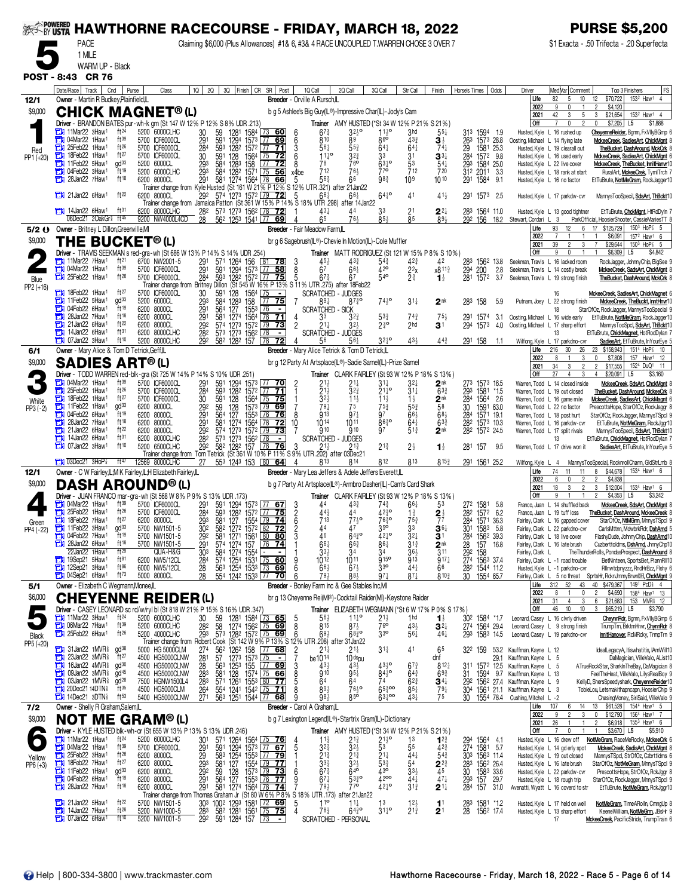| <b>SEEK-BY USTA</b>  | <b>HAWTHORNE RACECOURSE - FRIDAY, MARCH 18, 2022</b>                                                       |                                                                            |                  |                                                                                                              |                                                                                                                                                                                 |                                                                                                                 |                                                             |                                                  |                                                      |                                         |                                                              |                                                                  |                           |                                                                       | <b>PURSE \$5,200</b>                                                                                  |
|----------------------|------------------------------------------------------------------------------------------------------------|----------------------------------------------------------------------------|------------------|--------------------------------------------------------------------------------------------------------------|---------------------------------------------------------------------------------------------------------------------------------------------------------------------------------|-----------------------------------------------------------------------------------------------------------------|-------------------------------------------------------------|--------------------------------------------------|------------------------------------------------------|-----------------------------------------|--------------------------------------------------------------|------------------------------------------------------------------|---------------------------|-----------------------------------------------------------------------|-------------------------------------------------------------------------------------------------------|
|                      | <b>PACE</b><br>1 MILE                                                                                      |                                                                            |                  | Claiming \$6,000 (Plus Allowances) #1& 6, #3& 4 RACE UNCOUPLED T.WARREN CHOSE 3 OVER 7                       |                                                                                                                                                                                 |                                                                                                                 |                                                             |                                                  |                                                      |                                         |                                                              |                                                                  |                           |                                                                       | \$1 Exacta - .50 Trifecta - .20 Superfecta                                                            |
|                      | WARM UP - Black                                                                                            |                                                                            |                  |                                                                                                              |                                                                                                                                                                                 |                                                                                                                 |                                                             |                                                  |                                                      |                                         |                                                              |                                                                  |                           |                                                                       |                                                                                                       |
|                      | POST - 8:43 CR 76                                                                                          |                                                                            | 10 <sup>1</sup>  |                                                                                                              |                                                                                                                                                                                 | 1Q Call                                                                                                         | 2Q Call                                                     | 3Q Call                                          |                                                      |                                         |                                                              |                                                                  |                           |                                                                       |                                                                                                       |
| 12/1                 | Date/Race   Track  <br>Cnd<br>Owner - Martin R Budkey, Plainfield, IL                                      | Purse                                                                      | Class            |                                                                                                              | 2Q 3Q Finish CR SR Post                                                                                                                                                         | Breeder - Orville A Rursch,IL                                                                                   |                                                             |                                                  | Str Call                                             | Finish                                  | Horse's Times                                                | Odds<br>Driver                                                   | Life                      | Med Var Comment<br>82<br>10<br>5                                      | Top 3 Finishers<br> FS<br>153 <sup>2</sup> Haw <sup>1</sup><br>12<br>\$70,722<br>$\overline{4}$       |
| \$9,000              | <b>CHICK MAGNET®(L)</b>                                                                                    |                                                                            |                  |                                                                                                              |                                                                                                                                                                                 | b g 5 Ashlee's Big Guy(IL®)-Impressive Char(IL)-Jody's Cam                                                      |                                                             |                                                  |                                                      |                                         |                                                              |                                                                  | 2022<br>2021              | 9<br>42<br>5<br>3                                                     | \$4,120<br>153 <sup>2</sup> Haw <sup>1</sup> 4<br>\$21,654<br>3                                       |
|                      | Driver - BRANDON BATES pur-wh-k grn (St 147 W 12% P 12% S 8% UDR .213)<br>$\Box$ 11Mar22 3Haw <sup>1</sup> | ft24<br>5200 6000CLHC                                                      |                  | 30                                                                                                           | 1281 1584 L73<br>_60J                                                                                                                                                           | $6^{73}$<br>6                                                                                                   | Trainer AMY HUSTED (*St 34 W 12% P 21% S 21%)<br>$3^{24}$ ° |                                                  | 3hd                                                  | 55‡                                     | 313                                                          |                                                                  | Off                       | $\overline{7}$<br>0<br>Husted, Kyle L 16 rushed up                    | \$7,205<br>0<br>L5<br>\$1,888<br>ChevenneReider, Bgmn, FxVIIyBGmp (                                   |
|                      | 04Mar22 1Haw <sup>1</sup><br>а<br><b>The 25Feb22 1Haw1</b>                                                 | ft39<br>5700 ICF6000CL<br>$ft^{26}$<br>5700 ICF6000CL                      |                  | 59<br>591<br>$29^{\circ}$<br>1294 1573<br>284                                                                | <u> 77</u><br>69<br>593 1282 1572 77 71                                                                                                                                         | 6<br>810<br>3<br>561                                                                                            | 89<br>$5^{5^{3}_{4}}$                                       | $7^{110}_{86}$<br>641                            | 433<br>$64\frac{1}{4}$                               | 31<br>$74\frac{1}{4}$                   | 1594 1.9<br>1573 28.8<br>$\frac{26^3}{29}$<br>1581 25.3      |                                                                  |                           | Oosting, Michael L 14 flying late<br>Husted, Kyle L 19 clearall out   | MckeeCreek, SadiesArt, ChickMant<br>TheBucket, DashAround, MckCrk                                     |
| Red<br>PP1 (+20)     | 18Feb22 1Haw <sup>1</sup><br>11Feb22 5Haw1                                                                 | ft27<br>5700 ICF6000CL<br>$qd^{33}$<br>5200 6000CL                         |                  | 30<br>591 128 1564 75                                                                                        | <u>72</u>                                                                                                                                                                       | $11^{10}$<br>6<br>78<br>8                                                                                       | 32}<br>760                                                  | 33<br>$63^{10}$                                  | $\frac{31}{5^3}$<br>712                              | $\mathbf{3}^{3\ddagger}$                | 284 1572 9.8                                                 |                                                                  |                           | Husted, Kyle L 16 used early                                          | MckeeCreek, SadiesArt, ChickMant 6                                                                    |
|                      | <b>THE 04Feb22 3Haw1</b>                                                                                   | ft19<br>5200 6000CLHC                                                      |                  | 293<br>293<br>584<br>584                                                                                     | 1283 158<br>128 <sup>3</sup> 158 77 <b>72</b>                                                                                                                                   | 712<br>x4be                                                                                                     | 761                                                         | 770                                              |                                                      | $\frac{541}{720}$                       | 293 1584 25.0<br>312 2011 3.3                                |                                                                  |                           | Husted, Kyle L 22 live cover<br>Husted, Kyle L 18 rank at start       | MckeeCreek, TheBucket, InnitHanvr10<br>RuralArt, <u>MckeeCrek</u> , TymlTrch 7                        |
|                      | 28Jan22 7Haw <sup>1</sup>                                                                                  | ft18<br>6200 8000CL                                                        |                  |                                                                                                              |                                                                                                                                                                                 |                                                                                                                 |                                                             | 983                                              | 10 <sup>9</sup>                                      | 1010                                    | 291 1584 9.1                                                 |                                                                  |                           | Husted, Kyle L 16 no factor                                           | EtTuBrute, NotMeGram, RockJagger10                                                                    |
|                      | 21Jan22 6Haw1                                                                                              | ft $22$<br>6200 8000CL                                                     |                  | 292<br>Trainer change from Jamaica Patton (St 361 W 15% P 14% S 18% UTR 298) after 14Jan22                   | 574 1273 1572 79 72                                                                                                                                                             | $66\frac{1}{4}$<br>5                                                                                            |                                                             | $64^{10}$                                        | 41                                                   | $41\frac{1}{2}$                         | 291 1573 2.5                                                 |                                                                  |                           | Husted, Kyle L 17 parkdw-cvr                                          | MannysTooSpecil, SdsArt, ThBckt10                                                                     |
|                      | <b>THE 14Jan22 6Haw1</b><br>06Dec21 2OakGr <sup>§</sup> ft <sup>45</sup>                                   | ft <sup>31</sup><br>6200 8000CLHC<br>9200 NW4000L4CD                       |                  | 573 1273 1562 78<br>282<br>$\overline{28}$<br>562 1253 1541 77                                               | <u>72</u><br>69                                                                                                                                                                 | $43+$<br>65                                                                                                     | 44<br>$76\frac{1}{2}$                                       | 85}                                              | $\frac{21}{8^5}$                                     | 24<br>893                               | 1564 11.0<br>292 156                                         | 18.2<br>Stewart, Cordari L 3                                     |                           | Husted, Kyle L 13 good tightner                                       | EtTuBrute, ChckMgnt, HtRdDyIn<br>ParkOfficial, HoosierShooter, CassieMariesTT &                       |
| \$9,000              | 5/2 () Owner - Britney L Dillon, Greenville, MI                                                            |                                                                            |                  |                                                                                                              |                                                                                                                                                                                 | Breeder - Fair Meadow Farm,IL                                                                                   |                                                             |                                                  |                                                      |                                         |                                                              |                                                                  | Life<br>2022              | 93<br>12<br>6                                                         | 17 \$125,729<br>$150^3$ HoP $\frac{7}{8}$ 5<br>\$6,091<br>157 <sup>2</sup> Haw <sup>1</sup> 6         |
|                      | <b>THE BUCKET®(L)</b><br>Driver - TRAVIS SEEKMAN s red-gra-wh (St 686 W 13% P 14% S 14% UDR .254)          |                                                                            |                  |                                                                                                              |                                                                                                                                                                                 | br g 6 Sagebrush(IL®)-Chevie In Motion(IL)-Cole Muffler                                                         | Trainer MATT RODRIGUEZ (St 121 W 15% P 8% S 10%)            |                                                  |                                                      |                                         |                                                              |                                                                  | 2021<br>Off               | 39<br>3<br>2<br>9<br>0                                                | $\overline{7}$<br>\$29,644<br>$150^3$ HoP $\frac{7}{8}$ 5<br>\$6,309<br>L <sub>5</sub><br>\$4,842     |
|                      | 11Mar22 7Haw1<br>1Haw <sup>1</sup> 04Mar22 1Haw <sup>1</sup>                                               | ft <sup>21</sup><br>6700 NW2001-5<br>ft39<br>5700 ICF6000CL                |                  | 291<br>291<br>284                                                                                            | 571 1264 156 <b>31 78</b><br>591 1294 1573 77 <b>58</b><br>593 1282 1572 77 <b>758</b>                                                                                          | $45\frac{1}{2}$<br>3<br>6 <sup>7</sup>                                                                          | $43\frac{3}{4}$<br>$66\frac{1}{4}$                          | $5^{43}_{42}$<br>420                             | $4^{2^{3}}$                                          | 42<br>x811 <sup>3</sup>                 | 283<br>1562 13.8<br>200                                      | 2.8                                                              |                           | Seekman, Travis L 16 lacked room<br>Seekman, Travis L 14 costly break | RockJagger, JohnnyChip, BigSee 9<br>MckeeCreek, SadsArt, ChckMgnt                                     |
| Blue<br>PP2 (+16)    | 25Feb22 1Haw1                                                                                              | $ft^{26}$<br>5700 ICF6000CL                                                |                  | Trainer change from Britney Dillon (St 545 W 16% P 13% S 11% UTR 275) after 18Feb22                          |                                                                                                                                                                                 | $\frac{8}{5}$<br>$67\frac{3}{4}$                                                                                | 67                                                          | 540                                              | $\frac{2^{2}x}{2^{3}}$                               | $\mathbf{1}_{2}^{1}$                    | 294<br>281<br>1572                                           | 3.7                                                              |                           | Seekman, Travis L 19 strong finish                                    | TheBucket, DashAround, MckCrk &                                                                       |
|                      | 1Haw <sup>1</sup> 18Feb22 1Haw <sup>1</sup><br>11Feb22 5Haw1                                               | ft27<br>5700 ICF6000CL<br>gd <sup>33</sup><br>5200 6000CL                  |                  | 30<br>293<br>591<br>128<br>128 <sup>3</sup><br>584                                                           | 1564 75<br>158 77<br>$\overline{\phantom{a}}$<br>$\overline{75}$<br><u> 77 - </u>                                                                                               | <b>SCRATCHED</b><br>7<br>894                                                                                    | - JUDGES<br>$87\frac{3}{4}$ o                               | $74\frac{1}{2}$ <sup>o</sup>                     | $31\frac{1}{4}$                                      | $2^{\rm nk}$                            | 283 158                                                      | 5.9                                                              |                           | 16<br>Putnam, Joey L 22 strong finish                                 | <u> MckeeCreek, SadiesArt, ChickMagnet</u> 6<br>MckeeCreek, TheBuckt, InntHnvr10                      |
|                      | <b>TH</b> 04Feb22 6Haw <sup>1</sup><br>$28$ Jan22 7Haw <sup>1</sup>                                        | ft19<br>6200 8000CL<br>ft18<br>6200 8000CL                                 |                  | 291<br>127<br>564                                                                                            | 1553 76<br>$\blacksquare$                                                                                                                                                       | <b>SCRATCHED - SICK</b><br>33<br>4                                                                              | $3^{2^{3}}$                                                 |                                                  |                                                      | $75\frac{1}{2}$                         |                                                              | 3.1                                                              |                           | Oosting, Michael L 16 wide early                                      | StarOfOz, RockJagger, MannysTooSpecial 9<br>EtTuBrute, NotMeGram, RockJagger10                        |
|                      | 21Jan22 6Haw <sup>1</sup><br>т<br>14Jan22 6Haw <sup>1</sup><br>с                                           | ft22<br>6200 8000CL<br>ft31<br>6200 8000CLHC                               |                  | 291<br>292<br>282<br>573 1273 1562 78                                                                        | 581 1274 1564 78 71<br>574 1273 1572 79 73<br>$\blacksquare$                                                                                                                    | $\overline{2}$<br>$21\frac{1}{4}$<br><b>SCRATCHED</b>                                                           | $3^{2}$<br>- JUDGES                                         | $5^{33}_{29}$                                    | $7^{43}_{2}$<br>2hd                                  | 3 <sup>1</sup>                          | 291 1574<br>294 1573                                         | 4.0                                                              |                           | Oosting, Michael L 17 sharp effort<br>13                              | MannysTooSpcl, SdsArt, ThBokt10<br>EtTuBrute, ChickMagnet, HotRodDylan                                |
|                      | $\Box$ 07 Jan 22 3 Haw <sup>1</sup>                                                                        | ft10<br>5200 8000CLHC                                                      |                  | 292<br>582 1282 157 78                                                                                       | 72                                                                                                                                                                              | 56                                                                                                              | $56\frac{1}{4}$                                             | $3^{24}$ °                                       | 433                                                  | $44\frac{3}{4}$                         | 291 158                                                      | 1.1                                                              | Wilfong, Kyle<br>Life     | L 17 parkdno-cvr<br>30<br>216<br>26                                   | SadiesArt, EtTuBrute, InYourEye !<br>23 \$158,943<br>1514 HoP <sup>2</sup> 10                         |
| 6/1<br>\$9,000       | Owner - Mary Alice & Tom D Tetrick, Geff, IL<br><b>SADIES ART®(L)</b>                                      |                                                                            |                  |                                                                                                              |                                                                                                                                                                                 | Breeder - Mary Alice Tetrick & Tom D Tetrick, IL<br>br g 12 Party At Artsplace(IL®)-Sadie Samel(IL)-Prize Samel |                                                             |                                                  |                                                      |                                         |                                                              |                                                                  | 2022<br>2021              | 3<br>8                                                                | 0<br>\$7,808<br>157 Haw1 12<br>1524 DuQ1 11                                                           |
|                      | <b>Driver</b> - TODD WARREN red-blk-gra (St 725 W 14% P 14% S 10% UDR 251)                                 |                                                                            |                  |                                                                                                              |                                                                                                                                                                                 |                                                                                                                 | <b>Trainer</b> CLARK FAIRLEY (St 93 W 12% P 18% S 13%)      |                                                  |                                                      |                                         |                                                              |                                                                  | Off                       | 34<br>3<br>$\overline{2}$<br>27<br>$\overline{4}$<br>3                | \$17,555<br>$\overline{2}$<br>$\overline{4}$<br>\$20,091<br>\$3,160<br>L5                             |
|                      | 1Haw <sup>1</sup><br>25Feb22 1Haw <sup>1</sup><br>曲                                                        | ft39<br>5700 ICF6000CL<br>ft26<br>5700 ICF6000CL                           |                  | 291<br>284                                                                                                   | 591 1294 1573 77 70<br>593 1282 1572 77 71                                                                                                                                      | $2^{11}_{21}$                                                                                                   | 21‡<br>$3^{2^{3}}$                                          | $3^{11}$<br>$21\frac{1}{4}$ <sup>o</sup>         | $3^{2}$<br>$31\frac{1}{4}$                           | 2 nk<br>$63\frac{3}{4}$                 | 273 1573 16.5<br>293<br>1581 *1.5                            |                                                                  |                           | Warren, Todd L 14 closed inside<br>Warren, Todd L 19 out closed       | MckeeCreek, SdsArt, ChckMant &<br>TheBucket, DashAround, MckeeCrk                                     |
| White<br>PP3 (-2)    | 1Haw <sup>1</sup><br>11Feb22 1Haw1                                                                         | ft27<br>5700 ICF6000CL<br>gd <sup>33</sup><br>6200 8000CL                  |                  | 30<br>591 128<br>292<br>128<br>59                                                                            | $1564$ 75 75<br>1573 79 69                                                                                                                                                      | 3 <sub>2</sub><br>79 <sub>1</sub>                                                                               | $\frac{11}{2}$                                              | $11\frac{1}{2}$<br>$75\frac{3}{4}$               | $1\frac{1}{2}$<br>$5^{5^{3}_{4}}$                    | $2^{\text{nk}}$<br>58                   | $\frac{28}{3}$<br>1564 2.6<br>30<br>1591 63.0                |                                                                  |                           | Warren, Todd L 16 game mile<br>Warren, Todd L 22 no factor            | MckeeCreek, SadiesArt, ChickMagnt<br>PrescottsHope, StarOfOz, RockJaggr 8                             |
|                      | 04Feb22 6Haw <sup>1</sup><br>а<br>28Jan22 7Haw <sup>1</sup><br>т                                           | ft19<br>6200 8000CL<br>ft18<br>6200 8000CL                                 |                  | 291<br>564<br>127<br>581                                                                                     | 1553 76<br>$-76$<br>1274 1564 78<br><u>72</u>                                                                                                                                   | <b>913</b><br>8<br>1014<br>10                                                                                   | $97\frac{1}{4}$<br>1011                                     | 97<br>$86\frac{3}{4}$ o                          | $66\frac{1}{2}$<br>$64\frac{1}{4}$                   | $68\frac{1}{2}$<br>$63\frac{3}{4}$      | 284 1571 19.1<br>282<br>1573 10.3                            |                                                                  |                           | Warren, Todd L 18 post hurt<br>Warren, Todd L 16 parkdw-cvr           | StarOfOz, RockJagger, MannysTSpcl 9<br>EtTuBrute, NotMeGram, RockJggr10                               |
|                      | 21Jan22 6Haw <sup>1</sup><br>14Jan22 6Haw <sup>1</sup><br>曲                                                | ft22<br>6200 8000CL<br>ft31<br>6200 8000CLHC                               |                  | 291<br>292<br>282<br>574 1273 1572 79<br>573 1273 1562                                                       | 73<br>$\sqrt{78}$                                                                                                                                                               | 910<br><b>SCRATCHED</b>                                                                                         | 910<br>- JUDGES                                             |                                                  | $51\frac{3}{4}$                                      | 2 <sup>nk</sup>                         | 282 1572 24.5                                                |                                                                  |                           | Warren, Todd L 17 split rivals<br>13                                  | MannysTooSpecil, SdsArt, ThBokt10<br>EtTuBrute, ChickMagnet, HotRodDylan 7                            |
|                      | 107Jan22 3Haw <sup>1</sup>                                                                                 | ft10<br>5200 6500CLHC                                                      |                  | 582 1282 157 78<br>292<br>Trainer change from Tom Tetrick (St 361 W 10% P 11% S 9% UTR .202) after 03Dec21   | 76                                                                                                                                                                              | 3<br>$21\frac{1}{2}$                                                                                            | $21\frac{3}{4}$                                             | $21\frac{3}{4}$                                  | $2\frac{1}{2}$                                       | $\mathbf{1}_{2}^{1}$                    | 281 157                                                      | 9.5                                                              |                           | Warren, Todd L 17 drive won it                                        | SadiesArt, EtTuBrute, InYourEye 5                                                                     |
| 12/1                 | $7$ 03Dec21 3HoP $\frac{7}{8}$<br>Owner - C W Fairley, IL; M K Fairley, IL; H Elizabeth Fairley, IL        | ft 47<br>12569 8000CLHC                                                    |                  | 27 553 1243 153 80 64                                                                                        |                                                                                                                                                                                 | 813<br>Breeder - Mary Lea Jeffers & Adele Jeffers Everett, L                                                    | 814                                                         | 812                                              | 813                                                  | $815\frac{3}{4}$                        | 291 1561 25.2                                                |                                                                  | Wilfong, Kyle L 4<br>Life | 74<br>11<br>11                                                        | MannysTooSpecial, RocknrollCharm, GldStrLmb &<br>153 <sup>4</sup> Haw <sup>1</sup> 6<br>\$44,678<br>8 |
| \$9,000              | <b>DASH AROUND®(L)</b>                                                                                     |                                                                            |                  |                                                                                                              |                                                                                                                                                                                 | b g 7 Party At Artsplace(IL®)-Armbro Dasher(IL)-Cam's Card Shark                                                |                                                             |                                                  |                                                      |                                         |                                                              |                                                                  | 2022<br>2021              | 6<br>$\overline{2}$<br>$\mathsf{D}$<br>18<br>3<br>$\overline{2}$      | $\overline{2}$<br>\$4,838<br>153 <sup>4</sup> Haw <sup>1</sup> 6<br>3<br>\$12,004                     |
|                      | Driver - JUAN FRANCO mar-gra-wh (St 568 W 8% P 9% S 13% UDR .173)<br>$\Box$ 04Mar22 1Haw <sup>1</sup>      | ft39<br>5700 ICF6000CL                                                     |                  | 291                                                                                                          |                                                                                                                                                                                 | 44                                                                                                              | Trainer CLARK FAIRLEY (St 93 W 12% P 18% S 13%)             | 74}                                              |                                                      | 53                                      |                                                              |                                                                  | Off                       | 9<br>Franco, Juan L 14 shuffled back                                  | \$3,242<br>\$4,353<br>L5<br>MckeeCreek, SdsArt, ChckMant &                                            |
|                      | 25Feb22 1Haw <sup>1</sup><br><b>The 18Feb22 7Haw1</b>                                                      | $ft^{26}$<br>5700 ICF6000CL<br>ft27<br>6200 8000CL                         |                  | $\frac{284}{293}$                                                                                            | 591 1294 1573 77 67<br>593 1282 1572 77 75<br>$\frac{581}{127}$ $\frac{1554}{199}$ $\frac{1}{24}$                                                                               | 3<br>6<br>6<br>$44\frac{3}{4}$<br>$7^{13}$                                                                      | 433<br>44<br>$77\frac{1}{2}$ °                              | $42\frac{3}{4}$ <sup>o</sup><br>$76^{30}$        | $66\frac{1}{4}$<br>$1\frac{3}{4}$<br>$75\frac{3}{4}$ | $2\frac{1}{7}$                          | 272 1581 5.8<br>28 <sup>2</sup> 157 <sup>2</sup> 6.2         |                                                                  |                           | Franco, Juan L 19 tuff loss                                           | TheBucket, DashAround, MckeeCreek &<br>StarOfOz, NtMGrm, MnnysTSpcl 9                                 |
| Green<br>PP4 (-22)   | $T$ 11 Feb22 3 Haw <sup>1</sup> ad <sup>33</sup><br>04Feb22 7Haw1                                          | 5700 NW1501-5                                                              |                  | $\overline{30}$ <sup>2</sup>                                                                                 | 582 1272 1572 82 72                                                                                                                                                             | $\mathfrak{p}$<br>44                                                                                            | 47                                                          | 250                                              | 33                                                   | $36+$                                   | 284 1571 36.3<br>301 1583 5.8                                |                                                                  |                           | Fairley, Clark L 16 gapped cover<br>Fairley, Clark L 22 parkdno-cvr   | CarlsMttnn, MdwbrkRdr, DshArnd                                                                        |
|                      | Е<br>28Jan22 6Haw1                                                                                         | $ft^{19}$<br>5700 NW1501-5<br>ft18<br>5700 NW1501-5                        |                  | 29 <sub>2</sub><br>29 <sub>1</sub><br>30 <sup>3</sup>                                                        | 581 1271 1561 80 80<br>574 1274 157 76 74<br>584 1274 1554                                                                                                                      | 46<br>$66\frac{1}{4}$                                                                                           | 6430<br>$66\frac{3}{4}$                                     | $42^{10}$<br>$86\frac{1}{4}$                     | $3^{2\frac{1}{4}}$<br>$3^{1\frac{3}{4}}$             | 31<br>$2^{\rm nk}$                      | 284<br>28<br>292<br>274<br>156 <sup>2</sup> 39.3<br>157 16.8 |                                                                  |                           | Fairley, Clark L 18 live cover<br>Fairley, Clark L 16 late brush      | FlashyDude, JohnnyChip, DashArnd10<br>Cuzberttoldms, DshArnd, JhnnyChp10                              |
|                      | 22Jan22 1Haw <sup>1</sup><br>19Sep21 5Haw <sup>1</sup>                                                     | ft29<br>$ft^{81}$<br>6200 NW5/12CL                                         | QUA-H&G          | $\frac{28}{28}$                                                                                              | 574 1254 1531 75 60<br>563 1254 1533 73 69                                                                                                                                      | $33\frac{1}{2}$<br>$10^{12}$<br>9                                                                               | 34<br>1011                                                  | 34<br><b>915°</b>                                | $36\frac{1}{2}$<br>913                               | 311<br>$917\frac{1}{4}$                 | 158<br>1563 37.4<br>1544 11.2                                |                                                                  | Fairley, Clark L          | Fairley, Clark L -1 road trouble                                      | The ThunderRolls, PondasProspect, DashAround 8<br>BetNinteen, SportsBet, PiannRII10                   |
|                      | 12Sep21 3Haw <sup>1</sup><br>1 04Sep21 6Haw <sup>1</sup>                                                   | $ft^{86}$<br>6000 NW5/12CL<br>$ft^{73}$<br>5000 8000CL                     |                  | 28<br>554 1242 1533 77                                                                                       | <u>70 </u>                                                                                                                                                                      | Ğ<br>$66\frac{1}{2}$<br>79}<br>6                                                                                | $67\frac{1}{2}$<br>$8^{8}$                                  | $3^{30}$<br>$97\frac{1}{4}$                      | $44\frac{1}{4}$<br>$87\frac{1}{4}$                   | 66<br>8103                              | 282<br>30 <sup>°</sup><br>1554 65.7                          |                                                                  |                           | Husted, Kyle L -1 parkdno-cvr                                         | Rilnwtdpnyzzz, RndHrBzz, Fishy 6<br>Fairley, Clark L 5 no threat SprtsHr, RcknJmmyBrwnDH, ChckMgnt 9  |
| 5/1                  | Owner - Elizabeth C Wegmann, Monee, IL                                                                     |                                                                            |                  |                                                                                                              |                                                                                                                                                                                 | Breeder - Bonley Farm Inc & Gee Stables Inc, MI                                                                 |                                                             |                                                  |                                                      |                                         |                                                              |                                                                  | Life<br>2022              | 312 52<br>43<br>8                                                     | 149 <sup>1</sup> PcD <sub>8</sub> 4<br>40 \$479,367<br>\$4,690<br>1584 Haw1 13<br>2                   |
| \$6,000              | <b>CHEYENNE</b><br>Driver - CASEY LEONARD sc rd/w/ryl bl (St 818 W 21% P 15% S 16% UDR .347)               |                                                                            | <b>REIDER(L)</b> |                                                                                                              |                                                                                                                                                                                 | br g 13 Cheyenne Rei(M®)-Cocktail Raider(MI)-Keystone Raider                                                    | Trainer ELIZABETH WEGMANN (*St 6 W 17% P 0% S 17%)          |                                                  |                                                      |                                         |                                                              |                                                                  | 2021<br>Off               | 31<br>4<br>3<br>46<br>10<br>10                                        | 153 MVR\$ 12<br>6<br>\$21,683<br>\$65,219 L5<br>\$3,790<br>3                                          |
|                      | 11Mar22 3Haw1<br><b>THE OGMar22 7 Haw1</b>                                                                 | $ft^{24}$<br>5200 6000CLHC<br>ft39<br>5200 6000CLHC                        |                  | 30<br>28 <sup>2</sup><br>$\begin{array}{c} 59 \\ 58 \end{array}$                                             | 1281 1584 73 65<br>1274 1562 75 69                                                                                                                                              | $56\frac{1}{2}$<br>815<br>8                                                                                     | $7^{110}_{72}$                                              | $2^{11}_{6}$                                     | 1 <sub>hd</sub><br>$43\frac{1}{2}$                   | $\mathbf{1}_{2}^{1}$<br>$3^{2+}$        | 30 <sup>2</sup> 158 <sup>4</sup> *1.7<br>274 1564 29.4       |                                                                  |                           | Leonard, Casey L 16 clvrly driven<br>Leonard, Casey L 9 strong finish | CheynnRdr, Bgmn, FxVIIyBGmp 6<br>TrumpTrn, BrktmHnvr, ChynnRdr 8                                      |
| Black                | 25Feb22 6Haw <sup>1</sup>                                                                                  | $ft^{26}$<br>5200 4000CLHC                                                 |                  | 293<br>573 1282 1572 75<br>Trainer change from Robert Cook (St 142 W 9% P 13% S 12% UTR .208) after 31 Jan22 | 69                                                                                                                                                                              | $69\frac{1}{2}$<br>6                                                                                            | $68^{30}_{4}$                                               | 33 <sup>o</sup>                                  | 561                                                  | $46\frac{1}{4}$                         | 293 1583 14.5                                                |                                                                  |                           | Leonard, Casey L 19 parkdno-cvr                                       | InnitHanover, RcMRcky, TrmpTrn 9                                                                      |
| PP5 (+20)            | <b>The 31Jan22 1MVR</b> ad <sup>38</sup><br>23Jan22 3MVR <sup>§</sup><br>о                                 | 5000 HG 5000CLM<br>ft27<br>4500 HG5000CLNW                                 |                  | 274                                                                                                          |                                                                                                                                                                                 | $\frac{2}{7}$<br>$21\frac{1}{4}$<br>be1014                                                                      | $21\frac{1}{4}$<br>10 <sup>ds</sup> pu                      | $31\frac{1}{4}$                                  | 41                                                   | 65<br>dnf                               | 322 159                                                      | 53.2 Kauffman, Kayne L 12<br>29.1 Kauffman, Kayne L 5            |                           |                                                                       | IdealLegacyA, Itiswhatitis, IAmWill10<br>DaMagician, VilleValo, AList10                               |
|                      | 16Jan22 4MVR <sup>§</sup><br>о<br><b>EN 09Jan22 3MVR</b>                                                   | gd <sup>30</sup><br>4500 HG5000CLNW<br>gd <sup>45</sup><br>4500 HG5000CLNW |                  | 281<br>28<br>283                                                                                             | 562 1262 158 $\frac{77}{125}$<br>57 127 <sup>3</sup> 157 <sup>3</sup> $\frac{75}{125}$<br>56 <sup>3</sup> 125 <sup>3</sup> 155 $\frac{77}{125}$<br>581 128 1574 $\frac{77}{15}$ | 431<br>910                                                                                                      | $43\frac{1}{2}$<br>$95\frac{1}{4}$                          | $43\frac{1}{2}$<br>$84\overline{2}$ <sup>o</sup> | $6^{7\frac{3}{4}}$<br>$64\frac{3}{4}$                | $812\frac{1}{4}$<br>$69\frac{3}{4}$     | 311<br>31<br>1594                                            | 1572 12.5 Kauffman, Kayne L 5<br>Kauffman, Kayne L 13            |                           |                                                                       | ATrueRockStar, SharkInTheBay, DaMagician 8<br>FeelTheHeat, VilleValo, LilysRealBoy 9                  |
|                      | 03Jan22 1MVR <sup>§</sup><br>о<br>$20$ Dec $21$ 14DTNs                                                     | gd <sup>28</sup><br>7500 HGNW1500L4<br>ft35                                |                  | 283                                                                                                          |                                                                                                                                                                                 | 64                                                                                                              | 64                                                          | 74<br>$65\frac{3}{4}$ 00                         | $6^{23}$                                             | $\mathbf{3}^{4\ddagger}$                |                                                              | 9.7<br>292 1562 27.4 Kauffman, Kayne L 9                         |                           |                                                                       | KellyD, ShersSpeedyshark, CheyenneReider10                                                            |
|                      | <b>THE 14Dec21 3DTN</b>                                                                                    | 4500<br>$ft^{53}$<br>5400 HG5000CLNW                                       | HG5000CLM        | $\frac{264}{271}$                                                                                            | 571 1261 1553 80 77<br>554 1241 1542 75 71<br>563 1251 1544 77 68                                                                                                               | 893<br>98.                                                                                                      | 7630<br>$85^6$                                              | $63^{100}$                                       | $85\frac{1}{4}$<br>$43\frac{1}{4}$                   | $79\frac{1}{4}$<br>75                   | 30                                                           | 1561 21.1 Kauffman, Kayne L 3<br>1554 78.4 Cushing, Mitchel L -2 |                           |                                                                       | TobieLou, Letsmakithapncapn, HoosierChip 9<br>ChasingMoney, SiriSaid, VilleValo 9                     |
| 7/2<br>\$9,000       | Owner - Shelly R Graham, Salem, IL<br><b>NOT ME GRAM®(L)</b>                                               |                                                                            |                  |                                                                                                              |                                                                                                                                                                                 | Breeder - Carol A Graham, IL<br>b g 7 Lexington Legend(IL®)-Startrix Gram(IL)-Dictionary                        |                                                             |                                                  |                                                      |                                         |                                                              |                                                                  | Life<br>2022              | 107<br>14<br>6<br>3<br>9                                              | \$61,528<br>1544 Haw1 5<br>13<br>\$12,790<br>156 <sup>4</sup> Haw <sup>1</sup> 7<br>0                 |
|                      | Driver - KYLE HUSTED blk-wh-or (St 655 W 13% P 13% S 13% UDR .246)                                         |                                                                            |                  |                                                                                                              |                                                                                                                                                                                 |                                                                                                                 | <b>Trainer</b> AMY HUSTED (*St 34 W 12% P 21% S 21%)        |                                                  |                                                      |                                         |                                                              |                                                                  | 2021<br><b>Off</b>        | 26<br>$\mathbf 0$<br>$\overline{1}$                                   | 155 <sup>3</sup> Haw <sup>1</sup> 6<br>$\overline{2}$<br>\$6,918<br>\$3,670 L5<br>\$5,910             |
|                      | 11Mar22 1Haw <sup>1</sup><br>1Haw <sup>1</sup>                                                             | $ft^{24}$<br>5200 6000CLHC<br>ft39<br>5700 ICF6000CL                       |                  | 301<br>291<br>293<br>293                                                                                     | 571 1264 1564 75 76<br>591 1294 1573 77 67<br>583 1254 1553 77 79                                                                                                               | $11\frac{3}{4}$<br>$\frac{4}{5}$<br>$3^{2^{3}}$                                                                 | $2^{13}_{4}$<br>$3^{21}_{2}$                                | $2^{110}_{53}$                                   | 1 <sup>3</sup><br>55                                 | $1^{2^{3}}$<br>$42\frac{3}{4}$          | 294 1564 4.1<br>274 1581 5.7                                 |                                                                  |                           | Husted, Kyle L 16 drew off<br>Husted, Kyle L 14 gd erly spot          | NotMeGram, RaceMeRocky, MckeeCrk<br>MckeeCreek, SadisArt, ChckMgnt                                    |
| Yellow<br>$PP6 (+3)$ | 25Feb22 3Haw1<br>18Feb22 7Haw1                                                                             | $ft^{26}$<br>6200 8000CL<br>ft27<br>6200 8000CL                            |                  |                                                                                                              |                                                                                                                                                                                 | $21\frac{3}{4}$<br>$3^{3}$                                                                                      | $2^{1\frac{3}{4}}$<br>$3^{2}$                               | $21\frac{1}{4}$<br>53}                           | $44\frac{1}{4}$<br>54                                | $54\frac{3}{4}$                         | 303 1563 11.4                                                |                                                                  |                           | Husted, Kyle L 19 out closed<br>Husted, Kyle L 16 late brush          | MannysTSpcl, StrOfOz, Czbrttldms (<br>StarOfOz, NotMeGram, MnnysTSpcl 9                               |
|                      | 11Feb22 1Haw1<br>13 04Feb22 6Haw <sup>1</sup>                                                              | $\mathsf{qd}^{33}$<br>6200 8000CL<br>ft19<br>6200 8000CL                   |                  | $\frac{581}{59}$ $\frac{127}{128}$<br>$\frac{564}{561}$ $\frac{127}{127}$<br>$\frac{292}{291}$               | 1554 79 77<br>1573 79 73<br>1553 76 77                                                                                                                                          | 6<br>$67\frac{3}{4}$<br>9<br>$67\frac{1}{4}$                                                                    | $64\overline{9}$<br>5330                                    | A <sub>3</sub> o<br><i>i</i> <sub>200</sub>      | $33\frac{1}{2}$<br>$44\frac{1}{4}$                   | $\frac{2^{23}}{4^5}$<br>$47\frac{1}{4}$ | 283 1562 26.4<br>30 1583 33.6<br>293<br>$157$ 29.7           |                                                                  |                           | Husted, Kyle L 22 parkdw-cvr<br>Husted, Kyle L 18 rough trip          | PrescottsHope, StrOfOz, RckJggr {<br>StarOfOz, RockJagger, MnnysTSpcl 9                               |
|                      | <b>TV</b> 28Jan22 7Haw <sup>1</sup>                                                                        | $ft^{18}$<br>6200 8000CL                                                   |                  | 291<br>581 1274 1564 78<br>Trainer change from Thomas Graham Jr (St 80 W 6% P 8% S 18%                       | 74                                                                                                                                                                              | 79}                                                                                                             | 770<br>UTR .173) after 21 Jan 22                            | $42^{10}$                                        | $31\frac{3}{4}$                                      | $2^{11}$                                | 284<br>157 31.0                                              |                                                                  |                           | Avenatti, Wyatt L 16 coverd to str                                    | EtTuBrute, NotMeGram, RckJggr10                                                                       |
|                      | 21 Jan22 5 Haw <sup>1</sup><br>14Jan22 7Haw <sup>1</sup><br>о                                              | ft $22$<br>5700 NW1501-5<br>ft28<br>5200 NW1000-5                          |                  | 303 1002 1293 1581 72 69                                                                                     | 75                                                                                                                                                                              | 11 <sup>o</sup><br>-5<br>$78\frac{3}{4}$                                                                        | $11\frac{1}{4}$<br>$64^{30}_{4}$                            | 13<br>$31^{10}_{4}$                              | 12 <sub>3</sub><br>$21\frac{3}{4}$                   | 1 <sup>1</sup><br>$2^1$                 | 283<br>1581 *1.2<br>28<br>1562 17.4                          |                                                                  |                           | Husted, Kyle L 17 held on well<br>Husted, Kyle L 13 sharp effort      | NotMeGram, TimeARolln, CmngUp 8<br>KeeneWilliam, NotMeGrm, JBsHr 9                                    |
|                      | 107Jan22 6Haw1                                                                                             | ft10<br>5200 NW1001-5                                                      |                  | 283 582 1281 1561 75<br>292 591 1284 157 73                                                                  | $\blacksquare$                                                                                                                                                                  |                                                                                                                 | SCRATCHED - PERSONAL                                        |                                                  |                                                      |                                         |                                                              |                                                                  |                           | 17                                                                    | MckeeCreek, PacificStride, TrumpTrain 6                                                               |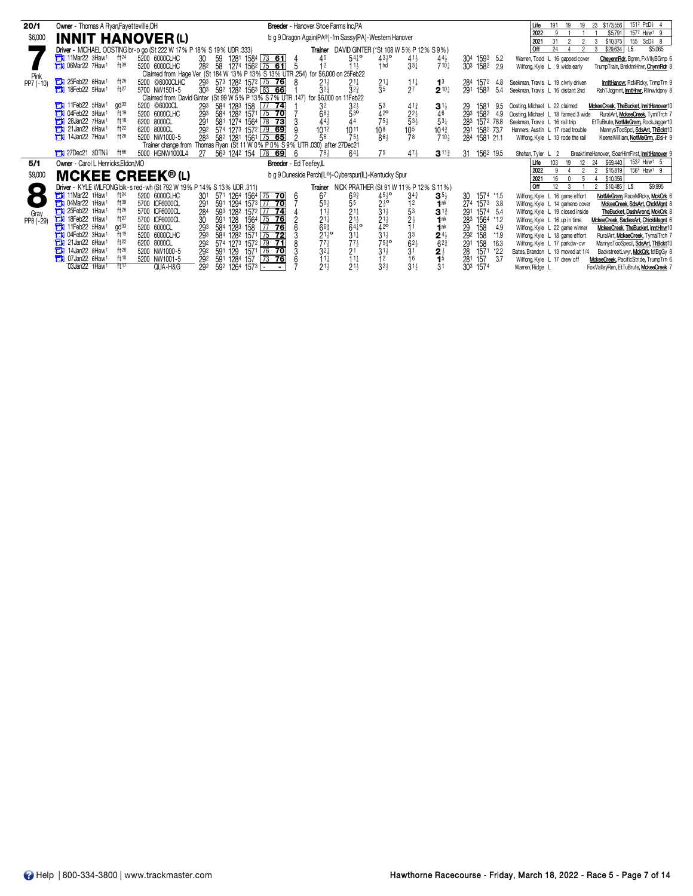| 20/1              | <b>Owner</b> - Thomas A Ryan, Fayetteville, OH                                                                             |                                                                                 | <b>Breeder</b> - Hanover Shoe Farms Inc.PA            |                                                                                                                       |                                                    |                                   | 151 <sup>2</sup> PcD <sub>8</sub> 4<br>\$173,556<br>23<br>191<br>19<br>Life                                                                 |
|-------------------|----------------------------------------------------------------------------------------------------------------------------|---------------------------------------------------------------------------------|-------------------------------------------------------|-----------------------------------------------------------------------------------------------------------------------|----------------------------------------------------|-----------------------------------|---------------------------------------------------------------------------------------------------------------------------------------------|
| \$6,000           | <b>INNIT HANOVER (L)</b>                                                                                                   |                                                                                 | b g 9 Dragon Again(PA®)-I'm Sassy(PA)-Western Hanover |                                                                                                                       |                                                    |                                   | 157 <sup>2</sup> Haw <sup>1</sup> 9<br>2022<br>\$5.791<br>9                                                                                 |
|                   |                                                                                                                            |                                                                                 |                                                       |                                                                                                                       |                                                    |                                   | 155<br>$ScD5$ 8<br>31<br>\$10.375<br>2021<br>$\overline{2}$<br>2<br>3<br>Off<br>\$29,634<br>\$5,065<br>24<br>L <sub>5</sub>                 |
|                   | Driver - MICHAEL OOSTING br-o go (St 222 W 17% P 18% S 19% UDR .333)<br>11Mar22 3Haw1<br>ft <sup>24</sup><br>5200 6000CLHC |                                                                                 |                                                       | <b>Trainer</b> DAVID GINTER (*St 108 W 5% P 12% S 9%)<br>$54^{10}$                                                    |                                                    |                                   | Warren, Todd L 16 gapped cover                                                                                                              |
|                   | ft39<br><b>Th</b> 06Mar22 7Haw1<br>5200 6000CLHC                                                                           | 30<br>1281 1584 73 61<br>59<br>28 <sup>2</sup> 58 1274 1562 75 61               | 45<br>- 5<br>12                                       | $43\frac{1}{2}$ <sup>o</sup><br>$41\frac{1}{2}$<br>$11+$<br>1 <sub>hd</sub><br>$33\frac{1}{4}$                        | $44\frac{1}{2}$<br>$710\frac{1}{4}$                | 304 1593 5.2<br>303 1582<br>2.9   | CheyennRdr, Bgmn, FxVIIyBGmp 6<br>Wilfong, Kyle L 9 wide early<br>TrumpTrain, BrektmHnvr, ChynnRdr 8                                        |
|                   |                                                                                                                            | Claimed from Hage Ver (St 184 W 13% P 13% S 13% UTR 254) for \$6,000 on 25Feb22 |                                                       |                                                                                                                       |                                                    |                                   |                                                                                                                                             |
| Pink<br>PP7 (-10) | 25Feb22 6Haw1<br>$ft^{26}$<br>5200 ©6000CLHC                                                                               | 293 573 1282 1572 75 76                                                         | $21\frac{1}{2}$<br>-8                                 | $21\frac{1}{4}$                                                                                                       | 1 <sup>3</sup>                                     | 284<br>1572<br>4.8                | InnitHanovr, RcMRcky, TrmpTrn 9<br>Seekman, Travis L 19 clvrly driven                                                                       |
|                   | 18Feb22 5Haw1<br>ft27<br>5700 NW1501-5                                                                                     | 303 592 1282 1563 83 66                                                         | $3^{2^{3}}$                                           | $\frac{2^{1\frac{1}{4}}}{3^5}$<br>$\frac{11}{27}$<br>$3^{2^{3}}$                                                      | $2^{10\frac{1}{4}}$                                | 291<br>1583<br>-5.4               | Seekman, Travis L 16 distant 2nd<br>RshTJdgmnt, InntHnvr, Rlinwtdpny &                                                                      |
|                   |                                                                                                                            | Claimed from David Ginter (St 99 W 5% P 13% S 7% UTR 147) for \$6,000 on 11     |                                                       | 1Feb22                                                                                                                |                                                    |                                   |                                                                                                                                             |
|                   | 11Feb22 5Haw1<br>5200 ©6000CL<br>$qd^{33}$                                                                                 | 584 1283 158 77 74<br>293                                                       | 32                                                    | $3^{2}$<br>53<br>$4^{13}$                                                                                             | $3^{11}$                                           | 29<br>1581<br>9.5                 | Oosting, Michael L 22 claimed<br>MckeeCreek, TheBucket, InnitHanover10                                                                      |
|                   | <b>T1 04Feb22 3Haw1</b><br>$\mathrm{H}$ 19<br>5200 6000CLHC                                                                | 584 1282 1571 75 70<br>293                                                      | $6^{8}\frac{1}{4}$                                    | 530<br>$\frac{2^{2\frac{1}{2}}}{5^{3\frac{1}{2}}}$<br>$42$ °<br>75 <sup>1</sup>                                       | 46                                                 | 1582<br>293<br>4.9                | Oosting, Michael L 18 fanned 3 wide<br>RuralArt, MckeeCreek, TymlTrch 7                                                                     |
|                   | ft18<br>28Jan22 7Haw <sup>1</sup><br>Ħ<br>6200 8000CL<br>ft22<br>$71$ 21 Jan22 6 Haw <sup>1</sup><br>6200 8000CL           | 581 1274 1564 78 73<br>291                                                      | 44                                                    |                                                                                                                       | $5^{3}$                                            | 283 1572 78.8                     | Seekman, Travis L 16 rail trip<br>EtTuBrute, NotMeGram, RockJagger10                                                                        |
|                   | ft28<br><b>The 14Jan22 7Haw1</b><br>5200 NW1000-5                                                                          | 292<br>574 1273 1572 79 69<br>58 <sup>2</sup> 1281 1561 75 65<br>283            | $10^{12}$<br>1011<br>56                               | 10 <sup>8</sup><br>10 <sub>5</sub><br>$75\frac{1}{2}$<br>863<br>78                                                    | $10^{43}$<br>$710\frac{1}{2}$                      | 291 1582 73.7<br>284<br>1581 21.1 | Hanners, Austin L 17 road trouble<br>MannysTooSpcl, SdsArt, ThBckt10<br>Wilfong, Kyle L 13 rode the rail<br>KeeneWilliam, NotMeGrm, JBsHr 9 |
|                   |                                                                                                                            | Trainer change from Thomas Ryan (St 11 W 0% P 0% S 9% UTR .030) after 27Dec21   |                                                       |                                                                                                                       |                                                    |                                   |                                                                                                                                             |
|                   | <b>THE 27Dec21 3DTNs</b><br>5000 HGNW1000L4                                                                                | 563 1242 154 78 69<br>27                                                        | - 6<br>$79\frac{1}{2}$                                | 75<br>$64\frac{1}{4}$<br>$47\frac{1}{2}$                                                                              | $3^{11\frac{3}{4}}$                                | 1562 19.5<br>31                   | Shehan, Tyler L 2<br>BreaktimeHanover, ISoarHimFirst, InnitHanover 9                                                                        |
| 5/1               | Owner - Carol L Henricks, Eldon, MO                                                                                        |                                                                                 | Breeder - Ed Teefey,IL                                |                                                                                                                       |                                                    |                                   | 153 <sup>2</sup> Haw <sup>1</sup> 5<br>\$69,440<br>Life<br>103<br>19<br>12<br>24                                                            |
| \$9,000           | <b>MCKEE CREEK®(L)</b>                                                                                                     |                                                                                 | b g 9 Duneside Perch(IL®)-Cyberspur(IL)-Kentucky Spur |                                                                                                                       |                                                    |                                   | 156 <sup>4</sup> Haw <sup>1</sup> 9<br>2022<br>2<br>2<br>\$15,819                                                                           |
|                   |                                                                                                                            |                                                                                 |                                                       |                                                                                                                       |                                                    |                                   | \$10,356<br>16<br>2021                                                                                                                      |
| $\Box$            | Driver - KYLE WILFONG blk-s red-wh (St 792 W 19% P 14% S 13% UDR .311)                                                     |                                                                                 |                                                       | Trainer NICK PRATHER (St 91 W 11% P 12% S 11%)                                                                        |                                                    |                                   | l Off<br>\$9,995<br>12<br>\$10,485<br>L5                                                                                                    |
|                   | 11Mar22 1Haw1<br>$ft^{24}$<br>5200 6000CLHC<br>$ft^{39}$<br><b>The 04Mar22 1Haw1</b>                                       | 571 1264 1564 75 70<br>30 <sup>1</sup>                                          | 67<br>6<br>$55\frac{1}{2}$                            | $45\frac{1}{2}$ <sup>o</sup><br>$6^{93}_{5}$<br>$3^{4^{3}}$                                                           | $3^{5}{}_{2}$                                      | 1574 *1.5<br>30                   | Wilfong, Kyle L 16 game effort<br>NotMeGram, RaceMRcky, MckCrk 6                                                                            |
|                   | 5700 ICF6000CL<br>$ft^{26}$<br><b>The 25Feb22 1Haw1</b><br>5700 ICF6000CL                                                  | 291<br>591 1294 1573 77 70<br>284<br>593 1282 1572 77 74                        | $11\frac{1}{2}$                                       | $2^{16}$<br>12<br>$31\frac{1}{2}$<br>53                                                                               | 1nk<br>$3^{13}$                                    | 274 1573 3.8<br>291<br>1574 5.4   | Wilfong, Kyle L 14 gameno cover<br>MckeeCreek, SdsArt, ChckMant &<br>TheBucket, DashArond, MckCrk &<br>Wilfong, Kyle L 19 closed inside     |
| Gray<br>PP8 (-29) | ft27<br>18Feb22 1Haw1<br>5700 ICF6000CL                                                                                    | 30<br>591 128<br>1564 75 76                                                     |                                                       | $2^{11}_{2}$<br>$2^{11}_{2}$<br>$6^{41}_{4}$ o                                                                        |                                                    | 283<br>1564<br>$*1.2$             | Wilfong, Kyle L 16 up in time<br>MckeeCreek, SadiesArt, ChickMagnt 6                                                                        |
|                   | gd <sup>33</sup><br>11Feb22 5Haw1<br>Ħ<br>5200 6000CL                                                                      | 584 1283 158<br>293<br>$\sqrt{77}$<br>76                                        | $2^{11/2}$<br>6 <sup>63</sup>                         | $\frac{21\frac{1}{2}}{42^{\circ}}$<br>$\frac{2}{1}$                                                                   | $\bar{1}$ <sup>nk</sup><br>$\bar{1}$ <sup>nk</sup> | 29<br>158<br>4.9                  | Wilfong, Kyle L 22 game winner<br>MckeeCreek, TheBucket, InntHnvr10                                                                         |
|                   | ft19<br><b>The O4Feb22 3Haw</b><br>5200 6000CLHC                                                                           | 584 1282 1571 75 72<br>293                                                      | $21\frac{1}{2}$ <sup>o</sup>                          | $31\frac{1}{4}$<br>$31\frac{1}{2}$<br>3 <sup>3</sup>                                                                  | $2^{4\frac{1}{2}}$                                 | 292<br>158<br>$*1.9$              | Wilfong, Kyle L 18 game effort<br>RuralArt, MckeeCreek, TymalTrch 7                                                                         |
|                   | ft22<br>21Jan22 6Haw <sup>1</sup><br>6200 8000CL                                                                           | 574 1273 1572 79 71<br>292                                                      | $\frac{7}{3}$ <sup>7<math>\frac{1}{2}</math></sup>    | $\frac{77\frac{1}{2}}{21}$<br>$\frac{6^{2\frac{1}{2}}}{3^{1}}$<br>$75\frac{3}{4}$ o<br>31 <sup>1</sup> / <sub>2</sub> | $\overline{6}^{2\frac{3}{4}}$                      | 291<br>158<br>16.3                | Wilfong, Kyle L 17 parkdw-cvr<br>MannysTooSpecil, SdsArt, ThBckt10                                                                          |
|                   | $ft^{28}$<br>14Jan22 8Haw1<br>۳и<br>5200 NW1000-5                                                                          | 129<br>292<br>591<br>1571 76<br>70                                              |                                                       |                                                                                                                       |                                                    | 28<br>1571<br>*2.2                | Bates, Brandon L 13 moved at 1/4<br>BackstreetLwyr, MckCrk, IdlBgGy 8                                                                       |
|                   | ft10<br><b>The 07Jan22 6Haw</b><br>5200 NW1001-5                                                                           | 591 1284 157 73 76<br>292                                                       | $11\frac{1}{4}$                                       | 11<br>16<br>1 <sup>2</sup>                                                                                            | 1 <sup>5</sup>                                     | 281<br>157<br>3.7                 | Wilfong, Kyle L 17 drew off<br>MckeeCreek, PacificStride, TrumpTrn 6                                                                        |
|                   | 03Jan22 1Haw1<br>$f$ <sup>17</sup><br>QUA-H&G                                                                              | 592 1264 1573<br>292                                                            | $21\frac{1}{2}$                                       | $21\frac{1}{2}$<br>$3^{2\frac{1}{2}}$<br>$31\frac{1}{2}$                                                              | 3 <sup>1</sup>                                     | 303 1574                          | FoxValleyRen, EtTuBrute, MckeeCreek 7<br>Warren, Ridge L                                                                                    |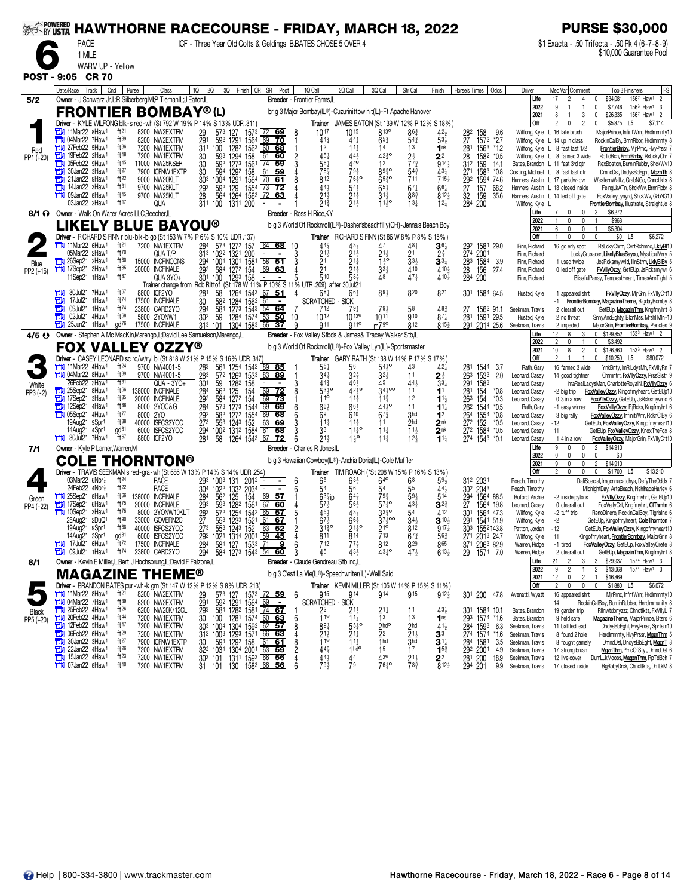| <b>EXAMPOWERED</b> | <b>HAWTHORNE RACECOURSE - FRIDAY, MARCH 18, 2022</b>                                                 |                                  |                                                                  |                                |                                                                                                                      |                                                                                                                                                                        |                                                                                          |                                                                  |                                                    |                                                |                                     |                                                       |                                    | <b>PURSE \$30,000</b>                                                                                                                           |
|--------------------|------------------------------------------------------------------------------------------------------|----------------------------------|------------------------------------------------------------------|--------------------------------|----------------------------------------------------------------------------------------------------------------------|------------------------------------------------------------------------------------------------------------------------------------------------------------------------|------------------------------------------------------------------------------------------|------------------------------------------------------------------|----------------------------------------------------|------------------------------------------------|-------------------------------------|-------------------------------------------------------|------------------------------------|-------------------------------------------------------------------------------------------------------------------------------------------------|
|                    | <b>PACE</b>                                                                                          |                                  |                                                                  |                                |                                                                                                                      | ICF - Three Year Old Colts & Geldings B.BATES CHOSE 5 OVER 4                                                                                                           |                                                                                          |                                                                  |                                                    |                                                |                                     |                                                       |                                    | \$1 Exacta - .50 Trifecta - .50 Pk 4 (6-7-8-9)                                                                                                  |
|                    | 1 MILE                                                                                               |                                  |                                                                  |                                |                                                                                                                      |                                                                                                                                                                        |                                                                                          |                                                                  |                                                    |                                                |                                     |                                                       |                                    | \$10,000 Guarantee Pool                                                                                                                         |
|                    | WARM UP - Yellow                                                                                     |                                  |                                                                  |                                |                                                                                                                      |                                                                                                                                                                        |                                                                                          |                                                                  |                                                    |                                                |                                     |                                                       |                                    |                                                                                                                                                 |
|                    | POST - 9:05 CR 70                                                                                    |                                  |                                                                  |                                |                                                                                                                      | 2Q 3Q Finish CR SR Post                                                                                                                                                |                                                                                          |                                                                  |                                                    |                                                |                                     |                                                       |                                    |                                                                                                                                                 |
| 5/2                | Date/Race   Track  <br>Cnd<br>Owner - J Schwarz Jr, IL; R Silberberg, MI; P Tiernan, IL; J Eaton, IL | Purse                            | Class                                                            | 10 <sup>1</sup>                |                                                                                                                      |                                                                                                                                                                        | 1Q Call<br><b>Breeder</b> - Frontier Farms.IL                                            | 2Q Call                                                          | 3Q Call                                            | Str Call                                       | Finish                              | Horse's Times<br>Odds                                 | Driver<br>Life                     | Med Var  Comment<br>Top 3 Finishers<br><b>FS</b><br>156 <sup>2</sup> Haw <sup>1</sup> 2<br>\$34,081<br>17<br>2<br>$\overline{4}$<br>$\mathbf 0$ |
|                    | <b>FRONTIER BOMBAY®(L)</b>                                                                           |                                  |                                                                  |                                |                                                                                                                      |                                                                                                                                                                        | br g 3 Major Bombay(IL®)-Cuzurinittowinit(IL)-Ft Apache Hanover                          |                                                                  |                                                    |                                                |                                     |                                                       | 2022<br>2021                       | \$7,746<br>$156^3$ Haw <sup>1</sup><br>-3<br>3<br>156 <sup>2</sup> Haw <sup>1</sup><br>8<br>0<br>\$26,335<br>$\overline{2}$                     |
|                    | Driver - KYLE WILFONG blk-s red-wh (St 792 W 19% P 14% S 13% UDR .311)                               |                                  |                                                                  |                                |                                                                                                                      |                                                                                                                                                                        | Trainer                                                                                  | JAMES EATON (St 139 W 12% P 12% S 18%)                           |                                                    |                                                |                                     |                                                       | Off                                | 2<br>\$5,875<br>\$7,114<br>$\mathbf{0}$<br>0<br>L <sub>5</sub>                                                                                  |
|                    | 11Mar22 8Haw <sup>1</sup><br>04Mar22 7Haw1<br>а                                                      | ft21<br>ft39                     | 8200 NW2EXTPM<br>8200 NW2EXTPM                                   | 29<br>291                      | 573<br>127<br>592<br>1291<br>1564                                                                                    | 1573 72 69<br>69<br><u>70</u>                                                                                                                                          | $10^{17}$<br>$44\frac{3}{4}$                                                             | 1015<br>441                                                      | 8 <sub>13</sub> o<br>$65\frac{3}{4}$               | $86\frac{3}{4}$<br>$54\frac{3}{4}$             | 42}<br>53}                          | 28 <sup>2</sup><br>27<br>158<br>9.6<br>1572<br>*2.7   |                                    | Wilfong, Kyle L 16 late brush<br>MajorPrince, InfintWrrr, HrdImmnty10<br>Wilfong, Kyle L 14 up in class<br>RockinCalBy, BrnnRbbr, Hrdlmmnty     |
| Red                | 27Feb22 5Haw <sup>1</sup><br>с<br>19Feb22 2Haw1                                                      | ft36<br>ft18                     | 7200 NW1EXTPM                                                    | 311                            | 100<br>1282 1563                                                                                                     | 60 68                                                                                                                                                                  | 12                                                                                       | $11\frac{1}{4}$<br>443                                           | 14                                                 | 1 <sup>3</sup>                                 | 1nk                                 | 281<br>1563<br>*1.2                                   |                                    | Wilfong, Kyle L 8 fast last 1/2<br>FrontierBmby, MirPrnc, HvyPrssr                                                                              |
| PP1 (+20)          | О<br>05Feb22 9Haw1<br>E)                                                                             | ft15                             | 7200 NW1EXTPM<br>11000 NW25KSER                                  | 30<br>30<br>30                 | 593<br>1294<br>158<br>1561<br>592<br>1273                                                                            | 61<br>60<br>59<br>-74                                                                                                                                                  | $45\frac{1}{4}$<br>$56\frac{1}{4}$                                                       | 440                                                              | $42\frac{3}{4}$ o<br>12                            | $2\frac{1}{2}$<br>773                          | 2 <sup>2</sup><br>914 <sub>3</sub>  | 28<br>1582<br>$*0.5$<br>312 159<br>14.1               |                                    | Wilfong, Kyle L 8 fanned 3 wide<br>RpTdBch, FmtrBmby, RsLckyChr 7<br>Bates, Brandon L 11 fast 3rd otr<br>RexBoston, BurninRubbr, ShckWv10       |
|                    | 30Jan22 3Haw1<br>21Jan22 9Haw1                                                                       | ft27<br>ft22                     | 7900 ICFNW1EXTP<br>9000 NW20KLT                                  | 303                            | 158<br>594<br>1292<br>1291<br>1564<br>1004                                                                           | 61<br>59<br>$\sqrt{70}$<br>61                                                                                                                                          | 783<br>812                                                                               | $79\frac{1}{4}$<br>76 <sup>1</sup> °                             | 8930<br>$65\frac{3}{4}$ <sup>o</sup>               | $54\frac{3}{4}$<br>711                         | 431<br>$715+$                       | 27 <sup>1</sup><br>1583<br>$*0.8$<br>292<br>1594 74.6 | Oosting, Michael L 8 fast last qtr | DmndDsl, DndysBbEght, MgznTh 8<br>Hanners, Austin L 17 parkdw-cvr<br>WesternWaltz, GrabNGo, Chnctlkts 8                                         |
|                    | 14Jan22 3Haw <sup>1</sup><br>09Jan22 8Haw <sup>1</sup>                                               | ft31<br>ft15                     | 9700 NW25KLT<br>9700 NW25KLT                                     | 293<br>28                      | 129<br>592<br>1554<br>564                                                                                            | <u>73</u><br><u>72</u><br>72<br>63                                                                                                                                     | 44<br>$2^{1\frac{1}{2}}$                                                                 | $54\frac{1}{2}$<br>$21\frac{1}{4}$                               | $65\frac{1}{2}$<br>$31\frac{1}{2}$                 | $67\frac{1}{4}$<br>$8^{8}$                     | $66\frac{1}{4}$<br>$812\frac{1}{2}$ | $\frac{27}{32}$<br>157<br>68.2                        |                                    | Hanners, Austin L 13 closed inside<br>FeingLkATn, ShckWv, BrnnRbbr 8                                                                            |
|                    | 03Jan22 2Haw1                                                                                        | ft17                             | QUA                                                              | 311 100                        | 1264 1563<br>1311 200                                                                                                |                                                                                                                                                                        | 21 <sub>3</sub>                                                                          | $21\frac{1}{2}$                                                  | $11^{10}$                                          | $13\frac{1}{4}$                                | $12\frac{1}{4}$                     | 159<br>35.6<br>284<br>200                             | Wilfong, Kyle L                    | Hanners, Austin L 14 led off gate<br>FoxValleyLynyrd, ShckWv, GrbNG10<br>FrontierBombay, Illustrate, StraightJo 8                               |
|                    | 8/1 ? Owner - Walk On Water Acres LLC, Beecher, IL                                                   |                                  |                                                                  |                                |                                                                                                                      |                                                                                                                                                                        | Breeder - Ross H Rice, KY                                                                |                                                                  |                                                    |                                                |                                     |                                                       | Life<br>2022                       | \$6,272<br>$\mathfrak{p}$<br>$\mathbf{0}$<br>0<br>$\mathbf{0}$<br>$\Omega$<br>\$968                                                             |
|                    | <b>LIKELY BLUE BAYOU®</b>                                                                            |                                  |                                                                  |                                |                                                                                                                      |                                                                                                                                                                        | b g 3 World Of Rocknroll(IL®)-Dasher'sbeachfilly(OH)-Jenna's Beach Boy                   |                                                                  |                                                    |                                                |                                     |                                                       | 2021<br>Off                        | \$5,304<br>6<br>$\mathbf{0}$<br>0<br>\$6,272<br>$\Omega$                                                                                        |
|                    | Driver - RICHARD S FINN r blu-blk-b go (St 153 W 7% P 6% S 10% UDR .137)<br>11Mar22 6Haw1            | ft21                             | 7200 NW1EXTPM                                                    | 284                            | 573 1272 157                                                                                                         | $64$ 68                                                                                                                                                                | 44                                                                                       | Trainer RICHARD S FINN (St 86 W 8% P 8% S 15%)                   |                                                    | 487                                            | $36\frac{1}{2}$                     | 1581 29.0<br>29 <sup>2</sup><br>274                   | Finn, Richard                      | \$0 <br>L <sub>5</sub><br>16 gd erly spot<br>RsLckyChrm, CvrtRchmnd, LklyBl10                                                                   |
|                    | 05Mar22 2Haw<br>26Sep21 2Haw <sup>1</sup>                                                            | ft70<br>ft80                     | QUA T/P<br>15000 INCFINCONS                                      | 294 1001                       | 313 1022 1321<br>200<br>1301 158                                                                                     | $58$ 51                                                                                                                                                                | $\begin{array}{c} 10 \\ 3 \end{array}$<br>$\frac{2^{1\frac{1}{2}}}{2^{1}}$               | $21\frac{1}{4}$                                                  | $\overline{1}^{\frac{1}{2}^{\circ}}$               | 21<br>$33\frac{1}{2}$                          | 2 <sup>3</sup><br>$3^{3}{}_{7}$     | 2001<br>28 <sup>3</sup> 1584<br>-3.9                  | Finn, Richard<br>Finn, Richard     | LuckyCrusader, LikelyBlueBayou, MysticalMry 5<br>JosRcksmywrld, IllnStrm, LklyBIBy<br>1 used twice                                              |
| Blue<br>PP2 (+16)  | 17Sep21 3Haw1                                                                                        | $ft^{85}$<br>$ft^{87}$           | 20000 INCFINALE                                                  | 29 <sup>2</sup> 584<br>301 100 | 584<br>1272 154<br>1293 158                                                                                          | 69<br>63                                                                                                                                                               | $\overline{2}1$<br>$\bar{5}10$                                                           | $\bar{2}$ 1 $\frac{1}{4}$                                        | $33\frac{1}{2}$                                    | 410<br>$47\frac{1}{4}$                         | 410}                                | $\frac{28}{284}$<br>156<br>200<br>27.4                | Finn, Richard                      | 0 led off gate<br>FxVllyOzzy, GetEUp, JsRcksmywr 6                                                                                              |
|                    | 11Sep21 1Haw                                                                                         |                                  | QUA 3YO+<br>Trainer change from Rob Rittof (St 178 W 11% P 10% S |                                |                                                                                                                      |                                                                                                                                                                        | 11% UTR                                                                                  | 58}<br>.209) after 30Jul21                                       |                                                    |                                                | $410\frac{1}{4}$                    |                                                       | Finn, Richard                      | BlissfulPansy, TempestHeart, TimesAreTight 5                                                                                                    |
|                    | 30Jul21 7Haw1<br>о<br>17Jul21 1Haw <sup>1</sup>                                                      | ft67<br>$ft^{74}$                | 8800 ICF2YO<br>17500 INCFINALE                                   | 28<br>30                       | 58<br>1264<br>582<br>1284<br>1562                                                                                    | 51<br>67<br>61                                                                                                                                                         | $68\frac{1}{4}$<br>4<br><b>SCRATCHED</b>                                                 | $66\frac{1}{4}$<br>- SICK                                        | 89}                                                | 820                                            | 821                                 | 301 1584 64.5                                         | Husted, Kyle                       | <b>FxVllyOzzy, MjrGm, FxVIIyCrt10</b><br>1 appeared shrt<br>FrontierBombay, MagazineTheme, BigdayBomby 8<br>-1.                                 |
|                    | 09Jul21<br>1Haw <sup>1</sup><br>02Jul21 4Haw <sup>1</sup><br>с                                       | ft74<br>ft68                     | 23800 CARD2YO<br>5800 2YONW1                                     | 294<br>302                     | 1273 1543<br>584<br>1284 1574<br>59                                                                                  | $\overline{54}$<br>64<br>53<br>50                                                                                                                                      | 712<br>$10^{12}$<br>10                                                                   | 79 <sub>7</sub><br>1013 <sup>o</sup>                             | $79\frac{1}{2}$<br>1011                            | 58<br>910                                      | 483<br>$87\frac{1}{4}$              | 1562 91.1<br>27<br>1591 29.5<br>281                   | Seekman, Travis<br>Husted, Kyle    | GetEUp, MagazinThm, Kngfmyhrt 8<br>2 clearall out                                                                                               |
|                    | 25Jun21 1Haw <sup>1</sup>                                                                            | gd <sup>76</sup>                 | 17500 INCFINALE                                                  | 313 101                        | 1304 1583 66                                                                                                         | 37                                                                                                                                                                     | 911                                                                                      | g <sub>11</sub> °                                                | $im79$ <sup>o</sup>                                | 812                                            | 8153                                | 291 2014 25.6                                         | Seekman, Travis                    | SnnyAndEghty, BlznMss, MrshllMln-10<br>2 no threat<br>MajorGrin, FrontierBombay, Pericles 9<br>2 impeded                                        |
| 4/5 O              | Owner - Stephen A Mc MacKin, Marengo, IL; David Lee Samuelson, Marengo, L                            |                                  |                                                                  |                                |                                                                                                                      |                                                                                                                                                                        | Breeder - Fox Valley Stbds & James& Tracey Walker Stb,IL                                 |                                                                  |                                                    |                                                |                                     |                                                       | Life<br>2022                       | $0$ \$129,852<br>$1533$ Haw <sup>1</sup><br>12<br>8<br>3<br>$\overline{2}$<br>\$3,492<br>$\mathbf{0}$<br>$\mathbf{0}$                           |
|                    | <b>FOX VALLEY OZZY®</b><br>Driver - CASEY LEONARD sc rd/w/ryl bl (St 818 W 21% P 15% S 16% UDR .347) |                                  |                                                                  |                                |                                                                                                                      |                                                                                                                                                                        | b g 3 World Of Rocknroll(IL®)-Fox Valley Lyn(IL)-Sportsmaster                            | Trainer GARY RATH (St 138 W 14% P 17% S 17%)                     |                                                    |                                                |                                     |                                                       | 2021<br>Off                        | 0 \$126,360<br>10<br>8<br>$\overline{2}$<br>153 <sup>3</sup> Haw <sup>1</sup> 2<br>2<br>$\mathbf{0}$<br>\$10,250<br>L <sub>5</sub><br>\$80,072  |
|                    | 11Mar22 4Haw1                                                                                        | $ft^{24}$                        | 9700 NW4001-5                                                    | 283                            | 561                                                                                                                  | 1254 1542 89 85                                                                                                                                                        | $55\frac{1}{4}$                                                                          | 56                                                               | $54\frac{1}{2}$ <sup>o</sup>                       | 43                                             | 42}                                 | 281 1544 3.7                                          | Rath, Gary                         | 16 fanned 3 wide<br>YnkBnty, ImRILdysMn, FxVIIyRn                                                                                               |
| White              | <b>EM</b> 04Mar22 8Haw <sup>1</sup><br>26Feb22 2Haw                                                  | ft39<br>ft31                     | 9700 NW4001-5<br>QUA - 3YO+                                      | $\frac{283}{301}$              | 572 1263<br>1282<br>158<br>59                                                                                        | 1533<br>83<br>89                                                                                                                                                       | 34<br>$44\frac{3}{4}$                                                                    | 323<br>46}                                                       | $3^{2}\frac{1}{2}$<br>45                           | 11<br>$44\frac{1}{2}$                          | $\bar{3}\bar{3}\frac{1}{4}$         | $^{263}_{291}$<br>1533<br>2.0<br>1583                 | Leonard, Casey<br>Leonard, Casey   | Cmmntrt, FxVIIyOzzy, PrssSistr 9<br>14 good tightner<br>ImaRealLadysMan, CharlotteRoyalN, FxVIIyOzzy                                            |
| $PP3 (-2)$         | 25Sep21 8Haw <sup>1</sup><br>17Sep21 3Haw <sup>1</sup>                                               | ft66<br>$ft^{85}$                | 138000 INCFINALE<br>20000 INCFINALE                              | 284<br>292                     | 562<br>154<br>125<br>584<br>1272 154                                                                                 | 69<br>72<br>69<br>73                                                                                                                                                   | $53\frac{1}{2}$ <sup>o</sup><br>110                                                      | 4210<br>$11\frac{1}{4}$                                          | $34\frac{1}{2}$ 00<br>$11\frac{3}{4}$              | 11<br>1 <sup>2</sup>                           | 1 <sup>1</sup><br>$1^{1}$           | 281<br>154<br>$*0.8$<br>263<br>154<br>*0.3            | Leonard, Casey<br>Leonard, Casey   | FoxValleyOzzy, Kingofmyheart, GetEUp10<br>-2 big trip<br>0 3 in a row<br>FoxVIIyOzzy, GetEUp, JsRcksmywrld 6                                    |
|                    | 12Sep21 4Haw1                                                                                        | $ft^{86}$                        | 8000 2YOC&G                                                      | 284                            | 573 1273 1544                                                                                                        | 69<br>69                                                                                                                                                               | 663                                                                                      | 66}                                                              | 443°                                               | 11                                             | $1^{11}$                            | 262<br>1544<br>$*0.5$                                 | Rath, Gary                         | FoxVallyOzzy, RiRcks, Kngfmyhrt 6<br>-1 easy winner                                                                                             |
|                    | $\Box$ 05Sep21 4Haw <sup>1</sup><br>19Aug21 9Spr1                                                    | ft77<br>ft88                     | 8000 2YO<br>40000 ISFCS2YOC                                      | 292<br>273                     | 582<br>1272 1554<br>553<br>1243 152                                                                                  | 69<br>68<br>63<br>69                                                                                                                                                   | 6 <sup>9</sup><br>$11\frac{1}{4}$                                                        | 610<br>$11\frac{1}{4}$                                           | $67\frac{3}{4}$<br>11                              | 3hd<br>2 <sub>hd</sub>                         | 1 <sup>2</sup><br>2 <sup>nk</sup>   | 264<br>1554<br>*0.8<br>272<br>152<br>$*0.5$           | Leonard, Casey<br>Leonard, Casey   | 3 big rally<br>FoxValleyOzzy, InfinitWrrr, RcknClBy 6<br>$-12$<br>GetEUp, FoxValleyOzzy, Kingofmyheart10                                        |
|                    | 14Aug21 4Spr1<br>$\frac{1}{20}$ 30Jul21 7 Haw <sup>1</sup>                                           | gd <sup>81</sup><br>6000<br>ft67 | ISFCS2YOC<br>8800 ICF2YO                                         | 294<br>281                     | 100 <sup>2</sup> 131 <sup>2</sup> 158 <sup>4</sup><br>58 1264 1543 67                                                | $\boxed{61}$<br>58<br>72                                                                                                                                               | 33<br>21 <sub>3</sub>                                                                    | $11^{10}_{4}$<br>1 ‡0                                            | $11\frac{1}{4}$<br>$11+$                           | $11\frac{1}{2}$<br>12 <sub>3</sub>             | 2 <sup>nk</sup><br>$11\frac{1}{4}$  | 272 1584<br>$*0.5$<br>274 1543<br>*0.1                | Leonard, Casey<br>Leonard, Casey   | 11<br>GetEUp, FoxValleyOzzy, KnoxTheFox<br>FoxValleyOzzy, MajorGrin, FxVIIyCrt10<br>1 4 in a row                                                |
| 7/1                | Owner - Kyle P Larner, Warren, MI                                                                    |                                  |                                                                  |                                |                                                                                                                      |                                                                                                                                                                        | Breeder - Charles R Jones, IL                                                            |                                                                  |                                                    |                                                |                                     |                                                       | Life                               | 9<br>\$14,910<br>$\mathbf{0}$<br>$\overline{2}$<br>0                                                                                            |
|                    | <b>COLE THORNTON®</b>                                                                                |                                  |                                                                  |                                |                                                                                                                      |                                                                                                                                                                        | b g 3 Hawaiian Cowboy(IL®)-Andria Doria(IL)-Cole Muffler                                 |                                                                  |                                                    |                                                |                                     |                                                       | 2022<br>2021                       | $\mathsf{0}$<br>$\mathbf{0}$<br>$\mathbf 0$<br>\$0<br>$\overline{2}$<br>9<br>0<br>$\mathbf 0$<br>\$14,910                                       |
|                    | Driver - TRAVIS SEEKMAN s red-gra-wh (St 686 W 13% P 14% S 14% UDR .254)<br>03Mar22 6Nor}            | ft <sup>24</sup>                 | <b>PACE</b>                                                      |                                | 293 1003 131                                                                                                         |                                                                                                                                                                        | 65<br>6                                                                                  | Trainer TIM ROACH (*St 208 W 15% P 16% S 13%)<br>$63\frac{1}{2}$ | 64°                                                | 68                                             | 59}                                 | 312 2031                                              | Off<br>Roach, Timothy              | $\mathbf 0$<br>\$1,700 L5<br>\$13,210<br>2<br>$\mathbf 0$<br>$\mathbf{0}$<br>DaliSpecial, Imgonnacatchya, DefyTheOdds 7                         |
|                    | 24Feb22 4Nor}                                                                                        | ft22                             | <b>PACE</b>                                                      |                                | 201 <sup>2</sup><br>30 <sup>4</sup> 102 <sup>2</sup> 133 <sup>2</sup><br>28 <sup>4</sup> 56 <sup>2</sup> 125<br>2034 |                                                                                                                                                                        | 54<br>6                                                                                  | 56                                                               | 54                                                 | 55                                             | 443                                 | 30 <sup>2</sup> 2043                                  | Roach, Timothy                     | MidnightDay, ArtsBeach, IrishlhadaHarley 6                                                                                                      |
| Green<br>PP4 (-22) | 25Sep21 8Haw<br>17Sep21 6Haw1                                                                        | ft66<br>ft75                     | 138000 INCFINALE<br>20000 INCFINALE                              | 293                            | 154                                                                                                                  | 69<br>-57<br>67<br>60                                                                                                                                                  | $63\frac{3}{4}$ ip                                                                       | $64\frac{3}{4}$<br>$56\frac{1}{2}$                               | $79\frac{3}{4}$<br>$57\frac{1}{4}$ o               | $59\frac{1}{2}$<br>$43\frac{1}{4}$             | 514<br>$3^{23}$                     | 294<br>1564 88.5<br>$\frac{27}{301}$<br>1564 19.8     | Buford, Archie<br>Leonard, Casey   | -2 inside pylons<br>FxVIIyOzzy, Kngfmyhrt, GetEUp10<br>FoxVallyCrt, Kngfmyhrt, CIThrntn 6<br>0 clearall out                                     |
|                    | 10Sep21 3Haw <sup>1</sup><br>28Aug21 2DuQ1                                                           | ft75<br>ft90                     | 8000 2YONW10KLT<br>33000 GOVERN2C                                | 283<br>27                      | 593 1282 1561<br>572 1254 1542<br>553                                                                                | 65<br>57<br>123 <sup>3</sup> 1521 61 67                                                                                                                                | $5^{7\frac{1}{2}}$<br>45 $\frac{1}{2}$<br>$67\frac{1}{2}$                                | $43\frac{3}{7}$<br>661                                           | 33 <sub>4</sub> <sup>3</sup><br>$37\frac{1}{2}$ 00 | $\overline{5}$ <sup>4</sup><br>34 <sub>3</sub> | 412<br>$3^{10}$                     | 1564 47.3<br>291<br>1541 51.9                         | Wilfong, Kyle<br>Wilfong, Kyle     | -2 tuff trip<br>RenoDinero, RockinCalBoy, TigrIsInd 6<br>GetEUp, Kingofmyheart, ColeThornton 7<br>$-2$                                          |
|                    | 19Aug21 9Spr1                                                                                        | $ft^{88}$                        | 40000 ISFCS2YOC                                                  | 27 <sup>3</sup>                | 553 1243 152                                                                                                         | 52<br>ା 63                                                                                                                                                             | $\frac{3}{8}$ <sup>13</sup> <sup>o</sup><br>8 <sup>11</sup>                              | $21\frac{1}{4}$ <sup>o</sup>                                     | 210<br>$\frac{2}{7}$ 13                            | 812                                            | $917\frac{1}{4}$                    | 30 <sup>3</sup><br>1552143.8                          | Patton, Jordan                     | GetEUp, FoxValleyOzzy, Kingofmyheart10<br>-12                                                                                                   |
|                    | 14Aug21 2Spr1<br>17Jul21 6Haw1                                                                       | gd <sup>81</sup><br>$ft^{72}$    | 6000 ISFCS2YOC<br>17500 INCFINALE                                |                                |                                                                                                                      | $\frac{292}{294}$ $\frac{1021}{581}$ $\frac{1314}{2001}$ $\frac{102}{59}$ $\frac{45}{284}$<br>$\frac{284}{581}$ $\frac{127}{127}$ $\frac{1533}{153}$ $\frac{71}{11}$ 9 | 712                                                                                      | 814<br>773                                                       | 812                                                | $67\frac{3}{4}$<br>829                         | $56\frac{3}{4}$<br>865              | 271 2013 24.7<br>371 2063 82.9                        | Wilfong, Kyle<br>Warren, Ridge     | Kingofmyheart, FrontierBombay, MajorGrin 8<br>11<br>FoxValleyOzzy, GetEUp, FoxValleyCrete 8<br>-1 tired                                         |
|                    | а<br>09Jul21 1Haw <sup>1</sup>                                                                       | ft <sup>74</sup>                 | 23800 CARD2YO                                                    | 294                            |                                                                                                                      | 584 1273 1543 54 60                                                                                                                                                    | 45                                                                                       | 431                                                              | 431 <sup>o</sup>                                   | 471                                            | $613\frac{1}{2}$                    | 29<br>1571 7.0                                        | Warren, Ridge<br>Life              | GetEUp, MagazinThm, Kngfmyhrt 8<br>2 clearall out<br>\$29,937 1574 Haw1 3<br>21<br>3<br>3<br>2                                                  |
| 8/1                | Owner - Kevin E Miller, L, Bert J Hochsprung, L, David F Falzone, L<br><b>MAGAZINE</b>               |                                  | <b>THEME®</b>                                                    |                                |                                                                                                                      |                                                                                                                                                                        | Breeder - Claude Gendreau Stb Inc.IL<br>b g 3 C'est La Vie(L®)-Speechwriter(L)-Well Said |                                                                  |                                                    |                                                |                                     |                                                       | 2022                               | 9<br>$\overline{2}$<br>$\overline{2}$<br>\$13,068<br>1574 Haw1 3<br>$\mathbf{1}$                                                                |
|                    | Driver - BRANDON BATES pur-wh-k grn (St 147 W 12% P 12% S 8% UDR .213)                               |                                  |                                                                  |                                |                                                                                                                      |                                                                                                                                                                        |                                                                                          | <b>Trainer</b> KEVIN MILLER (St 105 W 14% P 15% S 11%)           |                                                    |                                                |                                     |                                                       | 2021<br>Off                        | 12<br>$\overline{2}$<br>0<br>\$16,869<br>$\mathbf{1}$<br>$\mathfrak{p}$<br>$\mathbf{0}$<br>$\mathbf 0$<br>\$1,880 L5<br>\$6,072                 |
|                    | 11Mar22 8Haw1<br>13 04Mar22 7Haw1                                                                    | ft <sup>21</sup><br>ft39         | 8200 NW2EXTPM<br>8200 NW2EXTPM                                   | 29<br>291                      | 592 1291 1564 69                                                                                                     | 573 127 1573 72 59                                                                                                                                                     | 915<br>6                                                                                 | 914                                                              | 914                                                | 915                                            | $912\frac{1}{2}$                    | 301 200 47.8                                          | Avenatti, Wyatt                    | 16 appeared shrt<br>MirPrnc, InfntWrrr, Hrdlmmnty10<br>RockinCalBoy, BurninRubber, HerdImmunity 8<br>14                                         |
| Black              | 25Feb22 4Haw1                                                                                        | $ft^{26}$                        | 6200 NW20K/12CL                                                  | 293                            |                                                                                                                      | 584 1282 1581 74 67<br>100 1281 1574 60 63                                                                                                                             | <b>SCRATCHED</b><br>22                                                                   | <b>SICK</b><br>$21\frac{1}{2}$                                   | 21‡                                                |                                                | 43}                                 | 301 1584 10.1                                         | Bates, Brandon                     | Rilnwtdpnyzzz, Chnctikts, FxVIIyL 7<br>19 garden trip                                                                                           |
| PP5 (+20)          | 20Feb22 4Haw1<br>о<br>12Feb22 5Haw1<br>с                                                             | ft44<br>ft17                     | 7200 NW1EXTPM<br>7200 NW1EXTPM                                   |                                |                                                                                                                      | 30 100 1281 1574 60 63<br>303 1004 1304 1592 62 57                                                                                                                     | 110<br>6<br>ĕ.<br>$89\frac{1}{4}$                                                        | $11\frac{3}{4}$<br>$55\frac{3}{4}$ <sup>o</sup>                  | 13<br>$2h$ do                                      | 13<br>2 <sub>hd</sub>                          | 1 <sub>ns</sub><br>$41\frac{1}{2}$  | 293 1574 *1.6<br>284 1593 6.3                         | Bates, Brandon<br>Seekman, Travis  | 9 held safe<br>Magazine Theme, MajorPrince, Btsrs 6<br>11 battled lead<br>DndysBbEght, HvyPrssr, Sprtsm10                                       |
|                    | 06Feb22 6Haw1<br>О<br>30Jan22 3Haw1                                                                  | $ft^{29}$<br>ft27                | 7200 NW1EXTPM<br>7900 ICFNW1EXTP                                 |                                |                                                                                                                      | 312 1003 1293 1571 66 63                                                                                                                                               | $2^{11}_{10}$<br>8                                                                       | $21\frac{1}{4}$<br>$11\frac{1}{4}$                               | 22<br>1 <sub>hd</sub>                              | $21\frac{1}{2}$<br>3hd                         | 3 <sup>3</sup><br>$3^{11}$          | 274 1574 *1.6<br>284 1581 3.5                         | Seekman, Travis<br>Seekman, Travis | 8 found 2 hole<br>HerdImmnty, HvyPrssr, MgznThm 5<br>DmndDsl, DndysBbEght, MgznT 8<br>8 fought gamely                                           |
|                    | 22Jan22 4Haw1                                                                                        | $ft^{26}$                        | 7200 NW1EXTPM                                                    |                                |                                                                                                                      | 30 594 1292 158 61 61<br>322 1031 1304 2001 63 59                                                                                                                      | $44\frac{3}{4}$                                                                          | 1 <sup>h</sup>                                                   | 15                                                 | $\overline{1}7$                                | $15\frac{3}{4}$                     | 292 2001 4.9                                          | Seekman, Travis                    | 17 strong brush<br>MgznThm, PrncOfStyl, DmndDsl 6                                                                                               |
|                    | 15Jan22 4Haw1<br>о<br>1 07 Jan 22 8 Haw <sup>1</sup>                                                 | $ft^{23}$<br>ft10                | 7200 NW1EXTPM<br>7200 NW1EXTPM                                   | 303 101<br>31.<br>101          | 130                                                                                                                  | 1311 1593 66 56<br>1583 66 56                                                                                                                                          | $44\frac{1}{2}$<br>$79\frac{1}{2}$                                                       | 44<br>79                                                         | 430<br>76 <sup>10</sup>                            | $21\frac{1}{2}$<br>$78\frac{3}{4}$             | 2 <sup>2</sup><br>$812\frac{1}{4}$  | 200<br>281<br>18.9<br>294 201<br>9.9                  | Seekman, Travis<br>Seekman, Travis | 12 live cover<br>DumLukMooss, MagznThm, RpTdBch 7<br>BgBbbyDrck, Chnctlkts, DmLkM 8<br>17 closed inside                                         |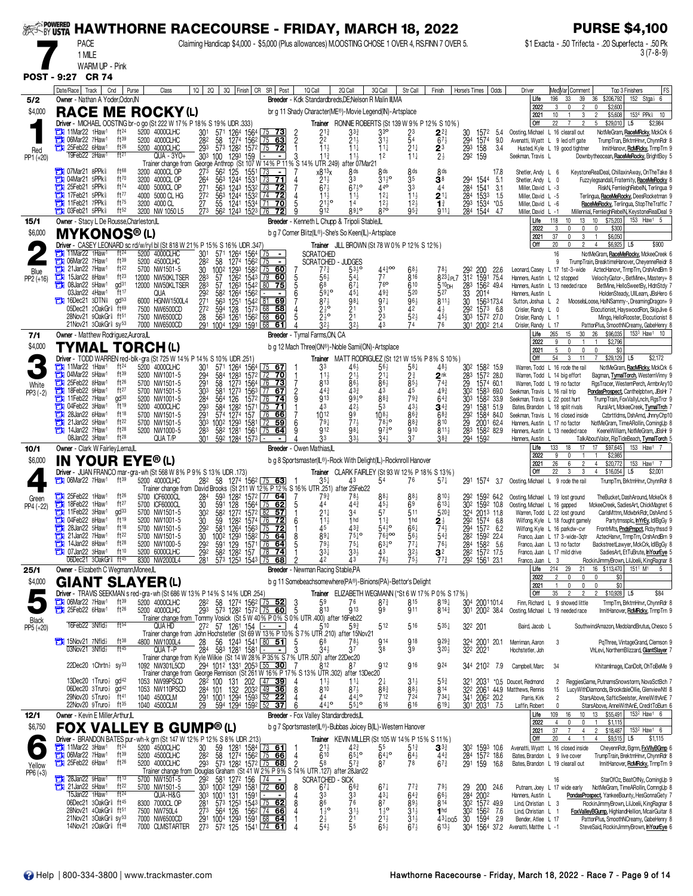|                      | SER POWERER HAWTHORNE RACECOURSE - FRIDAY, MARCH 18, 2022                                               |                                       |                                                 |                                                                                                                                                                                         |                                                                                         |                                                                                                                 |                                                         |                                                      |                                                         |                                                       |                                                                                      |                          |                                                                                                 |                                                                                               | <b>PURSE \$4,100</b>                                         |                                                                                                                                         |
|----------------------|---------------------------------------------------------------------------------------------------------|---------------------------------------|-------------------------------------------------|-----------------------------------------------------------------------------------------------------------------------------------------------------------------------------------------|-----------------------------------------------------------------------------------------|-----------------------------------------------------------------------------------------------------------------|---------------------------------------------------------|------------------------------------------------------|---------------------------------------------------------|-------------------------------------------------------|--------------------------------------------------------------------------------------|--------------------------|-------------------------------------------------------------------------------------------------|-----------------------------------------------------------------------------------------------|--------------------------------------------------------------|-----------------------------------------------------------------------------------------------------------------------------------------|
|                      | <b>PACE</b><br>1 MILE                                                                                   |                                       |                                                 | Claiming Handicap \$4,000 - \$5,000 (Plus allowances) M.OOSTING CHOSE 1 OVER 4, RS.FINN 7 OVER 5.                                                                                       |                                                                                         |                                                                                                                 |                                                         |                                                      |                                                         |                                                       |                                                                                      |                          |                                                                                                 |                                                                                               | \$1 Exacta - .50 Trifecta - .20 Superfecta - .50 Pk          | $3(7-8-9)$                                                                                                                              |
|                      | WARM UP - Pink                                                                                          |                                       |                                                 |                                                                                                                                                                                         |                                                                                         |                                                                                                                 |                                                         |                                                      |                                                         |                                                       |                                                                                      |                          |                                                                                                 |                                                                                               |                                                              |                                                                                                                                         |
|                      | POST - 9:27 CR 74<br>Date/Race   Track<br>Cnd                                                           | Purse                                 | Class                                           | 1Q                                                                                                                                                                                      | 2Q 3Q Finish CR SR Post                                                                 | 1Q Call                                                                                                         | 2Q Call                                                 | 3Q Cal                                               | Str Call                                                | Finish                                                | Horse's Times                                                                        | Odds                     | Driver                                                                                          | Med Var  Comment                                                                              | Top 3 Finishers                                              | FS                                                                                                                                      |
| 5/2<br>\$4,000       | Owner - Nathan A Yoder, Odon, IN<br><b>RACE ME</b>                                                      |                                       | <b>ROCKY(L)</b>                                 |                                                                                                                                                                                         |                                                                                         | Breeder - Kdk Standardbreds.DE:Nelson R Malin III.MA<br>br g 11 Shady Character(ME®)-Movie Legend(IN)-Artsplace |                                                         |                                                      |                                                         |                                                       |                                                                                      |                          | Life<br>2022                                                                                    | 196<br>33<br>39<br>3<br>$\mathbf{0}$                                                          | 36<br>\$206,792<br>0<br>\$2,600                              | 152 Stga $\frac{1}{2}$ 6                                                                                                                |
|                      | Driver - MICHAEL OOSTING br-o go (St 222 W 17% P 18% S 19% UDR .333)                                    |                                       |                                                 |                                                                                                                                                                                         |                                                                                         |                                                                                                                 | <b>Trainer</b> RONNIE ROBERTS (St 139 W 9% P 12% S 10%) |                                                      |                                                         |                                                       |                                                                                      |                          | 2021<br>Off                                                                                     | 10<br>3<br>22<br>$\overline{7}$<br>2                                                          | \$5,608<br>$\overline{2}$<br>5<br>\$29,010                   | 1534 PPk 10<br>L <sub>5</sub><br>\$2,984                                                                                                |
|                      | 11Mar22 1Haw <sup>1</sup><br>06Mar22 7Haw1<br>o<br><b>THE 25Feb22 6Haw1</b>                             | ft24<br>ft <sup>39</sup><br>$ft^{26}$ | 5200 4000CLHC<br>5200 4000CLHC<br>5200 4000CLHC | 301<br>$\frac{28^2}{29^3}$                                                                                                                                                              | 571 1264 1564 75 73<br>58 1274 1562 75 63<br>58 1274 1562 175 63<br>573 1282 1572 75 72 | $2^{13}_{2}$<br>$\frac{2}{2}$<br>11.1                                                                           | 33}<br>21}<br>$11\frac{1}{4}$                           | 3 <sup>3</sup><br>$31\frac{1}{2}$<br>$11\frac{1}{4}$ | 23<br>54<br>$21\frac{1}{4}$                             | $2^{2^{3}}$<br>$67\frac{1}{2}$                        | 30 1572 5.4<br>294 1574 9.0                                                          | 5.4<br>34                | Oosting, Michael L 16 clearall out<br>Avenatti, Wyatt L 9 led off gate                          | Husted, Kyle L 19 good tightner                                                               |                                                              | NotMeGram, RaceMRcky, MckCrk 6<br>TrumpTran, BrktmHnvr, ChynnRdr 8<br>InnitHanovr, RcMRcky, TrmpTrn 9                                   |
| Red<br>PP1 (+20)     | 19Feb22 2Haw                                                                                            | ft <sup>21</sup>                      | QUA - 3YO+<br>Trainer change from               | 303<br>1293 159<br>100<br>George Anthrop (St 107 W 14% P 11% S 14                                                                                                                       | $\blacksquare$                                                                          | $11\frac{3}{4}$<br>3<br>UTR .249)                                                                               | $11\frac{1}{2}$<br>after 07Mar21                        | 12                                                   | $11\frac{1}{7}$                                         | $2^3$<br>$2^{\frac{1}{2}}$                            | 29 <sub>3</sub> 158<br>29 <sup>2</sup> 159                                           |                          | Seekman, Travis L                                                                               |                                                                                               |                                                              | Downbytheocean, RaceMeRocky, BrightBoy 5                                                                                                |
|                      | <b>THE O7Mar21 8PPk</b><br>04Mar21 5PPk                                                                 | ft68<br>ft70                          | 3200 4000CL OP<br>3200 4000CL OP                | 562<br>273<br>125<br>264<br>563                                                                                                                                                         | 1551<br>1244 1531<br>71<br><u> 173</u>                                                  | x813x<br>$21\frac{1}{2}$<br>4                                                                                   | 8 <sub>ds</sub><br>33                                   | 8 <sub>ds</sub>                                      | 8 <sup>ds</sup><br>$\frac{3}{3}$ <sup>5</sup>           | 8 <sub>ds</sub><br>3 <sup>8</sup>                     |                                                                                      | 17.8<br>5.1              | Shetler, Andy L 6<br>Shetler, Andy L 0                                                          |                                                                                               |                                                              | KeystoneRealDeal, ChillaxinAway, OnTheTake 8<br>Fuzzylegsandall, Fraternity, RaceMeRocky 8                                              |
|                      | 25Feb21 5PPk<br><b>The 17Feb21 5PPk</b>                                                                 | ft74<br>ft77<br>ft75                  | 4000 5000CL OP<br>4000 5000 CL HG               | 271<br>563<br>$\bar{27}$ <sup>2</sup><br>563                                                                                                                                            | 1243 1532 73<br><u>72</u><br>1244 1532 74 72                                            | $67\frac{1}{2}$<br>$11\frac{1}{2}$                                                                              | $67\frac{1}{2}$ <sup>o</sup><br>$11\frac{1}{2}$         | 44 <sup>o</sup><br>$12\frac{1}{4}$                   | $11\frac{1}{2}$                                         | 44<br>$2^{11}$                                        | 294 1544<br>284 1541<br>284 1533                                                     | 3.1<br>1.5               | Miller, David L -3<br>Miller, David L -5                                                        |                                                                                               |                                                              | RiskN, FernleighRebelN, Terlingua 9<br>Terlingua, RaceMeRocky, DeesRocketman 9                                                          |
|                      | <b>THE 11Feb21 7PPk</b><br><b>THE OSFeb21 5PPk</b>                                                      | ft <sup>52</sup>                      | 3200 4000 CL<br>3200 NW 1050 L5                 | 27<br>55<br>273<br>562 1243 1523 76                                                                                                                                                     | 1241 1534 71<br>70                                                                      | $21\frac{1}{2}$ <sup>o</sup><br>$\overline{9}12$                                                                | 14<br>89 <sup>10</sup>                                  | $12\frac{1}{2}$<br>$8^{70}$                          | $12\frac{1}{2}$<br>$95\frac{3}{4}$                      | $\mathbf{1}^3$<br>$911\frac{1}{4}$                    | 293 1534<br>284 1544                                                                 | *0.5<br>-4.7             | Miller, David L -6<br>Miller, David L -1<br>Life                                                | 118<br>10<br>13                                                                               | \$75,203<br>10                                               | RaceMeRocky, Terlingua, StopTheTraffic 7<br>Millennial, FernleighRebelN, KeystoneRealDeal 9<br>153 Haw1 5                               |
| 15/1<br>\$6,000      | Owner - Stacy L De Rousse, Charleston, IL<br><b>MYKONOS®(L)</b>                                         |                                       |                                                 |                                                                                                                                                                                         |                                                                                         | Breeder - Kenneth L Chupp & Tripoli Stable, L<br>b g 7 Corner Blitz(IL®)-She's So Keen(IL)-Artsplace            |                                                         |                                                      |                                                         |                                                       |                                                                                      |                          | 2022<br>2021                                                                                    | 3<br>0<br>$\mathbf 0$<br>37<br>3<br>$\mathbf{0}$                                              | 0<br>\$300<br>\$6,050                                        |                                                                                                                                         |
|                      | Driver - CASEY LEONARD sc rd/w/ryl bl (St 818 W 21% P 15% S 16% UDR .347)<br>11Mar22 1Haw <sup>1</sup>  | $ft^{24}$<br>5200                     | 4000CLHC                                        | 301<br>571                                                                                                                                                                              | 1264 1564 75                                                                            | <b>SCRATCHED</b>                                                                                                | Trainer JILL BROWN (St 78 W 0% P 12% S 12%)             |                                                      |                                                         |                                                       |                                                                                      |                          | Off                                                                                             | 20<br>$\mathbf{0}$<br>$\overline{2}$<br>16                                                    | \$6,925<br>$\overline{4}$                                    | \$900<br>L5<br>NotMeGram, RaceMeRocky, MckeeCreek 6                                                                                     |
| Blue                 | 06Mar22 7Haw1<br>О<br>21 Jan22 7 Haw <sup>1</sup>                                                       | ft39<br>ft22                          | 5200 4500CLHC<br>5700 NW1501-5                  | 282<br>58<br>30<br>1293<br>$100^2$                                                                                                                                                      | 1274 1562 75<br>$\blacksquare$<br>1582 75<br><u>60</u>                                  | <b>SCRATCHED</b><br>711                                                                                         | - JUDGES<br>$53\frac{1}{2}$ <sup>o</sup>                | 44300                                                |                                                         |                                                       | 200                                                                                  | 22.6                     | Leonard, Casey L 17 1st-3-wide                                                                  |                                                                                               |                                                              | TrumpTrain, BreaktimeHanover, CheyenneReidr 8<br>AztecHanovr, TrmpTrn, CrshAndBrn 9                                                     |
| PP2 (+16)            | О<br>15Jan22 8Haw <sup>1</sup><br>08Jan22 5Haw1                                                         | $ft^{23}$<br>$\mathsf{qd}^{31}$       | 12000 NW50KLTSER<br>12000 NW50KLTSER            | 57<br>283<br>1262<br>283<br>57<br>1263                                                                                                                                                  | 60<br>1543 79<br>1542 80<br>75                                                          | 56,<br>68                                                                                                       | 67‡                                                     | 77<br>76 <sup>o</sup>                                | 816<br>610                                              | $8^{23}$ <sub>4</sub> PL7<br>510 <sub>DH</sub>        | 312 1591 75.4<br>283                                                                 | 1562 49.4                | Hanners, Austin L 12 stopped<br>Hanners, Austin L 13 needed race                                |                                                                                               |                                                              | VelocityGator-, BetMine+, Mastery+ 8<br>BetMine, HelloSweetBy, HIdnStdy 7                                                               |
|                      | 03Jan22 4Haw1<br><b>The 16Dec21 3DTN</b><br>05Dec21 2OakGr ft69                                         | ft17<br>gd <sup>53</sup>              | QUA<br>6000 HGNW1500L4<br>7500 NW6500CD         | $\frac{292}{271}$<br>582<br>1264<br>563<br>1251<br>$\overline{2}72$<br>594<br>128                                                                                                       | 1562<br>$\blacksquare$<br>1542 81 69<br>1573 68<br>58                                   | 5910<br>6<br>$87\frac{1}{2}$                                                                                    | $45\frac{1}{4}$<br>981                                  | 493<br>$97\frac{1}{4}$<br>3 <sup>1</sup>             | 520<br>$96\frac{1}{2}$<br>42                            | 527<br>$8^{11}\frac{1}{2}$<br>$4\frac{1}{2}$          | $\frac{33}{30}$<br>2014<br>292                                                       | 1563173.4<br>$157^3$ 6.8 | Hanners, Austin L<br>Sutton, Joshua L 2<br>Crisler, Randy L 0                                   |                                                                                               |                                                              | HoldenSteady, UllLearn, JBsHero 6<br>MooselsLoose, HalNSammy-, DreamingDragon+ 9<br>Elocutionist, HayswoodRon, SkipJive 6               |
|                      | 28Nov21 9OakGr ft 51<br>21Nov21 3OakGr \$sy <sup>53</sup>                                               |                                       | 7500 NW6500CD<br>7000 NW6500CD                  | 28 563 1261 1562 68<br>291 1004 1293 1591 68                                                                                                                                            | 60<br>61                                                                                | $2\frac{1}{2}$ <sup>o</sup>                                                                                     | $\frac{21}{21}$<br>$\bar{3}$ <sup>2</sup>               | 23<br>43                                             | $52\frac{1}{2}$                                         | $45\frac{1}{2}$<br>76                                 | 303 1572 27.0<br>301 2002 21.4                                                       |                          | Crisler, Randy L 1<br>Crisler, Randy L 17                                                       |                                                                                               |                                                              | Mingo, HelloRooster, Elocutionist 8<br>PattonPlus, SmoothNCreamy, GabeHenry 8                                                           |
| 7/1<br>\$4,000       | Owner - Matthew Rodriguez, Aurora, IL                                                                   |                                       |                                                 |                                                                                                                                                                                         |                                                                                         | Breeder - Tymal Farms, ON, CA                                                                                   |                                                         |                                                      |                                                         |                                                       |                                                                                      |                          | Life<br>2022                                                                                    | 265<br>15<br>30<br>0<br>9<br>$\mathbf{1}$                                                     | 26<br>\$2,796<br>$\mathbf{1}$                                | \$96,035 1533 Haw1 10                                                                                                                   |
|                      | TYMAL TORCH(L)<br>Driver - TODD WARREN red-blk-gra (St 725 W 14% P 14% S 10% UDR 251)                   |                                       |                                                 |                                                                                                                                                                                         |                                                                                         | b g 12 Mach Three(ON®)-Noble Sami(ON)-Artsplace                                                                 | Trainer MATT RODRIGUEZ (St 121 W 15% P 8% S 10%)        |                                                      |                                                         |                                                       |                                                                                      |                          | 2021<br>Off                                                                                     | 5<br>$\mathbf{0}$<br>0<br>54<br>3<br>11                                                       | $\mathbf{0}$<br>\$0<br>\$29,129                              | L <sub>5</sub><br>\$2,172                                                                                                               |
|                      | 11Mar22 1Haw1<br>104Mar22 5Haw1                                                                         | ft <sup>24</sup><br>ft39<br>ft26      | 5200 4000CLHC<br>5200 NW1001-5                  | 30 <sup>1</sup><br>$\frac{294}{291}$<br>1283<br>584                                                                                                                                     | 571 1264 1564 75 67<br>1572 72 70                                                       | 33<br>11                                                                                                        | 46}<br>$\frac{21\frac{1}{2}}{86\frac{1}{2}}$            | $56\frac{1}{2}$<br>$21\frac{1}{4}$                   | $58\frac{1}{4}$<br>2 <sup>3</sup>                       | 48 <sub>3</sub><br>$2^{\text{nk}}$                    | 30 <sup>2</sup> 158 <sup>2</sup> 15.9<br>283 1572 28.0                               |                          |                                                                                                 | Warren, Todd L 16 rode the rail<br>Warren, Todd L 14 big effort                               |                                                              | NotMeGram, RacMRcky, MckCrk 6<br>Bagman, TymalTorch, WesternVinny 9                                                                     |
| White<br>$PP3 (-2)$  | 25Feb22 8Haw1<br>18Feb22 9Haw1<br>Ъ<br>$\frac{1}{2}$ 11 Feb22 7 Haw <sup>1</sup>                        | ft27<br>gd <sup>30</sup>              | 5700 NW1501-5<br>5700 NW1501-5<br>5200 NW1001-5 | 58<br>303<br>581<br>564<br>126                                                                                                                                                          | 1273 1564 76 73<br>1273 1563 77 67<br>1572 76<br>-74                                    | 813<br>$\overline{c}$<br>$44\frac{3}{4}$<br><b>913</b>                                                          | 433<br>9930                                             | 86}<br>43                                            | $85\frac{1}{2}$<br>45<br>793                            | $74\frac{3}{4}$<br>$49\frac{3}{4}$<br>$64\frac{3}{4}$ | 29<br>302 1583 69.0<br>303                                                           | 1574 60.1<br>1582 33.9   | Warren, Todd L 19 no factor<br>Seekman, Travis L 16 rail trip<br>Seekman, Travis L 22 post hurt |                                                                                               |                                                              | RgsTracer, WesternPerch, ArmbrAry10<br>PondasProspect, Canthelpbtwn, JBsHr 7<br>TrumpTrain, FoxVallyLncln, RgsTrcr 9                    |
|                      | 04Feb22 3Haw1<br>28Jan22 6Haw1<br>о                                                                     | $\mathrm{H}$ 19<br>ft18               | 5200 4000CLHC<br>5700 NW1501-5                  | $\frac{284}{293}$<br>584<br>1282<br>291<br>574<br>1274 157                                                                                                                              | 1571<br>l 75<br>76<br>66                                                                | 43<br>$10^{12}$                                                                                                 | $42\frac{1}{2}$<br>99                                   | $\frac{8^{83}}{5^{3}}$<br>$10^{81}$                  | $43\frac{1}{2}$<br>863                                  | $\mathbf{3}^{43}$<br>$68\frac{3}{4}$                  | 291<br>292                                                                           | 1581 51.9<br>1584 84.0   | Bates, Brandon L 18 split rivals<br>Seekman, Travis L 16 closed inside                          |                                                                                               |                                                              | RuralArt, MckeeCreek, TymalTrch 7<br>Czbrttldms, DshArnd, JhnnyChp10                                                                    |
|                      | 21 Jan22 5 Haw <sup>1</sup><br>$14$ Jan22 7Haw <sup>1</sup>                                             | ft22<br>ft28                          | 5700 NW1501-5<br>5200 NW1000-5                  | 303<br>1002 1293<br>283<br>582 1281 1561                                                                                                                                                | 1581<br>72<br>59<br>$\sqrt{75}$<br>64                                                   | 79 <sub>1</sub><br>912                                                                                          | $77\frac{1}{2}$<br>98 <sub>1</sub>                      | 78,0<br>$97\overline{3}$ o                           | 883<br>910                                              | 810<br>$811\frac{1}{2}$                               | 29 2001 62.4<br>283 1582 82.9                                                        |                          | Hanners, Austin L 17 no factor<br>Hanners, Austin L 13 needed race                              |                                                                                               |                                                              | NotMeGram, TimeARollin, ComingUp 8<br>KeeneWilliam, NotMeGram, JBsHr 9                                                                  |
| 10/1                 | 08Jan22 3Haw <sup>1</sup><br>Owner - Clark W Fairley, Lerna, IL                                         | $ft^{28}$                             | QUA T/P                                         | 301<br>592 1284 1573 -                                                                                                                                                                  |                                                                                         | 33<br>Breeder - Owen Mathias,IL                                                                                 | 33,                                                     | 34}                                                  | 37                                                      | $38\frac{3}{4}$                                       | 294 1592                                                                             |                          | Hanners, Austin L<br>Life                                                                       | 17<br>133<br>18                                                                               | TalkAboutValor, RipTideBeach, TymalTorch 5<br>17<br>\$97,645 | 153 Haw1                                                                                                                                |
| \$6,000              | <b>IN YOUR EYE® (L)</b><br>Driver - JUAN FRANCO mar-gra-wh (St 568 W 8% P 9% S 13% UDR 173)             |                                       |                                                 |                                                                                                                                                                                         |                                                                                         | b g 8 Sportsmaster(IL®)-Rock With Delight(IL)-Rocknroll Hanover                                                 | Trainer CLARK FAIRLEY (St 93 W 12% P 18% S 13%)         |                                                      |                                                         |                                                       |                                                                                      |                          | 2022<br>2021<br>Off                                                                             | 9<br>0<br>26<br>$\mathfrak{p}$<br>6<br>22<br>3                                                | \$2,985<br>\$20,772<br>4<br>\$16,054                         | 153<br>Haw <sup>1</sup><br>L5<br>\$2,001                                                                                                |
|                      | $\frac{1}{2}$ 06Mar22 7Haw <sup>1</sup>                                                                 | $ft^{39}$                             | 5200 4000CLHC                                   | 282 58<br>Trainer change from David Brooks (St 211 W 12% P 12% S 16% UTR 251) after 25Feb22                                                                                             | 1274 156 <sup>2</sup> 75 63                                                             | $35\frac{1}{4}$                                                                                                 |                                                         | 54                                                   | 76                                                      | $57\frac{1}{4}$                                       | 291 1574 3.7                                                                         |                          | Oosting, Michael L 9 rode the rail                                                              |                                                                                               |                                                              | TrumpTrn, BrktmHnvr, ChynnRdr 8                                                                                                         |
| Green<br>PP4 (-22)   | 25Feb22 1Haw1<br>1Haw <sup>1</sup><br>τи<br>18Feb22                                                     | $ft^{26}$<br>ft27                     | 5700 ICF6000CL<br>5700 ICF6000CL                | 593<br>284<br>30<br>591<br>128                                                                                                                                                          | 128 <sup>2</sup> 157 <sup>2</sup> 77 64<br>1564 L75<br>62                               | 79}<br>5<br>44                                                                                                  | $78\frac{1}{2}$<br>443                                  | $45\frac{1}{2}$                                      | $88\frac{1}{2}$<br>6 <sup>9</sup>                       | 810}<br>$613\frac{1}{4}$                              | 292 1592 64.2<br>30 <sup>2</sup> 159 <sup>2</sup> 10.8                               |                          | Oosting, Michael L 19 lost ground<br>Oosting, Michael L 16 gapped                               |                                                                                               |                                                              | TheBucket, DashAround, MckeCrk 8<br>MckeeCreek, SadiesArt, ChickMagnet 6                                                                |
|                      | 11Feb22 3Haw1<br><b>The O4Feb22 8Haw1</b>                                                               | gd <sup>33</sup><br>ft19              | 5700 NW1501-5<br>5200 NW1001-5                  | 582 1272 1572 82<br>302<br>30<br>59                                                                                                                                                     | 57<br>1282 1574 76 72                                                                   | $21\frac{1}{4}$<br>6<br>$11\frac{1}{2}$                                                                         | 34<br>1 hd                                              | 57<br>$11\frac{3}{2}$                                | 511<br>1 <sub>hd</sub>                                  | 5203                                                  | 324 2013 11.8<br>292 1574 6.8                                                        |                          |                                                                                                 | Warren, Todd L 22 lost ground<br>Wilfong, Kyle L 18 fought gamely                             |                                                              | CarlsMttnn, MdwbrkRdr, DshArnd 5<br>Partytmssplc, InYrEy, IdlBgGy 9                                                                     |
|                      | о<br>28Jan22 5Haw1<br>21Jan22 7Haw1<br>О<br>14Jan22 8Haw <sup>1</sup>                                   | ft18<br>ft $22$<br>$ft^{28}$          | 5700 NW1501-5<br>5700 NW1501-5<br>5200 NW1000-5 | 30 <sub>2</sub><br>100 <sup>2</sup><br>292                                                                                                                                              | 581 1264 1563 75 72<br>1002 1293 1582 75 64<br>591 129 1571 76 64                       | $8^{91}_{792}$<br>$\frac{8}{5}$                                                                                 | 433<br>$75\frac{1}{4}$ <sup>o</sup><br>$75\frac{1}{4}$  | $54\frac{1}{2}$<br>76300<br>$63^{10}$                | p <sub>o</sub><br>$\frac{56\frac{1}{2}}{77\frac{1}{4}}$ | $5^{4^{3}_{4}}$<br>$76\frac{1}{2}$                    | 294<br>28 <sup>2</sup> 159 <sup>2</sup> 22.4<br>28 <sup>4</sup> 158 <sup>2</sup> 5.6 | 1572 6.2                 |                                                                                                 | Wilfong, Kyle L 16 parkdw-cvr<br>Franco, Juan L 17 3-wide-3qtr<br>Franco, Juan L 13 no factor |                                                              | FrontrMts, <b>PndsPrspct</b> , Rcbythssd 9<br>AztecHanvr, TrmpTrn, CrshAndBrn 9                                                         |
|                      | <b>THE 07Jan22 3Haw1</b><br>06Dec21 3OakGr <sup>§</sup> ft <sup>45</sup>                                | ft10                                  | 5200 6000CLHC<br>8300 NW2000L4                  | 292<br>582 1282 157 78<br>281                                                                                                                                                           | -74<br>573 1253 1543 75<br>68                                                           | $33\frac{1}{4}$<br>42                                                                                           | $33\frac{1}{2}$<br>43                                   | 43<br>761                                            | $32\frac{1}{2}$<br>$75\frac{1}{2}$                      | 3 <sup>2</sup><br>77 <sup>3</sup>                     | 282 1572 17.5<br>292 1561 23.1                                                       |                          | Franco, Juan L 3                                                                                | Franco, Juan L 17 mild drive                                                                  |                                                              | BackstreetLawyer, MckCrk, IdlBgGy 8<br>SadiesArt, EtTuBrute, InYourEye 5<br>RockinJimmyBrown, LilJoelii, KingRagnar 8                   |
| 25/1                 | Owner - Elizabeth C Wegmann, Monee, IL                                                                  |                                       |                                                 |                                                                                                                                                                                         |                                                                                         | <b>Breeder</b> - Newman Racing Stable, PA                                                                       |                                                         |                                                      |                                                         |                                                       |                                                                                      |                          | Life<br>2022                                                                                    | 214<br>29<br>21<br>$\overline{2}$<br>0<br>0                                                   | 16 \$113,470<br>0<br>\$0                                     | 151 <sup>1</sup> M <sup>1</sup><br>-5                                                                                                   |
| \$4,000              | <b>GIANT SLAYER (L)</b><br>Driver - TRAVIS SEEKMAN s red-gra-wh (St 686 W 13% P 14% S 14% UDR .254)     |                                       |                                                 |                                                                                                                                                                                         |                                                                                         | b g 11 Somebeachsomewhere(PA®)-Binions(PA)-Bettor's Delight                                                     | Trainer ELIZABETH WEGMANN (*St 6 W 17% P 0% S 17%)      |                                                      |                                                         |                                                       |                                                                                      |                          | 2021<br><b>Off</b>                                                                              | $\mathbb O$<br>$\mathbf 0$<br>$\mathbf{1}$<br>$35\,$<br>$\overline{2}$<br>$\mathfrak{p}$      | $\mathbf 0$<br>\$0<br>2<br>$$10,928$ L5                      | \$84                                                                                                                                    |
|                      | <b>THE O6Mar22 7Haw1</b><br>25Feb22 6Haw <sup>1</sup>                                                   | ft39<br>ft26                          | 5200 4000CLHC<br>5200 4000CLHC                  | 28 <sup>2</sup><br>293<br>58                                                                                                                                                            | 1274 1562 75 52<br>573 1282 1572 75 60                                                  | 59<br>$\frac{3}{5}$<br>813                                                                                      | 76<br>913                                               | $8^{73}$<br>99                                       | 815<br>911                                              | $8^{19}$<br>$8^{14\frac{3}{4}}$                       | 304 2001101.4<br>301 2002 38.4                                                       |                          | Oosting, Michael L 19 needed race                                                               | Finn, Richard L 9 showed little                                                               |                                                              | TrmpTrn, BrktmHnvr, ChynnRdr 8<br>InnitHanover, RcMRcky, TrmpTrn 9                                                                      |
| Black<br>PP5 (+20)   | 16Feb22 3Nfld}                                                                                          | $ft^{54}$                             | QUA HD                                          | Trainer change from Tommy Vosick (St 5 W 40% P 0% S 0% UTR 400) after 16Feb22<br>272 57 1261 154<br>Trainer change from John Hochstetler (St 69 W 13% P 10% S 7% UTR 210) after 15Nov21 | $\sim$ 1                                                                                | 4<br>510                                                                                                        | $59\frac{3}{4}$                                         | 512                                                  | 516                                                     | $5^{35}$                                              | 322 201                                                                              |                          | Baird, Jacob L                                                                                  |                                                                                               |                                                              | SouthwindAmazon, MedolandBrutus, Chesco 5                                                                                               |
|                      | $7$ 15Nov21 7Nfld $\frac{1}{2}$<br>$03$ Nov21 $3$ Nfld $\frac{1}{2}$                                    | $ft^{38}$<br>ft $45$                  | 4800 NW1000L4<br>QUA T-P                        | 28<br>284                                                                                                                                                                               | 56 124 <sup>3</sup> 1541 80 51<br>58 <sup>3</sup> 1281 1581 - -                         | 68<br>5                                                                                                         | 78 <sub>3</sub><br>37                                   | 914<br>38                                            | 918<br>39                                               | $9^{29\frac{3}{4}}$<br>$3^{20}$                       | 2001<br>324 2001<br>322 2021                                                         | 20.1                     | Merriman, Aaron<br>Hochstetler, Joh                                                             | -3                                                                                            |                                                              | PqThree, VintageGrand, Clemson 9<br>VhLevi, NorthemBlizzard, GiantSlayer 7                                                              |
|                      | 22Dec20 1Chrtn $\frac{1}{2}$ sy <sup>33</sup>                                                           |                                       | 1092 NW301L5CD                                  | Trainer change from Kyle Wilkie (St 14 W 28% P 35% S 7% UTR .507) after 22Dec20<br>294 1012 1331 2053 55 30                                                                             |                                                                                         | 812                                                                                                             |                                                         | 912                                                  | 916                                                     | 924                                                   | 344 2102 7.9                                                                         |                          | Campbell, Marc                                                                                  | 34                                                                                            |                                                              | Khitamlmage, ICanDolt, OhToBeMe 9                                                                                                       |
|                      | 13Dec20 1Truro $\frac{1}{2}$ gd <sup>42</sup><br>06Dec20 3Truro $\frac{1}{2}$ gd <sup>42</sup>          |                                       | 1053 NW99PSCD<br>1053 NW110PSCD                 | Trainer change from George Rennison (St 261 W 16% P 17% S 13% UTR .302) after 13Dec20<br>282 100                                                                                        | 131 202 <u>47</u><br><u>39</u>                                                          | $11\frac{1}{2}$<br>810                                                                                          | $11\frac{1}{4}$<br>$87\frac{1}{2}$                      | 2‡                                                   | $3^{11}$                                                | $5^{5^{3}_{4}}$                                       |                                                                                      |                          | 321 2031 *0.5 Doucet, Redmond                                                                   | $\overline{c}$                                                                                |                                                              | ReggiesGame, PutnamsSnowstorm, NovaSctBch 7                                                                                             |
|                      | 29Nov20 5Truro <sup>1</sup><br>22Nov20 9Truro <sup>3</sup> ft <sup>35</sup>                             | ft 41                                 | 1040 4500CLM<br>1040 4500CLM                    | 284 101 132 2032 49 36<br>291 1001 1294 1593 52 22<br>29                                                                                                                                | 594 1294 1592 52<br>37                                                                  | 44<br>$44^{0}$                                                                                                  | 44 <sup>10</sup><br>5510                                | 883<br>712<br>616                                    | $\frac{88\frac{1}{2}}{724}$<br>616                      | 814<br>$734\frac{1}{4}$<br>$619\frac{1}{4}$           | 341 2062 20.2<br>301 2031 7.5                                                        |                          | 322 2061 44.9 Matthews, Rennis<br>Parris, Kirk<br>Laffin, Robert                                | 15<br>$\overline{2}$<br>0                                                                     |                                                              | LucyWithDiamonds, BrookdaleOllie, GlenviewNtl 8<br>StarsAbove, SafticSeelster, AnneWithAnE 7<br>StarsAbove, AnneWithAnE, CreditToBurn 6 |
| 12/1                 | Owner - Kevin E Miller, Arthur, IL                                                                      |                                       |                                                 |                                                                                                                                                                                         |                                                                                         | Breeder - Fox Valley Standardbreds, IL                                                                          |                                                         |                                                      |                                                         |                                                       |                                                                                      |                          | Life<br>2022                                                                                    | 109<br>16<br>10<br>4<br>0<br>$\mathbf 0$                                                      | 13<br>\$55,491<br>\$1,115                                    | 153 <sup>2</sup> Haw <sup>1</sup> 6                                                                                                     |
| \$6,750              | <b>FOX VALLEY B GUMP® (L)</b><br>Driver - BRANDON BATES pur-wh-k grn (St 147 W 12% P 12% S 8% UDR .213) |                                       |                                                 |                                                                                                                                                                                         |                                                                                         | b g 7 Sportsmaster(IL®)-Bubbas Joicey B(IL)-Western Hanover                                                     | <b>Trainer</b> KEVIN MILLER (St 105 W 14% P 15% S 11%)  |                                                      |                                                         |                                                       |                                                                                      |                          | 2021<br>Off                                                                                     | 37<br>$\overline{7}$<br>$\overline{4}$<br>20<br>$\overline{4}$                                | $\overline{2}$<br>\$18,487<br>\$9,515<br>4                   | 153 <sup>2</sup> Haw <sup>1</sup> 6<br>L5<br>\$1,115                                                                                    |
|                      | 11Mar22 3Haw1<br><b>The O6Mar22 7Haw1</b>                                                               | ft <sup>24</sup><br>ft39              | 5200 4500CLHC<br>5200 4500CLHC                  | 59<br>58<br>30<br>282                                                                                                                                                                   | 1281 1584 73 61<br>1274 1562 75 66                                                      | $^{21}_{610}$                                                                                                   | 423<br>$65^{10}$                                        | $5^5$ 6410                                           | $5^{13}$<br>$64\frac{1}{2}$                             | $\mathbf{3}^{3\frac{3}{4}}$<br>443                    | 302 1593 10.6<br>284 1572 18.6                                                       |                          | Avenatti, Wyatt L 16 closed inside<br>Bates, Brandon L 9 live cover                             |                                                                                               |                                                              | CheyennRdr, Bgmn, FxVIIyBGmp 6<br>TrumpTrain, BrektmHnvr, ChynnRdr 8                                                                    |
| Yellow<br>$PP6 (+3)$ | 25Feb22 6Haw1<br>28Jan22 9Haw1                                                                          | $ft^{26}$<br>$ft^{13}$                | 5200 4000CLHC<br>5700 NW1501-5                  | 293<br>Trainer change from Douglas Graham (St 41 W 2% P 9% S 14% UTR 127) after 28 Jan22<br>292                                                                                         | 573 1282 1572 75 68<br>581 1272 156 74 -                                                | 2<br>58<br>SCRATCHED -                                                                                          | $57\frac{3}{4}$<br>SICK                                 | 87                                                   | 78                                                      | $67\frac{3}{4}$                                       | 291 159                                                                              | 16.8                     | Bates, Brandon L 19 clearall out                                                                | 16                                                                                            |                                                              | InnitHanover, RcMRcky, TrmpTrn 9<br>StarOfOz, BeatOfNy, ComingUp 9                                                                      |
|                      | 21 Jan22 5 Haw <sup>1</sup><br>15Jan22 1Haw1                                                            | ft22<br>$ft^{24}$                     | 5700 NW1501-5<br>QUA-H&G                        | 303 1002 1293 1581 72                                                                                                                                                                   | 60                                                                                      | 8<br>$67\frac{1}{4}$<br>33                                                                                      | $66\frac{3}{4}$                                         | $67\frac{1}{4}$<br>43}                               | $77\frac{3}{4}$<br>$64\frac{3}{4}$                      | $79\frac{1}{2}$<br>$66\frac{1}{2}$                    | 29 200<br>284 2002                                                                   | 24.6                     | Hanners, Austin L                                                                               | Putnam, Joey L 17 wide early                                                                  |                                                              | NotMeGram, TimeARollin, ComngUp 8<br>PondasProspect, YankeeBounty, HesGonnaGety 7                                                       |
|                      | 06Dec21 3OakGr ft45<br>28Nov21 4OakGr <sup>§</sup> ft <sup>51</sup>                                     |                                       | 8300 7000CL OP<br>7500 NW750L4                  | 30 <sup>3</sup> 1001 131 1591 - -<br>281 573 1253 1543 <u>75 62</u><br>281<br>273<br>564 126                                                                                            | 156 <sup>2</sup> 74 66<br>1591 68 64                                                    | 86<br>$1\frac{1}{2}$ <sup>o</sup>                                                                               | 33<br>76<br>$31\frac{1}{2}$                             | 87<br>$1\frac{1}{2}$ <sup>o</sup>                    | $89\frac{1}{2}$<br>$31\frac{1}{2}$                      | 814<br>1 <sup>hd</sup>                                | 302 1572 49.9<br>30 <sup>2</sup> 156 <sup>2</sup>                                    | 7.6                      | Lind, Christian L 3<br>Lind, Christian L 1                                                      |                                                                                               |                                                              | RockinJimmyBrown, LilJoelii, KingRagnar 8<br>FoxValleyBGump, HighlandHellion, McairGuitar 8                                             |
|                      | 21Nov21 3OakGr <sup>§</sup> sy <sup>53</sup><br>14Nov21 2OakGr <sup>§</sup> ft <sup>48</sup>            |                                       | 7000 NW6500CD<br>7000 CLMSTARTER                | 291<br>100 <sup>4</sup> 129 <sup>3</sup><br>57 <sup>2</sup> 125<br>27 <sup>3</sup>                                                                                                      | 1591<br>1541<br>61<br>  74                                                              | $2\frac{1}{2}$<br>54 <sup>1</sup>                                                                               | $\frac{21}{5}$                                          | $2^{11}_{65}$                                        | $31\frac{1}{2}$<br>67 $\frac{1}{2}$                     | 431005<br>$613\frac{1}{2}$                            | 30 1594 2.9<br>304 1564 37.2                                                         |                          | Bender, Atlee L 17<br>Avenatti, Matthe L -1                                                     |                                                                                               |                                                              | PattonPlus, SmoothNCreamy, GabeHenry 8<br>SteveSaid, RockinJimmyBrown, InYourEye 6                                                      |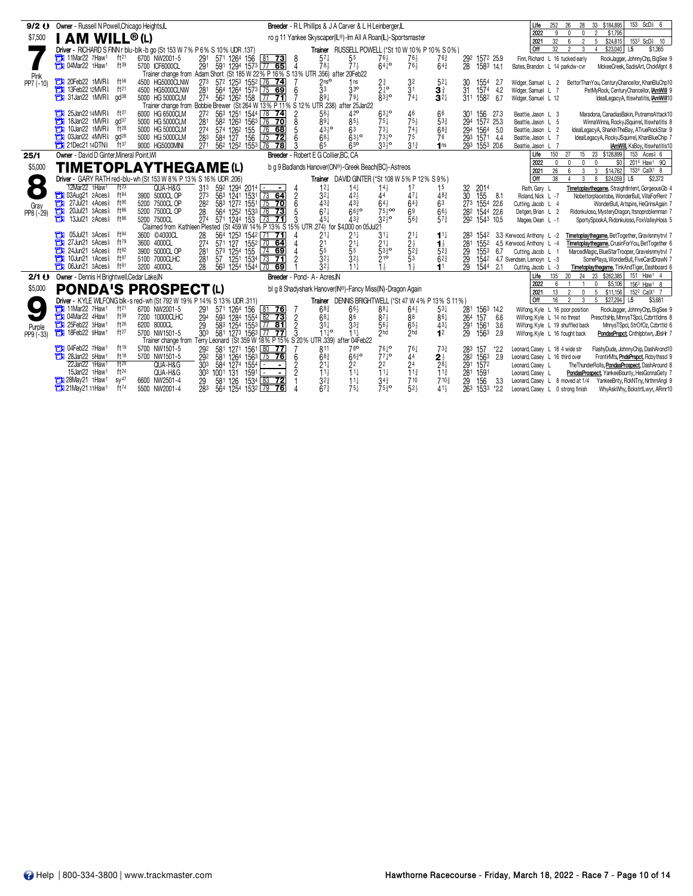| $9/2$ $Q$           | Owner - Russell N Powell, Chicago Heights, IL                                                                                                |                                                                                                                                                                 | Breeder - R L Phillips & J A Carver & L H Leinberger, L                  |                                                                                |                                                                      | 153 ScD <sup>§</sup> 6<br>Life<br>252<br>28<br>33<br>\$184,895<br>26                                                                                                                     |
|---------------------|----------------------------------------------------------------------------------------------------------------------------------------------|-----------------------------------------------------------------------------------------------------------------------------------------------------------------|--------------------------------------------------------------------------|--------------------------------------------------------------------------------|----------------------------------------------------------------------|------------------------------------------------------------------------------------------------------------------------------------------------------------------------------------------|
| \$7,500             | <b>I AM WILL®(L)</b>                                                                                                                         |                                                                                                                                                                 | ro g 11 Yankee Skyscaper(IL®)-Im All A Roan(IL)-Sportsmaster             |                                                                                |                                                                      | 2022<br>9<br>\$1,795<br>$\mathbf{0}$<br>$\mathbf{0}$<br>2<br>32<br>1533 ScD <sub>1</sub> 10<br>2021<br>6<br>$\overline{2}$<br>5<br>\$24,815                                              |
|                     | Driver - RICHARD S FINN r blu-blk-b go (St 153 W 7% P 6% S 10% UDR .137)                                                                     |                                                                                                                                                                 | Trainer RUSSELL POWELL (*St 10 W 10% P 10% S 0%)                         |                                                                                |                                                                      | l off<br>32<br>$\mathfrak{p}$<br>3<br>\$23,040<br>L <sub>5</sub><br>\$1,365<br>$\overline{4}$                                                                                            |
|                     | 11Mar22 7Haw1<br>ft21<br>6700 NW2001-5                                                                                                       | 291<br>571 1264 156<br>$81$ 73<br>- 8                                                                                                                           | $57\frac{1}{4}$<br>55                                                    | $76\frac{1}{2}$<br>76 $\frac{1}{2}$<br>$76\frac{1}{2}$                         | $76\frac{3}{4}$<br>292 1572 25.9                                     | Finn, Richard L 16 tucked early<br>RockJagger, JohnnyChp, BigSee 9                                                                                                                       |
|                     | 1Haw <sup>1</sup><br>ft39<br>5700 ICF6000CL                                                                                                  | 291 591 1294 1573 77 65<br>$\Delta$                                                                                                                             | 78 <sub>3</sub>                                                          | $64^{10}$                                                                      | $64\frac{3}{4}$<br>28<br>1583 14.1                                   | Bates, Brandon L 14 parkdw-cvr<br>MckeeCreek, SadisArt, ChckMgnt &                                                                                                                       |
| Pink<br>PP7 (-10)   | $ft^{56}$<br>20Feb22 1MVR <sup>§</sup><br>о<br>4500 HG5000CLNW                                                                               | Trainer change from Adam Short (St 185 W 22% P 16% S 13% UTR 356) after 20Feb22<br>273<br>572 1253 1552 76 74                                                   | 1ns                                                                      | $2\frac{3}{4}$<br>3 <sup>2</sup>                                               | $5^{2}$<br>1554                                                      | -2.7<br>Widger, Samuel L 2                                                                                                                                                               |
|                     | Ŧı<br>13Feb22 12MVR <sup>§</sup><br>ft <sup>21</sup><br>4500 HG5000CLNW                                                                      | 6                                                                                                                                                               | $\frac{2 \text{ns}^{2}}{3^{3}}$<br>33 <sup>o</sup>                       | 3 <sup>1</sup><br>$2^{10}$                                                     | 30<br>31<br>$\mathbf{3}^{\frac{3}{4}}$<br>1574                       | BettorThanYou, CenturyChancellor, KhanBluChp10<br>- 4.2<br>Widger, Samuel L 7<br>PetMyRock, CenturyChancellor, IAmWill 9                                                                 |
|                     | 31Jan22 1MVR<br>$\alpha$ d $38$<br>Ŧ<br>5000 HG 5000CLM                                                                                      | 281 564 1264 1573 75 69<br>274 562 1262 158 77 71<br>$77 - 71$                                                                                                  | $89\frac{1}{4}$<br>$79\frac{1}{4}$                                       | $\overline{8}3\overline{3}$ o<br>$74+$                                         | $3^{2+}$<br>311 1582                                                 | 6.7<br>Widger, Samuel L 12<br>IdealLegacyA, Itiswhatitis, IAmWill10                                                                                                                      |
|                     |                                                                                                                                              | Trainer change from Bobbie Brewer (St 264 W 13% P 11% S 12%                                                                                                     | UTR 238) after 25Jan22                                                   |                                                                                |                                                                      |                                                                                                                                                                                          |
|                     | 25Jan22 14MVR<br>$ft^{27}$<br>6000 HG 6500CLM<br>$\alpha d^{37}$<br>П<br>18Jan22 1MVR <sup>§</sup><br>5000 HG 5000CLM                        | 27 <sup>2</sup><br>56 <sup>3</sup> 125 <sup>1</sup> 1544 78 <b>74</b><br>58 <sup>2</sup> 126 <sup>3</sup> 156 <sup>3</sup> 76 <b>70</b><br>$\frac{2}{8}$<br>281 | $56\frac{1}{2}$<br>42 <sup>o</sup><br>$89\bar{1}$<br>$85\frac{1}{2}$     | $63^{10}_{4}$<br>46<br>$75\frac{1}{2}$<br>$75\frac{1}{4}$                      | 66<br>156<br>30 <sup>1</sup><br>533<br>294 1572 25.3                 | 27.3<br>Maradona, CanadiasBakin, PutnamsAttack10<br>Beattie, Jason L 3<br>Beattie, Jason L 5<br>WinnaWinna, RockyJSquirrel, Itiswhatitis &                                               |
|                     | 10Jan22 1MVR <sup>§</sup><br>ft28<br>5000 HG 5000CLM                                                                                         | 574 1262 155<br>274<br>$76$ 68                                                                                                                                  | 4310<br>63                                                               | $74\frac{1}{2}$<br>$73\frac{1}{4}$                                             | $68\frac{3}{4}$<br>294 1564                                          | - 5.0<br>IdealLegacyA, SharkInTheBay, ATrueRockStar 9<br>Beattie, Jason L 2                                                                                                              |
|                     | 03Jan22 4MVR <sup>§</sup><br>$\text{ad}^{28}$<br>Ħ<br>5000 HG 5000CLM                                                                        | $6\overline{6}$<br>283<br>584 127 156<br>$\boxed{75}$ 72                                                                                                        | 68 <sup>1</sup><br>$63\frac{1}{2}$                                       | 73,19<br>75                                                                    | 1571 4.4<br>76<br>293                                                | Beattie, Jason L 7<br>IdealLegacyA, RockyJSquirrel, KhanBlueChip 7                                                                                                                       |
|                     | <b>The 21Dec21 14DTNs</b><br>ft37<br>9000 HG5000MINI                                                                                         | 562 1252 1553 76 78<br>271                                                                                                                                      | 65<br>$65^{\circ}$                                                       | $33^{10}_{2}$<br>$31\frac{3}{4}$                                               | 293 1553 20.6<br>1 <sub>ns</sub>                                     | Beattie, Jason L 7<br><b>IAmWill, KsBoy, Itiswhatitis10</b>                                                                                                                              |
| 25/1                | Owner - David D Ginter Mineral Point WI                                                                                                      | Breeder - Robert E G Collier.BC. CA                                                                                                                             |                                                                          |                                                                                |                                                                      | 150<br>27<br>15 23 \$128,899<br>153 Aces <sup>§</sup> 6<br>Life                                                                                                                          |
| \$5,000             | <b>TIMETOPLAYTHEGAME(L)</b>                                                                                                                  |                                                                                                                                                                 | b q 9 Badlands Hanover(ON®)-Greek Beach(BC)-Astreos                      |                                                                                |                                                                      | 2022<br>$\Omega$<br>$\Omega$<br>$\mathbf{0}$<br>\$0<br>2014 Haw1 9Q<br>$\mathsf{n}$<br>26<br>2021<br>3<br>\$14,762<br>1534 CalX1 8<br>6<br>3 <sup>1</sup>                                |
| $\bullet$           | Driver - GARY RATH red-blu-wh (St 153 W 8% P 13% S 16% UDR .206)                                                                             |                                                                                                                                                                 | Trainer DAVID GINTER (*St 108 W 5% P 12% S 9%)                           |                                                                                |                                                                      | <b>Off</b><br>38<br>\$24,059<br>3<br>8<br>L5<br>\$2,372                                                                                                                                  |
| $\bullet$           | 12Mar22 1Haw1<br>ft <sup>23</sup><br>QUA-H&G                                                                                                 | 31 <sup>3</sup><br>592 1294 2014 -<br>$\blacksquare$                                                                                                            | 12 <sub>7</sub><br>$14\frac{1}{4}$                                       | $14\frac{1}{2}$<br>17                                                          | 1 <sup>5</sup><br>32<br>2014                                         | Rath, Gary L<br>Timetoplaythegame, StraightIntent, GorgeousGb 4                                                                                                                          |
|                     | <b>TH</b> 03Aug21 2Aces<br>ft $84$<br>3900 5000CL OP                                                                                         | 563 1241 1531 73 64<br>583 1272 1551 75 70<br>$\frac{2}{6}$<br>273                                                                                              | 32 <sub>1</sub><br>$42\frac{1}{2}$                                       | 44<br>$47\frac{1}{4}$                                                          | 30 <sup>2</sup><br>$48\frac{3}{4}$<br>155                            | -8.1<br>Roland, Nick L -7<br>Nobettorplacetobe, WonderBull, VillaForRent 7                                                                                                               |
| Gray                | ā<br>ft90<br>$27$ Jul $21$ $4Aces\$<br>5200 7500CL OP<br>ft86<br>20Jul21 3Aces <sup>§</sup>                                                  | 282                                                                                                                                                             | $43\frac{3}{4}$<br>$43\frac{3}{4}$<br>6630                               | $64\frac{3}{4}$<br>$64\frac{1}{2}$                                             | 63<br>273 1554 22.6                                                  | Cutting, Jacob L 4<br>WonderBull, Artspire, HeGrinsAgain 7                                                                                                                               |
| $PP8 (-29)$         | Ъ<br>5200 7500CL OP<br>Ŧı<br>$ft^{86}$<br>13Jul21 2Aces <sup>§</sup><br>5200 7500CL                                                          | 564 1252 1533 76 73<br>5<br>28<br>3<br>27 <sup>4</sup><br>571 1244 153<br>$\sqrt{73}$ 71                                                                        | $67\frac{1}{4}$<br>$45+$<br>433                                          | $75\frac{1}{2}$ 00<br>$69$<br>$56\frac{3}{4}$<br>$32\frac{1}{2}$ <sup>o</sup>  | $66\frac{1}{2}$<br>282 1544 22.6<br>$57\frac{3}{4}$<br>292 1543 10.5 | Detgen, Brian L 2<br>Ridonkuloso, MysteryDragon, Itsnoproblemman 7<br>Magee, Dean L -1<br>SportySpookA, Ridonkuloso, FoxValleyHoss 5                                                     |
|                     |                                                                                                                                              | Claimed from Kathleen Plested (St 459 W 14% P 13% S 15% UTR                                                                                                     | .274) for \$4,000 on 05Jul21                                             |                                                                                |                                                                      |                                                                                                                                                                                          |
|                     | 05Jul21 3Aces <sup>§</sup><br>ft $94$<br>3600 ©4000CL                                                                                        | 564 1253 1542 71 71<br>28                                                                                                                                       | $21\frac{1}{4}$<br>$21\frac{1}{4}$                                       | $21\frac{1}{4}$<br>$31\frac{1}{4}$                                             | $11\frac{1}{4}$<br>283<br>1542                                       | Timetoplaythegame, BetTogether, GravIsnmytrvl 7<br>3.3 Kerwood, Anthony L -2                                                                                                             |
|                     | 27Jun21 5Aces<br>$ft^{79}$<br>3600 4000CL<br>24Jun21 5Aces<br>$ft^{82}$                                                                      | 571 127 1552 70 64<br>274                                                                                                                                       | $\frac{21}{5}$<br>$21\frac{1}{4}$                                        | $2\frac{1}{2}$<br>$21\frac{1}{4}$                                              | $1\frac{1}{2}$<br>281<br>1552                                        | Timetoplaythegame, CrusinForYou, BetTogether 6<br>4.5 Kerwood Anthony L -4                                                                                                               |
|                     | 3900 5000CL OP<br>f197<br>10Jun21 1Aces <sup>§</sup><br>5100 7000CLHC                                                                        | $57^3$ $125^4$ $155$ $\overline{74}$ 69<br>281<br>57 1251 1534 73 71<br>281                                                                                     | 55<br>$32\frac{1}{2}$                                                    | $\bar{5}2\frac{3}{4}$<br>$\overline{5}3\overline{2}$ <sup>o</sup><br>210<br>53 | $5^{2^{3}}$<br>29<br>1553<br>$62\frac{3}{4}$<br>29<br>1542           | 6.7<br>Cutting, Jacob L 1<br>MarcedMagic, BlueStarTrooper, Gravelsnmytrvl 7<br>4.7 Svendsen Lemovn L -3<br>SomePlaya, WonderBull, FiveCardDrawN 7                                        |
|                     | <b>THE OGJun21 3Aces</b><br>$f$ <sup>191</sup><br>3200 4000CL                                                                                | 28<br>563 1254 1544 70 69                                                                                                                                       | $\frac{321}{322}$<br>$11\frac{1}{4}$                                     | $1\frac{1}{2}$                                                                 | 11<br>29<br>1544 2.1                                                 | Timetoplaythegame, TinkAndTiger, Dashboard 6<br>Cutting, Jacob L -3                                                                                                                      |
| 2/1()               | Owner - Dennis H Brightwell, Cedar Lake, IN                                                                                                  | Breeder - Pond- A- Acres.IN                                                                                                                                     |                                                                          |                                                                                |                                                                      | Life<br>135<br>23 \$262,385<br>151 Haw <sup>1</sup> 4<br>20 <sub>2</sub><br>24                                                                                                           |
| \$5,000             | <b>PONDA'S PROSPECT(L)</b>                                                                                                                   |                                                                                                                                                                 | bl q 8 Shadyshark Hanover(IN®)-Fancy Miss(IN)-Dragon Again               |                                                                                |                                                                      | 2022<br>6<br>156 <sup>3</sup> Haw <sup>1</sup> 8<br>$\mathbf{0}$<br>\$5,106                                                                                                              |
|                     |                                                                                                                                              |                                                                                                                                                                 | Trainer DENNIS BRIGHTWELL (*St 47 W 4% P 13% S 11%)                      |                                                                                |                                                                      | 5 \$11.156<br>152 <sup>2</sup> CalX <sup>1</sup> 7<br>2021<br>13<br>$\mathfrak{p}$<br>$\mathbf{0}$<br><b>Off</b><br>16<br>$\overline{2}$<br>3<br>5 \$27,294<br>L <sub>5</sub><br>\$3,681 |
|                     | Driver - KYLE WILFONG blk-s red-wh (St 792 W 19% P 14% S 13% UDR .311)<br>$7$ 11Mar22 7Haw <sup>1</sup><br>ft <sup>21</sup><br>6700 NW2001-5 | 571 1264<br>156<br>$\sqrt{81}$<br>$\overline{76}$<br>291                                                                                                        | $68\frac{3}{4}$<br>$66\frac{1}{2}$                                       | 881<br>$64\frac{1}{2}$                                                         | $53\frac{1}{4}$<br>281<br>1563 14.2                                  | Wilfong, Kyle L 16 poor position<br>RockJagger, JohnnyChp, BigSee 9                                                                                                                      |
|                     | 1 04Mar22 4Haw1<br>ft39<br>7200 10000CLHC                                                                                                    | 294<br>593 1284 1554 82 73<br>$\overline{2}$                                                                                                                    | $68\frac{1}{4}$<br>86                                                    | $87\frac{1}{2}$<br>88                                                          | 157<br>861<br>264                                                    | 6.6<br>PrescttsHp, MnnysTSpcl, Czbrttldms &<br>Wilfong, Kyle L 14 no threat                                                                                                              |
|                     | ft26<br>25Feb22 3Haw1<br>6200 8000CL                                                                                                         | 29<br>583 1254 1553 77 81<br>581 1273 1563 77 77<br>$\overline{2}$                                                                                              | $35\frac{1}{4}$<br>$3^{3}$                                               | $65\frac{1}{2}$<br>$56\frac{1}{2}$                                             | $43\frac{1}{4}$<br>$^{291}_{29}$<br>1561                             | 3.6<br>Wilfong, Kyle L 19 shuffled back<br>MnnysTSpcl, StrOfOz, Czbrttld 6                                                                                                               |
| Purple<br>PP9 (-33) | ft27<br>18Feb22 9Haw <sup>1</sup><br>ъ<br>5700 NW1501-5                                                                                      | 30 <sup>3</sup><br>3                                                                                                                                            | $11^{10}$<br>$11\frac{1}{4}$                                             | $\sum$<br>$\sum$ hd                                                            | 12<br>1563                                                           | 2.9<br>Wilfong, Kyle L 16 fought back<br>PondasPrspct, Cnthlpbtwn, JBsHr 7                                                                                                               |
|                     | <b>The O4Feb22 7Haw1</b><br>ft19<br>5700 NW1501-5                                                                                            | Trainer change from Terry Leonard (St 359 W 18% P 15% S 20% UTR 339) aft<br>1271 1561 80 77<br>581                                                              | ter 04Feb22<br>76 <sup>o</sup><br>811                                    | $76\frac{1}{4}$                                                                | $73\frac{3}{4}$<br>283<br>157                                        | *2.2<br>Leonard, Casey L 18 4 wide str<br>FlashyDude, JohnnyChip, DashArond10                                                                                                            |
|                     | 28Jan22 5Haw <sup>1</sup><br>ft18<br>5700 NW1501-5                                                                                           | $\frac{29^2}{29^2}$<br>581 1264 1563 75 76<br>6                                                                                                                 | $68\frac{3}{4}$<br>$66^{30}$                                             | $764$ °<br>774°<br>44                                                          | $\bar{28}$ <sup>2</sup><br>$2\frac{1}{2}$<br>1563                    | 2.9<br>Leonard, Casey L 16 third over<br>FrontinMts, PndsPrspct, Rcbythssd 9                                                                                                             |
|                     | ft29<br>22Jan22 1Haw <sup>1</sup><br>QUA-H&G                                                                                                 | 584 1274<br>1554<br>30 <sup>3</sup><br>$\blacksquare$                                                                                                           | $21\frac{1}{4}$<br>22                                                    | 2 <sup>4</sup><br>22                                                           | 291<br>$28\frac{1}{4}$<br>1572                                       | The ThunderRolls, PondasProspect, DashAround &<br>Leonard, Casey L                                                                                                                       |
|                     | 15Jan22 1Haw <sup>1</sup><br>ft24<br>QUA-H&G                                                                                                 | $\mathfrak{p}$<br>30 <sup>3</sup><br>1001 131<br>1591                                                                                                           | $11\frac{1}{2}$<br>11                                                    | $\overline{1}$ 1 $\frac{3}{4}$<br>11                                           | $11\frac{3}{4}$<br>281<br>1591                                       | PondasProspect, YankeeBounty, HesGonnaGety 7<br>Leonard, Casey L                                                                                                                         |
|                     | SV <sup>47</sup><br>28May21 1Haw1<br>6600 NW2501-4<br>$ft^{74}$<br><b>The 21May 21 11 Haw<sup>1</sup></b><br>5500 NW2001-4                   | 1534 83 72<br>29<br>581<br>126<br>283                                                                                                                           | $3^{2^{5}_{4}}$<br>$11\frac{1}{4}$<br>67 <sup>3</sup><br>75 <sup>1</sup> | 710<br>$34\frac{3}{4}$<br>52 <sub>3</sub><br>$75^{30}$                         | 29<br>710 <sub>3</sub><br>156<br>$41\frac{1}{2}$<br>263              | 3.3<br>Leonard, Casey L 8 moved at 1/4 YankeeBnty, RckNTny, NrthrnAngl 9                                                                                                                 |
|                     |                                                                                                                                              | 564 1254 1532 79 76                                                                                                                                             |                                                                          |                                                                                | 1533 *2.2                                                            | Leonard, Casey L 0 strong finish<br>WhyAskWhy, BckstrtLwyr, ARmr10                                                                                                                       |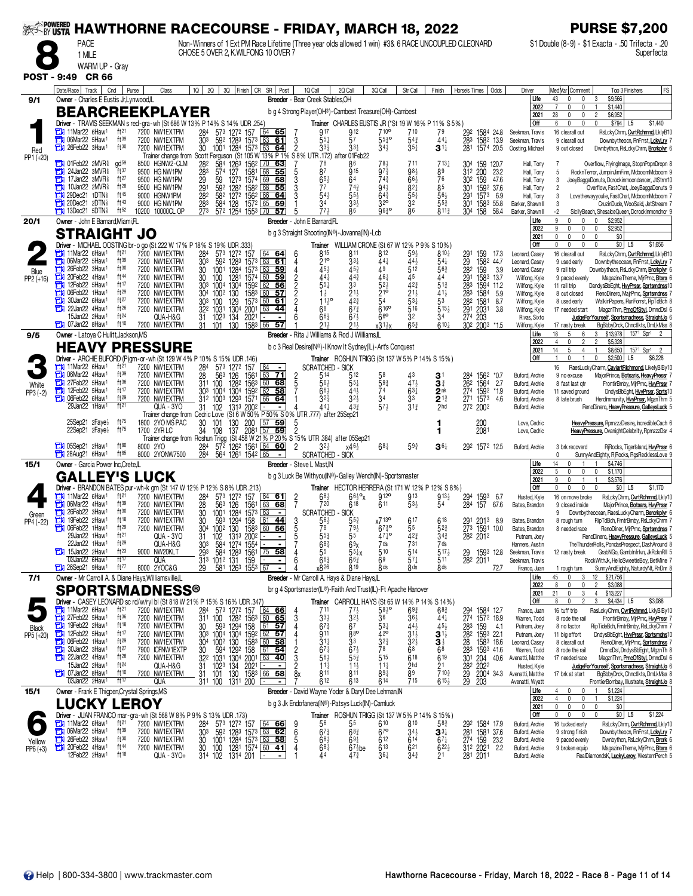|                           | <b>PACE</b>                                                                                                                                                                                                                                                                                                        |                                                                                                                                                                  | ‱ HAWTHORNE RACECOURSE - FRIDAY, MARCH 18, 2022<br>Non-Winners of 1 Ext PM Race Lifetime (Three year olds allowed 1 win) #3& 6 RACE UNCOUPLED CLEONARD                                                                                                                                                                                                                                                                                                                    |                                   |                                                                                                                                                                                                                                                                                                                              |                                                                                                                                    |                                                                                                             |                                                                                                                                                     |                                                                                                                                                                                                                                          |                                                                                                                                                                           | <b>PURSE \$7,200</b><br>\$1 Double (8-9) - \$1 Exacta - .50 Trifecta - .20                                                                                                                                                                                                                                                                                                                                                                                                                                                                                                         |
|---------------------------|--------------------------------------------------------------------------------------------------------------------------------------------------------------------------------------------------------------------------------------------------------------------------------------------------------------------|------------------------------------------------------------------------------------------------------------------------------------------------------------------|---------------------------------------------------------------------------------------------------------------------------------------------------------------------------------------------------------------------------------------------------------------------------------------------------------------------------------------------------------------------------------------------------------------------------------------------------------------------------|-----------------------------------|------------------------------------------------------------------------------------------------------------------------------------------------------------------------------------------------------------------------------------------------------------------------------------------------------------------------------|------------------------------------------------------------------------------------------------------------------------------------|-------------------------------------------------------------------------------------------------------------|-----------------------------------------------------------------------------------------------------------------------------------------------------|------------------------------------------------------------------------------------------------------------------------------------------------------------------------------------------------------------------------------------------|---------------------------------------------------------------------------------------------------------------------------------------------------------------------------|------------------------------------------------------------------------------------------------------------------------------------------------------------------------------------------------------------------------------------------------------------------------------------------------------------------------------------------------------------------------------------------------------------------------------------------------------------------------------------------------------------------------------------------------------------------------------------|
|                           | 1 MILE<br>WARM UP - Gray                                                                                                                                                                                                                                                                                           |                                                                                                                                                                  | CHOSE 5 OVER 2. K.WILFONG 10 OVER 7                                                                                                                                                                                                                                                                                                                                                                                                                                       |                                   |                                                                                                                                                                                                                                                                                                                              |                                                                                                                                    |                                                                                                             |                                                                                                                                                     |                                                                                                                                                                                                                                          |                                                                                                                                                                           | Superfecta                                                                                                                                                                                                                                                                                                                                                                                                                                                                                                                                                                         |
| <b>POST - 9:49</b>        | <b>CR 66</b><br>Date/Race   Track<br>Cnd                                                                                                                                                                                                                                                                           | Purse<br>Class                                                                                                                                                   | 2Q<br>3Q Finish CR SR Post<br>10 <sup>1</sup>                                                                                                                                                                                                                                                                                                                                                                                                                             |                                   | 1Q Call<br>2Q Call                                                                                                                                                                                                                                                                                                           | 3Q Call                                                                                                                            | Str Call                                                                                                    | Finish                                                                                                                                              | Odds<br>Horse's Times                                                                                                                                                                                                                    | Driver                                                                                                                                                                    | <b>FS</b><br>Med Var Comment<br>Top 3 Finishers                                                                                                                                                                                                                                                                                                                                                                                                                                                                                                                                    |
| 9/1                       | Owner - Charles E Eustis Jr.Lynwood,IL                                                                                                                                                                                                                                                                             |                                                                                                                                                                  |                                                                                                                                                                                                                                                                                                                                                                                                                                                                           |                                   | Breeder - Bear Creek Stables, OH                                                                                                                                                                                                                                                                                             |                                                                                                                                    |                                                                                                             |                                                                                                                                                     |                                                                                                                                                                                                                                          | Life<br>2022                                                                                                                                                              | \$9,566<br>43<br>$\mathbf{0}$<br>$\mathbf 0$<br>3<br>0<br>\$1,440<br>n                                                                                                                                                                                                                                                                                                                                                                                                                                                                                                             |
|                           | <b>BEARCREEKPLAYER</b><br>Driver - TRAVIS SEEKMAN s red-gra-wh (St 686 W 13% P 14% S 14% UDR .254)                                                                                                                                                                                                                 |                                                                                                                                                                  |                                                                                                                                                                                                                                                                                                                                                                                                                                                                           |                                   | b g 4 Strong Player(OH®)-Cambest Treasure(OH)-Cambest<br>Trainer CHARLES EUSTIS JR (*St 19 W 16% P 11% S 5%)                                                                                                                                                                                                                 |                                                                                                                                    |                                                                                                             |                                                                                                                                                     |                                                                                                                                                                                                                                          | 2021<br>Off                                                                                                                                                               | 28<br>$\overline{2}$<br>\$6,952<br>0<br>$\mathbf 0$<br>\$794 L5<br>\$1,440<br>6<br>0<br>$\mathbf 0$                                                                                                                                                                                                                                                                                                                                                                                                                                                                                |
| Red                       | 11Mar22 6Haw <sup>1</sup><br>ft <sup>21</sup><br>06Mar22 5Haw1<br>ft39<br><b>THE 26Feb22 3Haw1</b><br>ft30                                                                                                                                                                                                         | 7200 NW1EXTPM<br>7200 NW1EXTPM<br>7200 NW1EXTPM                                                                                                                  | 284<br>573 1272 157 64 65<br>592 1283 1573 63 61<br>1001 1284 1573 63 64<br>303<br>30<br>1001                                                                                                                                                                                                                                                                                                                                                                             | 3<br>$\overline{2}$               | 917<br>912<br>57<br>$55\frac{1}{4}$<br>33 <sup>3</sup><br>33}                                                                                                                                                                                                                                                                | 710 <sup>o</sup><br>$55\frac{3}{4}$ <sup>o</sup><br>$34\frac{1}{2}$                                                                | 710<br>543<br>$35\frac{1}{4}$                                                                               | 79<br>$44\frac{1}{4}$<br>3 <sup>11</sup>                                                                                                            | 292<br>1584 24.8<br>283<br>1582 13.9<br>281<br>1574 20.5                                                                                                                                                                                 | Seekman, Travis<br>Seekman, Travis<br>Oosting, Michael                                                                                                                    | 16 clearall out<br>RsLckyChrm, CvrtRchmnd, LklyB10<br>Downbytheocn, RnFrrst, LokyLry<br>9 clearall out<br>9 out closed<br>Dwnbythcn, RsLckyChrm, Brcrkplyr 6                                                                                                                                                                                                                                                                                                                                                                                                                       |
| PP1 (+20)                 | <b>THE O1Feb22 2MVR</b><br>gd <sup>59</sup><br>24Jan22 3MVR <sup>§</sup><br>ft37<br>а<br>17Jan22 3MVR <sup>§</sup><br>ft27<br>$ft^{28}$<br>10Jan22 2MVR <sup>§</sup><br><b>THE 29Dec21 1DTN</b><br>ft45<br>$\frac{1}{20}$ 20Dec21 2DTN<br>ft43<br>$\frac{1}{2}$ 13Dec21 5DTN<br>ft52                               | HGNW2-CLM<br>8500<br>9500 HG NW1PM<br>9500 HG NW1PM<br>9500 HG NW1PM<br>9000 HGNW1PM<br>9000 HG NW1PM<br>10200 10000CL OP                                        | Trainer change from Scott Ferguson (St 105 W 13% P 1% S 8% UTR 172) after 01Feb22<br>584<br>$\frac{1263}{127}$<br>156 <sup>2</sup><br>282<br>170<br>63<br>283<br>$57^{4}$<br>68<br>55<br>29<br>59<br>1273 1574 69<br>58<br>$\frac{29}{28}$ <sup>1</sup><br>592<br>1582<br>68<br>1282<br>55<br>58 <sup>2</sup><br>1272 1562<br>66<br>64<br>283<br>584<br>128<br>1572<br>65<br>59<br>273<br>572 1254 1553 70<br>57                                                          |                                   | 78<br>87<br><b>915</b><br>$65\frac{1}{2}$<br>64<br>77<br>743<br>54<br>$55\frac{1}{2}$<br>34<br>33}<br>86                                                                                                                                                                                                                     | $97_2$<br>$74\frac{3}{4}$<br>943<br>$64\frac{3}{4}$<br>32 <sup>o</sup><br>9630                                                     | 711<br>98}<br>$66\frac{1}{2}$<br>$8^{2+}$<br>$55\frac{1}{4}$<br>32<br>86                                    | $713\frac{1}{4}$<br>89<br>76<br>85<br>56<br>$55\frac{3}{4}$<br>8113                                                                                 | 304<br>159 120.7<br>312 200<br>23.2<br>30 <sup>2</sup> 159<br>47.6<br>301<br>1592 37.6<br>291<br>1573<br>6.9<br>30 <sup>1</sup><br>1583<br>55.8<br>304 158<br>58.4                                                                       | Hall, Tony<br>Hall, Tony<br>Hall, Tony<br>Hall, Tony<br>Hall, Tony<br>Barker, Shawn II<br>Barker, Shawn II                                                                | Overflow, FlyingImage, StopnPopnDropn 8<br>7<br>5<br>RocknTerror, JumpinJimFinn, McboomMcboom 9<br>3<br>JoeyBaggaDonuts, Dcrockinmoondancer, JtStrm10<br>$\overline{2}$<br>Overflow, FastChat, JoeyBaggaDonuts 9<br>3<br>Lovethewayyoulie, FastChat, McboomMcboom 7<br>3<br>CruzinDude, WooSaid, JetStream 7<br>-2<br>SicilyBeach, ShesalceQueen, Dcrockinmondncr                                                                                                                                                                                                                  |
| 20/1                      | Owner - John E Barnard, Miami, FL                                                                                                                                                                                                                                                                                  |                                                                                                                                                                  |                                                                                                                                                                                                                                                                                                                                                                                                                                                                           |                                   | Breeder - John E Barnard,FL                                                                                                                                                                                                                                                                                                  |                                                                                                                                    |                                                                                                             |                                                                                                                                                     |                                                                                                                                                                                                                                          | Life<br>2022                                                                                                                                                              | 9<br>\$2,952<br>0<br>$\mathbf 0$<br>\$2,952<br>9<br>$\mathbf{0}$<br>0<br>$\mathbf 0$                                                                                                                                                                                                                                                                                                                                                                                                                                                                                               |
|                           | STRAIGHT<br>Driver - MICHAEL OOSTING br-o go (St 222 W 17% P 18% S 19% UDR .333)                                                                                                                                                                                                                                   | JO                                                                                                                                                               |                                                                                                                                                                                                                                                                                                                                                                                                                                                                           |                                   | b g 3 Straight Shooting(IN®)-Jovanna(IN)-Lcb                                                                                                                                                                                                                                                                                 |                                                                                                                                    |                                                                                                             |                                                                                                                                                     |                                                                                                                                                                                                                                          | 2021<br>Off                                                                                                                                                               | $\mathsf{O}$<br>$\mathbf{0}$<br>\$0<br>$\Omega$<br>$\Omega$<br>$$0$ L5<br>$\mathbf 0$<br>$\mathbb O$<br>$\Omega$<br>\$1,656<br>$\mathbf 0$                                                                                                                                                                                                                                                                                                                                                                                                                                         |
| Blue<br>$PP2 (+16)$       | 11Mar22 6Haw1<br>ft <sup>21</sup><br>06Mar22 5Haw1<br>ft39<br>п<br>ft30<br>26Feb22 3Haw1<br>ft44<br>20Feb22 4Haw1<br>12Feb22 5Haw1<br>ft17<br>а<br>06Feb22 1Haw1<br>ft29<br>а<br>ft27<br>30Jan22 6Haw <sup>1</sup><br>е<br>22Jan22 4Haw1<br>ft26<br>ft24<br>15Jan22 2Haw1<br>ft10<br><b>THE 07Jan22 8Haw1</b>      | 7200 NW1EXTPM<br>7200 NW1EXTPM<br>7200 NW1EXTPM<br>7200 NW1EXTPM<br>7200 NW1EXTPM<br>7200 NW1EXTPM<br>7200 NW1EXTPM<br>7200 NW1EXTPM<br>QUA-H&G<br>7200 NW1EXTPM | 284<br>573 1272 157<br>64 64<br>592 1283 1573 63<br>303<br>61<br>1284<br>63 59<br>30<br>1001<br>1573<br>59<br>30<br>100<br>1281<br>1574<br>60<br>1304<br>1592<br>303<br>1004<br>62<br>56<br>1002<br>130<br>1583<br>60<br>304<br>57<br>303<br>100<br>129<br>1573 60<br>61<br>1304<br>1031<br>2001<br>63<br>322<br>44<br>1023<br>134<br>2021<br>31<br>130<br>1583 66 57<br>31<br>101                                                                                        | 4<br>$\frac{2}{2}$<br>6           | Trainer WILLIAM CRONE (St 67 W 12% P 9% S 10%)<br>815<br>811<br>21 <sup>o</sup><br>331<br>45<br>453<br>$44\frac{1}{4}$<br>$55\frac{1}{4}$<br>33<br>$1\frac{1}{2}$<br>$2^{11}_{22}$<br>42 <sup>3</sup><br>$1\frac{1}{2}$ <sup>o</sup><br>68<br>$67\frac{3}{4}$<br>$66\frac{3}{4}$<br>$67\frac{1}{2}$<br>21<br>$21\frac{1}{2}$ | 812<br>441<br>49<br>$46\frac{1}{4}$<br>52 <sub>3</sub><br>210<br>$\overline{5}4$<br>6160<br>66<br>$x31\frac{1}{2}x$                | 593<br>443<br>512<br>45<br>423<br>$21\frac{1}{2}$<br>$\bar{5}3\bar{1}$<br>516<br>32<br>$65\frac{3}{7}$      | $8^{10\frac{1}{4}}$<br>$54\frac{1}{4}$<br>563<br>44<br>$5^{13}$<br>413<br>53<br>$515\frac{1}{2}$<br>34<br>$6^{10}$                                  | 159<br>291<br>29<br>17.3<br>1582 44.7<br>282 159<br>3.9<br>291<br>1583 13.7<br>283<br>1594 11.2<br>283<br>1584<br>5.9<br>282 1581<br>8.7<br>291<br>2031<br>-3.8<br>27 <sup>4</sup><br>203<br>302 2003<br>*1.5                            | Leonard, Casey<br>Leonard, Casey<br>Leonard, Casey<br>Wilfong, Kyle<br>Wilfong, Kyle<br>Wilfong, Kyle<br>Wilfong, Kyle<br>Wilfong, Kyle<br>Rivas, Sixto<br>Wilfong, Kyle  | 16 clearall out<br>RsLckyChrm, CvrtRchmnd, LklyB10<br>9 used early<br>Downbytheocean, RnFrrst, LokyLry<br>9 rail trip<br>Downbythecn, RsLckyChrm, Brarkplyr<br>9 paced evenly<br>Magazine Theme, MirPrnc, Btsrs 6<br>11 rail trip<br>DandysBbEght, HvyPrssr, Sprtsmdnss1<br>8 out closed<br>RenoDinero, MajrPrnc, Sprtsmdnss<br>WalkinPapers, RunForrst, RpTdBch 8<br>8 used early<br>17 needed start<br>MagznThm, <b>PrncOfStyl</b> , DmndDsl<br>JudgeForYourself, Sportsmadness, StraightJo<br>BqBbbyDrck, Chnctlkts, DmLkMss<br>17 nasty break<br>5<br>$\overline{\phantom{a}}$ |
| 9/5                       | Owner - Latoya C Hulitt, Jackson, MS<br><b>HEAVY PRESSURE</b>                                                                                                                                                                                                                                                      |                                                                                                                                                                  |                                                                                                                                                                                                                                                                                                                                                                                                                                                                           |                                   | Breeder - Rita J Williams & Rod J Williams.IL<br>b c 3 Real Desire(IN®)-I Know It Sydney(IL)-Art's Conquest                                                                                                                                                                                                                  |                                                                                                                                    |                                                                                                             |                                                                                                                                                     |                                                                                                                                                                                                                                          | Life<br>2022                                                                                                                                                              | 18<br>157 <sup>1</sup> Spr1<br>6<br>3<br>\$13,978<br>4<br>$\mathbf{0}$<br>$\overline{2}$<br>$\overline{2}$<br>\$5,328                                                                                                                                                                                                                                                                                                                                                                                                                                                              |
|                           | Driver - ARCHIE BUFORD (P)grn-or-wh (St 129 W 4 % P 10 % S 15 % UDR .146)                                                                                                                                                                                                                                          |                                                                                                                                                                  |                                                                                                                                                                                                                                                                                                                                                                                                                                                                           |                                   | Trainer ROSHUN TRIGG (St 137 W 5% P 14% S 15%)                                                                                                                                                                                                                                                                               |                                                                                                                                    |                                                                                                             |                                                                                                                                                     |                                                                                                                                                                                                                                          | 2021<br>Off                                                                                                                                                               | 14<br>\$8,650<br>1571 Spr1<br>5<br>$\overline{4}$<br>$\overline{2}$<br>\$2,500<br>\$6,228<br>$\mathbf{0}$<br>$\Omega$<br>L5                                                                                                                                                                                                                                                                                                                                                                                                                                                        |
| White<br>$PP3 (-2)$       | 11Mar22 6Haw1<br>ft <sup>21</sup><br><b>THE O6Mar22 4Haw1</b><br>ft39<br>ft36<br>27Feb22 5Haw1<br>12Feb22 5Haw1<br>ft17<br>а<br>06Feb22 6Haw1<br>ft29<br>ft <sup>21</sup><br>29Jan22 1Haw                                                                                                                          | 7200 NW1EXTPM<br>7200 NW1EXTPM<br>7200 NW1EXTPM<br>7200 NW1EXTPM<br>7200 NW1EXTPM<br>QUA - 3YO                                                                   | 284<br>573 1272 157<br>64<br>$\sim$<br>28<br>563<br>126<br>63<br>71<br>1561<br>311<br>1282 1563<br>60<br>100<br>68<br>62<br>1304 1592<br>303<br>1004<br>58<br>1571<br>312 1003 1293<br>66<br>64<br>31<br>102<br>131 <sup>3</sup><br>2002<br>$\blacksquare$<br>Trainer change from Cedric Love (St 6 W 50% P 50% S 0% UTR 777) after 25Sep21                                                                                                                               | $\frac{2}{5}$                     | <b>SCRATCHED - SICK</b><br>512<br>514<br>56,<br>$55\frac{1}{4}$<br>66<br>44 <sub>3</sub><br>32 <sub>3</sub><br>32 <sup>3</sup>                                                                                                                                                                                               | 593<br>74<br>34<br>573                                                                                                             | $4^{3}_{7^{1}_{2}}$<br>$63\frac{1}{4}$<br>3 <sup>3</sup><br>313                                             | 3 <sup>1</sup><br>$\mathbf{3}^{\frac{3}{4}}$<br>2 <sup>nk</sup><br>$\frac{2^{13}}{2^{hd}}$                                                          | 1562 *0.7<br>284 1562<br>262 1564<br>2.7<br>274 1592 *1.9<br>271 1573<br>272 2002<br>4.6                                                                                                                                                 | Buford, Archie<br>Buford, Archie<br>Buford, Archie<br>Buford, Archie<br>Buford, Archie                                                                                    | RaesLuckyCharm, CaviartRichmond, LikelyBlBy10<br>16<br>MajorPrince, Botsaris, HeavyPressr<br>9 no excuse<br>FrontirBmby, MirPrnc, HvyPrssr<br>8 fast last gtr<br>11 saved ground<br>DndysBbEght, HvyPrssr, Sprts10<br>8 late brush<br>HerdImmunity, HvyPrssr, MgznThm 5<br>RenoDinero, HeavyPressure, GalleysLuck 5                                                                                                                                                                                                                                                                |
|                           | 25Sep21 2Faye}<br>ft $^{75}$<br>22Sep21 2Faye}<br>ft <sup>75</sup>                                                                                                                                                                                                                                                 | 1800 2YO MS PAC<br>1700 2YRLC                                                                                                                                    | 57<br>59<br>30<br>101<br>130<br>200                                                                                                                                                                                                                                                                                                                                                                                                                                       |                                   |                                                                                                                                                                                                                                                                                                                              |                                                                                                                                    |                                                                                                             | 1<br>1                                                                                                                                              | 200<br>2081                                                                                                                                                                                                                              | Love, Cedric<br>Love, Cedric                                                                                                                                              | HeavyPressure, RpmzzzDesire, IncredibleCach 6<br>HeavyPressure, OvanightCelebrity, RpmzzzDsr 4                                                                                                                                                                                                                                                                                                                                                                                                                                                                                     |
|                           | <b>TH</b> 05Sep21 2Haw <sup>1</sup><br>$ft^{80}$<br>$ft^{85}$<br>$\frac{1}{2}$ 28Aug21 6Haw <sup>1</sup>                                                                                                                                                                                                           | 8000 2YO<br>8000 2YONW7500                                                                                                                                       | 572 1262 1561 64<br>60<br>284<br>284<br>564 1261 1542 65                                                                                                                                                                                                                                                                                                                                                                                                                  | $\overline{2}$                    | $32\frac{1}{2}$<br>x46}<br><b>SCRATCHED - SICK</b>                                                                                                                                                                                                                                                                           | $68\frac{1}{4}$                                                                                                                    | $59\frac{3}{4}$                                                                                             | $36\frac{1}{4}$                                                                                                                                     | 292 1572 12.5                                                                                                                                                                                                                            | Buford, Archie                                                                                                                                                            | 3 brk recoverd<br>RjRocks, TigerIsland, <u>HvyPrssr</u><br>SunnyAndEighty, RjRocks, RgsRecklessLove 9<br>$\Omega$                                                                                                                                                                                                                                                                                                                                                                                                                                                                  |
| 15/1                      | Owner - Garcia Power Inc, Crete, IL<br><b>GALLEY'S</b>                                                                                                                                                                                                                                                             | <b>LUCK</b>                                                                                                                                                      |                                                                                                                                                                                                                                                                                                                                                                                                                                                                           | <b>Breeder</b> - Steve L Mast, IN | b g 3 Luck Be Withyou(IN®)-Galley Wench(IN)-Sportsmaster                                                                                                                                                                                                                                                                     |                                                                                                                                    |                                                                                                             |                                                                                                                                                     |                                                                                                                                                                                                                                          | Life<br>2022                                                                                                                                                              | \$4,746<br>14<br>0<br>5<br>\$1,170<br>0<br>$\mathbf{0}$<br>$\mathbf{0}$                                                                                                                                                                                                                                                                                                                                                                                                                                                                                                            |
|                           | Driver - BRANDON BATES pur-wh-k grn (St 147 W 12% P 12% S 8% UDR 213)<br>ft <sup>21</sup><br>$\Box$ 11 Mar22 6 Haw <sup>1</sup><br>ft39<br>06Mar22 4Haw1                                                                                                                                                           | 7200 NW1EXTPM<br>7200 NW1EXTPM                                                                                                                                   | 284<br>573 1272 157<br>$64$ 61<br>28<br>563 126<br>1561<br>63<br>68                                                                                                                                                                                                                                                                                                                                                                                                       | $\frac{2}{7}$                     | Trainer HECTOR HERRERA (St 171 W 12% P 12% S 8%)<br>68 <sub>2</sub><br>$66\frac{1}{2}$ %<br>720<br>618                                                                                                                                                                                                                       | 912 <sup>o</sup><br>611                                                                                                            | 913<br>$5^{3}\frac{1}{2}$                                                                                   | $913\frac{1}{2}$<br>54                                                                                                                              | 294<br>1593<br>6.7<br>284<br>157<br>67.6                                                                                                                                                                                                 | 2021<br><b>Off</b><br>Husted, Kyle<br>Bates, Brandon                                                                                                                      | 9<br>\$3,576<br>$\Omega$<br>0<br>$\mathbf 0$<br>$$0$   L5<br>\$1,170<br>0<br>0<br>RsLckyChrm, CvrtRchmnd, Lkly10<br>16 on move broke<br>9 closed inside<br>MajorPrince, Botsars, HvyPrssr                                                                                                                                                                                                                                                                                                                                                                                          |
| Green<br>PP4 (-22)        | ft30<br>26Feb22 3Haw1<br>ft18<br>19Feb22 2Haw1<br>06Feb22 1Haw<br>$11^{29}$<br>о<br>29Jan22 1Haw <sup>1</sup><br>ft <sup>21</sup>                                                                                                                                                                                  | 7200 NW1EXTPM<br>7200 NW1EXTPM<br>7200<br>NW1EXTPM<br>QUA - 3YO                                                                                                  | 30<br>1284 1573<br>63<br>1001<br>$\blacksquare$<br>30<br>593 1294 158<br>  61<br>44<br>304<br>1002<br>130<br>1583 <u>L60</u> 56<br>1313 2002<br>31                                                                                                                                                                                                                                                                                                                        | 3                                 | <b>SCRATCHED - SICK</b><br>55}<br>$56\frac{1}{2}$<br>79½<br>55<br>$5^{5^{3}}$                                                                                                                                                                                                                                                | x7 13 <sup>o</sup><br>$6^{730}$<br>$47\frac{1}{4}$ <sup>o</sup>                                                                    | 617<br>55<br>$42\frac{3}{4}$                                                                                | 618<br>52 <sub>1</sub><br>$34\frac{3}{4}$                                                                                                           | 291 201 <sup>3</sup> 8.9<br>273 1591<br>10.0<br>282 2012                                                                                                                                                                                 | Bates, Brandon<br>Bates, Brandon<br>Putnam, Joey                                                                                                                          | Downbytheocean, RaesLuckyCharm, Bercrkplyr 6<br>RipTdBch, FrntrBmby, RsLckyChrm 7<br>8 rough turn<br>RenoDiner, MjrPrnc, Sprtsmdnss<br>8 needed race<br>RenoDinero, HeavyPressure, GalleysLuck                                                                                                                                                                                                                                                                                                                                                                                     |
|                           | ft29<br>22Jan22 1Haw <sup>1</sup><br>15Jan22 2Haw1<br>$ft^{23}$                                                                                                                                                                                                                                                    | QUA-H&G<br>9000 NW20KLT                                                                                                                                          | $\frac{102}{584}$<br>1274 1554<br>τ<br>303<br>75 58<br>293<br>584 1283 1561                                                                                                                                                                                                                                                                                                                                                                                               | $\frac{5}{7}$                     | 683<br>6 <sup>9</sup><br>55<br>$55\frac{1}{4}x$                                                                                                                                                                                                                                                                              | 7 ds<br>510                                                                                                                        | 731<br>514                                                                                                  | 7 ds<br>$5^{17}$                                                                                                                                    | 29<br>1593 12.8                                                                                                                                                                                                                          | Hanners, Austin<br>Seekman, Travis                                                                                                                                        | The ThunderRolls, PondasProspect, DashAround &<br>GrabNGo, GambInfrlvn, JkRcknRll 5<br>12 nasty break                                                                                                                                                                                                                                                                                                                                                                                                                                                                              |
|                           | ft17<br>03Jan22 6Haw<br>26Sep21 9Haw1<br>ft77                                                                                                                                                                                                                                                                      | QUA<br>8000 2YOC&G                                                                                                                                               | 313 1012 131<br>159<br>581 1263 1553 67<br>29                                                                                                                                                                                                                                                                                                                                                                                                                             |                                   | $66\frac{3}{4}$<br>$66\frac{3}{4}$<br>x826<br>819                                                                                                                                                                                                                                                                            | 6 <sup>9</sup><br>8 <sub>ds</sub>                                                                                                  | $57\frac{1}{4}$<br>8 ds                                                                                     | 511<br>8 <sub>ds</sub>                                                                                                                              | 282 2011<br>72.7                                                                                                                                                                                                                         | Seekman, Travis<br>Franco, Juan                                                                                                                                           | RockWithJk, HelloSweetieBoy, BetMine 7<br>SunnyAndEighty, NaturdyNt, RnDnr 8<br>1 rough turn                                                                                                                                                                                                                                                                                                                                                                                                                                                                                       |
| 7/1                       | Owner - Mr Carroll A. & Diane Hays, Williamsville, IL                                                                                                                                                                                                                                                              |                                                                                                                                                                  |                                                                                                                                                                                                                                                                                                                                                                                                                                                                           |                                   | Breeder - Mr Carroll A. Hays & Diane Hays, L                                                                                                                                                                                                                                                                                 |                                                                                                                                    |                                                                                                             |                                                                                                                                                     |                                                                                                                                                                                                                                          | Life<br>2022                                                                                                                                                              | 45<br>3<br>12<br>\$21,756<br>0<br>8<br>0<br>0<br>$\overline{\phantom{a}}$<br>\$3,088                                                                                                                                                                                                                                                                                                                                                                                                                                                                                               |
|                           | SPORTSMADNESS®<br>Driver - CASEY LEONARD sc rd/w/ryl bl (St 818 W 21% P 15% S 16% UDR .347                                                                                                                                                                                                                         |                                                                                                                                                                  |                                                                                                                                                                                                                                                                                                                                                                                                                                                                           |                                   | br g 4 Sportsmaster(IL®)-Faith And Trust(IL)-Ft Apache Hanover<br><b>Trainer</b> CARROLL HAYS (St 65 W 14 % P 14 % S 14 %)                                                                                                                                                                                                   |                                                                                                                                    |                                                                                                             |                                                                                                                                                     |                                                                                                                                                                                                                                          | 2021<br><b>Off</b>                                                                                                                                                        | 21<br>\$13,227<br>0<br>3<br>4<br>\$3,088<br>$\mathbb O$<br>$$4,434$ L5<br>8<br>2<br>3                                                                                                                                                                                                                                                                                                                                                                                                                                                                                              |
| <b>Black</b><br>PP5 (+20) | 11Mar22 6Haw1<br>ft <sup>21</sup><br>27Feb22 5Haw1<br>$ft^{36}$<br>ft18<br>19Feb22 2Haw1<br>ft17<br>12Feb22 5Haw1<br>06Feb22 1Haw1<br>$ft^{29}$<br>о<br>ft27<br>30Jan22 3Haw1<br>о<br>22Jan22 4Haw1<br>$ft^{26}$<br>15Jan22 2Haw1<br>ft <sup>24</sup><br><b>The 07Jan22 8Haw1</b><br>ft10<br>03Jan22 2Haw1<br>ft17 | 7200 NW1EXTPM<br>7200 NW1EXTPM<br>7200 NW1EXTPM<br>7200 NW1EXTPM<br>7200 NW1EXTPM<br>7900 ICFNW1EXTP<br>7200 NW1EXTPM<br>QUA-H&G<br>7200 NW1EXTPM<br>QUA         | $\frac{284}{311}$<br>573 1272 157<br>$\begin{array}{ c c }\n\hline\n64 \\ \hline\n60\n\end{array}$<br><u>66</u><br>65<br>100 128 <sup>2</sup> 156 <sup>3</sup><br>59 <sup>3</sup> 129 <sup>4</sup> 158<br>$61$ 57<br>30<br>1004 1304 1592 62 57<br>1002 130 1583 60 58<br>303<br>304<br>$129^2$ $158$<br>30<br>594<br>61 54<br>322 1031 1304 2001<br>63 40<br>1023<br>$\frac{134}{130}$<br>2021<br>31<br>$\blacksquare$<br>101<br>1583 66 58<br>31<br>311 100<br>1311 200 | 4<br>3<br>3<br>$\frac{2}{8}$      | 711<br>77}<br>33<br>$3^{2\frac{1}{2}}$<br>67 <sub>3</sub><br>880<br>911<br>311<br>33<br>671<br>$67\frac{1}{2}$<br>56<br>$55\frac{3}{4}$<br>$11\frac{1}{4}$<br>$11\frac{1}{2}$<br>811<br>811<br>612<br>613                                                                                                                    | $58\frac{1}{2}$ <sup>o</sup><br>36<br>$53\frac{1}{4}$<br>42 <sup>o</sup><br>$3^{23}$<br>78<br>515<br>$11\frac{1}{4}$<br>891<br>614 | 69}<br>36}<br>443<br>$31\frac{1}{2}$<br>$32\frac{1}{2}$<br>68<br>618<br>2 <sub>hd</sub><br>$\bar{8}$<br>715 | $68\frac{3}{4}$<br>$44\frac{1}{4}$<br>453<br>$3^{1}$<br>$\mathbf{3}\frac{1}{2}$<br>68<br>619<br>$\frac{21}{7}$ 10 $\frac{3}{4}$<br>$615\frac{1}{2}$ | 294 1584 12.7<br>274 1572 18.9<br>283 159<br>41<br>282 1593 22.1<br>1583 18.6<br>28<br>$\overline{28}$ <sup>3</sup><br>1593 41.6<br>301<br>204<br>40.6<br>28 <sup>2</sup> 202 <sup>2</sup><br>29 200 <sup>4</sup><br>29 203<br>2004 34.3 | Franco, Juan<br>Warren, Todd<br>Putnam, Joey<br>Putnam, Joey<br>Leonard, Casey<br>Warren, Todd<br>Avenatti, Matthe<br>Husted, Kyle<br>Avenatti, Matthe<br>Avenatti, Wyatt | RasLckyChrm, CvrtRchmnd, LklyBIBy10<br>16 tuff trip<br>FrontirBmby, MjrPrnc, HvyPrssr<br>8 rode the rail<br>8 no factor<br>RipTideBch, FmtrBmby, RsLckyChrm 7<br>11 big effort<br>DndysBbEght, HvyPrssr, Sprtsmdns10<br>RenoDiner, MirPrnc, Sprtsmdnss<br>8 clearall out<br>8 rode the rail<br>DmndDsl, DndysBbEght, MgznTh &<br>17 needed race<br>MagznThm, PrncOfStyl, DmndDsl 6<br>JudgeForYourself, Sportsmadness, StraightJo {<br>17 brk at start<br>BgBbbyDrck, Chnctlkts, DmLkMss &<br>FrontierBombay, Illustrate, StraightJo 8                                             |
| 15/1                      | Owner - Frank E Thigpen, Crystal Springs, MS                                                                                                                                                                                                                                                                       |                                                                                                                                                                  |                                                                                                                                                                                                                                                                                                                                                                                                                                                                           |                                   | Breeder - David Wayne Yoder & Daryl Dee Lehman, IN                                                                                                                                                                                                                                                                           |                                                                                                                                    |                                                                                                             |                                                                                                                                                     |                                                                                                                                                                                                                                          | Life<br>2022                                                                                                                                                              | \$1,224<br>4<br>$\mathbf{0}$<br>0<br>\$1,224<br>4<br>$\mathbf{0}$<br>0                                                                                                                                                                                                                                                                                                                                                                                                                                                                                                             |
|                           | <b>LUCKY LEROY</b>                                                                                                                                                                                                                                                                                                 |                                                                                                                                                                  |                                                                                                                                                                                                                                                                                                                                                                                                                                                                           |                                   | b g 3 Jk Endofanera(IN®)-Patsys Luck(IN)-Camluck                                                                                                                                                                                                                                                                             |                                                                                                                                    |                                                                                                             |                                                                                                                                                     |                                                                                                                                                                                                                                          | 2021                                                                                                                                                                      | $\mathbb O$<br>$\mathbf 0$<br>\$0<br>0<br>$\mathbf 0$<br>\$1,224<br>$\mathbf{0}$<br>$\Omega$                                                                                                                                                                                                                                                                                                                                                                                                                                                                                       |
| Yellow<br>PP6 (+3)        | Driver - JUAN FRANCO mar-gra-wh (St 568 W 8% P 9% S 13% UDR 173)<br>11Mar22 6Haw1<br>ft <sup>21</sup><br>$ft^{39}$<br><b>THE O6Mar22 5Haw1</b><br>26Feb22 3Haw1<br>ft30<br>о<br>20Feb22 4Haw1<br>ft44<br>ft18<br>12Feb22 2Haw <sup>1</sup>                                                                         | 7200 NW1EXTPM<br>7200 NW1EXTPM<br>7200 NW1EXTPM<br>7200 NW1EXTPM<br>QUA - 3YO+                                                                                   | $\frac{284}{303}$<br>573 1272 157 64 66<br>592 1283 1573 63 62<br>30<br>1001 1284 1573 63 58<br>30 100 1281 1574 60 41<br>314 102 1314 201                                                                                                                                                                                                                                                                                                                                | $\frac{9}{6}$                     | ROSHUN TRIGG (St 137 W 5% P 14% S 15%)<br>Trainer<br>55<br>56<br>673<br>683<br>68 <sub>2</sub><br>$69\frac{1}{4}$<br>$68\frac{1}{4}$<br>$67\frac{1}{2}$ be<br>44<br>473                                                                                                                                                      | 610<br>$67$ <sup>o</sup><br>612<br>613<br>361                                                                                      | 810<br>$34\frac{1}{2}$<br>614<br>621<br>$34\frac{3}{4}$                                                     | 583<br>$\mathbf{3}^{3\ddagger}$<br>$67\frac{1}{4}$<br>$6^{22}$<br>21                                                                                | 29 <sup>2</sup><br>281<br>1584 17.9<br>1581 37.6<br>274 159 23.2<br>31 <sup>2</sup> 2021<br>281 2011<br>2.2                                                                                                                              | Off<br>Buford, Archie<br>Buford, Archie<br>Buford, Archie<br>Buford, Archie<br>Buford, Archie                                                                             | $$0$ L5<br>0<br>$\mathbf 0$<br>16 tucked early<br>RsLckyChrm, CvrtRchmnd, Lkly10<br>9 strong finish<br>Downbytheocn, RnFrrst, LokyLry 7<br>9 paced evenly<br>Dwnbythcn, RsLckyChrm, Brark 6<br>MagazineTheme, MirPrnc, Btsrs 6<br>9 broken equip<br>RealDiamondsK, LuckyLeroy, WesternPerch 5                                                                                                                                                                                                                                                                                      |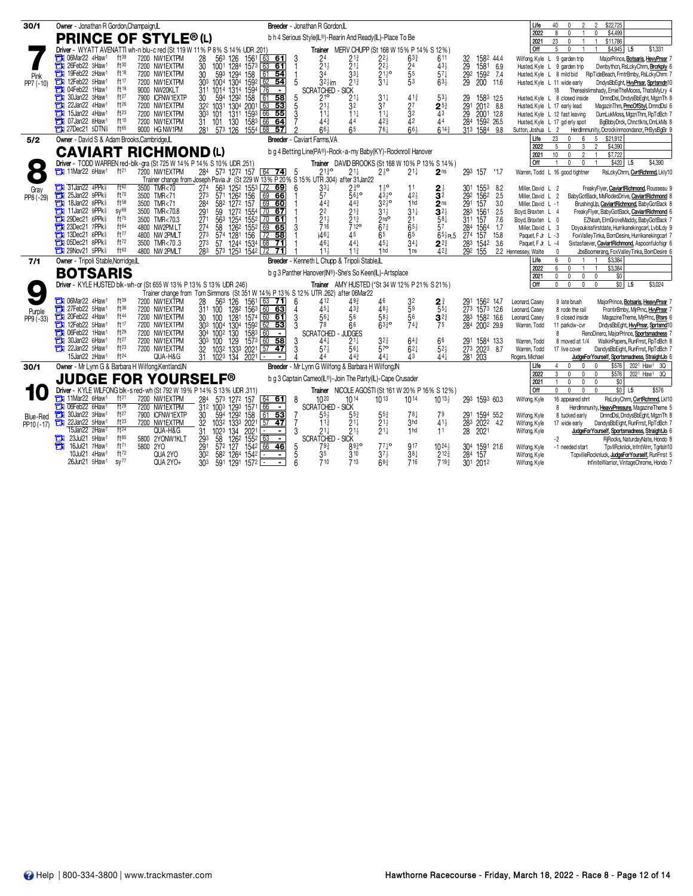| 30/1       | Owner - Jonathan R Gordon, Champaign, IL                          |                                                                                                                                   |                                           | Breeder - Jonathan R Gordon, IL                              |                                                      |                                                 |                                                                 |                                  |                                            |            | Life                                   | \$22,725<br>$\mathfrak{p}$<br>n                                                                                                    |
|------------|-------------------------------------------------------------------|-----------------------------------------------------------------------------------------------------------------------------------|-------------------------------------------|--------------------------------------------------------------|------------------------------------------------------|-------------------------------------------------|-----------------------------------------------------------------|----------------------------------|--------------------------------------------|------------|----------------------------------------|------------------------------------------------------------------------------------------------------------------------------------|
|            | <b>PRINCE OF STYLE®(L)</b>                                        |                                                                                                                                   |                                           | b h 4 Serious Style(IL®)-Rearin And Ready(IL)-Place To Be    |                                                      |                                                 |                                                                 |                                  |                                            |            | 2022                                   | \$4,499<br>8<br>$\mathbf{0}$<br>0                                                                                                  |
|            |                                                                   |                                                                                                                                   |                                           |                                                              |                                                      |                                                 |                                                                 |                                  |                                            |            | 2021<br><b>Off</b>                     | 23<br>\$11,786<br>$\mathbf{0}$<br>$\overline{1}$<br>5<br>$\mathbf{0}$<br>\$4,945<br>L5<br>\$1,331                                  |
|            | Ħ<br>06Mar22 4Haw1<br>ft39                                        | Driver - WYATT AVENATTI wh-n blu-c red (St 119 W 11% P 8% S 14% UDR .201)<br>7200 NW1EXTPM                                        |                                           |                                                              |                                                      |                                                 | Trainer MERV CHUPP (St 168 W 15% P 14% S 12%)                   | 611                              |                                            |            |                                        |                                                                                                                                    |
|            | 26Feb22 3Haw1<br>ft30<br>о                                        | 28<br>563 126<br>$\overline{30}$<br>1284<br>7200 NW1EXTPM<br>1001                                                                 | 1561 63 61<br>$157^3$ 63 61               | $2^4$<br>$2^1$                                               | $21\frac{3}{4}$<br>$\overline{2}1\frac{1}{4}$        | $2^{2\frac{1}{2}}$                              | $63\frac{3}{4}$                                                 | $43\frac{1}{2}$                  | 1582 44.4<br>32<br>29<br>292               |            | Wilfong, Kyle L                        | 9 garden trip<br>MajorPrince, Botsaris, HevyPrssr 7<br>Husted, Kyle L 9 garden trip<br>Dwnbythcn, RsLckyChrm, Brcrkply 6           |
| Pink       | 19Feb22 2Haw1<br>ft18<br>П                                        | 593<br>1294<br>7200 NW1EXTPM<br>158<br>30                                                                                         | $61$ 54                                   | $\bar{3}4$                                                   | $33\frac{1}{4}$                                      | $\frac{22}{2}$<br>$21\frac{1}{2}$ o             | $\frac{24}{5^5}$                                                | $57\frac{1}{4}$                  | 1581 6.9<br>1592 7.4                       |            | Husted, Kyle L 8 mild bid              | RipTideBeach, FrntrBmby, RsLckyChrm 7                                                                                              |
| PP7 (-10)  | ft17<br>п<br>12Feb22 5Haw <sup>1</sup>                            | 7200 NW1EXTPM<br>30 <sup>3</sup><br>1004 1304 1592 62 54                                                                          |                                           | $32$ zim<br>5                                                | $21\frac{3}{4}$                                      | $31\frac{1}{4}$                                 | 53                                                              | $63\frac{1}{2}$                  | 29<br>200                                  | 11.6       | Husted, Kyle L 11 wide early           | DndysBbEght, HvyPrssr, Sprtsmdn10                                                                                                  |
|            | ft19<br>04Feb22 1Haw1<br>٣ij                                      | 9000 NW20KLT<br>1314 1594<br>1014                                                                                                 | 76                                        | <b>SCRATCHED</b>                                             | <b>SICK</b>                                          |                                                 |                                                                 |                                  |                                            |            |                                        | Therealslimshady, ErnieTheMooss, ThatsMyLry 4<br>18                                                                                |
|            | ft27<br>30Jan22 3Haw1                                             | 59 <sup>4</sup><br>158<br>7900 ICFNW1EXTP<br>129 <sup>2</sup><br>30                                                               | $61$ 58                                   | 210                                                          |                                                      | $31\frac{1}{4}$                                 | $41\frac{3}{4}$                                                 | $53\frac{1}{2}$                  | 1583<br>29                                 | 12.5       |                                        | DmndDsl, DndysBbEght, MgznTh &<br>Husted, Kyle L 8 closed inside                                                                   |
|            | ft26<br>22Jan22 4Haw1<br>ft23                                     | 322 1031<br>1304 2001 63 53<br>7200 NW1EXTPM                                                                                      |                                           | 5<br>213                                                     | 32                                                   | 37                                              | $2^{5^3}$                                                       |                                  | 291<br>2012 8.8                            |            | Husted, Kyle L 17 early lead           | MagazinThm, PrncOfStyl, DmndDsl 6                                                                                                  |
|            | 15Jan22 4Haw1<br>ft10<br>07Jan22 8Haw <sup>1</sup>                | 7200 NW1EXTPM<br>1311 1593 66<br>303<br>101<br>7200 NW1EXTPM<br>31 101<br>130                                                     | 55<br>1583 66 64                          | 3<br>$11\frac{1}{2}$<br>443                                  | $11\frac{1}{4}$<br>44                                | $11\frac{1}{4}$<br>42 <sup>3</sup>              | $\frac{27}{32}$                                                 | 43<br>44                         | $\frac{29}{28}$<br>2001 12.8<br>1592 26.5  |            |                                        | DumLukMoss, MaznThm, RpTdBch 7<br>Husted, Kyle L 12 fast leaving                                                                   |
|            | <b>THE 27Dec21 5DTNs</b><br>ft65                                  | 9000 HG NW1PM<br>281 573 126<br>1554 68                                                                                           | 57                                        | 66 <sup>1</sup>                                              | 6 <sup>5</sup>                                       | 761                                             | $66\frac{1}{2}$                                                 | $614\frac{3}{7}$                 | 313 1584 9.8                               |            | Sutton, Joshua L                       | BgBbbyDrck, Chnctlkts, DmLkMs &<br>Husted, Kyle L 17 gd erly spot<br>HerdImmunity, Dcrockinmoondancr, PrBysBqBr 9<br>$^{2}$        |
| 5/2        | Owner - David S & Adam Brooks, Cambridge, IL                      |                                                                                                                                   |                                           | <b>Breeder</b> - Caviart Farms.VA                            |                                                      |                                                 |                                                                 |                                  |                                            |            | Life                                   | 5<br>\$21,912<br>23<br>$6\phantom{1}$<br>$\mathbf{0}$                                                                              |
|            |                                                                   |                                                                                                                                   |                                           | b g 4 Betting Line(PA®)-Rock-a-my Baby(KY)-Rocknroll Hanover |                                                      |                                                 |                                                                 |                                  |                                            |            | 2022                                   | \$4,390<br>5<br>$\mathbf{0}$<br>3<br>$\mathfrak{p}$                                                                                |
|            | <b>CAVIART RICHMOND (L)</b>                                       |                                                                                                                                   |                                           |                                                              |                                                      |                                                 |                                                                 |                                  |                                            |            | 2021                                   | 10<br>\$7,722<br>$\mathbf{0}$<br>$\overline{2}$                                                                                    |
|            |                                                                   | Driver - TODD WARREN red-blk-gra (St 725 W 14% P 14% S 10% UDR .251)                                                              |                                           |                                                              |                                                      |                                                 | Trainer DAVID BROOKS (St 168 W 10% P 13% S 14%)                 |                                  |                                            |            | <b>Off</b>                             | $\mathbf{0}$<br>$\mathbf 0$<br>\$420<br>L <sub>5</sub><br>\$4,390<br>$\overline{1}$<br>$\overline{1}$                              |
|            | 11Mar22 6Haw1<br>ft <sup>21</sup>                                 | 7200 NW1EXTPM<br>284 573 1272 157 64 74<br>Trainer change from Joseph Pavia Jr (St 229 W 13% P 20% S 15% UTR 304) after 31 Jan 22 |                                           | 2130<br>- 5                                                  | $21\frac{1}{4}$                                      | $2\frac{1}{2}$ <sup>o</sup>                     | $21\frac{1}{4}$<br>2 <sub>ns</sub>                              |                                  | 293 157                                    | $*1.7$     |                                        | Warren, Todd L 16 good tightner<br>RsLckyChrm, CvrtRchmnd, Lkly10                                                                  |
| Gray       | 31Jan22 4PPk<br>ft62                                              | 3500 TMR<70<br>27 <sup>4</sup><br>563<br>1252 1553 72 69                                                                          |                                           | $33\frac{1}{4}$                                              | $2\frac{3}{4}$ <sup>o</sup>                          | $1\frac{1}{2}$ <sup>o</sup>                     | 11                                                              |                                  | 30 <sup>1</sup><br>1553                    | 8.2        | Miller, David L 2                      | FreakyFlyer, CaviartRichmond, Rousseau 9                                                                                           |
| PP8 (-29)  | 25Jan22 9PPk<br>ft70<br>о                                         | $\overline{273}$<br>3500 TMR<71<br>126 <sup>2</sup> 156<br>1272 157<br>571                                                        | 69<br>66                                  | 57                                                           | $56\frac{1}{4}$                                      | $43^{10}$                                       | $\frac{2\frac{1}{2}}{3^2}$<br>42 <sub>3</sub>                   |                                  | 292<br>1562                                | 2.5        | Miller, David L 2                      | BabyGotBack, MsRodeoDrive, CaviartRichmond &                                                                                       |
|            | 18Jan22 8PPk <sup>§</sup><br>ft58<br>о                            | 582<br>3500 TMR<71<br>284                                                                                                         | 69 60                                     | 44 <sup>3</sup>                                              | 44 <sup>3</sup>                                      | $3^{2^{1}_{2}o}$                                | iha<br>2 <sub>ns</sub>                                          |                                  | $\frac{1}{2}91$<br>157                     | 3.0        | Miller, David L -1                     | BrushingUp, CaviartRichmond, BabyGotBack &                                                                                         |
|            | SV <sup>69</sup><br>11Jan22 9PPk <sup>§</sup>                     | 3500 TMR<70.8<br>291<br>1272 1554 70 67<br>59                                                                                     |                                           | 22                                                           | $21\frac{3}{4}$                                      | $31\frac{1}{2}$                                 | $31\frac{1}{4}$<br>$\overline{\mathbf{3}}^{2\frac{1}{2}}$       |                                  | 283<br>1561                                | 2.5        | Boyd, Braxten L 4                      | FreakyFlyer, BabyGotBack, CaviartRichmond 6                                                                                        |
|            | ft75<br>29Dec21 6PPk<br>23Dec21 7PPk<br>ft64                      | 271<br>563<br>1254 1552 70 61<br>3500 TMR<70.3<br>$126^2$ $155^2$ 69 65<br>$\overline{27}$ <sup>4</sup><br>58<br>4800 NW2PM LT    |                                           | $21\frac{1}{2}$<br>716<br>3                                  | $\bar{2}$ 1 $\frac{3}{4}$<br>$\frac{1}{2}12^{\circ}$ | 2 <sup>nso</sup><br>673                         | 2 <sup>1</sup><br>$\bar{6}5\frac{1}{2}$<br>57                   | $58\frac{1}{4}$                  | 311<br>157<br>284                          | 7.6<br>1.7 | Boyd, Braxten L 0                      | EZNoah, ElmGroveMaddy, BabyGotBack 7                                                                                               |
|            | ft77<br>13Dec21 6PPk                                              | 4800 NW 2PMLT<br>273<br>156<br>574<br>1281                                                                                        | $\sqrt{72}$<br>58                         | $i46\frac{1}{4}$                                             | 45                                                   | 65                                              | 65                                                              | $65\frac{1}{2}$ PL5              | 1564<br>27 <sup>4</sup><br>157             | 15.8       | Miller, David L 3<br>Paquet, F Jr L -3 | Doyoukissfirstdate, Hurrikanekingcarl, LvblLdy 9<br>FoxValleyTinka, BornDesire, Hurrikanekingcarl 7                                |
|            | ft72<br><b>THE OSDec21 8PPk&amp;</b>                              | $\overline{273}$<br>1244 1534 68<br>3500 TMR<70.3<br>57                                                                           | -71                                       | 461                                                          | 44 <sup>1</sup>                                      | 454                                             | $34\frac{1}{4}$                                                 | $2^{2^{3}}$                      | 283<br>1542                                | 3.6        | Paquet, F Jr L -4                      | Sistasfaever, CaviartRichmond, Aspoonfulofsgr 6                                                                                    |
|            | ft63<br><b>THE 29Nov21 5PPk</b>                                   | 283<br>573 1253 1542 72<br>4800 NW 2PMLT                                                                                          | -71                                       | 11                                                           | 11 <sub>3</sub>                                      | 1 <sub>hd</sub>                                 | 1 ns                                                            | $42\frac{3}{4}$                  | 292<br>155                                 |            | 2.2 Hennessey, Walte                   | $\mathbf 0$<br>JbsBoomerang, FoxValleyTinka, BornDesire 6                                                                          |
| 7/1        | Owner - Tripoli Stable, Norridge, IL                              |                                                                                                                                   |                                           | Breeder - Kenneth L Chupp & Tripoli Stable,                  |                                                      |                                                 |                                                                 |                                  |                                            |            | Life                                   | ĥ<br>\$3,384<br>$\mathbf{0}$                                                                                                       |
|            | <b>BOTSARIS</b>                                                   |                                                                                                                                   |                                           | b g 3 Panther Hanover(IN®)-She's So Keen(IL)-Artsplace       |                                                      |                                                 |                                                                 |                                  |                                            |            | 2022                                   | \$3,384<br>6<br>0<br>$\overline{1}$<br>$\overline{1}$                                                                              |
|            | Driver - KYLE HUSTED blk-wh-or (St 655 W 13% P 13% S 13% UDR 246) |                                                                                                                                   |                                           |                                                              |                                                      |                                                 | Trainer AMY HUSTED (*St 34 W 12% P 21% S 21%)                   |                                  |                                            |            | 2021<br><b>Off</b>                     | 0<br>$\mathbf 0$<br>$\mathbf 0$<br>$\mathbf 0$<br>\$0<br>$$0$ L5<br>$\Omega$<br>$\mathbf{0}$<br>$\mathbf 0$<br>\$3,024<br>$\theta$ |
| $\bullet$  |                                                                   | Trainer change from Tom Simmons (St 351 W 14% P 13% S 12% UTR 262) after 06Mar22                                                  |                                           |                                                              |                                                      |                                                 |                                                                 |                                  |                                            |            |                                        |                                                                                                                                    |
|            | <b>THE O6Mar22 4Haw1</b><br>$ft^{39}$                             | 7200 NW1EXTPM<br>563                                                                                                              |                                           | 412<br>6                                                     | $49\frac{3}{4}$                                      | 46                                              |                                                                 |                                  | 1562 14.7                                  |            | Leonard, Casey                         | 9 late brush<br>MajorPrince, Botsaris, HeavyPrssr 7                                                                                |
| Purple     | ft36<br>27Feb22 5Haw1                                             | $\frac{28}{311}$<br>126 1561 63 71<br>128 <sup>2</sup> 156 <sup>3</sup> 60 63<br>7200 NW1EXTPM<br>100                             |                                           | $45+$                                                        | $43\frac{3}{7}$                                      | 48 <sub>3</sub>                                 | $\frac{3^2}{5^9}$<br>$2\frac{3}{4}$<br>5 <sup>5</sup>           |                                  | 273 1573 12.6                              |            | Leonard, Casev                         | FrontirBmby, MjrPrnc, HvyPrssr 7<br>8 rode the rail                                                                                |
| PP9 (-33)  | 20Feb22 4Haw1<br>ft44<br>п                                        | 1281<br>7200 NW1EXTPM<br>30<br>100                                                                                                | $1574$ 60 61                              | 3<br>561                                                     | 56                                                   | $58\frac{1}{2}$                                 | 56<br>$3^{22}$                                                  |                                  | 283<br>1582 16.6                           |            | Leonard, Casey                         | 9 closed inside<br>Magazine Theme, MirPrnc, Btsrs 6                                                                                |
|            | ft17<br>12Feb22 5Haw1<br>٣IJ                                      | 130 <sup>4</sup><br>130<br>7200 NW1EXTPM<br>1592 62<br>1583 60<br>303 1004                                                        | 62 53                                     | 3<br>78                                                      | 66                                                   | $63\frac{3}{4}$ <sup>o</sup>                    | $74\frac{3}{4}$<br>75                                           |                                  | 284 2002 29.9                              |            | Warren, Todd                           | DndysBbEght, HvyPrssr, Sprtsmd10<br>11 parkdw-cvr                                                                                  |
|            | 06Feb22 1Haw1<br>ft29<br>ft27<br>30Jan22 6Haw <sup>1</sup><br>т   | 304 1002<br>7200 NW1EXTPM<br>7200 NW1EXTPM                                                                                        | $\overline{\phantom{a}}$<br>$157^3$ 60 58 | <b>SCRATCHED</b>                                             | <b>JUDGES</b><br>$21\frac{1}{4}$                     | $3^{2^{3}}$                                     |                                                                 |                                  |                                            |            |                                        | RenoDinero, MajorPrince, Sportsmadness 7<br>R                                                                                      |
|            | ft23<br>22Jan22 5Haw1<br>FI.                                      | 129<br>303 100<br>7200 NW1EXTPM                                                                                                   | $[57 \t 47]$                              | 3<br>441<br>3<br>57 <sub>3</sub>                             | 56 <sup>1</sup>                                      | 57 <sup>o</sup>                                 | $64\frac{3}{4}$<br>$62\frac{1}{4}$                              | 66<br>$52\frac{1}{2}$            | 291<br>1584 13.3<br>273 2023               | 8.7        | Warren, Todd<br>Warren, Todd           | WalkinPapers, RunFrrst, RpTdBch 8<br>8 moved at 1/4<br>17 live cover<br>DandysBbEight, RunFrrst, RpTdBch 7                         |
|            | ft <sup>24</sup><br>15Jan22 2Haw1                                 | 32 1032 1333 2021<br>31 1023 134 2021<br>QUA-H&G                                                                                  |                                           | Δ4                                                           | 44 <sup>3</sup>                                      | $44+$                                           | 43                                                              | $44\frac{1}{4}$                  | 281 203                                    |            | Rogers, Michael                        | JudgeForYourself, Sportsmadness, StraightJo 6                                                                                      |
| 30/1       | Owner - Mr Lynn G & Barbara H Wilfong, Kentland, IN               |                                                                                                                                   |                                           | Breeder - Mr Lynn G Wilfong & Barbara H Wilfong, IN          |                                                      |                                                 |                                                                 |                                  |                                            |            | Life                                   | \$576 2021 Haw1 3Q<br>0<br>$\mathbf 0$<br>$\Omega$                                                                                 |
|            | <b>JUDGE FOR YOURSELF®</b>                                        |                                                                                                                                   |                                           | b q 3 Captain Cameo(IL®)-Join The Party(IL)-Cape Crusader    |                                                      |                                                 |                                                                 |                                  |                                            |            | 2022                                   | $\mathcal{R}$<br>$\mathbf{0}$<br>\$576<br>0<br>$\theta$<br>2021 Haw1 3Q                                                            |
|            |                                                                   | Driver - KYLE WILFONG blk-s red-wh (St 792 W 19% P 14% S 13% UDR .311)                                                            |                                           |                                                              |                                                      |                                                 |                                                                 |                                  |                                            |            | 2021<br><b>Off</b>                     | \$0<br>0<br>$\mathbf 0$<br>$\mathbf 0$<br>$\mathbf{1}$<br>$$0$ L5<br>\$576<br>$\Omega$<br>$\mathbf{0}$<br>$\mathbf{0}$<br>$\Omega$ |
|            | <b>The 11Mar22 6Haw1</b><br>ft <sup>21</sup>                      | 284 573 1272 157 64 61<br>7200 NW1EXTPM                                                                                           |                                           | $10^{20}$<br>8                                               | 1014                                                 | $10^{13}$                                       | <b>Trainer</b> NICOLE AGOSTI (St 161 W 20% P 16% S 12%)<br>1014 | $10^{13}$                        | 293 1593 60.3                              |            | Wilfong, Kyle                          | RsLckyChrm, CvrtRchmnd, LkI10<br>16 appeared shrt                                                                                  |
|            | 06Feb22 6Haw1<br>ft29<br>Ħ                                        | 7200 NW1EXTPM<br>1293 1571<br>$31^2$ 100 <sup>3</sup>                                                                             | 66<br>$\blacksquare$                      | <b>SCRATCHED - SICK</b>                                      |                                                      |                                                 |                                                                 |                                  |                                            |            |                                        | HerdImmunity, HeavyPressure, MagazineTheme 5<br>R                                                                                  |
| Blue-Red   | ft27<br>30Jan22 3Haw <sup>1</sup><br>а                            | 7900 ICFNW1EXTP<br>594<br>30                                                                                                      |                                           | $55\frac{1}{2}$                                              | $5^{5^{3}_{4}}$                                      | 553                                             | $78\frac{1}{4}$                                                 | 79                               | 1594 55.2                                  |            | Wilfong, Kyle                          | DmndDsl, DndysBbEght, MgznTh 8<br>8 tucked early                                                                                   |
| PP10 (-17) | ft23<br>22Jan22 5Haw1<br>п                                        | 1292 158 61 53<br>133 <sup>3</sup> 2021 57 47<br>7200 NW1EXTPM<br>32<br>103 <sup>2</sup>                                          |                                           | $11\frac{3}{4}$                                              | $21\frac{1}{4}$                                      | $21\frac{1}{2}$                                 | 3 <sub>hd</sub>                                                 | $41\frac{1}{2}$                  | $\frac{291}{283}$<br>202 <sup>2</sup>      | 4.2        | Wilfong, Kyle                          | DandysBbEight, RunFrrst, RpTdBch 7<br>17 wide early                                                                                |
|            | ft <sup>24</sup><br>15Jan22 2Haw1                                 | QUA-H&G<br>31<br>1023<br>134<br>2021                                                                                              |                                           | $21\frac{1}{4}$<br>3                                         | $21\frac{1}{2}$                                      | $21\frac{1}{4}$                                 | 1 <sub>hd</sub>                                                 | 11                               | 28<br>2021                                 |            | Wilfong, Kyle                          | JudgeForYourself, Sportsmadness, StraightJo 6                                                                                      |
|            | $ft^{85}$<br>23Jul21 5Haw1<br>ти                                  | 1262<br>5800 2YONW1KLT<br>$\frac{293}{291}$<br>58<br>1552                                                                         | Ξ<br>63                                   | <b>SCRATCHED - SICK</b>                                      |                                                      |                                                 |                                                                 |                                  |                                            |            |                                        | -2<br>RjRocks, NaturdayNate, Hondo &                                                                                               |
|            | ft71<br>16Jul21 7Haw1<br>5800 2YO<br>ы<br>ft72<br>10Jul21 4Haw1   | $57^2$ $127$<br>30 <sup>2</sup><br>QUA 2YO<br>582 1264 1542                                                                       | 1542 66 46<br>$\blacksquare$              | $\frac{5}{5}$<br>79}<br>35                                   | $89\frac{3}{4}$ <sup>o</sup><br>310                  | $77\frac{1}{4}$ <sup>o</sup><br>$37\frac{1}{2}$ | 917<br>$38\frac{1}{4}$                                          | $10^{24}$<br>$2^{12\frac{3}{4}}$ | 30 <sup>4</sup><br>1591 21.6<br>284<br>157 |            | Wilfong, Kyle                          | TpvllRcknlck, InfntWrrr, TgrIsIn10<br>-1 needed start<br>TopvilleRocknluck, JudgeForYourself, RunFrrst 5                           |
|            | SV <sup>77</sup><br>26Jun21 5Haw <sup>1</sup>                     | QUA 2YO+<br>30 <sup>3</sup><br>591 1291<br>157 <sup>2</sup>                                                                       | $\blacksquare$                            | 710                                                          | 713                                                  | 69 <sup>3</sup>                                 | 716                                                             | 7193                             | 301 2012                                   |            | Wilfong, Kyle<br>Wilfong, Kyle         | InfiniteWarrior, VintageChrome, Hondo 7                                                                                            |
|            |                                                                   |                                                                                                                                   |                                           |                                                              |                                                      |                                                 |                                                                 |                                  |                                            |            |                                        |                                                                                                                                    |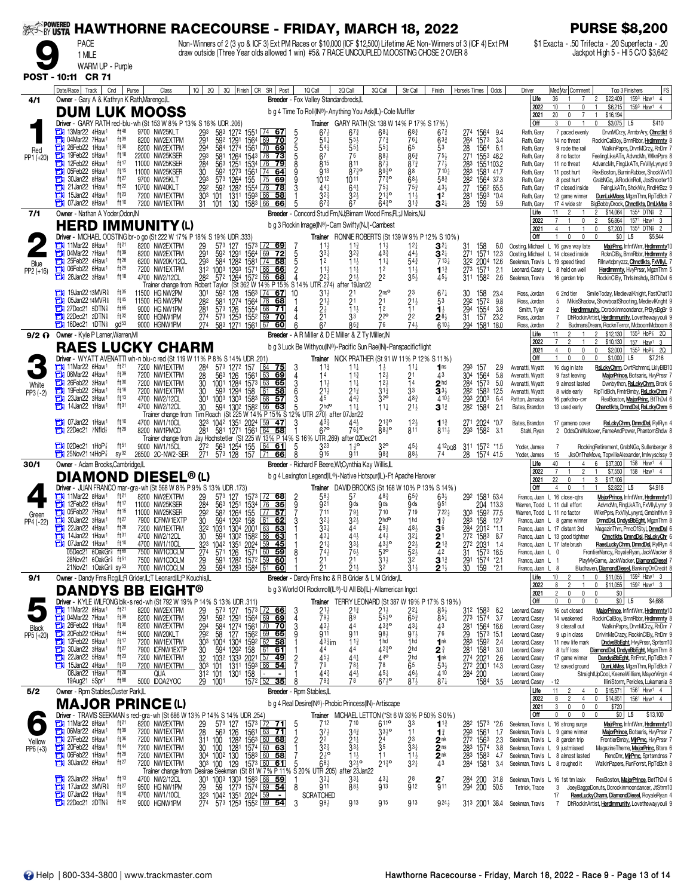|                     | ~By USTA                                                                                               |                               |                                                 |                                                                |                                                                                                                                                                                                                    | <b>HAWTHORNE RACECOURSE - FRIDAY, MARCH 18, 2022</b>                                                |                                                                |                                                                                                |                                                        |                                                                                    |                                      | <b>PURSE \$8,200</b>                                                                                                                                                               |
|---------------------|--------------------------------------------------------------------------------------------------------|-------------------------------|-------------------------------------------------|----------------------------------------------------------------|--------------------------------------------------------------------------------------------------------------------------------------------------------------------------------------------------------------------|-----------------------------------------------------------------------------------------------------|----------------------------------------------------------------|------------------------------------------------------------------------------------------------|--------------------------------------------------------|------------------------------------------------------------------------------------|--------------------------------------|------------------------------------------------------------------------------------------------------------------------------------------------------------------------------------|
|                     | <b>PACE</b>                                                                                            |                               |                                                 |                                                                | Non-Winners of 2 (3 yo & ICF 3) Ext PM Races or \$10,000 (ICF \$12,500) Lifetime AE: Non-Winners of 3 (ICF 4) Ext PM<br>draw outside (Three Year olds allowed 1 win) #5& 7 RACE UNCOUPLED M.OOSTING CHOSE 2 OVER 8 |                                                                                                     |                                                                |                                                                                                |                                                        |                                                                                    |                                      | \$1 Exacta - .50 Trifecta - .20 Superfecta - .20<br>Jackpot High 5 - HI 5 C/O \$3,642                                                                                              |
|                     | 1 MILE<br>WARM UP - Purple                                                                             |                               |                                                 |                                                                |                                                                                                                                                                                                                    |                                                                                                     |                                                                |                                                                                                |                                                        |                                                                                    |                                      |                                                                                                                                                                                    |
|                     | POST - 10:11 CR 71                                                                                     |                               |                                                 |                                                                |                                                                                                                                                                                                                    |                                                                                                     |                                                                |                                                                                                |                                                        |                                                                                    |                                      |                                                                                                                                                                                    |
|                     | Date/Race   Track   Cnd                                                                                | Purse                         | Class                                           |                                                                | 10   20   30   Finish   CR SR   Post                                                                                                                                                                               | 1Q Call                                                                                             | 2Q Call<br>3Q Call                                             | Str Call                                                                                       | Finish                                                 | Horse's Times   Odds                                                               | Driver                               | MedVar Comment<br>Top 3 Finishers<br><b>FS</b>                                                                                                                                     |
| 4/1                 | Owner - Gary A & Kathryn K Rath, Marengo, IL<br>DUM LUK MOOSS                                          |                               |                                                 |                                                                |                                                                                                                                                                                                                    | Breeder - Fox Valley Standardbreds, IL<br>b g 4 Time To Roll(IN®)-Anything You Ask(IL)-Cole Muffler |                                                                |                                                                                                |                                                        |                                                                                    | Life<br>2022                         | 159 <sup>3</sup> Haw <sup>1</sup><br>36<br>\$22,409<br>$\overline{4}$<br>$\overline{c}$<br>\$6,215<br>1593 Haw1 4<br>10<br>$\mathbf 0$                                             |
|                     | Driver - GARY RATH red-blu-wh (St 153 W 8% P 13% S 16% UDR .206)                                       |                               |                                                 |                                                                |                                                                                                                                                                                                                    |                                                                                                     | <b>Trainer</b> GARY RATH (St 138 W 14% P 17% S 17%)            |                                                                                                |                                                        |                                                                                    | 2021<br>Off                          | 20<br>$\overline{7}$<br>\$16,194<br>0<br>$\overline{1}$<br>3<br>$\mathbf{0}$<br>$$3,075$ L5<br>\$410<br>0                                                                          |
|                     | 13Mar22 4Haw1<br>04Mar22 7Haw1                                                                         | ft48<br>ft39                  | 9700 NW25KLT<br>8200 NW2EXTPM                   | 293<br>291<br>294<br>583<br>592                                | 127 <sup>2</sup> 1551 L74<br><u>67</u><br>69<br>70                                                                                                                                                                 | 67<br>$56\frac{1}{4}$                                                                               | 67<br>$55\frac{1}{2}$                                          | 68‡<br>68 <sub>4</sub><br>$77\frac{3}{4}$<br>761                                               | 673<br>63 <sub>4</sub>                                 | 274<br>1564<br>9.4<br>1573<br>264<br>3.4                                           | Rath, Gary<br>Rath, Gary             | 7 paced evenly<br>DrvnMCrzy, ArmbrAry, Chnctlkt 6<br>RockinCalBoy, BrnnRbbr, Hrdlmmnty 8<br>14 no threat                                                                           |
| Red<br>PP1 (+20)    | 26Feb22 1Haw1<br>о<br>19Feb22 5Haw1<br>о                                                               | ft30<br>ft18                  | 8200 NW2EXTPM<br>22000 NW25KSER                 | 584<br>293<br>581                                              | 1291 1564<br>1274 1561<br>  70<br>69<br>1264 1543 178<br>73                                                                                                                                                        | $54\frac{3}{4}$<br>6 <sup>7</sup>                                                                   | $5^{51}$<br>76                                                 | 65<br>$55\frac{1}{4}$<br>863<br>88}                                                            | 53                                                     | 28<br>1564<br>-6.1<br>271 1553 46.2                                                | Rath, Gary<br>Rath, Gary             | 9 rode the rail<br>WalkinPaprs, DrvnMCrzy, RnDnr 7<br>FeelingLikeATn, AdvncMn, WlknPprs 8<br>8 no factor                                                                           |
|                     | 12Feb22 6Haw <sup>1</sup><br>05Feb22 9Haw1                                                             | ft 17<br>ft15                 | 11000 NW25KSER<br>11000 NW25KSER                | $\frac{28}{30}$<br>563<br>592                                  | 1251 1534 76<br>1273 1561 74<br>$\overline{79}$<br>64                                                                                                                                                              | 815<br>g <sub>13</sub>                                                                              | 811<br>8730                                                    | $87\frac{1}{2}$<br>$87\frac{3}{4}$<br>88<br>8930                                               | $75\frac{1}{2}$<br>$77\frac{1}{2}$<br>$710\frac{1}{4}$ | 1551103.2<br>$\frac{283}{283}$<br>1581 41.7                                        | Rath, Gary<br>Rath, Gary             | AdvancMn, FingLkATn, FxVllyLynyrd 9<br>11 no threat<br>RexBoston, BurninRubber, ShockWv10<br>11 post hurt                                                                          |
|                     | 30Jan22 8Haw1<br>21Jan22 1Haw1                                                                         | ft27<br>ft22                  | 9700 NW25KLT<br>10700 NW40KLT                   | 293<br>592                                                     | $\sqrt{75}$<br>573 1264 155<br><u>69</u><br>76                                                                                                                                                                     | $10^{12}$<br>441                                                                                    | 1011                                                           | $77\frac{3}{4}$ <sup>o</sup><br>$68\frac{1}{2}$<br>75}<br>$75\frac{3}{4}$                      | $58\frac{3}{4}$<br>$43\frac{1}{2}$                     | 282 1564 37.3                                                                      | Rath, Gary                           | 8 post hurt<br>GrabNGo, JkRockinRoll, JosShooter10                                                                                                                                 |
|                     | 15Jan22 4Haw <sup>1</sup>                                                                              | ft <sup>23</sup>              | 7200 NW1EXTPM                                   | $\frac{292}{303}$<br>101                                       | 128 <sup>2</sup> 1554<br>1311 1593<br>78<br>66<br>58                                                                                                                                                               | $3^{2^{3}}$                                                                                         | $64\frac{1}{4}$<br>323                                         | $21\bar{4}$ °<br>$11\frac{1}{2}$                                                               | 1 <sup>2</sup>                                         | $\frac{27}{281}$<br>1562 65.5<br>1593 *0.4                                         | Rath, Gary<br>Rath, Gary             | 17 closed inside<br>FeingLkATn, ShckWv, RndHrBzz 9<br>DumLukMoss, MgznThm, RpTdBch<br>12 game winner                                                                               |
| 7/1                 | 107Jan22 8Haw <sup>1</sup><br>Owner - Nathan A Yoder, Odon, IN                                         | ft10                          | 7200 NW1EXTPM                                   | 31<br>101                                                      | 130 158 <sup>3</sup> 66<br>66                                                                                                                                                                                      | $67\frac{3}{4}$<br>Breeder - Concord Stud Fm,NJ;Birnam Wood Fms,FL;J Meirs,NJ                       |                                                                | $64^{30}_{4}$<br>$31\frac{3}{4}$                                                               | $3^{2+}$                                               | 28<br>159<br>5.9                                                                   | Rath, Gary<br>Life                   | 17 4 wide str<br>BigBobbyDrock, Chnctlkts, DmLkMss<br>1554 DTN <sub>8</sub> 2<br>$\overline{2}$<br>\$14,064<br>11<br>2                                                             |
|                     | <b>HERD IMMUNITY (L)</b>                                                                               |                               |                                                 |                                                                |                                                                                                                                                                                                                    | b g 3 Rockin Image(IN®)-Cam Swifty(NJ)-Cambest                                                      |                                                                |                                                                                                |                                                        |                                                                                    | 2022<br>2021                         | \$6,864<br>1571 Haw1 3<br>0<br>2<br>\$7,200<br>$\mathbf 0$<br>1554 DTN <sub>8</sub> 2                                                                                              |
|                     | Driver - MICHAEL OOSTING br-o go (St 222 W 17% P 18% S 19% UDR .333)<br>11Mar22 8Haw1                  | ft <sup>21</sup>              | 8200 NW2EXTPM                                   | 573 127                                                        | 1573<br><b>72 69</b>                                                                                                                                                                                               | $11\frac{1}{2}$                                                                                     | <b>Trainer</b> RONNIE ROBERTS (St 139 W 9% P 12% S 10%)<br>11종 | $12\frac{1}{4}$                                                                                | $3^{2}$                                                | 31<br>6.0<br>158                                                                   | Off                                  | \$5,944<br>$\mathbf 0$<br>$\Omega$<br>\$0 L5<br><sup>n</sup><br>Oosting, Michael L 16 gave way late<br>MajrPrnc, InfntWrrr, Hrdlmmnty10                                            |
|                     | 14Mar22 7Haw1<br>25Feb22 4Haw1<br>о                                                                    | ft39<br>ft26                  | 8200 NW2EXTPM<br>6200 NW20K/12CL                | $\frac{29}{29}$<br>592<br>293                                  | 1291<br>1564<br>69<br>- 72                                                                                                                                                                                         | $3^{31}$<br>12                                                                                      | 32 <sub>4</sub><br>$11\frac{1}{2}$                             | $\frac{11\frac{1}{2}}{43\frac{3}{4}}$<br>$44\frac{1}{2}$<br>$54\frac{3}{4}$<br>$11\frac{1}{4}$ | $3^{2}$<br>$713\frac{1}{4}$                            | 271<br>1571<br>12.3<br>322<br>2004<br>12.6                                         |                                      | Oosting, Michael L 14 closed inside<br>RcknClBy, BrnnRbbr, Hrdlmmnty 8<br>Seekman, Travis L 19 speed tired<br>Rilnwtdpnyzzz, Chnctikts, FxVIIvL                                    |
| Blue<br>PP2 (+16)   | 1 06Feb22 6Haw1<br>28Jan22 3Haw <sup>1</sup>                                                           | ft29<br>ft18                  | 7200 NW1EXTPM                                   | 312 1003                                                       | 584 1282 1581 74 58<br>1003 1293 1571 66 66<br>572 1264 1572 66 68                                                                                                                                                 | 11}<br>$2^{2}$                                                                                      | $11\frac{1}{4}$<br>22<br>$21\frac{1}{2}$                       | 1 <sup>2</sup><br>$3^{11/2}$                                                                   | $1^{13}$<br>45}                                        | 273<br>1571<br>2.1<br>311 1582                                                     |                                      | Leonard, Casey L 8 held on well<br>Herdlmmnty, HvyPrssr, MgznThm 5                                                                                                                 |
|                     | 19Jan22 13MVR <sup>§</sup>                                                                             | $ft^{35}$                     | 4700 NW2/12CL                                   | 282                                                            | Trainer change from Robert Taylor (St 362 W 14% P 15% S 14%                                                                                                                                                        | UTR.274)                                                                                            | after 19Jan22                                                  |                                                                                                |                                                        | 2.6                                                                                | Seekman, Travis                      | 16 garden trip<br>RockinClBy, ThrIsImshdy, BtThDvI 6                                                                                                                               |
|                     | 05Jan22 14MVR <sup>§</sup>                                                                             | ft45                          | 11500 HG NW2PM<br>11500 HG NW2PM                | 301<br>592<br>581<br>282                                       | 1563 74 67<br>128<br>1274 1564<br>68<br>  78                                                                                                                                                                       | $31\frac{1}{2}$<br>10                                                                               | 21<br>$\bar{2}$ 1<br>$\overline{2}$ 1                          | $2^{3}_{21\frac{1}{2}}$<br>$2^{\sf ns^o}$                                                      | 67‡<br>53                                              | 158<br>23.4<br>$\overline{29}$ <sup>2</sup><br>1572<br>9.8                         | Ross, Jordan<br>Ross, Jordan         | SmileToday, MedievalKnight, FastChat10<br>6 2nd tier<br>5<br>MikisShadow, ShowboatShooting, MedievlKnght 9                                                                         |
|                     | $27$ Dec $21$ $5$ DTN $\frac{5}{8}$<br>$\frac{1}{2}$ 22Dec21 2DTN                                      | ft65<br>ft32                  | 9000 HG NW1PM<br>9000 HGNW1PM                   | 573<br>281<br>$\bar{27}$ <sup>4</sup>                          | 126<br>1554 68<br>71<br>573 1253 1552 69<br>583 1271 1561 67<br>69<br>70                                                                                                                                           | $2^{1\frac{5}{2}}$<br>$2^{1\frac{5}{2}}$                                                            | $11\frac{1}{2}$<br>33                                          | 12<br>11<br>$\frac{2^2}{7^4}$<br>220                                                           | $\mathbf{1}_{2}^{1}$<br>$2^{8}$                        | 29 <sup>4</sup><br>31<br>$155^{4}$<br>3.6<br>157<br>23.2                           | Smith, Tyler<br>Ross, Jordan         | Herdlmmunity, Dcrockinmoondancr, PrBysBgBr 9<br>$\overline{c}$<br>DhRockinArtist, Herdlmmunity, Lovethewayyouli 9<br>7                                                             |
|                     | $\frac{1}{2}$ 16Dec21 1DTN<br>9/2 ? Owner - Kyle P Larner, Warren, MI                                  | gd <sub>53</sub>              | 9000 HGNW1PM                                    | 274                                                            | 60                                                                                                                                                                                                                 | $\overline{6}$<br>Breeder - A R Miller & D E Miller & Z Ty Miller, IN                               | 863                                                            | 76                                                                                             | $610+$                                                 | 294 1581 180                                                                       | Ross, Jordan<br>Life                 | BudmansDream, RocknTerror, McboomMcboom &<br>\$12,130<br>1553 HoP <sup>2</sup> 2Q<br>11<br>$\overline{2}$                                                                          |
|                     | <b>RAES LUCKY CHARM</b>                                                                                |                               |                                                 |                                                                |                                                                                                                                                                                                                    | b g 3 Luck Be Withyou(IN <sup>®</sup> )-Pacific Sun Rae(IN)-Panspacificflight                       |                                                                |                                                                                                |                                                        |                                                                                    | 2022<br>2021                         | $\overline{2}$<br>\$10,130<br>157 Haw <sup>1</sup> 3<br>$\mathbf 0$<br>\$2,000<br>1553 HoP <sup>3</sup> 2Q<br>4<br>0<br>0                                                          |
|                     | Driver - WYATT AVENATTI wh-n blu-c red (St 119 W 11% P 8% S 14% UDR .201)<br>11Mar22 6Haw <sup>1</sup> | ft <sup>21</sup>              | 7200 NW1EXTPM                                   |                                                                | 573 1272 157<br>64<br><u>75</u>                                                                                                                                                                                    | $11\frac{3}{4}$                                                                                     | Trainer NICK PRATHER (St 91 W 11% P 12% S 11%)<br>11           | $11\frac{1}{4}$                                                                                | 1 <sub>ns</sub>                                        | 293<br>157<br>2.9                                                                  | Off<br>Avenatti, Wyatt               | $\mathbf{0}$<br>$\mathbf 0$<br>$\mathbf 0$<br>\$1,000 L5<br>\$7,216<br>16 dug in late<br>RsLokyChrm, CvrtRchmnd, LklyBIB10                                                         |
|                     | 06Mar22 4Haw1<br>а<br>26Feb22 3Haw <sup>1</sup>                                                        | ft39<br>ft30                  | 7200 NW1EXTPM                                   | $\begin{array}{c} 28^4 \\ 28 \\ 30 \end{array}$<br>563<br>1001 | 126 1561<br>1284 1573<br>63<br>69<br>63<br>65                                                                                                                                                                      | $\Lambda$<br>14<br>3<br>$11\frac{1}{2}$                                                             | $11\frac{3}{4}$<br>$11\frac{1}{4}$                             | $1\frac{1}{2}$<br>$12\frac{1}{2}$<br>21<br>$\overline{1}4$<br>$12\frac{1}{2}$                  | 43<br>2 <sup>hd</sup>                                  | 5.8<br>304<br>1564<br>28 <sup>4</sup><br>1573<br>5.0                               | Avenatti, Wyatt                      | MajorPrince, Botsaris, HvyPrssr 7<br>9 fast leaving                                                                                                                                |
| White<br>$PP3 (-2)$ | о<br>19Feb22 2Haw1<br>о                                                                                | ft18<br>ft13                  | 7200 NW1EXTPM<br>7200 NW1EXTPM                  | 30<br>593                                                      | 1294 158<br>61<br>58                                                                                                                                                                                               | $21\frac{1}{2}$<br>Δ5                                                                               | $21\frac{3}{4}$                                                | 3 <sup>3</sup><br>$3^{13}$<br>320                                                              | $3^{3}\frac{1}{2}$                                     | 282 1583<br>12.5                                                                   | Avenatti, Wyatt<br>Avenatti, Wyatt   | Dwnbythcn, RsLckyChrm, Brork 6<br>9 almost lasted<br>RipTidBch, FrntrBmby, RsLokyChrm<br>8 wide early                                                                              |
|                     | 23Jan22 3Haw1<br>14Jan22 1Haw <sup>1</sup>                                                             | ft31                          | 4700 NW2/12CL<br>4700 NW2/12CL                  | 301<br>1003<br>30<br>594                                       | 1303 1583<br>68<br>57<br>130 <sup>2</sup> 158 <sup>2</sup> 66<br>63                                                                                                                                                | 2hd                                                                                                 | 44 <sup>3</sup><br>$11\frac{1}{4}$                             | $48\frac{3}{4}$<br>$21\frac{1}{2}$<br>$11\frac{1}{4}$                                          | 410+<br>$3^{13}$                                       | 293<br>2003<br>6.4<br>282 1584<br>2.1                                              | Patton, Jamaica<br>Bates, Brandon    | RexBoston, MajorPrinc, BtThDvl 6<br>16 parkdno-cvr<br>13 used early<br>Chanctikts, DmndDsl, RsLckyChrm 6                                                                           |
|                     | 1Haw <sup>1</sup> 07Jan22 1Haw <sup>1</sup>                                                            | ft10                          | 4700 NW1/10CL                                   |                                                                | Trainer change from Tim Roach (St 225 W 14% P 15% S 12% UTR<br>59<br><u>47</u>                                                                                                                                     | $43\frac{3}{4}$                                                                                     | .270) after 07Jan22<br>443                                     | $12\frac{1}{2}$                                                                                | $1^{13}$                                               | *0.7                                                                               | Bates, Brandon                       | 17 gameno cover<br><b>RsLokyChrm, DmndDsI, RylRyn 4</b>                                                                                                                            |
|                     |                                                                                                        |                               |                                                 |                                                                |                                                                                                                                                                                                                    |                                                                                                     |                                                                |                                                                                                |                                                        |                                                                                    |                                      |                                                                                                                                                                                    |
|                     | 22Dec21 $7$ Nfld $\frac{1}{2}$                                                                         | $ft^{29}$                     | 8200 NW1PMCD                                    | 323 1042 1351 2024<br>281 581 1271 1561                        | $\overline{58}$<br>64<br>Trainer change from Jay Hochstetler (St 225 W 13% P 14% S 16% UTR 269) after 02Dec21                                                                                                      | 670                                                                                                 | 76‡°                                                           | 811<br>88 jo                                                                                   | $811\frac{1}{2}$                                       | 2024<br>1582<br>$^{271}_{293}$<br>3.1                                              | Stahl, Ryan                          | 2 OddsOnWalkover, FameAndPower, PhantomShdw 8                                                                                                                                      |
|                     | <b>THE O2Dec21 1HoP</b><br>$25$ Nov21 14HoP $\frac{7}{8}$                                              | $ft^{51}$<br>sy <sup>32</sup> | 9000 NW1/15CL<br>26500 2C-NW2-SER               | $\frac{272}{271}$                                              | 56 <sup>3</sup> 125 <sup>4</sup> 155<br>573 128 157<br>64<br>61<br>$\sqrt{71}$<br>66                                                                                                                               | 323<br><b>916</b>                                                                                   | $1\frac{1}{2}$ <sup>o</sup><br>911                             | 32°<br>$45\frac{1}{4}$<br>$88+$<br>98 <sup>3</sup>                                             | 412 <sub>DQ</sub> 8<br>74                              | 311 1572 *1.5<br>28<br>1574 41.5                                                   | Yoder, James<br>Yoder, James         | RockingRetirement, GrabNGo, Sullenberger &<br>JksOnTheMove, TopvilleAlexander, Imlwysclssy 9<br>15                                                                                 |
| 30/1                | Owner - Adam Brooks, Cambridge, IL                                                                     |                               |                                                 |                                                                |                                                                                                                                                                                                                    | Breeder - Richard F Beere, WI; Cynthia Kay Willis, IL                                               |                                                                |                                                                                                |                                                        |                                                                                    | Life<br>2022                         | 6 \$37,300<br>40<br>158 Haw <sup>1</sup> 4<br>4<br>$\overline{7}$<br>$\overline{c}$<br>\$7,550<br>158 Haw1 4                                                                       |
|                     | <b>DIAMOND</b>                                                                                         |                               | <b>DIESEL®(L)</b>                               |                                                                |                                                                                                                                                                                                                    | b g 4 Lexington Legend(IL®)-Native Hotspur(IL)-Ft Apache Hanover                                    |                                                                |                                                                                                |                                                        |                                                                                    | 2021<br>Off                          | 22<br>3<br>\$17,106<br>0<br>\$4,918<br>$\mathbf{0}$                                                                                                                                |
|                     | Driver - JUAN FRANCO mar-gra-wh (St 568 W 8% P 9% S 13% UDR 173)<br><b>The 11Mar22 8Haw1</b>           | ft <sup>21</sup>              | 8200 NW2EXTPM                                   | 573 127                                                        | 1573<br>$\frac{72}{68}$                                                                                                                                                                                            | 58                                                                                                  | Trainer DAVID BROOKS (St 168 W 10% P 13% S 14%)<br>57          | 48}<br>$65\frac{3}{4}$                                                                         | $63\frac{1}{2}$                                        | 1581 63.4<br>292                                                                   |                                      | \$2,822 L5<br>Franco, Juan L 16 close-otrs<br>MajorPrince, InfntWrrr, Hrdlmmnty10                                                                                                  |
| Green               | 12Feb22 6Haw1<br>05Feb22 7Haw <sup>1</sup>                                                             | ft17<br>ft15                  | 11000 NW25KSER<br>11000 NW25KSER                | 29<br>284<br>563                                               | 1251 1534 76<br><u>35</u><br>[77, 57]                                                                                                                                                                              | 2<br>9<br>921<br>711                                                                                | 9ds<br>$79\frac{1}{4}$                                         | 9 <sub>ds</sub><br>9 <sub>ds</sub><br>710<br>719                                               | 951<br>$722\frac{1}{2}$                                | 204 113.3                                                                          |                                      | Warren, Todd L 11 dull effort<br>AdvncMn, FingLkATn, FxVIIvLynyr 9<br>WiknPprs, FxVllyLynyrd, Gmbinfrivn 9<br>Warren, Todd L 11 no factor                                          |
| PP4 (-22)           | 30Jan22 3Haw <sup>1</sup><br>о<br>22Jan22 4Haw1                                                        | ft27<br>$ft^{26}$             | 7900 ICFNW1EXTP<br>7200 NW1EXTPM                | $\frac{29}{30}$ <sup>2</sup>                                   | 58 <sup>2</sup> 126 <sup>4</sup> 155<br>594 129 <sup>2</sup> 158<br>61<br>62<br>322 1031 1304 2001 63 53                                                                                                           | 3<br>$3^{2}$<br>$33+$                                                                               | 32 <sub>3</sub><br>44                                          | 2hd <sup>o</sup><br>1 <sub>hd</sub><br>494<br>481                                              | $\mathbf{1}^3$<br>36                                   | 30 <sup>3</sup> 159 <sup>2</sup> 77.5<br>28 <sup>3</sup> 158 12.7<br>284 2012 *1.1 |                                      | DmndDsl, DndysBbEght, MgznThm 8<br>Franco, Juan L 8 game winner<br>Franco, Juan   17 distant 3rd<br>MagazinThm, PrncOfStvl, DmndDsl 6                                              |
|                     | 14Jan22 1Haw <sup>1</sup><br>о<br>07Jan22 1Haw <sup>1</sup><br>о                                       | $ft^{31}$<br>ft10             | 4700 NW2/12CL<br>4700 NW1/10CL                  | $\frac{30}{323}$                                               | 594 1302 1582 66 63<br>1042 1351 2024 59 45                                                                                                                                                                        | $43\frac{1}{4}$<br>$2^{1\frac{3}{4}}$                                                               | $3^{31}$                                                       | 43 <sup>1</sup> °                                                                              | $2^{1}_{2^{13}}$                                       | 27 <sup>2</sup> 1583<br>27 <sup>2</sup> 2031<br>8.7<br>-1.4                        |                                      | Chnctikts, DmndDsl, RsLckyChr 6<br>Franco, Juan L 13 good tightner<br>Franco, Juan L 17 late brush<br><mark>RaesLuckyChrm, DmndDsl,</mark> RylRyn 4                                |
|                     | 05Dec21 6OakGr ft69<br>28Nov21 6OakGr ft <sup>51</sup>                                                 |                               | 7500 NW1CDCLM<br>7500 NW1CDCLM                  | 274<br>571<br>591                                              | 126<br>1571 60 59                                                                                                                                                                                                  | 74 <sub>3</sub>                                                                                     | 76}<br>21                                                      | $32\frac{1}{2}$<br>$22\frac{1}{2}$<br>$52\frac{1}{2}$<br>530<br>32<br>$31\frac{1}{2}$          | 42<br>$3^{13}$                                         | $\overline{3}1$<br>1573 16.5<br>*2.1                                               | Franco, Juan L 0<br>Franco, Juan L 1 | FrontierNancy, RoyaleRyan, JackWacker 8<br>PlayMyGame, JackWacker, DiamondDiesel 7                                                                                                 |
| 9/1                 | 21Nov21 1OakGr <sup>§</sup> sy <sup>53</sup>                                                           |                               | 7000 NW1CDCLM                                   | 29<br>29<br>594                                                | 128 <sup>2</sup> 157 <sup>2</sup> 59 60<br>128 <sup>3</sup> 1584 61 60                                                                                                                                             | $^{21}_{21}$<br>Breeder - Dandy Fms Inc & R B Grider & L M Grider, L                                | $51\frac{1}{2}$<br>32                                          | $31\frac{1}{2}$                                                                                | $2^{11}$                                               | $\frac{29}{30}$ <sup>1</sup><br>1574<br>159<br>$*2.1$                              | Franco, Juan L 8<br>Life             | Bludhaven, DiamondDiesel, BankingOnCredit 8<br>\$11,055<br>159 <sup>2</sup> Haw <sup>1</sup> 3<br>10<br>$\overline{2}$<br>$\overline{1}$<br>0                                      |
|                     | Owner - Dandy Fms Rcg,IL;R Grider,IL;T Leonard,IL;P Kouchis,IL<br><b>DANDYS BB EIGHT®</b>              |                               |                                                 |                                                                |                                                                                                                                                                                                                    | b g 3 World Of Rocknroll(IL®)-U All Bb(IL)-Allamerican Ingot                                        |                                                                |                                                                                                |                                                        |                                                                                    | 2022<br>2021                         | \$11,055<br>159 <sup>2</sup> Haw <sup>1</sup> 3<br>8<br>2<br>0<br>$\overline{c}$<br>0<br>\$0<br>$\mathbf{0}$<br>0                                                                  |
|                     | Driver - KYLE WILFONG blk-s red-wh (St 792 W 19% P 14% S 13% UDR .311)                                 |                               |                                                 |                                                                |                                                                                                                                                                                                                    |                                                                                                     | Trainer TERRY LEONARD (St 387 W 19% P 17% S 19%)               |                                                                                                |                                                        |                                                                                    | Off                                  | $$0$ L5<br>0<br>\$4,688<br>$\theta$<br>0                                                                                                                                           |
|                     | 11Mar22 8Haw <sup>1</sup><br>04Mar22 7Haw1<br>о                                                        | ft <sup>21</sup><br>ft39      | 8200 NW2EXTPM<br>8200 NW2EXTPM                  | 573 127                                                        | 1573 72 66                                                                                                                                                                                                         | $2^{11}_{2}$<br>$7^{91}_{2}$<br>4                                                                   | 21}                                                            | 22‡<br>21<br>$55\frac{1}{2}$ <sup>o</sup>                                                      | 85}<br>$85\frac{1}{4}$                                 | 312 1583<br>6.2<br>273 1574<br>3.7                                                 | Leonard, Casey<br>Leonard, Casey     | 16 out closed<br>MajorPrince, InfintWrrr, Hrdlmmnty10<br>RockinCalBoy, BrnnRbbr, Hrdlmmnty 8<br>14 weakened                                                                        |
| Black<br>PP5 (+20)  | 26Feb22 1Haw1<br>о<br>20Feb22 10Haw1<br>о                                                              | ft30<br>ft44                  | 8200 NW2EXTPM<br>9000 NW20KLT                   | 29<br>291<br>294<br>292<br>58                                  | 592 1291 1564 69 69<br>584 1274 1561 70 70<br>1562 69<br>127<br><u>65 </u>                                                                                                                                         | $43\frac{1}{2}$<br>3<br>911                                                                         | $\frac{89}{44}$<br>911                                         | $6^{53}_{4}$<br>43 <sup>1</sup><br>43 <sup>3</sup> °<br>97 <sub>3</sub><br>984                 | 43<br>76                                               | 281 1564 16.6<br>29<br>1573 15.1                                                   | Leonard, Casey<br>Leonard, Casev     | 9 clearall out<br>WalkinPaprs, DrvnMCrzy, RnDnr 7<br>9 up in class<br>DrivinMeCrazy, RockinClBy, RnDnr 9                                                                           |
|                     | 12Feb22 5Haw1<br>30Jan22 3Haw1<br>σ                                                                    | ft17<br>ft27                  | 7200 NW1EXTPM<br>7900 ICFNW1EXTP                | $\frac{30^3}{30^3}$                                            | $\frac{62}{61}$ 58                                                                                                                                                                                                 | $43\frac{3}{4}$ im<br>44                                                                            | $11\frac{3}{4}$<br>44                                          | 1 <sub>hd</sub><br>1 <sub>hd</sub><br>4230<br>2 <sup>hd</sup>                                  | 1 <sup>nk</sup><br>$2^{\frac{3}{4}}$                   | $\overline{28}$ <sup>3</sup><br>1592<br>2.4<br>281<br>1581<br>3.0                  | Leonard, Casey<br>Leonard, Casey     | DndysBbEght, HvyPrssr, Sprtsm10<br>11 new life mark<br>DiamondDsl, DndysBbEght, MgznThm 8<br>8 tuff loss                                                                           |
|                     | 22Jan22 5Haw1<br>т<br>15Jan22 4Haw <sup>1</sup>                                                        | $ft^{23}$<br>$ft^{23}$        | 7200 NW1EXTPM<br>7200 NW1EXTPM                  | $\overline{32}$<br>303 101                                     | 1004 1304 1592<br>49<br>  57<br>$66$ 54                                                                                                                                                                            | 45}<br>79                                                                                           | 44<br>$78\frac{1}{4}$                                          | $\overline{2}$ hd<br>440<br>78<br>65                                                           | 1nk<br>$5^{3}\frac{1}{2}$                              | 274 2021<br>2.6<br>272 2001 14.3                                                   | Leonard, Casey<br>Leonard, Casey     | 17 game winner<br>DandysBbEght, RnFrrst, RpTdBch 7<br>DumLkMss, MgznThm, RpTdBch 7<br>12 saved ground                                                                              |
|                     | 08Jan22 1Haw <sup>1</sup><br>19Aug21 5Spr1                                                             | $ft^{28}$<br>$ft^{88}$        | <b>QUA</b><br>5000 IDOA2YOC                     | 303 101 1311 1593<br>312 101 1301 158<br>29<br>1001            | $\blacksquare$<br>$1572$ $52$ 35                                                                                                                                                                                   | $44\frac{3}{4}$<br>$79\frac{3}{4}$                                                                  | $44\frac{1}{2}$<br>78                                          | 45‡<br>$46\frac{1}{2}$<br>$87\frac{1}{2}$<br>$67\frac{1}{2}$ <sup>o</sup>                      | 410<br>$87\frac{1}{4}$                                 | 284 200<br>1584 3.5                                                                | Leonard, Casey<br>Leonard, Casey     | StraightUpCool, KeeneWilliam, MayorVirgin 4<br>$-12$<br>IlliniStorm, Pericles, Lukamania 8                                                                                         |
| 5/2                 | Owner - Rpm Stables, Custer Park, IL                                                                   |                               |                                                 |                                                                |                                                                                                                                                                                                                    | Breeder - Rpm Stables,IL                                                                            |                                                                |                                                                                                |                                                        |                                                                                    | Life<br>2022                         | \$15,571 1561 Haw1 4<br>11<br>$\overline{2}$<br>$\overline{4}$<br>$\mathbf 0$<br>156 <sup>1</sup> Haw <sup>1</sup> 4<br>8<br>0<br>\$14,851<br>4                                    |
|                     | <b>MAJOR PRINCE (L)</b>                                                                                |                               |                                                 |                                                                |                                                                                                                                                                                                                    | b g 4 Real Desire(IN®)-Phobic Princess(IN)-Artiscape                                                |                                                                |                                                                                                |                                                        |                                                                                    | 2021<br>Off                          | 3<br>\$720<br>0<br>0<br>$\mathbf{0}$<br>$\mathbf 0$<br>$\mathbf{0}$<br>$\mathbf 0$<br>$\mathbf 0$<br>$$0$ L5<br>\$13,100                                                           |
|                     | Driver - TRAVIS SEEKMAN s red-gra-wh (St 686 W 13% P 14% S 14% UDR .254<br>11Mar22 8Haw <sup>1</sup>   | ft <sup>21</sup>              | 8200 NW2EXTPM                                   |                                                                | 157 <sup>3</sup> 72<br>127<br><u>71</u>                                                                                                                                                                            | 712<br>5                                                                                            | Trainer MICHAEL LETTON (*St 6 W 33% P 50% S 0%)<br>710         | 611°<br>33                                                                                     | $1^{\frac{3}{4}}$                                      | 1573<br>$^*2.6$                                                                    |                                      | Seekman, Travis L 16 strong surge<br>MairPrnc, InfntWrrr, Hrdlmmnty10                                                                                                              |
| Yellow              | 13 06Mar22 4Haw <sup>1</sup><br>27Feb22 5Haw1                                                          | ft39<br>ft36                  | 7200 NW1EXTPM<br>7200 NW1EXTPM                  | 29<br>28<br>$\frac{573}{563}$<br>311 100                       | 126<br>63<br>$\overline{71}$<br>1561<br>128 <sup>2</sup> 156 <sup>3</sup> 60 68                                                                                                                                    | $37\frac{1}{2}$<br>22<br>2                                                                          | $34\frac{3}{4}$<br>$21\frac{1}{4}$<br>24                       | $33\frac{1}{2}$ °<br>11<br>23                                                                  | $\mathbf{1}^3$<br>2 <sup>nk</sup>                      | 28 <sup>2</sup><br>293<br>1561<br>1.7<br>272 1563<br>2.3                           |                                      | Seekman, Travis L 9 game winner<br>MajorPrince, Botsaris, HvyPrssr 7<br>Seekman, Travis L 8 garden trip<br>FrontierBmby, MirPrnc, HvyPrssr 7                                       |
| $PP6 (+3)$          | 20Feb22 4Haw1<br>ο<br>1Haw <sup>1</sup> 06Feb22 1Haw <sup>1</sup>                                      | ft44<br>$ft^{29}$             | 7200 NW1EXTPM<br>7200 NW1EXTPM                  |                                                                | 30 100 1281 1574 60 63                                                                                                                                                                                             | $\frac{523}{25}$                                                                                    | $\frac{3}{3}$ <sup>3</sup> $\frac{1}{4}$<br>$\overline{3}5$    | $33\frac{1}{4}$<br>11<br>$11\frac{1}{2}$                                                       | 2 <sup>ns</sup><br>$\overline{2}$ nk                   | 283 1574<br>3.8<br>283 1583<br>4.7                                                 |                                      | Seekman, Travis L 9 justmissed<br>Magazine Theme, MajorPrinc, Btsrs 6<br>RenoDnr, MirPrnc, Sprtsmdnss 7<br>Seekman, Travis L 8 almost lasted                                       |
|                     | 30Jan22 6Haw <sup>1</sup><br>п                                                                         | ft27                          | 7200 NW1EXTPM                                   | 303 100                                                        | 129<br>60<br>1573<br><u>61</u><br>Trainer change from Desirae Seekman (St 81 W 7% P 11% S 20%                                                                                                                      | $68\frac{1}{2}$<br>UTR .205)                                                                        | $3^{210}$<br>after 23Jan22                                     | $32\frac{1}{4}$<br>$21\frac{3}{4}$ <sup>o</sup>                                                | 43                                                     | 284 1581<br>34                                                                     |                                      | Seekman, Travis L 8 roughed it<br>WalkinPapers, RunForrst, RpTdBch 8                                                                                                               |
|                     | 23Jan22 3Haw1<br>17Jan22 3MVR <sup>§</sup><br>07Jan22 1Haw <sup>1</sup><br>о                           | $ft^{13}$<br>ft27<br>ft10     | 4700 NW2/12CL<br>9500 HG NW1PM<br>4700 NW1/10CL | 301 1003 1303 1583<br>29<br>59                                 | 68 59<br>1273 1574 69 54<br>323 1042 1351 2024 59<br>274 573 1253 1552 69                                                                                                                                          | $3^{3+}$<br>911<br>8<br><b>SCRATCHED</b>                                                            | 33‡<br>$88\frac{1}{2}$                                         | 431<br>28<br>912<br>913                                                                        | $2^7$<br>911                                           | 284 200<br>31.8<br>294 200<br>50.5                                                 | Tetrick, Trace                       | RexBoston, MajorPrince, BetThDvl 6<br>Seekman, Travis L 16 1st tm lasix<br>JoeyBaggaDonuts, Dcrockinmoondancer, JtStrm10<br>3<br>RaesLuckyCharm, DiamondDiesel, RoyaleRyan 4<br>17 |